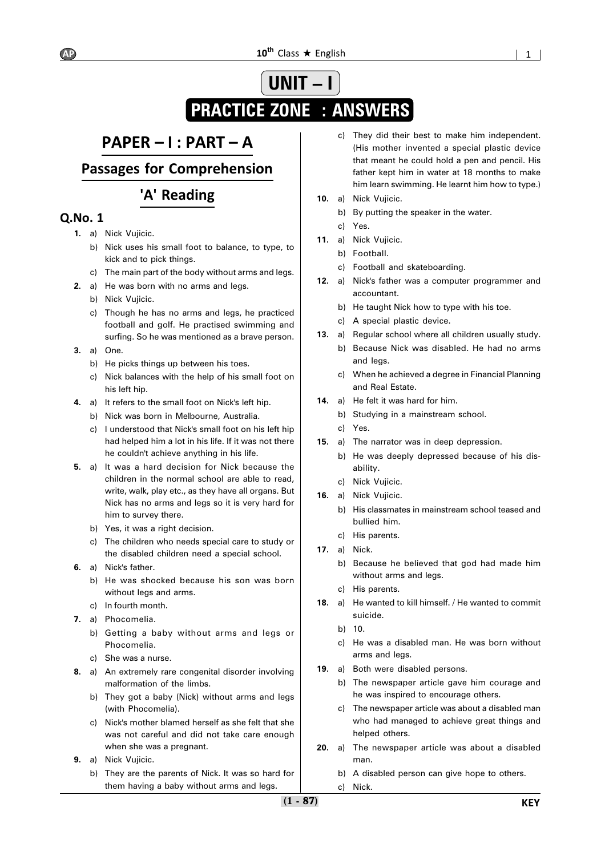# **UNIT – PRACTICE ZONE : ANSWERS**

# **PAPER – I : PART – A**

**Passages for Comprehension**

## **'A' Reading**

- **1.** a) Nick Vujicic.
	- b) Nick uses his small foot to balance, to type, to kick and to pick things.
	- c) The main part of the body without arms and legs.
- **2.** a) He was born with no arms and legs.
	- b) Nick Vujicic.
	- c) Though he has no arms and legs, he practiced football and golf. He practised swimming and surfing. So he was mentioned as a brave person.
- **3.** a) One.
	- b) He picks things up between his toes.
	- c) Nick balances with the help of his small foot on his left hip.
- **4.** a) It refers to the small foot on Nick's left hip.
	- b) Nick was born in Melbourne, Australia.
	- c) I understood that Nick's small foot on his left hip had helped him a lot in his life. If it was not there he couldn't achieve anything in his life.
- **5.** a) It was a hard decision for Nick because the children in the normal school are able to read, write, walk, play etc., as they have all organs. But Nick has no arms and legs so it is very hard for him to survey there.
	- b) Yes, it was a right decision.
	- c) The children who needs special care to study or the disabled children need a special school.
- **6.** a) Nick's father.
	- b) He was shocked because his son was born without legs and arms.
	- c) In fourth month.
- **7.** a) Phocomelia.
	- b) Getting a baby without arms and legs or Phocomelia.
	- c) She was a nurse.
- **8.** a) An extremely rare congenital disorder involving malformation of the limbs.
	- b) They got a baby (Nick) without arms and legs (with Phocomelia).
	- c) Nick's mother blamed herself as she felt that she was not careful and did not take care enough when she was a pregnant.
- **9.** a) Nick Vujicic.
	- b) They are the parents of Nick. It was so hard for them having a baby without arms and legs.
- c) They did their best to make him independent. (His mother invented a special plastic device that meant he could hold a pen and pencil. His father kept him in water at 18 months to make him learn swimming. He learnt him how to type.)
- **10.** a) Nick Vujicic.
	- b) By putting the speaker in the water.
	- c) Yes.
- **11.** a) Nick Vujicic.
	- b) Football.
	- c) Football and skateboarding.
- **12.** a) Nick's father was a computer programmer and accountant.
	- b) He taught Nick how to type with his toe.
	- c) A special plastic device.
- **13.** a) Regular school where all children usually study.
	- b) Because Nick was disabled. He had no arms and legs.
	- c) When he achieved a degree in Financial Planning and Real Estate.
- **14.** a) He felt it was hard for him.
	- b) Studying in a mainstream school.
	- c) Yes.
- **15.** a) The narrator was in deep depression.
	- b) He was deeply depressed because of his disability.
	- c) Nick Vujicic.
- **16.** a) Nick Vujicic.
	- b) His classmates in mainstream school teased and bullied him.
	- c) His parents.
- **17.** a) Nick.
	- b) Because he believed that god had made him without arms and legs.
	- c) His parents.
- **18.** a) He wanted to kill himself. / He wanted to commit suicide.
	- b) 10.
	- c) He was a disabled man. He was born without arms and legs.
- **19.** a) Both were disabled persons.
	- b) The newspaper article gave him courage and he was inspired to encourage others.
	- c) The newspaper article was about a disabled man who had managed to achieve great things and helped others.
- **20.** a) The newspaper article was about a disabled man.
	- b) A disabled person can give hope to others.
	- c) Nick.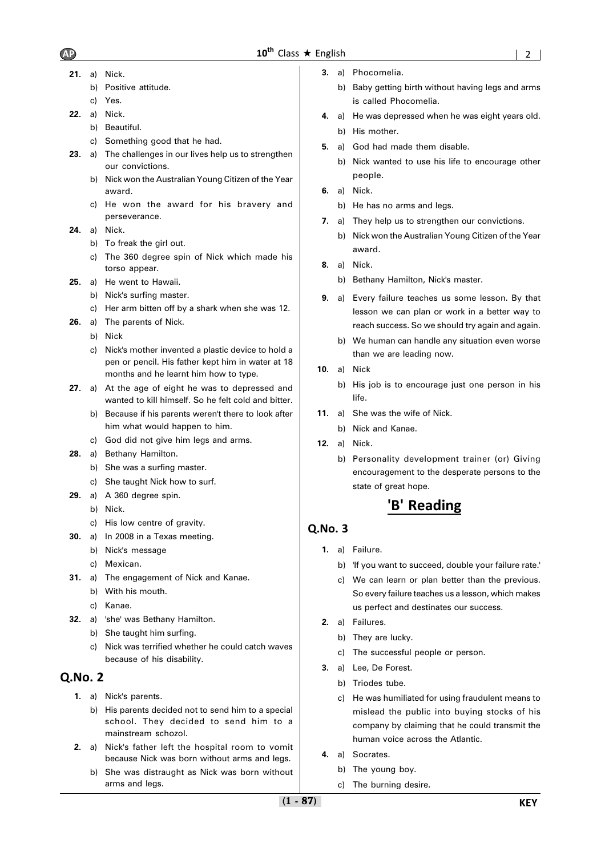- - **21.** a) Nick.
		- b) Positive attitude.
		- c) Yes.
	- **22.** a) Nick.
		- b) Beautiful.
		- c) Something good that he had.
	- **23.** a) The challenges in our lives help us to strengthen our convictions.
		- b) Nick won the Australian Young Citizen of the Year award.
		- c) He won the award for his bravery and perseverance.
	- **24.** a) Nick.
		- b) To freak the girl out.
		- c) The 360 degree spin of Nick which made his torso appear.
	- **25.** a) He went to Hawaii.
		- b) Nick's surfing master.
		- c) Her arm bitten off by a shark when she was 12.
	- **26.** a) The parents of Nick.
		- b) Nick
		- c) Nick's mother invented a plastic device to hold a pen or pencil. His father kept him in water at 18 months and he learnt him how to type.
	- **27.** a) At the age of eight he was to depressed and wanted to kill himself. So he felt cold and bitter.
		- b) Because if his parents weren't there to look after him what would happen to him.
		- c) God did not give him legs and arms.
	- **28.** a) Bethany Hamilton.
		- b) She was a surfing master.
		- c) She taught Nick how to surf.
	- **29.** a) A 360 degree spin.
		- b) Nick.
		- c) His low centre of gravity.
	- **30.** a) In 2008 in a Texas meeting.
		- b) Nick's message
		- c) Mexican.
	- **31.** a) The engagement of Nick and Kanae.
		- b) With his mouth.
		- c) Kanae.
	- **32.** a) 'she' was Bethany Hamilton.
		- b) She taught him surfing.
			- c) Nick was terrified whether he could catch waves because of his disability.

### **Q.No. 2**

- **1.** a) Nick's parents.
	- b) His parents decided not to send him to a special school. They decided to send him to a mainstream schozol.
- **2.** a) Nick's father left the hospital room to vomit because Nick was born without arms and legs.
	- b) She was distraught as Nick was born without arms and legs.
- **3.** a) Phocomelia.
	- b) Baby getting birth without having legs and arms is called Phocomelia.
- **4.** a) He was depressed when he was eight years old. b) His mother.
- **5.** a) God had made them disable.
	- b) Nick wanted to use his life to encourage other people.
- **6.** a) Nick.
	- b) He has no arms and legs.
- **7.** a) They help us to strengthen our convictions.
	- b) Nick won the Australian Young Citizen of the Year award.
- **8.** a) Nick.
	- b) Bethany Hamilton, Nick's master.
- **9.** a) Every failure teaches us some lesson. By that lesson we can plan or work in a better way to reach success. So we should try again and again.
	- b) We human can handle any situation even worse than we are leading now.
- **10.** a) Nick
	- b) His job is to encourage just one person in his life.
- **11.** a) She was the wife of Nick.
	- b) Nick and Kanae.
- **12.** a) Nick.
	- b) Personality development trainer (or) Giving encouragement to the desperate persons to the state of great hope.

# **'B' Reading**

- **1.** a) Failure.
	- b) 'If you want to succeed, double your failure rate.'
	- c) We can learn or plan better than the previous. So every failure teaches us a lesson, which makes us perfect and destinates our success.
- **2.** a) Failures.
	- b) They are lucky.
	- c) The successful people or person.
- **3.** a) Lee, De Forest.
	- b) Triodes tube.
	- c) He was humiliated for using fraudulent means to mislead the public into buying stocks of his company by claiming that he could transmit the human voice across the Atlantic.
- **4.** a) Socrates.
	- b) The young boy.
	- c) The burning desire.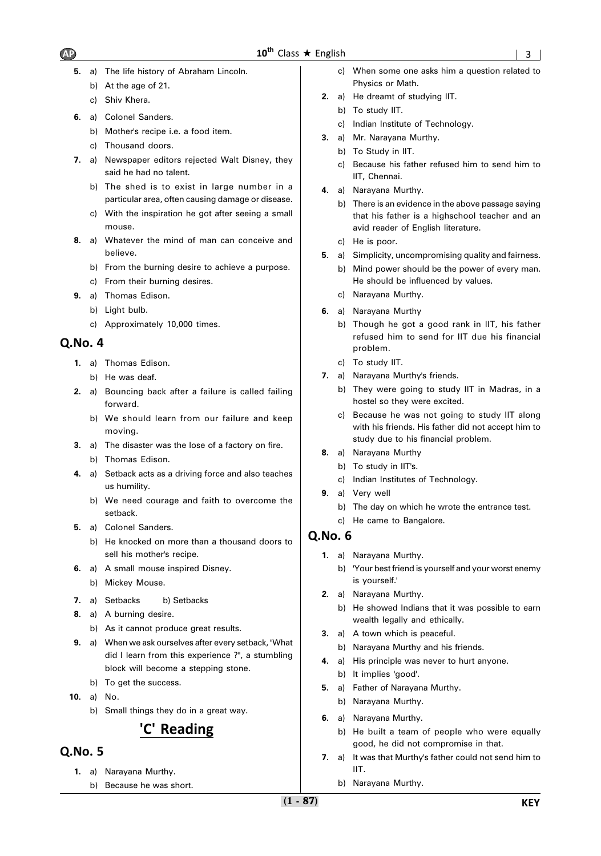- **5.** a) The life history of Abraham Lincoln.
	- b) At the age of 21.
	- c) Shiv Khera.
- **6.** a) Colonel Sanders.
	- b) Mother's recipe i.e. a food item.
	- c) Thousand doors.
- **7.** a) Newspaper editors rejected Walt Disney, they said he had no talent.
	- b) The shed is to exist in large number in a particular area, often causing damage or disease.
	- c) With the inspiration he got after seeing a small mouse.
- **8.** a) Whatever the mind of man can conceive and believe.
	- b) From the burning desire to achieve a purpose.
	- c) From their burning desires.
- **9.** a) Thomas Edison.
	- b) Light bulb.
	- c) Approximately 10,000 times.

### **Q.No. 4**

- **1.** a) Thomas Edison.
	- b) He was deaf.
- **2.** a) Bouncing back after a failure is called failing forward.
	- b) We should learn from our failure and keep moving.
- **3.** a) The disaster was the lose of a factory on fire. b) Thomas Edison.
- **4.** a) Setback acts as a driving force and also teaches us humility.
	- b) We need courage and faith to overcome the setback.
- **5.** a) Colonel Sanders.
	- b) He knocked on more than a thousand doors to sell his mother's recipe.
- **6.** a) A small mouse inspired Disney.
	- b) Mickey Mouse.
- **7.** a) Setbacks b) Setbacks
- **8.** a) A burning desire.
	- b) As it cannot produce great results.
- **9.** a) When we ask ourselves after every setback, "What did I learn from this experience ?", a stumbling block will become a stepping stone.
	- b) To get the success.
- **10.** a) No.
	- b) Small things they do in a great way.

## **'C' Reading**

### **Q.No. 5**

- **1.** a) Narayana Murthy.
	- b) Because he was short.
- c) When some one asks him a question related to Physics or Math.
- **2.** a) He dreamt of studying IIT.
	- b) To study IIT.
	- c) Indian Institute of Technology.
- **3.** a) Mr. Narayana Murthy.
	- b) To Study in IIT.
	- c) Because his father refused him to send him to IIT, Chennai.
- **4.** a) Narayana Murthy.
	- b) There is an evidence in the above passage saying that his father is a highschool teacher and an avid reader of English literature.
	- c) He is poor.
- **5.** a) Simplicity, uncompromising quality and fairness.
	- b) Mind power should be the power of every man. He should be influenced by values.
	- c) Narayana Murthy.
- **6.** a) Narayana Murthy
	- b) Though he got a good rank in IIT, his father refused him to send for IIT due his financial problem.
	- c) To study IIT.
- **7.** a) Narayana Murthy's friends.
	- b) They were going to study IIT in Madras, in a hostel so they were excited.
	- c) Because he was not going to study IIT along with his friends. His father did not accept him to study due to his financial problem.
- **8.** a) Narayana Murthy
- b) To study in IIT's.
	- c) Indian Institutes of Technology.
- **9.** a) Very well
	- b) The day on which he wrote the entrance test.
	- c) He came to Bangalore.

- **1.** a) Narayana Murthy.
	- b) 'Your best friend is yourself and your worst enemy is yourself.'
- **2.** a) Narayana Murthy.
	- b) He showed Indians that it was possible to earn wealth legally and ethically.
- **3.** a) A town which is peaceful.
	- b) Narayana Murthy and his friends.
- **4.** a) His principle was never to hurt anyone. b) It implies 'good'.
- **5.** a) Father of Narayana Murthy.
	- b) Narayana Murthy.
- **6.** a) Narayana Murthy.
	- b) He built a team of people who were equally good, he did not compromise in that.
- **7.** a) It was that Murthy's father could not send him to IIT.
	- b) Narayana Murthy.

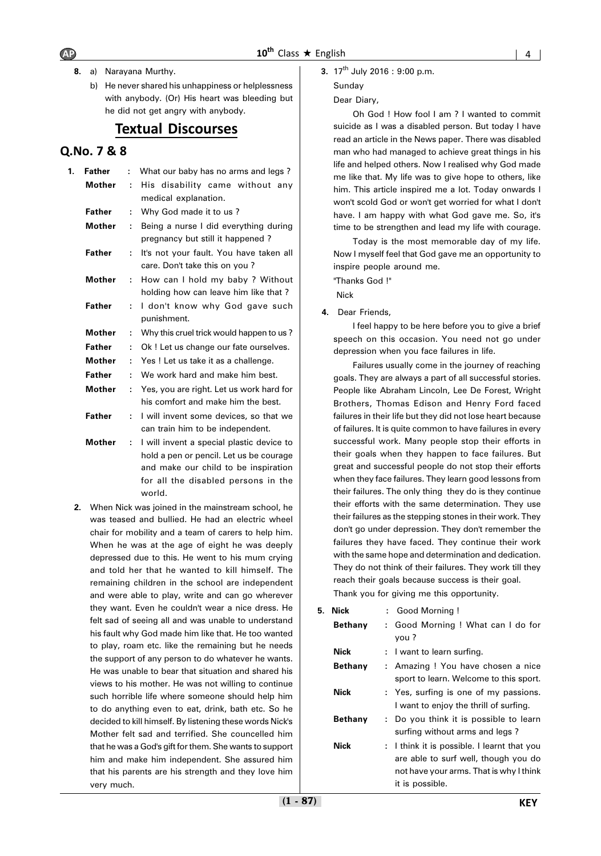- **8.** a) Narayana Murthy.
	- b) He never shared his unhappiness or helplessness with anybody. (Or) His heart was bleeding but he did not get angry with anybody.

### **Textual Discourses**

#### **Q.No. 7 & 8**

| 1. | <b>Father</b> | What our baby has no arms and legs?<br>÷ |                                                                                                                                                                               |  |  |  |  |
|----|---------------|------------------------------------------|-------------------------------------------------------------------------------------------------------------------------------------------------------------------------------|--|--|--|--|
|    | Mother        | ÷                                        | His disability came without any<br>medical explanation.                                                                                                                       |  |  |  |  |
|    | <b>Father</b> | ÷                                        | Why God made it to us?                                                                                                                                                        |  |  |  |  |
|    | <b>Mother</b> | ÷                                        | Being a nurse I did everything during<br>pregnancy but still it happened?                                                                                                     |  |  |  |  |
|    | <b>Father</b> | ÷                                        | It's not your fault. You have taken all<br>care. Don't take this on you?                                                                                                      |  |  |  |  |
|    | <b>Mother</b> | ÷                                        | How can I hold my baby ? Without<br>holding how can leave him like that?                                                                                                      |  |  |  |  |
|    | <b>Father</b> | ÷                                        | I don't know why God gave such<br>punishment.                                                                                                                                 |  |  |  |  |
|    | <b>Mother</b> | ÷                                        | Why this cruel trick would happen to us?                                                                                                                                      |  |  |  |  |
|    | <b>Father</b> | ÷                                        | Ok! Let us change our fate ourselves.                                                                                                                                         |  |  |  |  |
|    | Mother        | ÷                                        | Yes! Let us take it as a challenge.                                                                                                                                           |  |  |  |  |
|    | <b>Father</b> | ÷                                        | We work hard and make him best.                                                                                                                                               |  |  |  |  |
|    | <b>Mother</b> | ÷.                                       | Yes, you are right. Let us work hard for<br>his comfort and make him the best.                                                                                                |  |  |  |  |
|    | <b>Father</b> | ÷.                                       | I will invent some devices, so that we<br>can train him to be independent.                                                                                                    |  |  |  |  |
|    | <b>Mother</b> | ÷.                                       | I will invent a special plastic device to<br>hold a pen or pencil. Let us be courage<br>and make our child to be inspiration<br>for all the disabled persons in the<br>world. |  |  |  |  |

**2.** When Nick was joined in the mainstream school, he was teased and bullied. He had an electric wheel chair for mobility and a team of carers to help him. When he was at the age of eight he was deeply depressed due to this. He went to his mum crying and told her that he wanted to kill himself. The remaining children in the school are independent and were able to play, write and can go wherever they want. Even he couldn't wear a nice dress. He felt sad of seeing all and was unable to understand his fault why God made him like that. He too wanted to play, roam etc. like the remaining but he needs the support of any person to do whatever he wants. He was unable to bear that situation and shared his views to his mother. He was not willing to continue such horrible life where someone should help him to do anything even to eat, drink, bath etc. So he decided to kill himself. By listening these words Nick's Mother felt sad and terrified. She councelled him that he was a God's gift for them. She wants to support him and make him independent. She assured him that his parents are his strength and they love him very much.

**3.** 17<sup>th</sup> July 2016 : 9:00 p.m.

### Sunday

#### Dear Diary,

Oh God ! How fool I am ? I wanted to commit suicide as I was a disabled person. But today I have read an article in the News paper. There was disabled man who had managed to achieve great things in his life and helped others. Now I realised why God made me like that. My life was to give hope to others, like him. This article inspired me a lot. Today onwards I won't scold God or won't get worried for what I don't have. I am happy with what God gave me. So, it's time to be strengthen and lead my life with courage.

Today is the most memorable day of my life. Now I myself feel that God gave me an opportunity to inspire people around me.

"Thanks God !"

Nick

**4.** Dear Friends,

I feel happy to be here before you to give a brief speech on this occasion. You need not go under depression when you face failures in life.

Failures usually come in the journey of reaching goals. They are always a part of all successful stories. People like Abraham Lincoln, Lee De Forest, Wright Brothers, Thomas Edison and Henry Ford faced failures in their life but they did not lose heart because of failures. It is quite common to have failures in every successful work. Many people stop their efforts in their goals when they happen to face failures. But great and successful people do not stop their efforts when they face failures. They learn good lessons from their failures. The only thing they do is they continue their efforts with the same determination. They use their failures as the stepping stones in their work. They don't go under depression. They don't remember the failures they have faced. They continue their work with the same hope and determination and dedication. They do not think of their failures. They work till they reach their goals because success is their goal.

Thank you for giving me this opportunity.

| <b>Nick</b><br>5. |                | : Good Morning!                                                                                                                                   |
|-------------------|----------------|---------------------------------------------------------------------------------------------------------------------------------------------------|
|                   | <b>Bethany</b> | : Good Morning ! What can I do for<br>you ?                                                                                                       |
| <b>Nick</b>       |                | : I want to learn surfing.                                                                                                                        |
|                   | <b>Bethany</b> | : Amazing ! You have chosen a nice<br>sport to learn. Welcome to this sport.                                                                      |
| <b>Nick</b>       |                | : Yes, surfing is one of my passions.<br>I want to enjoy the thrill of surfing.                                                                   |
|                   | <b>Bethany</b> | : Do you think it is possible to learn<br>surfing without arms and legs?                                                                          |
| <b>Nick</b>       |                | : I think it is possible. I learnt that you<br>are able to surf well, though you do<br>not have your arms. That is why I think<br>it is possible. |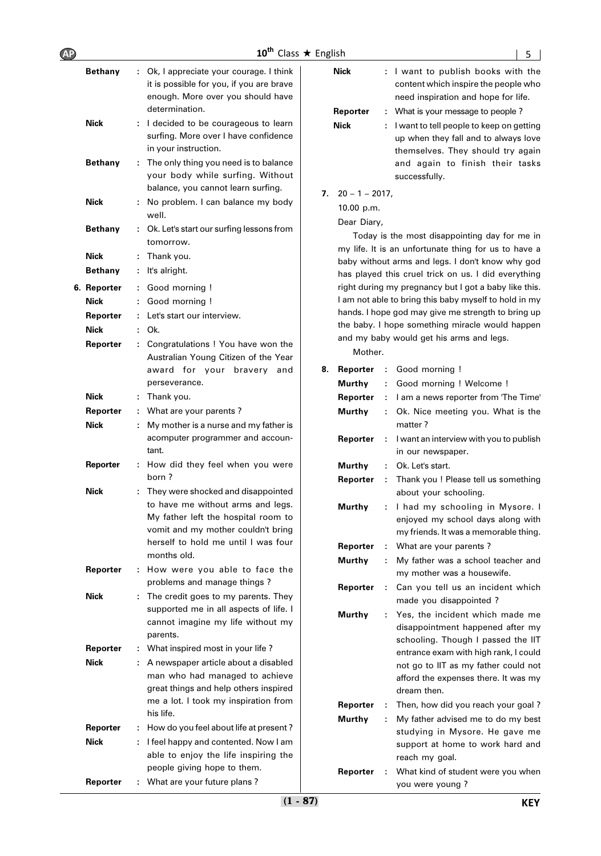| - 226 | . . | <b>F</b> nglis |
|-------|-----|----------------|
|       |     |                |

| Bethany        | ÷. | Ok, I appreciate your courage. I think<br>it is possible for you, if you are brave<br>enough. More over you should have<br>determination.                                                                  |
|----------------|----|------------------------------------------------------------------------------------------------------------------------------------------------------------------------------------------------------------|
| Nick           |    | I decided to be courageous to learn<br>surfing. More over I have confidence<br>in your instruction.                                                                                                        |
| <b>Bethany</b> | ÷  | The only thing you need is to balance<br>your body while surfing. Without<br>balance, you cannot learn surfing.                                                                                            |
| Nick           | ÷. | No problem. I can balance my body<br>well.                                                                                                                                                                 |
| <b>Bethany</b> | t. | Ok. Let's start our surfing lessons from<br>tomorrow.                                                                                                                                                      |
| Nick           | t  | Thank you.                                                                                                                                                                                                 |
| <b>Bethany</b> | t  | It's alright.                                                                                                                                                                                              |
| 6. Reporter    | ÷  | Good morning !                                                                                                                                                                                             |
| Nick           | t  | Good morning !                                                                                                                                                                                             |
|                |    | Let's start our interview.                                                                                                                                                                                 |
| Reporter       | ÷  |                                                                                                                                                                                                            |
| <b>Nick</b>    | ÷. | Ok.                                                                                                                                                                                                        |
| Reporter       | t. | Congratulations ! You have won the<br>Australian Young Citizen of the Year<br>award for your bravery<br>and<br>perseverance.                                                                               |
| <b>Nick</b>    | ÷  | Thank you.                                                                                                                                                                                                 |
| Reporter       | t. | What are your parents?                                                                                                                                                                                     |
| Nick           | ÷  | My mother is a nurse and my father is<br>acomputer programmer and accoun-<br>tant.                                                                                                                         |
| Reporter       | ÷  | How did they feel when you were<br>horn ?                                                                                                                                                                  |
| Nick           |    | They were shocked and disappointed<br>to have me without arms and legs.<br>My father left the hospital room to<br>vomit and my mother couldn't bring<br>herself to hold me until I was four<br>months old. |
| Reporter       | ÷  | How were you able to face the<br>problems and manage things?                                                                                                                                               |
| Nick           |    | The credit goes to my parents. They<br>supported me in all aspects of life. I<br>cannot imagine my life without my<br>parents.                                                                             |
| Reporter       | t  | What inspired most in your life?                                                                                                                                                                           |
| Nick           | ÷. | A newspaper article about a disabled                                                                                                                                                                       |
|                |    | man who had managed to achieve<br>great things and help others inspired<br>me a lot. I took my inspiration from<br>his life.                                                                               |
| Reporter       |    | How do you feel about life at present?                                                                                                                                                                     |
| Nick           | ÷. | I feel happy and contented. Now I am<br>able to enjoy the life inspiring the<br>people giving hope to them.                                                                                                |
| Reporter       | t. | What are your future plans?                                                                                                                                                                                |

|                | 10 <sup>th</sup> Class $\star$ English                                                                                                      |                         | 5                                                                                                                                                      |
|----------------|---------------------------------------------------------------------------------------------------------------------------------------------|-------------------------|--------------------------------------------------------------------------------------------------------------------------------------------------------|
| <b>Bethany</b> | : Ok, I appreciate your courage. I think<br>it is possible for you, if you are brave<br>enough. More over you should have<br>determination. | <b>Nick</b><br>Reporter | : I want to publish books with the<br>content which inspire the people who<br>need inspiration and hope for life.<br>: What is your message to people? |
| <b>Nick</b>    | : I decided to be courageous to learn<br>surfing. More over I have confidence<br>in your instruction.                                       | <b>Nick</b>             | : I want to tell people to keep on getting<br>up when they fall and to always love<br>themselves. They should try again                                |
| <b>Bethany</b> | : The only thing you need is to balance<br>your body while surfing. Without                                                                 |                         | and again to finish their tasks<br>successfully.                                                                                                       |

| 7. $20 - 1 - 2017$ , |  |
|----------------------|--|

10.00 p.m.

Dear Diary,

Today is the most disappointing day for me in my life. It is an unfortunate thing for us to have a baby without arms and legs. I don't know why god has played this cruel trick on us. I did everything right during my pregnancy but I got a baby like this. I am not able to bring this baby myself to hold in my hands. I hope god may give me strength to bring up the baby. I hope something miracle would happen and my baby would get his arms and legs.

Mother.

| 8. | Reporter      | ÷ | Good morning !                                                                                                                                                                                                                                    |
|----|---------------|---|---------------------------------------------------------------------------------------------------------------------------------------------------------------------------------------------------------------------------------------------------|
|    | Murthy        | ÷ | Good morning ! Welcome !                                                                                                                                                                                                                          |
|    | Reporter      | ÷ | I am a news reporter from 'The Time'                                                                                                                                                                                                              |
|    | Murthy        | ÷ | Ok. Nice meeting you. What is the<br>matter?                                                                                                                                                                                                      |
|    | Reporter      | ÷ | I want an interview with you to publish<br>in our newspaper.                                                                                                                                                                                      |
|    | <b>Murthy</b> | ÷ | Ok. Let's start.                                                                                                                                                                                                                                  |
|    | Reporter      | ÷ | Thank you ! Please tell us something<br>about your schooling.                                                                                                                                                                                     |
|    | <b>Murthy</b> | ÷ | I had my schooling in Mysore. I<br>enjoyed my school days along with<br>my friends. It was a memorable thing.                                                                                                                                     |
|    | Reporter      | ÷ | What are your parents?                                                                                                                                                                                                                            |
|    | Murthy        | ÷ | My father was a school teacher and<br>my mother was a housewife.                                                                                                                                                                                  |
|    | Reporter      | ÷ | Can you tell us an incident which<br>made you disappointed?                                                                                                                                                                                       |
|    | <b>Murthy</b> | ÷ | Yes, the incident which made me<br>disappointment happened after my<br>schooling. Though I passed the IIT<br>entrance exam with high rank, I could<br>not go to IIT as my father could not<br>afford the expenses there. It was my<br>dream then. |
|    | Reporter      | ÷ | Then, how did you reach your goal?                                                                                                                                                                                                                |
|    | Murthy        | ÷ | My father advised me to do my best<br>studying in Mysore. He gave me<br>support at home to work hard and<br>reach my goal.                                                                                                                        |
|    | Reporter      | ÷ | What kind of student were you when<br>you were young?                                                                                                                                                                                             |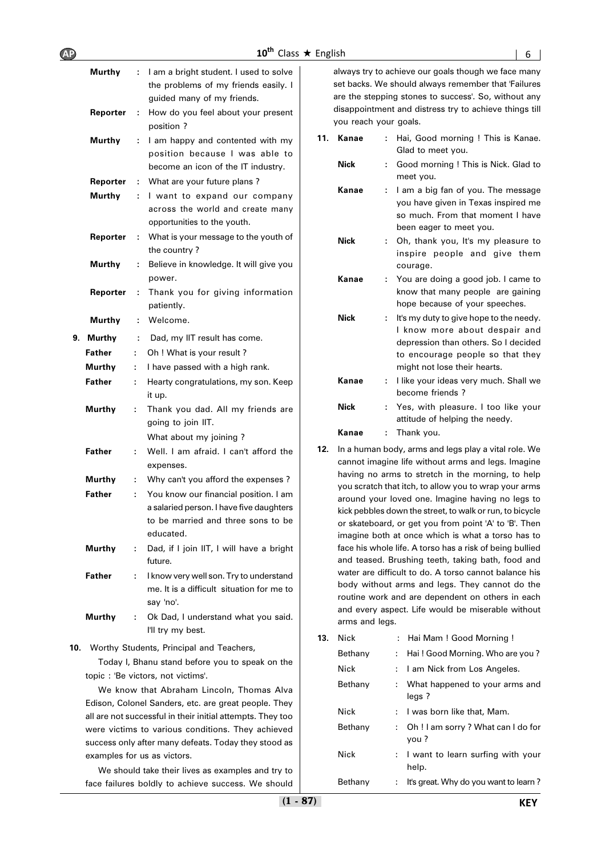| –<br>10 <sup>th</sup> Class $\star$<br>English<br>mп |  |
|------------------------------------------------------|--|
|------------------------------------------------------|--|

|     | Murthy        | ÷.           | I am a bright student. I used to solve<br>the problems of my friends easily. I<br>guided many of my friends.                         |
|-----|---------------|--------------|--------------------------------------------------------------------------------------------------------------------------------------|
|     | Reporter      | ÷            | How do you feel about your present<br>position?                                                                                      |
|     | Murthy        | ÷            | I am happy and contented with my<br>position because I was able to<br>become an icon of the IT industry.                             |
|     | Reporter      | ÷            | What are your future plans?                                                                                                          |
|     | Murthy        | ÷            | I want to expand our company<br>across the world and create many<br>opportunities to the youth.                                      |
|     | Reporter      | ÷            | What is your message to the youth of<br>the country?                                                                                 |
|     | <b>Murthy</b> | ÷            | Believe in knowledge. It will give you<br>power.                                                                                     |
|     | Reporter      | ÷            | Thank you for giving information<br>patiently.                                                                                       |
|     | Murthy        | ÷            | Welcome.                                                                                                                             |
| 9.  | <b>Murthy</b> | ÷            | Dad, my IIT result has come.                                                                                                         |
|     | Father        | t.           | Oh ! What is your result ?                                                                                                           |
|     | Murthy        | ÷            | I have passed with a high rank.                                                                                                      |
|     | Father        | ÷            | Hearty congratulations, my son. Keep<br>it up.                                                                                       |
|     | Murthy        | ÷            | Thank you dad. All my friends are<br>going to join IIT.                                                                              |
|     |               |              | What about my joining?                                                                                                               |
|     | Father        | ÷            | Well, I am afraid. I can't afford the<br>expenses.                                                                                   |
|     | Murthy        | ÷            | Why can't you afford the expenses?                                                                                                   |
|     | <b>Father</b> | ÷            | You know our financial position. I am<br>a salaried person. I have five daughters<br>to be married and three sons to be<br>educated. |
|     | Murthy        | ÷            | Dad, if I join IIT, I will have a bright<br>future.                                                                                  |
|     | Father        | ÷            | I know very well son. Try to understand<br>me. It is a difficult situation for me to<br>say 'no'.                                    |
|     | <b>Murthy</b> | $\mathbf{L}$ | Ok Dad, I understand what you said.<br>I'll try my best.                                                                             |
| 10. |               |              | Worthy Students, Principal and Teachers,                                                                                             |

Today I, Bhanu stand before you to speak on the topic : 'Be victors, not victims'.

We know that Abraham Lincoln, Thomas Alva Edison, Colonel Sanders, etc. are great people. They all are not successful in their initial attempts. They too were victims to various conditions. They achieved success only after many defeats. Today they stood as examples for us as victors.

We should take their lives as examples and try to face failures boldly to achieve success. We should always try to achieve our goals though we face many set backs. We should always remember that 'Failures are the stepping stones to success'. So, without any disappointment and distress try to achieve things till you reach your goals.

| 11. | Kanae       | ÷  | Hai, Good morning ! This is Kanae.<br>Glad to meet you.                                                                                                                              |
|-----|-------------|----|--------------------------------------------------------------------------------------------------------------------------------------------------------------------------------------|
|     | <b>Nick</b> | ÷. | Good morning ! This is Nick. Glad to<br>meet you.                                                                                                                                    |
|     | Kanae       | ÷. | I am a big fan of you. The message<br>you have given in Texas inspired me<br>so much. From that moment I have<br>been eager to meet you.                                             |
|     | <b>Nick</b> | ÷. | Oh, thank you, It's my pleasure to<br>inspire people and give them<br>courage.                                                                                                       |
|     | Kanae       | ÷. | You are doing a good job. I came to<br>know that many people are gaining<br>hope because of your speeches.                                                                           |
|     | <b>Nick</b> | ÷. | It's my duty to give hope to the needy.<br>I know more about despair and<br>depression than others. So I decided<br>to encourage people so that they<br>might not lose their hearts. |
|     | Kanae       | ۰. | I like your ideas very much. Shall we<br>become friends?                                                                                                                             |
|     | <b>Nick</b> | ÷  | Yes, with pleasure. I too like your<br>attitude of helping the needy.                                                                                                                |
|     | Kanae       | ÷  | Thank you.                                                                                                                                                                           |

**12.** In a human body, arms and legs play a vital role. We cannot imagine life without arms and legs. Imagine having no arms to stretch in the morning, to help you scratch that itch, to allow you to wrap your arms around your loved one. Imagine having no legs to kick pebbles down the street, to walk or run, to bicycle or skateboard, or get you from point 'A' to 'B'. Then imagine both at once which is what a torso has to face his whole life. A torso has a risk of being bullied and teased. Brushing teeth, taking bath, food and water are difficult to do. A torso cannot balance his body without arms and legs. They cannot do the routine work and are dependent on others in each and every aspect. Life would be miserable without arms and legs.

| 13. | Nick    |     | : Hai Mam ! Good Morning !                   |
|-----|---------|-----|----------------------------------------------|
|     | Bethany | t.  | Hai! Good Morning. Who are you?              |
|     | Nick    | : . | I am Nick from Los Angeles.                  |
|     | Bethany |     | : What happened to your arms and<br>legs?    |
|     | Nick    |     | : I was born like that, Mam.                 |
|     | Bethany | ÷.  | Oh ! I am sorry ? What can I do for<br>you?  |
|     | Nick    |     | : I want to learn surfing with your<br>help. |
|     | Bethany | ÷.  | It's great. Why do you want to learn?        |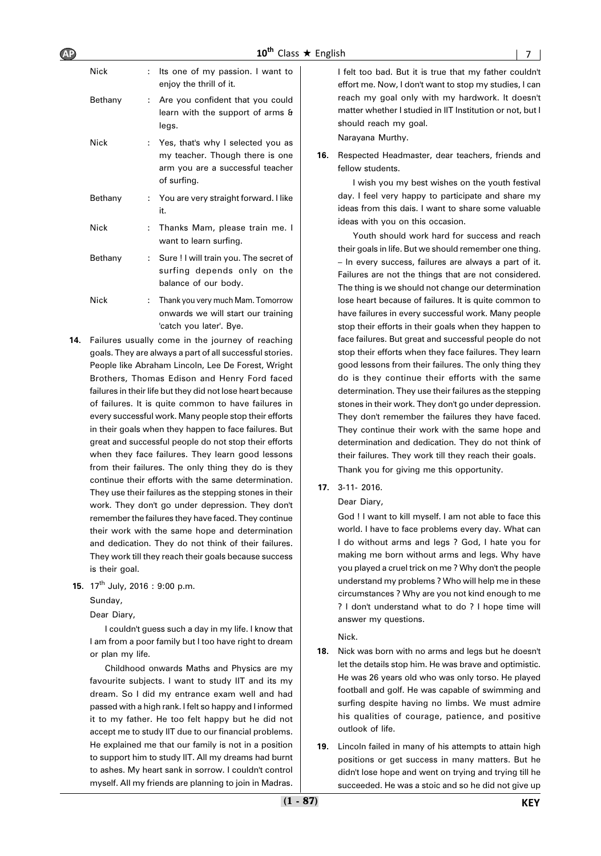| <b>AP</b> |         | $10^{th}$ Class $\star$ English                                                                                         |     |                                                                                                                                                                       |  |
|-----------|---------|-------------------------------------------------------------------------------------------------------------------------|-----|-----------------------------------------------------------------------------------------------------------------------------------------------------------------------|--|
|           | Nick    | : Its one of my passion. I want to<br>enjoy the thrill of it.                                                           |     | I felt too bad. But it is true that my father couldn't<br>effort me. Now, I don't want to stop my studies, I can                                                      |  |
|           | Bethany | Are you confident that you could<br>learn with the support of arms &<br>legs.                                           |     | reach my goal only with my hardwork. It doesn't<br>matter whether I studied in IIT Institution or not, but I<br>should reach my goal.                                 |  |
|           | Nick    | Yes, that's why I selected you as<br>my teacher. Though there is one<br>arm you are a successful teacher<br>of surfing. | 16. | Narayana Murthy.<br>Respected Headmaster, dear teachers, friends and<br>fellow students.<br>I wish you my best wishes on the youth festival                           |  |
|           | Bethany | : You are very straight forward. I like<br>it.                                                                          |     | day. I feel very happy to participate and share my<br>ideas from this dais. I want to share some valuable                                                             |  |
|           | Nick    | Thanks Mam, please train me. I<br>want to learn surfing.                                                                |     | ideas with you on this occasion.<br>Youth should work hard for success and reach                                                                                      |  |
|           | Bethany | : Sure ! I will train you. The secret of<br>surfing depends only on the<br>balance of our body.                         |     | - In every success, failures are always a part of it.<br>Failures are not the things that are not considered.<br>The thing is we should not change our determination  |  |
|           | Nick    | Thank you very much Mam. Tomorrow<br>onwards we will start our training<br>'catch you later'. Bye.                      |     | lose heart because of failures. It is quite common to<br>have failures in every successful work. Many people<br>stop their efforts in their goals when they happen to |  |
|           |         |                                                                                                                         |     | their goals in life. But we should remember one thing.                                                                                                                |  |

- **14.** Failures usually come in the journey of reaching goals. They are always a part of all successful stories. People like Abraham Lincoln, Lee De Forest, Wright Brothers, Thomas Edison and Henry Ford faced failures in their life but they did not lose heart because of failures. It is quite common to have failures in every successful work. Many people stop their efforts in their goals when they happen to face failures. But great and successful people do not stop their efforts when they face failures. They learn good lessons from their failures. The only thing they do is they continue their efforts with the same determination. They use their failures as the stepping stones in their work. They don't go under depression. They don't remember the failures they have faced. They continue their work with the same hope and determination and dedication. They do not think of their failures. They work till they reach their goals because success is their goal.
- **15.** 17<sup>th</sup> July, 2016: 9:00 p.m.

Sunday,

Dear Diary,

I couldn't guess such a day in my life. I know that I am from a poor family but I too have right to dream or plan my life.

Childhood onwards Maths and Physics are my favourite subjects. I want to study IIT and its my dream. So I did my entrance exam well and had passed with a high rank. I felt so happy and I informed it to my father. He too felt happy but he did not accept me to study IIT due to our financial problems. He explained me that our family is not in a position to support him to study IIT. All my dreams had burnt to ashes. My heart sank in sorrow. I couldn't control myself. All my friends are planning to join in Madras.

Youth should work hard for success and reach their goals in life. But we should remember one thing. – In every success, failures are always a part of it. Failures are not the things that are not considered. The thing is we should not change our determination lose heart because of failures. It is quite common to have failures in every successful work. Many people stop their efforts in their goals when they happen to face failures. But great and successful people do not stop their efforts when they face failures. They learn good lessons from their failures. The only thing they do is they continue their efforts with the same determination. They use their failures as the stepping stones in their work. They don't go under depression. They don't remember the failures they have faced. They continue their work with the same hope and determination and dedication. They do not think of their failures. They work till they reach their goals.

Thank you for giving me this opportunity.

 **17.** 3-11- 2016.

#### Dear Diary,

God ! I want to kill myself. I am not able to face this world. I have to face problems every day. What can I do without arms and legs ? God, I hate you for making me born without arms and legs. Why have you played a cruel trick on me ? Why don't the people understand my problems ? Who will help me in these circumstances ? Why are you not kind enough to me ? I don't understand what to do ? I hope time will answer my questions.

Nick.

- **18.** Nick was born with no arms and legs but he doesn't let the details stop him. He was brave and optimistic. He was 26 years old who was only torso. He played football and golf. He was capable of swimming and surfing despite having no limbs. We must admire his qualities of courage, patience, and positive outlook of life.
- **19.** Lincoln failed in many of his attempts to attain high positions or get success in many matters. But he didn't lose hope and went on trying and trying till he succeeded. He was a stoic and so he did not give up

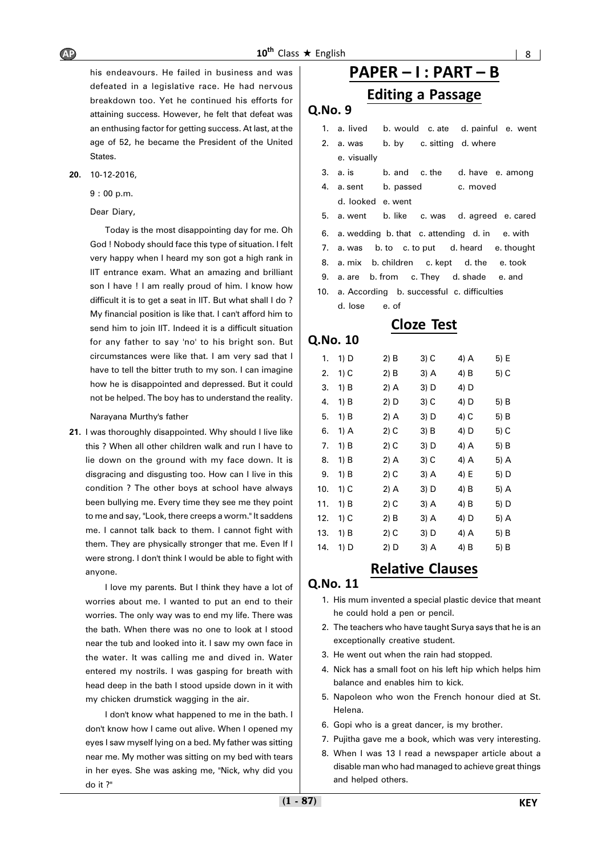his endeavours. He failed in business and was defeated in a legislative race. He had nervous breakdown too. Yet he continued his efforts for attaining success. However, he felt that defeat was an enthusing factor for getting success. At last, at the age of 52, he became the President of the United States.

**20.** 10-12-2016,

9 : 00 p.m.

#### Dear Diary,

Today is the most disappointing day for me. Oh God ! Nobody should face this type of situation. I felt very happy when I heard my son got a high rank in IIT entrance exam. What an amazing and brilliant son I have ! I am really proud of him. I know how difficult it is to get a seat in IIT. But what shall I do? My financial position is like that. I can't afford him to send him to join IIT. Indeed it is a difficult situation for any father to say 'no' to his bright son. But circumstances were like that. I am very sad that I have to tell the bitter truth to my son. I can imagine how he is disappointed and depressed. But it could not be helped. The boy has to understand the reality.

Narayana Murthy's father

**21.** I was thoroughly disappointed. Why should I live like this ? When all other children walk and run I have to lie down on the ground with my face down. It is disgracing and disgusting too. How can I live in this condition ? The other boys at school have always been bullying me. Every time they see me they point to me and say, "Look, there creeps a worm." It saddens me. I cannot talk back to them. I cannot fight with them. They are physically stronger that me. Even If I were strong. I don't think I would be able to fight with anyone.

I love my parents. But I think they have a lot of worries about me. I wanted to put an end to their worries. The only way was to end my life. There was the bath. When there was no one to look at I stood near the tub and looked into it. I saw my own face in the water. It was calling me and dived in. Water entered my nostrils. I was gasping for breath with head deep in the bath I stood upside down in it with my chicken drumstick wagging in the air.

I don't know what happened to me in the bath. I don't know how I came out alive. When I opened my eyes I saw myself lying on a bed. My father was sitting near me. My mother was sitting on my bed with tears in her eyes. She was asking me, "Nick, why did you do it ?"

# **PAPER – I : PART – B**

### **Editing a Passage**

#### **Q.No. 9**

- 1. a. lived b. would c. ate d. painful e. went
- 2. a. was b. by c. sitting d. where e. visually
- 3. a. is b. and c. the d. have e. among
- 4. a. sent b. passed c. moved
	- d. looked e. went
- 5. a. went b. like c. was d. agreed e. cared
- 6. a. wedding b. that c. attending d. in e. with
- 7. a. was b. to c. to put d. heard e. thought
- 8. a. mix b. children c. kept d. the e. took
- 9. a. are b. from c. They d. shade e. and
- 10. a. According b. successful c. difficulties d. lose e. of

### **Cloze Test**

| Q.No. 10 |      |        |      |      |      |
|----------|------|--------|------|------|------|
| 1.       | 1) D | 2) B   | 3) C | 4) A | 5) E |
| 2.       | 1) C | 2) B   | 3) A | 4) B | 5) C |
| 3.       | 1) B | 2) A   | 3) D | 4) D |      |
| 4.       | 1) B | 2) D   | 3) C | 4) D | 5) B |
| 5.       | 1) B | 2) A   | 3) D | 4) C | 5) B |
| 6.       | 1) A | 2) C   | 3) B | 4) D | 5) C |
| 7.       | 1) B | 2) C   | 3) D | 4) A | 5) B |
| 8.       | 1) B | 2) A   | 3) C | 4) A | 5) A |
| 9.       | 1) B | 2) C   | 3) A | 4) E | 5) D |
| 10.      | 1) C | 2) A   | 3) D | 4) B | 5) A |
| 11.      | 1) B | 2) C   | 3) A | 4) B | 5) D |
| 12.      | 1) C | $2)$ B | 3) A | 4) D | 5) A |
| 13.      | 1) B | 2) C   | 3) D | 4) A | 5) B |
| 14.      | 1) D | 2) D   | 3) A | 4) B | 5) B |

### **Relative Clauses**

- 1. His mum invented a special plastic device that meant he could hold a pen or pencil.
- 2. The teachers who have taught Surya says that he is an exceptionally creative student.
- 3. He went out when the rain had stopped.
- 4. Nick has a small foot on his left hip which helps him balance and enables him to kick.
- 5. Napoleon who won the French honour died at St. Helena.
- 6. Gopi who is a great dancer, is my brother.
- 7. Pujitha gave me a book, which was very interesting.
- 8. When I was 13 I read a newspaper article about a disable man who had managed to achieve great things and helped others.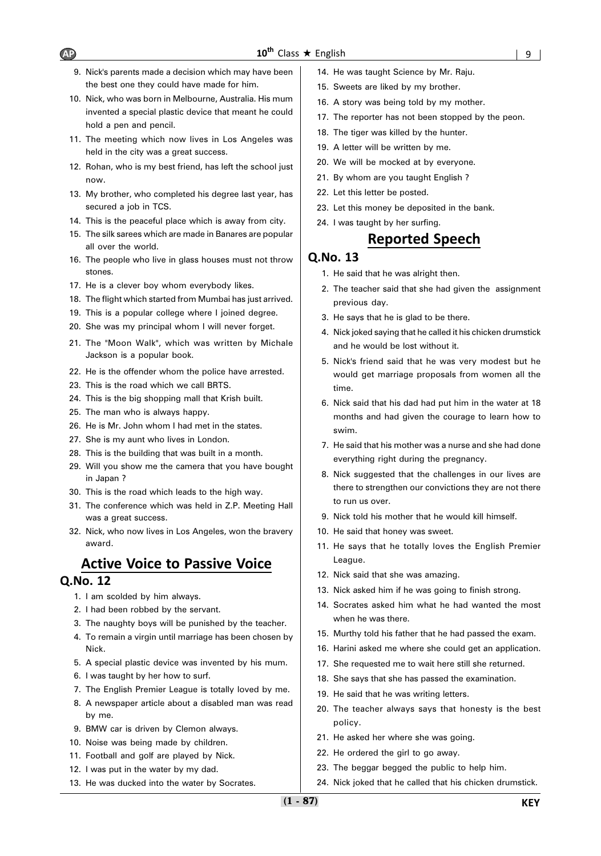- 9. Nick's parents made a decision which may have been the best one they could have made for him.
- 10. Nick, who was born in Melbourne, Australia. His mum invented a special plastic device that meant he could hold a pen and pencil.
- 11. The meeting which now lives in Los Angeles was held in the city was a great success.
- 12. Rohan, who is my best friend, has left the school just now.
- 13. My brother, who completed his degree last year, has secured a job in TCS.
- 14. This is the peaceful place which is away from city.
- 15. The silk sarees which are made in Banares are popular all over the world.
- 16. The people who live in glass houses must not throw stones.
- 17. He is a clever boy whom everybody likes.
- 18. The flight which started from Mumbai has just arrived.
- 19. This is a popular college where I joined degree.
- 20. She was my principal whom I will never forget.
- 21. The "Moon Walk", which was written by Michale Jackson is a popular book.
- 22. He is the offender whom the police have arrested.
- 23. This is the road which we call BRTS.
- 24. This is the big shopping mall that Krish built.
- 25. The man who is always happy.
- 26. He is Mr. John whom I had met in the states.
- 27. She is my aunt who lives in London.
- 28. This is the building that was built in a month.
- 29. Will you show me the camera that you have bought in Japan ?
- 30. This is the road which leads to the high way.
- 31. The conference which was held in Z.P. Meeting Hall was a great success.
- 32. Nick, who now lives in Los Angeles, won the bravery award.

# **Active Voice to Passive Voice**

#### **Q.No. 12**

- 1. I am scolded by him always.
- 2. I had been robbed by the servant.
- 3. The naughty boys will be punished by the teacher.
- 4. To remain a virgin until marriage has been chosen by Nick.
- 5. A special plastic device was invented by his mum.
- 6. I was taught by her how to surf.
- 7. The English Premier League is totally loved by me.
- 8. A newspaper article about a disabled man was read by me.
- 9. BMW car is driven by Clemon always.
- 10. Noise was being made by children.
- 11. Football and golf are played by Nick.
- 12. I was put in the water by my dad.
- 13. He was ducked into the water by Socrates.
- 14. He was taught Science by Mr. Raju.
- 15. Sweets are liked by my brother.
- 16. A story was being told by my mother.
- 17. The reporter has not been stopped by the peon.
- 18. The tiger was killed by the hunter.
- 19. A letter will be written by me.
- 20. We will be mocked at by everyone.
- 21. By whom are you taught English ?
- 22. Let this letter be posted.
- 23. Let this money be deposited in the bank.
- 24. I was taught by her surfing.

### **Reported Speech**

- 1. He said that he was alright then.
- 2. The teacher said that she had given the assignment previous day.
- 3. He says that he is glad to be there.
- 4. Nick joked saying that he called it his chicken drumstick and he would be lost without it.
- 5. Nick's friend said that he was very modest but he would get marriage proposals from women all the time.
- 6. Nick said that his dad had put him in the water at 18 months and had given the courage to learn how to swim.
- 7. He said that his mother was a nurse and she had done everything right during the pregnancy.
- 8. Nick suggested that the challenges in our lives are there to strengthen our convictions they are not there to run us over.
- 9. Nick told his mother that he would kill himself.
- 10. He said that honey was sweet.
- 11. He says that he totally loves the English Premier League.
- 12. Nick said that she was amazing.
- 13. Nick asked him if he was going to finish strong.
- 14. Socrates asked him what he had wanted the most when he was there.
- 15. Murthy told his father that he had passed the exam.
- 16. Harini asked me where she could get an application.
- 17. She requested me to wait here still she returned.
- 18. She says that she has passed the examination.
- 19. He said that he was writing letters.
- 20. The teacher always says that honesty is the best policy.
- 21. He asked her where she was going.
- 22. He ordered the girl to go away.
- 23. The beggar begged the public to help him.
- 24. Nick joked that he called that his chicken drumstick.

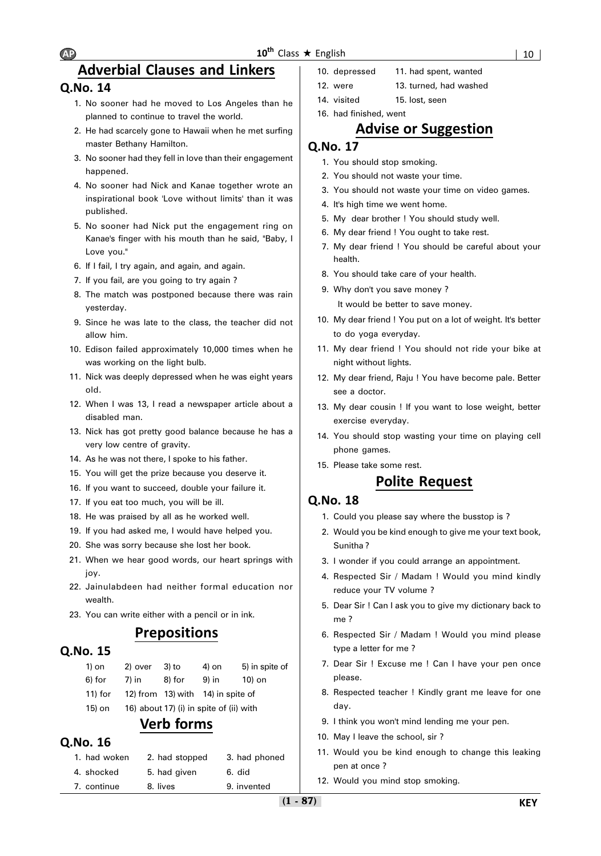### **Adverbial Clauses and Linkers**

### **Q.No. 14**

- 1. No sooner had he moved to Los Angeles than he planned to continue to travel the world.
- 2. He had scarcely gone to Hawaii when he met surfing master Bethany Hamilton.
- 3. No sooner had they fell in love than their engagement happened.
- 4. No sooner had Nick and Kanae together wrote an inspirational book 'Love without limits' than it was published.
- 5. No sooner had Nick put the engagement ring on Kanae's finger with his mouth than he said, "Baby, I Love you."
- 6. If I fail, I try again, and again, and again.
- 7. If you fail, are you going to try again ?
- 8. The match was postponed because there was rain yesterday.
- 9. Since he was late to the class, the teacher did not allow him.
- 10. Edison failed approximately 10,000 times when he was working on the light bulb.
- 11. Nick was deeply depressed when he was eight years old.
- 12. When I was 13, I read a newspaper article about a disabled man.
- 13. Nick has got pretty good balance because he has a very low centre of gravity.
- 14. As he was not there, I spoke to his father.
- 15. You will get the prize because you deserve it.
- 16. If you want to succeed, double your failure it.
- 17. If you eat too much, you will be ill.
- 18. He was praised by all as he worked well.
- 19. If you had asked me, I would have helped you.
- 20. She was sorry because she lost her book.
- 21. When we hear good words, our heart springs with joy.
- 22. Jainulabdeen had neither formal education nor wealth.
- 23. You can write either with a pencil or in ink.

### **Prepositions**

### **Q.No. 15**

| 1) on      | 2) over | $3)$ to | 4) on                                   | 5) in spite of |
|------------|---------|---------|-----------------------------------------|----------------|
| 6) for     | $7)$ in | 8) for  | 9) in                                   | 10) on         |
| $11$ ) for |         |         | 12) from 13) with 14) in spite of       |                |
| 15) on     |         |         | 16) about 17) (i) in spite of (ii) with |                |

### **Verb forms**

### **Q.No. 16**

| 1. had woken | 2. had stopped | 3. had phoned |
|--------------|----------------|---------------|
| 4. shocked   | 5. had given   | 6. did        |
| 7. continue  | 8. lives       | 9. invented   |

- 10. depressed 11. had spent, wanted
- 12. were 13. turned, had washed
- 14. visited 15. lost, seen
- 16. had finished, went

### **Advise or Suggestion**

### **Q.No. 17**

- 1. You should stop smoking.
- 2. You should not waste your time.
- 3. You should not waste your time on video games.
- 4. It's high time we went home.
- 5. My dear brother ! You should study well.
- 6. My dear friend ! You ought to take rest.
- 7. My dear friend ! You should be careful about your health.
- 8. You should take care of your health.
- 9. Why don't you save money ? It would be better to save money.
- 10. My dear friend ! You put on a lot of weight. It's better to do yoga everyday.
- 11. My dear friend ! You should not ride your bike at night without lights.
- 12. My dear friend, Raju ! You have become pale. Better see a doctor.
- 13. My dear cousin ! If you want to lose weight, better exercise everyday.
- 14. You should stop wasting your time on playing cell phone games.
- 15. Please take some rest.

### **Polite Request**

- 1. Could you please say where the busstop is ?
- 2. Would you be kind enough to give me your text book, Sunitha ?
- 3. I wonder if you could arrange an appointment.
- 4. Respected Sir / Madam ! Would you mind kindly reduce your TV volume ?
- 5. Dear Sir ! Can I ask you to give my dictionary back to me ?
- 6. Respected Sir / Madam ! Would you mind please type a letter for me ?
- 7. Dear Sir ! Excuse me ! Can I have your pen once please.
- 8. Respected teacher ! Kindly grant me leave for one day.
- 9. I think you won't mind lending me your pen.
- 10. May I leave the school, sir ?
- 11. Would you be kind enough to change this leaking pen at once ?
- 12. Would you mind stop smoking.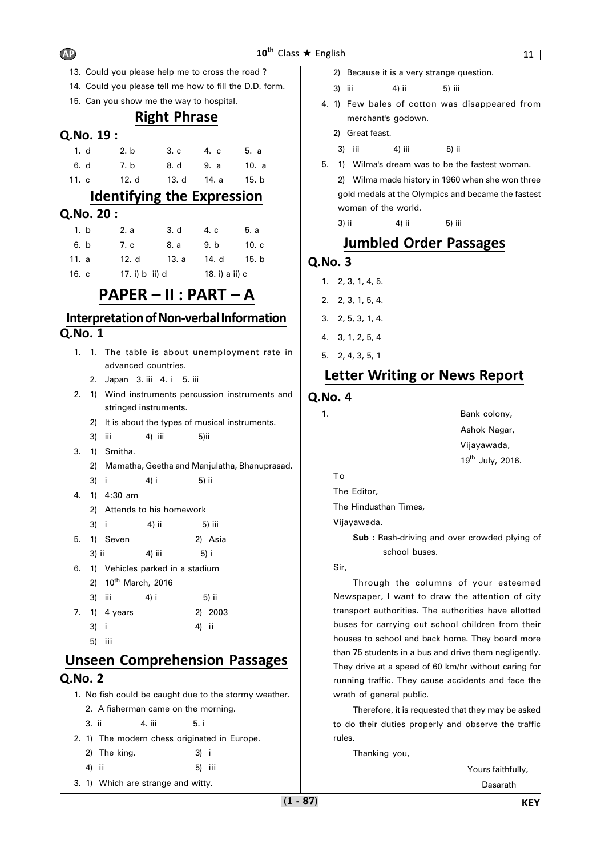- 13. Could you please help me to cross the road ?
- 14. Could you please tell me how to fill the D.D. form.
- 15. Can you show me the way to hospital.

### **Right Phrase**

#### **Q.No. 19 :**

| 1. d  | 2. b |       | 3. c 4. c 5. a    |  |
|-------|------|-------|-------------------|--|
| 6. d  | 7. b |       | 8. d 9. a 10. a   |  |
| 11. c |      | 12. d | 13. d 14. a 15. b |  |

### **Identifying the Expression**

#### **Q.No. 20 :**

| 1. b  | 2. a           | 3. d  | 4. c           | 5. a    |
|-------|----------------|-------|----------------|---------|
| 6. b  | 7. c           | 8. a  | 9. b           | $101$ c |
| 11. a | 12. d          | 13. a | 14. d          | 15. b   |
| 16. c | 17. i) b ii) d |       | 18. i) a ii) c |         |

### **PAPER – II : PART – A**

### **Interpretation of Non-verbal Information Q.No. 1**

- 1. 1. The table is about unemployment rate in advanced countries.
	- 2. Japan 3. iii 4. i 5. iii
- 2. 1) Wind instruments percussion instruments and stringed instruments.
	- 2) It is about the types of musical instruments.
	- 3) iii 4) iii 5)ii
- 3. 1) Smitha.
	- 2) Mamatha, Geetha and Manjulatha, Bhanuprasad.
	- 3) i 4) i 5) ii
- 4. 1) 4:30 am
	- 2) Attends to his homework
	- 3) i 4) ii 5) iii
- 5. 1) Seven 2) Asia  $3)$  ii  $4)$  iii  $5)$  i
- 6. 1) Vehicles parked in a stadium
- 2) 10<sup>th</sup> March, 2016 3) iii 4) i 5) ii

|      | 7. 1) 4 years |       | 2) 2003 |
|------|---------------|-------|---------|
| 3) i |               | 4) ii |         |
|      | 5) iii        |       |         |

# **Unseen Comprehension Passages Q.No. 2**

- 1. No fish could be caught due to the stormy weather.
	- 2. A fisherman came on the morning.
	- 3. ii 4. iii 5. i
- 2. 1) The modern chess originated in Europe.
	- 2) The king. 3) i
	- 4) ii 5) iii
- 3. 1) Which are strange and witty.
- 2) Because it is a very strange question.
- 3) iii 4) ii 5) iii
- 4. 1) Few bales of cotton was disappeared from merchant's godown.
	- 2) Great feast.
	- 3) iii 4) iii 5) ii

5. 1) Wilma's dream was to be the fastest woman.

2) Wilma made history in 1960 when she won three gold medals at the Olympics and became the fastest woman of the world.

3) ii 4) ii 5) iii

### **Jumbled Order Passages**

### **Q.No. 3**

- 1. 2, 3, 1, 4, 5.
- 2. 2, 3, 1, 5, 4.
- 3. 2, 5, 3, 1, 4.
- 4. 3, 1, 2, 5, 4
- 5. 2, 4, 3, 5, 1

### **Letter Writing or News Report**

#### **Q.No. 4**

1. Bank colony, Ashok Nagar, Vijayawada,  $19^{th}$  July, 2016.

The Editor,

The Hindusthan Times,

Vijayawada.

**Sub :** Rash-driving and over crowded plying of school buses.

Sir,

To

Through the columns of your esteemed Newspaper, I want to draw the attention of city transport authorities. The authorities have allotted buses for carrying out school children from their houses to school and back home. They board more than 75 students in a bus and drive them negligently. They drive at a speed of 60 km/hr without caring for running traffic. They cause accidents and face the wrath of general public.

Therefore, it is requested that they may be asked to do their duties properly and observe the traffic rules.

Thanking you,

Yours faithfully,

Dasarath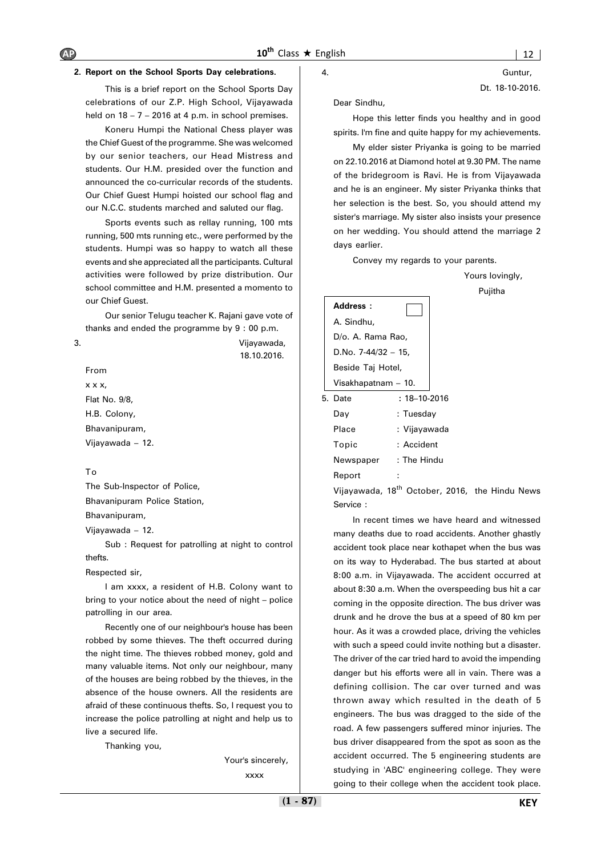#### **2. Report on the School Sports Day celebrations.**

This is a brief report on the School Sports Day celebrations of our Z.P. High School, Vijayawada held on  $18 - 7 - 2016$  at 4 p.m. in school premises.

Koneru Humpi the National Chess player was the Chief Guest of the programme. She was welcomed by our senior teachers, our Head Mistress and students. Our H.M. presided over the function and announced the co-curricular records of the students. Our Chief Guest Humpi hoisted our school flag and our N.C.C. students marched and saluted our flag.

Sports events such as rellay running, 100 mts running, 500 mts running etc., were performed by the students. Humpi was so happy to watch all these events and she appreciated all the participants. Cultural activities were followed by prize distribution. Our school committee and H.M. presented a momento to our Chief Guest.

Our senior Telugu teacher K. Rajani gave vote of thanks and ended the programme by 9 : 00 p.m.

18.10.2016.

3. Vijayawada,

From

x x x, Flat No. 9/8, H.B. Colony, Bhavanipuram, Vijayawada – 12.

#### To

The Sub-Inspector of Police, Bhavanipuram Police Station, Bhavanipuram, Vijayawada – 12.

Sub : Request for patrolling at night to control thefts.

Respected sir,

I am xxxx, a resident of H.B. Colony want to bring to your notice about the need of night – police patrolling in our area.

Recently one of our neighbour's house has been robbed by some thieves. The theft occurred during the night time. The thieves robbed money, gold and many valuable items. Not only our neighbour, many of the houses are being robbed by the thieves, in the absence of the house owners. All the residents are afraid of these continuous thefts. So, I request you to increase the police patrolling at night and help us to live a secured life.

Thanking you,

Your's sincerely,

xxxx

4. Guntur, Dt. 18-10-2016.

Dear Sindhu,

Hope this letter finds you healthy and in good spirits. I'm fine and quite happy for my achievements.

My elder sister Priyanka is going to be married on 22.10.2016 at Diamond hotel at 9.30 PM. The name of the bridegroom is Ravi. He is from Vijayawada and he is an engineer. My sister Priyanka thinks that her selection is the best. So, you should attend my sister's marriage. My sister also insists your presence on her wedding. You should attend the marriage 2 days earlier.

Convey my regards to your parents.

 Yours lovingly, Pujitha

| Address:               |                    |
|------------------------|--------------------|
| A. Sindhu,             |                    |
| D/o. A. Rama Rao,      |                    |
| D.No. $7-44/32 - 15$ , |                    |
| Beside Taj Hotel,      |                    |
| Visakhapatnam - 10.    |                    |
| 5. Date                | $: 18 - 10 - 2016$ |
| Day                    | : Tuesday          |
| Place                  | : Vijayawada       |
| Topic                  | : Accident         |
| Newspaper              | : The Hindu        |
| Report                 |                    |

Vijayawada, 18<sup>th</sup> October, 2016, the Hindu News Service :

In recent times we have heard and witnessed many deaths due to road accidents. Another ghastly accident took place near kothapet when the bus was on its way to Hyderabad. The bus started at about 8:00 a.m. in Vijayawada. The accident occurred at about 8:30 a.m. When the overspeeding bus hit a car coming in the opposite direction. The bus driver was drunk and he drove the bus at a speed of 80 km per hour. As it was a crowded place, driving the vehicles with such a speed could invite nothing but a disaster. The driver of the car tried hard to avoid the impending danger but his efforts were all in vain. There was a defining collision. The car over turned and was thrown away which resulted in the death of 5 engineers. The bus was dragged to the side of the road. A few passengers suffered minor injuries. The bus driver disappeared from the spot as soon as the accident occurred. The 5 engineering students are studying in 'ABC' engineering college. They were going to their college when the accident took place.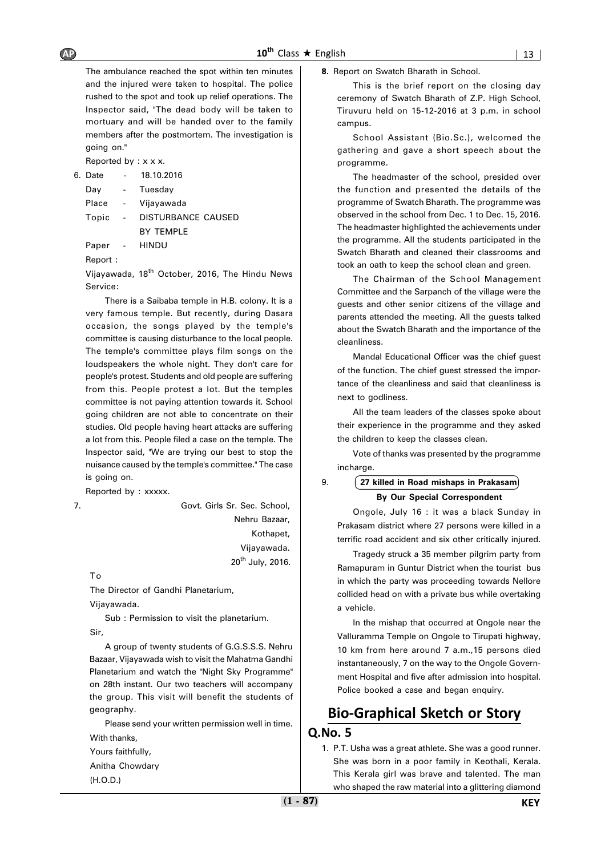The ambulance reached the spot within ten minutes and the injured were taken to hospital. The police rushed to the spot and took up relief operations. The Inspector said, "The dead body will be taken to mortuary and will be handed over to the family members after the postmortem. The investigation is going on."

Reported by : x x x.

6. Date - 18.10.2016

| Day   | $\sim$ | Tuesday            |
|-------|--------|--------------------|
| Place | $\sim$ | Vijayawada         |
| Topic | $\sim$ | DISTURBANCE CAUSED |
|       |        | <b>BY TEMPLE</b>   |
|       |        |                    |

Paper - HINDU

Report :

Vijayawada, 18<sup>th</sup> October, 2016, The Hindu News Service:

There is a Saibaba temple in H.B. colony. It is a very famous temple. But recently, during Dasara occasion, the songs played by the temple's committee is causing disturbance to the local people. The temple's committee plays film songs on the loudspeakers the whole night. They don't care for people's protest. Students and old people are suffering from this. People protest a lot. But the temples committee is not paying attention towards it. School going children are not able to concentrate on their studies. Old people having heart attacks are suffering a lot from this. People filed a case on the temple. The Inspector said, "We are trying our best to stop the nuisance caused by the temple's committee.'' The case is going on.

Reported by : xxxxx.

7. Govt. Girls Sr. Sec. School, Nehru Bazaar, Kothapet, Vijayawada.  $20^{th}$  July, 2016.

To

The Director of Gandhi Planetarium, Vijayawada.

Sub : Permission to visit the planetarium. Sir,

A group of twenty students of G.G.S.S.S. Nehru Bazaar, Vijayawada wish to visit the Mahatma Gandhi Planetarium and watch the "Night Sky Programme" on 28th instant. Our two teachers will accompany the group. This visit will benefit the students of geography.

Please send your written permission well in time. With thanks,

Yours faithfully,

Anitha Chowdary

(H.O.D.)

**8.** Report on Swatch Bharath in School.

This is the brief report on the closing day ceremony of Swatch Bharath of Z.P. High School, Tiruvuru held on 15-12-2016 at 3 p.m. in school campus.

School Assistant (Bio.Sc.), welcomed the gathering and gave a short speech about the programme.

The headmaster of the school, presided over the function and presented the details of the programme of Swatch Bharath. The programme was observed in the school from Dec. 1 to Dec. 15, 2016. The headmaster highlighted the achievements under the programme. All the students participated in the Swatch Bharath and cleaned their classrooms and took an oath to keep the school clean and green.

The Chairman of the School Management Committee and the Sarpanch of the village were the guests and other senior citizens of the village and parents attended the meeting. All the guests talked about the Swatch Bharath and the importance of the cleanliness.

Mandal Educational Officer was the chief guest of the function. The chief guest stressed the importance of the cleanliness and said that cleanliness is next to godliness.

All the team leaders of the classes spoke about their experience in the programme and they asked the children to keep the classes clean.

Vote of thanks was presented by the programme incharge.

#### 9. **27 killed in Road mishaps in Prakasam**

#### **By Our Special Correspondent**

Ongole, July 16 : it was a black Sunday in Prakasam district where 27 persons were killed in a terrific road accident and six other critically injured.

Tragedy struck a 35 member pilgrim party from Ramapuram in Guntur District when the tourist bus in which the party was proceeding towards Nellore collided head on with a private bus while overtaking a vehicle.

In the mishap that occurred at Ongole near the Valluramma Temple on Ongole to Tirupati highway, 10 km from here around 7 a.m.,15 persons died instantaneously, 7 on the way to the Ongole Government Hospital and five after admission into hospital. Police booked a case and began enquiry.

### **Bio-Graphical Sketch or Story**

#### **Q.No. 5**

1. P.T. Usha was a great athlete. She was a good runner. She was born in a poor family in Keothali, Kerala. This Kerala girl was brave and talented. The man who shaped the raw material into a glittering diamond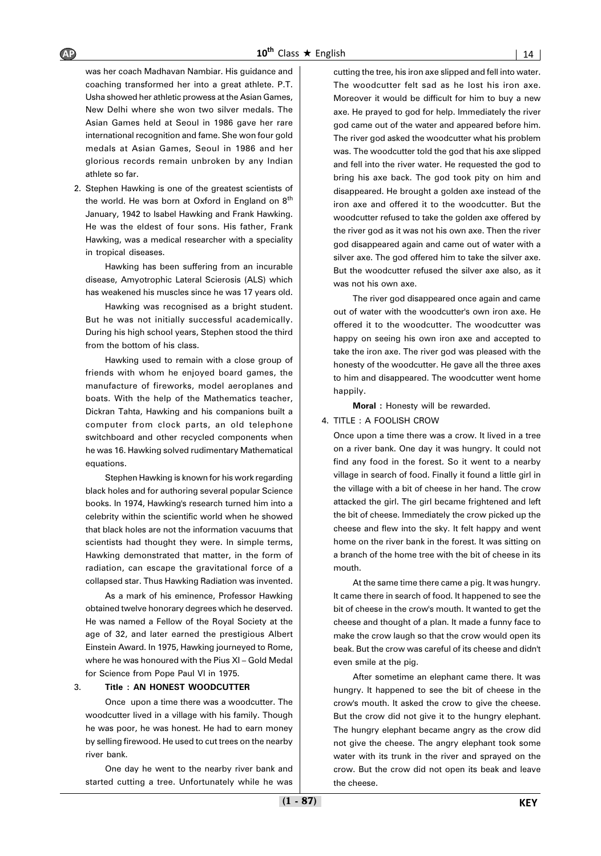was her coach Madhavan Nambiar. His guidance and coaching transformed her into a great athlete. P.T. Usha showed her athletic prowess at the Asian Games, New Delhi where she won two silver medals. The Asian Games held at Seoul in 1986 gave her rare international recognition and fame. She won four gold medals at Asian Games, Seoul in 1986 and her glorious records remain unbroken by any Indian athlete so far.

2. Stephen Hawking is one of the greatest scientists of the world. He was born at Oxford in England on  $8<sup>th</sup>$ January, 1942 to Isabel Hawking and Frank Hawking. He was the eldest of four sons. His father, Frank Hawking, was a medical researcher with a speciality in tropical diseases.

Hawking has been suffering from an incurable disease, Amyotrophic Lateral Scierosis (ALS) which has weakened his muscles since he was 17 years old.

Hawking was recognised as a bright student. But he was not initially successful academically. During his high school years, Stephen stood the third from the bottom of his class.

Hawking used to remain with a close group of friends with whom he enjoyed board games, the manufacture of fireworks, model aeroplanes and boats. With the help of the Mathematics teacher, Dickran Tahta, Hawking and his companions built a computer from clock parts, an old telephone switchboard and other recycled components when he was 16. Hawking solved rudimentary Mathematical equations.

Stephen Hawking is known for his work regarding black holes and for authoring several popular Science books. In 1974, Hawking's research turned him into a celebrity within the scientific world when he showed that black holes are not the information vacuums that scientists had thought they were. In simple terms, Hawking demonstrated that matter, in the form of radiation, can escape the gravitational force of a collapsed star. Thus Hawking Radiation was invented.

As a mark of his eminence, Professor Hawking obtained twelve honorary degrees which he deserved. He was named a Fellow of the Royal Society at the age of 32, and later earned the prestigious Albert Einstein Award. In 1975, Hawking journeyed to Rome, where he was honoured with the Pius XI – Gold Medal for Science from Pope Paul VI in 1975.

#### 3. **Title : AN HONEST WOODCUTTER**

Once upon a time there was a woodcutter. The woodcutter lived in a village with his family. Though he was poor, he was honest. He had to earn money by selling firewood. He used to cut trees on the nearby river bank.

One day he went to the nearby river bank and started cutting a tree. Unfortunately while he was

cutting the tree, his iron axe slipped and fell into water. The woodcutter felt sad as he lost his iron axe. Moreover it would be difficult for him to buy a new axe. He prayed to god for help. Immediately the river god came out of the water and appeared before him. The river god asked the woodcutter what his problem was. The woodcutter told the god that his axe slipped and fell into the river water. He requested the god to bring his axe back. The god took pity on him and disappeared. He brought a golden axe instead of the iron axe and offered it to the woodcutter. But the woodcutter refused to take the golden axe offered by the river god as it was not his own axe. Then the river god disappeared again and came out of water with a silver axe. The god offered him to take the silver axe. But the woodcutter refused the silver axe also, as it was not his own axe.

The river god disappeared once again and came out of water with the woodcutter's own iron axe. He offered it to the woodcutter. The woodcutter was happy on seeing his own iron axe and accepted to take the iron axe. The river god was pleased with the honesty of the woodcutter. He gave all the three axes to him and disappeared. The woodcutter went home happily.

**Moral :** Honesty will be rewarded.

#### 4. TITLE : A FOOLISH CROW

Once upon a time there was a crow. It lived in a tree on a river bank. One day it was hungry. It could not find any food in the forest. So it went to a nearby village in search of food. Finally it found a little girl in the village with a bit of cheese in her hand. The crow attacked the girl. The girl became frightened and left the bit of cheese. Immediately the crow picked up the cheese and flew into the sky. It felt happy and went home on the river bank in the forest. It was sitting on a branch of the home tree with the bit of cheese in its mouth.

At the same time there came a pig. It was hungry. It came there in search of food. It happened to see the bit of cheese in the crow's mouth. It wanted to get the cheese and thought of a plan. It made a funny face to make the crow laugh so that the crow would open its beak. But the crow was careful of its cheese and didn't even smile at the pig.

After sometime an elephant came there. It was hungry. It happened to see the bit of cheese in the crow's mouth. It asked the crow to give the cheese. But the crow did not give it to the hungry elephant. The hungry elephant became angry as the crow did not give the cheese. The angry elephant took some water with its trunk in the river and sprayed on the crow. But the crow did not open its beak and leave the cheese.

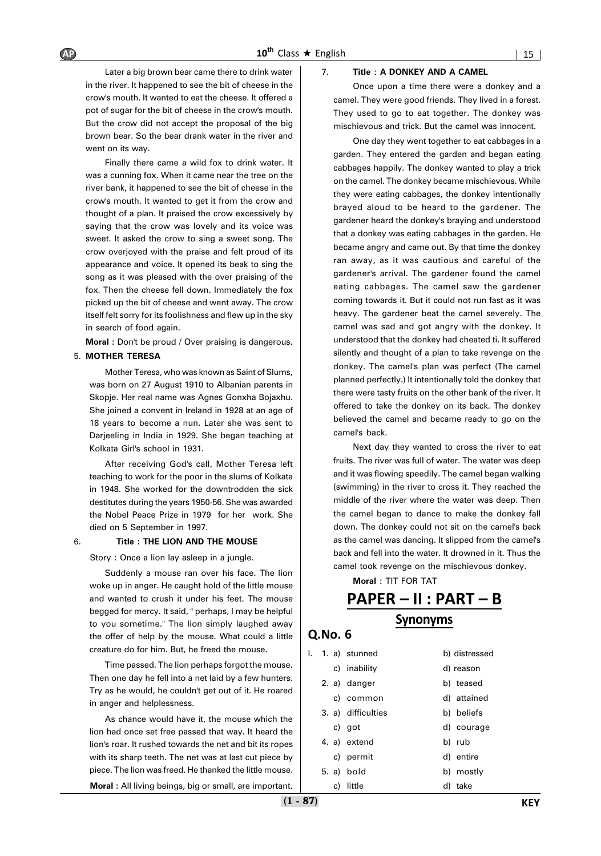Later a big brown bear came there to drink water in the river. It happened to see the bit of cheese in the crow's mouth. It wanted to eat the cheese. It offered a pot of sugar for the bit of cheese in the crow's mouth. But the crow did not accept the proposal of the big brown bear. So the bear drank water in the river and went on its way.

Finally there came a wild fox to drink water. It was a cunning fox. When it came near the tree on the river bank, it happened to see the bit of cheese in the crow's mouth. It wanted to get it from the crow and thought of a plan. It praised the crow excessively by saying that the crow was lovely and its voice was sweet. It asked the crow to sing a sweet song. The crow overjoyed with the praise and felt proud of its appearance and voice. It opened its beak to sing the song as it was pleased with the over praising of the fox. Then the cheese fell down. Immediately the fox picked up the bit of cheese and went away. The crow itself felt sorry for its foolishness and flew up in the sky in search of food again.

**Moral :** Don't be proud / Over praising is dangerous.

#### 5. **MOTHER TERESA**

Mother Teresa, who was known as Saint of Slums, was born on 27 August 1910 to Albanian parents in Skopje. Her real name was Agnes Gonxha Bojaxhu. She joined a convent in Ireland in 1928 at an age of 18 years to become a nun. Later she was sent to Darjeeling in India in 1929. She began teaching at Kolkata Girl's school in 1931.

After receiving God's call, Mother Teresa left teaching to work for the poor in the slums of Kolkata in 1948. She worked for the downtrodden the sick destitutes during the years 1950-56. She was awarded the Nobel Peace Prize in 1979 for her work. She died on 5 September in 1997.

#### 6. **Title : THE LION AND THE MOUSE**

Story : Once a lion lay asleep in a jungle.

Suddenly a mouse ran over his face. The lion woke up in anger. He caught hold of the little mouse and wanted to crush it under his feet. The mouse begged for mercy. It said, " perhaps, I may be helpful to you sometime." The lion simply laughed away the offer of help by the mouse. What could a little creature do for him. But, he freed the mouse.

Time passed. The lion perhaps forgot the mouse. Then one day he fell into a net laid by a few hunters. Try as he would, he couldn't get out of it. He roared in anger and helplessness.

As chance would have it, the mouse which the lion had once set free passed that way. It heard the lion's roar. It rushed towards the net and bit its ropes with its sharp teeth. The net was at last cut piece by piece. The lion was freed. He thanked the little mouse.

**Moral :** All living beings, big or small, are important.

#### 7. **Title : A DONKEY AND A CAMEL**

Once upon a time there were a donkey and a camel. They were good friends. They lived in a forest. They used to go to eat together. The donkey was mischievous and trick. But the camel was innocent.

One day they went together to eat cabbages in a garden. They entered the garden and began eating cabbages happily. The donkey wanted to play a trick on the camel. The donkey became mischievous. While they were eating cabbages, the donkey intentionally brayed aloud to be heard to the gardener. The gardener heard the donkey's braying and understood that a donkey was eating cabbages in the garden. He became angry and came out. By that time the donkey ran away, as it was cautious and careful of the gardener's arrival. The gardener found the camel eating cabbages. The camel saw the gardener coming towards it. But it could not run fast as it was heavy. The gardener beat the camel severely. The camel was sad and got angry with the donkey. It understood that the donkey had cheated ti. It suffered silently and thought of a plan to take revenge on the donkey. The camel's plan was perfect (The camel planned perfectly.) It intentionally told the donkey that there were tasty fruits on the other bank of the river. It offered to take the donkey on its back. The donkey believed the camel and became ready to go on the camel's back.

Next day they wanted to cross the river to eat fruits. The river was full of water. The water was deep and it was flowing speedily. The camel began walking (swimming) in the river to cross it. They reached the middle of the river where the water was deep. Then the camel began to dance to make the donkey fall down. The donkey could not sit on the camel's back as the camel was dancing. It slipped from the camel's back and fell into the water. It drowned in it. Thus the camel took revenge on the mischievous donkey.

**Moral :** TIT FOR TAT

### **PAPER – II : PART – B Synonyms**

| I. |    | 1. a) stunned      | b) distressed |
|----|----|--------------------|---------------|
|    |    | c) inability       | d) reason     |
|    |    | 2. a) danger       | b) teased     |
|    |    | c) common          | d) attained   |
|    |    | 3. a) difficulties | b) beliefs    |
|    |    | c) got             | d) courage    |
|    |    | 4. a) extend       | b) rub        |
|    |    | c) permit          | d) entire     |
|    |    | 5. a) bold         | b) mostly     |
|    | c) | little             | d) take       |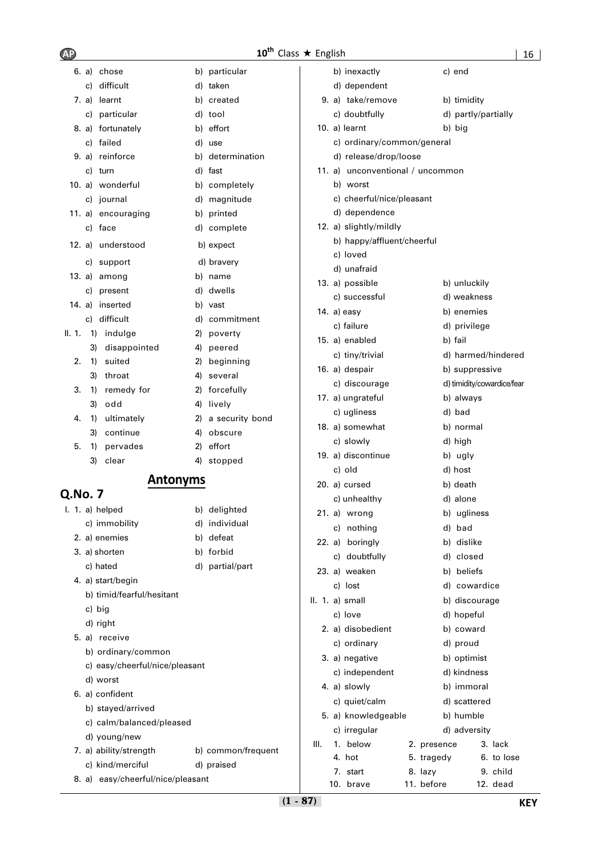### **10<sup>th</sup>** Class ★ English

| 6. a) chose                       |    | b) particular      |      | b) inexactly                     |                       | c) end       |                            |
|-----------------------------------|----|--------------------|------|----------------------------------|-----------------------|--------------|----------------------------|
| c) difficult                      |    | d) taken           |      | d) dependent                     |                       |              |                            |
| 7. a) learnt                      |    | b) created         |      | 9. a) take/remove                |                       | b) timidity  |                            |
| c) particular                     |    | d) tool            |      | c) doubtfully                    |                       |              | d) partly/partially        |
| 8. a) fortunately                 |    | b) effort          |      | 10. a) learnt                    |                       | b) big       |                            |
| c) failed                         |    | d) use             |      | c) ordinary/common/general       |                       |              |                            |
| 9. a) reinforce                   |    | b) determination   |      | d) release/drop/loose            |                       |              |                            |
| c) turn                           |    | d) fast            |      | 11. a) unconventional / uncommon |                       |              |                            |
| 10. a) wonderful                  |    | b) completely      |      | b) worst                         |                       |              |                            |
| c) journal                        |    | d) magnitude       |      | c) cheerful/nice/pleasant        |                       |              |                            |
| 11. a) encouraging                |    | b) printed         |      | d) dependence                    |                       |              |                            |
| c) face                           |    | d) complete        |      | 12. a) slightly/mildly           |                       |              |                            |
| 12. a) understood                 |    | b) expect          |      | b) happy/affluent/cheerful       |                       |              |                            |
| c) support                        |    | d) bravery         |      | c) loved                         |                       |              |                            |
| 13. a) among                      |    | b) name            |      | d) unafraid                      |                       |              |                            |
| c) present                        |    | d) dwells          |      | 13. a) possible                  |                       | b) unluckily |                            |
| 14. a) inserted                   |    | b) vast            |      | c) successful                    |                       | d) weakness  |                            |
| c) difficult                      |    | d) commitment      |      | 14. $a)$ easy                    |                       | b) enemies   |                            |
| II. $1.$<br>1) indulge            |    | 2) poverty         |      | c) failure                       |                       | d) privilege |                            |
| disappointed<br>3)                |    | 4) peered          |      | 15. a) enabled                   |                       | b) fail      |                            |
| suited<br>2.<br>1)                | 2) | beginning          |      | c) tiny/trivial                  |                       |              | d) harmed/hindered         |
| 3) throat                         |    | 4) several         |      | 16. a) despair                   |                       |              | b) suppressive             |
| remedy for<br>3.<br>1)            |    | 2) forcefully      |      | c) discourage                    |                       |              | d) timidity/cowardice/fear |
| 3)<br>odd                         |    | 4) lively          |      | 17. a) ungrateful                |                       | b) always    |                            |
| ultimately<br>4.<br>1)            |    | 2) a security bond |      | c) ugliness                      |                       | d) bad       |                            |
| continue<br>3)                    | 4) | obscure            |      | 18. a) somewhat                  |                       | b) normal    |                            |
| pervades<br>5.<br>1)              | 2) | effort             |      | c) slowly                        |                       | d) high      |                            |
| 3)<br>clear                       |    | 4) stopped         |      | 19. a) discontinue               |                       | b) ugly      |                            |
| <b>Antonyms</b>                   |    |                    |      | c) old                           |                       | d) host      |                            |
| Q.No. 7                           |    |                    |      | 20. a) cursed                    |                       | b) death     |                            |
| I. 1. a) helped                   |    | b) delighted       |      | c) unhealthy                     |                       | d) alone     |                            |
| c) immobility                     |    | d) individual      |      | 21. a) wrong                     |                       | b) ugliness  |                            |
| 2. a) enemies                     |    | b) defeat          |      | c) nothing                       |                       | d) bad       |                            |
| 3. a) shorten                     |    | b) forbid          |      | 22. a) boringly                  |                       | b) dislike   |                            |
| c) hated                          |    | d) partial/part    |      | c) doubtfully                    |                       | d) closed    |                            |
| 4. a) start/begin                 |    |                    |      | 23. a) weaken                    |                       | b) beliefs   |                            |
| b) timid/fearful/hesitant         |    |                    |      | c) lost                          |                       |              | d) cowardice               |
| c) big                            |    |                    |      | II. 1. a) small                  |                       |              | b) discourage              |
| d) right                          |    |                    |      | c) love                          |                       | d) hopeful   |                            |
| 5. a) receive                     |    |                    |      | 2. a) disobedient                |                       | b) coward    |                            |
| b) ordinary/common                |    |                    |      | c) ordinary                      |                       | d) proud     |                            |
| c) easy/cheerful/nice/pleasant    |    |                    |      | 3. a) negative                   |                       | b) optimist  |                            |
| d) worst                          |    |                    |      | c) independent                   |                       | d) kindness  |                            |
| 6. a) confident                   |    |                    |      | 4. a) slowly                     |                       | b) immoral   |                            |
| b) stayed/arrived                 |    |                    |      | c) quiet/calm                    |                       | d) scattered |                            |
| c) calm/balanced/pleased          |    |                    |      | 5. a) knowledgeable              |                       | b) humble    |                            |
| d) young/new                      |    |                    |      | c) irregular                     |                       | d) adversity |                            |
| 7. a) ability/strength            |    | b) common/frequent | III. | 1. below                         | 2. presence           |              | 3. lack                    |
| c) kind/merciful                  |    | d) praised         |      | 4. hot                           | 5. tragedy            |              | 6. to lose                 |
| 8. a) easy/cheerful/nice/pleasant |    |                    |      | 7. start<br>10. brave            | 8. lazy<br>11. before |              | 9. child<br>12. dead       |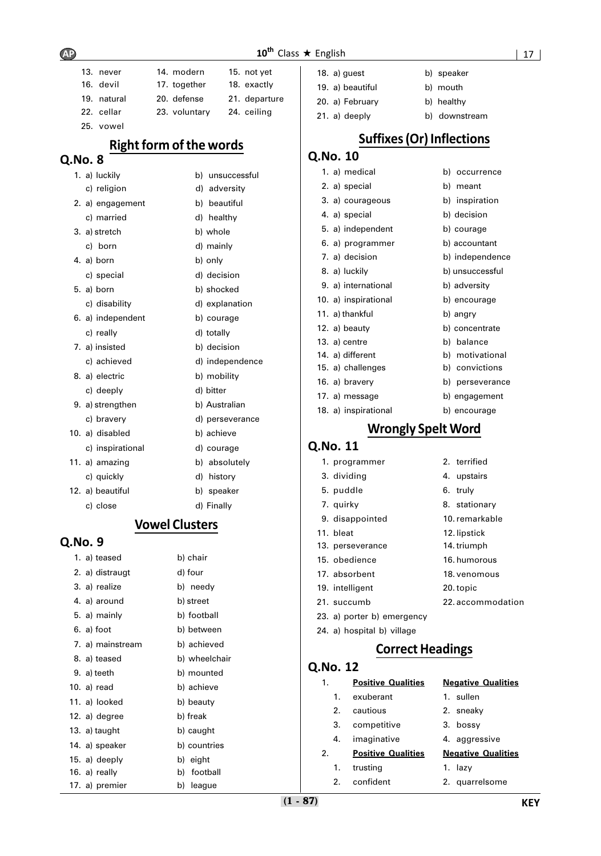### $10^{\text{th}}$  Class  $\star$  English  $\vert$  17  $\vert$

| 13. never   | 14. modern    | 15. not yet   |
|-------------|---------------|---------------|
| 16. devil   | 17. together  | 18. exactly   |
| 19. natural | 20. defense   | 21. departure |
| 22. cellar  | 23. voluntary | 24. ceiling   |
| 25. vowel   |               |               |

### **Right form of the words**

| Q.N0. 8 |             |
|---------|-------------|
|         | والملميط لم |

| 1. a) luckily     | b) | unsuccessful    |
|-------------------|----|-----------------|
| c) religion       |    | d) adversity    |
| 2. a) engagement  |    | b) beautiful    |
| c) married        |    | d) healthy      |
| 3. a) stretch     |    | b) whole        |
| c) born           |    | d) mainly       |
| 4. a) born        |    | b) only         |
| c) special        |    | d) decision     |
| 5. a) born        |    | b) shocked      |
| c) disability     |    | d) explanation  |
| 6. a) independent |    | b) courage      |
| c) really         |    | d) totally      |
| 7. a) insisted    |    | b) decision     |
| c) achieved       |    | d) independence |
| 8. a) electric    |    | b) mobility     |
| c) deeply         |    | d) bitter       |
| 9. a) strengthen  |    | b) Australian   |
| c) bravery        |    | d) perseverance |
| 10. a) disabled   |    | b) achieve      |
| c) inspirational  |    | d) courage      |
| 11. a) amazing    |    | b) absolutely   |
| c) quickly        |    | d) history      |
| 12. a) beautiful  |    | b) speaker      |
| c) close          |    | d) Finally      |

### **Vowel Clusters**

### **Q.No. 9**

| 1. a) teased     | b) chair      |
|------------------|---------------|
| 2. a) distraugt  | d) four       |
| 3. a) realize    | b) needy      |
| 4. a) around     | b) street     |
| 5. a) mainly     | b) football   |
| 6. a) foot       | b) between    |
| 7. a) mainstream | b) achieved   |
| 8. a) teased     | b) wheelchair |
| 9. a) teeth      | b) mounted    |
| 10. a) read      | b) achieve    |
| 11. a) looked    | b) beauty     |
| 12. a) degree    | b) freak      |
| 13. $a)$ taught  | b) caught     |
| 14. a) speaker   | b) countries  |
| 15. a) deeply    | b) eight      |
| 16. a) really    | b) football   |
| 17. a) premier   | b) league     |

| 18. $a)$ quest   | b) speaker    |
|------------------|---------------|
| 19. a) beautiful | b) mouth      |
| 20. a) February  | b) healthy    |
| 21. a) deeply    | b) downstream |

# **Suffixes (Or) Inflections**

### **Q.No. 10**

| 1. a) medical        | b) occurrence   |
|----------------------|-----------------|
| 2. a) special        | b) meant        |
| 3. a) courageous     | b) inspiration  |
| 4. a) special        | b) decision     |
| 5. a) independent    | b) courage      |
| 6. a) programmer     | b) accountant   |
| 7. a) decision       | b) independence |
| 8. a) luckily        | b) unsuccessful |
| 9. a) international  | b) adversity    |
| 10. a) inspirational | b) encourage    |
| 11. a) thankful      | b) angry        |
| 12. a) beauty        | b) concentrate  |
| 13. a) centre        | b) balance      |
| 14. a) different     | b) motivational |
| 15. a) challenges    | b) convictions  |
| 16. a) bravery       | b) perseverance |
| 17. a) message       | b) engagement   |
| 18. a) inspirational | b) encourage    |

### **Wrongly Spelt Word**

#### **Q.No. 11**

| 1. programmer              | 2. terrified      |
|----------------------------|-------------------|
| 3. dividing                | 4. upstairs       |
| 5. puddle                  | 6. truly          |
| 7. quirky                  | 8. stationary     |
| 9. disappointed            | 10. remarkable    |
| 11. bleat                  | 12. lipstick      |
| 13. perseverance           | 14. triumph       |
| 15. obedience              | 16. humorous      |
| 17. absorbent              | 18. venomous      |
| 19. intelligent            | 20. topic         |
| 21. succumb                | 22. accommodation |
| 23. a) porter b) emergency |                   |
|                            |                   |

24. a) hospital b) village

### **Correct Headings**

| 1.                    | <b>Positive Qualities</b> | <b>Negative Qualities</b> |
|-----------------------|---------------------------|---------------------------|
| 1.                    | exuberant                 | 1. sullen                 |
| 2.                    | cautious                  | 2. sneaky                 |
| 3.                    | competitive               | 3. bossy                  |
| 4.                    | imaginative               | 4. aggressive             |
| $\mathcal{P}_{\cdot}$ | <b>Positive Qualities</b> | <b>Negative Qualities</b> |
| 1.                    | trusting                  | 1. lazy                   |
| 2.                    | confident                 | 2. quarrelsome            |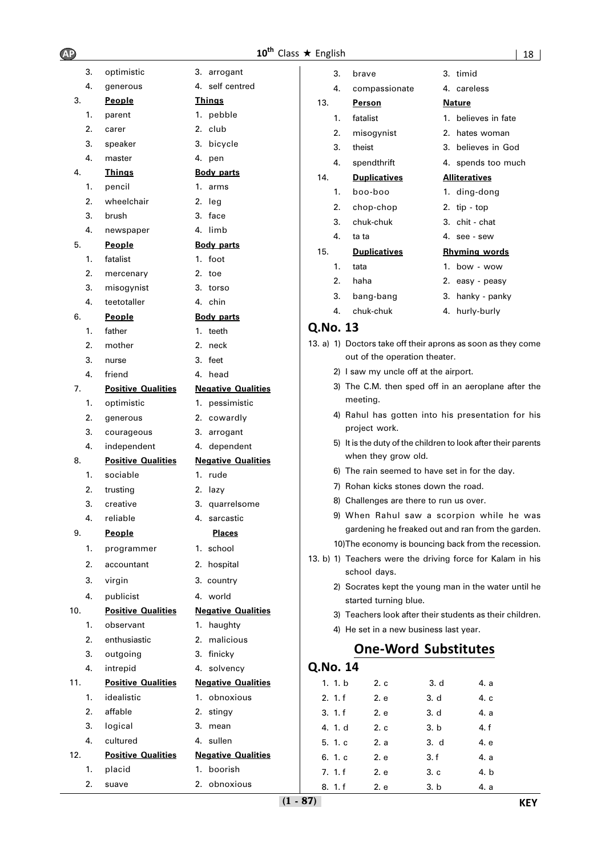| 3.  | optimistic                | 3.<br>arrogant            |
|-----|---------------------------|---------------------------|
| 4.  | generous                  | self centred<br>4.        |
| 3.  | People                    | <u>Things</u>             |
| 1.  | parent                    | 1. pebble                 |
| 2.  | carer                     | 2.<br>club                |
| 3.  | speaker                   | 3.<br>bicycle             |
| 4.  | master                    | 4.<br>pen                 |
| 4.  | <b>Thinas</b>             | <b>Body parts</b>         |
| 1.  | pencil                    | 1.<br>arms                |
| 2.  | wheelchair                | 2.<br>leg                 |
| 3.  | brush                     | 3.<br>face                |
| 4.  | newspaper                 | 4.<br>limb                |
| 5.  | People                    | <b>Body parts</b>         |
| 1.  | fatalist                  | 1.<br>foot                |
| 2.  | mercenary                 | 2.<br>toe                 |
| 3.  | misogynist                | 3.<br>torso               |
| 4.  | teetotaller               | 4.<br>chin                |
| 6.  | People                    | <b>Body parts</b>         |
| 1.  | father                    | 1.<br>teeth               |
| 2.  | mother                    | 2.<br>neck                |
| 3.  | nurse                     | 3.<br>feet                |
| 4.  | friend                    | 4.<br>head                |
| 7.  | <b>Positive Qualities</b> | <b>Negative Qualities</b> |
| 1.  | optimistic                | pessimistic<br>1.         |
| 2.  | generous                  | 2.<br>cowardly            |
| 3.  | courageous                | 3.<br>arrogant            |
| 4.  | independent               | dependent<br>4.           |
| 8.  | <b>Positive Qualities</b> | <b>Negative Qualities</b> |
| 1.  | sociable                  | 1.<br>rude                |
| 2.  | trusting                  | 2.<br>lazy                |
| 3.  | creative                  | 3.<br>quarrelsome         |
| 4.  | reliable                  | 4.<br>sarcastic           |
| 9.  | <b>People</b>             | <b>Places</b>             |
| 1.  | programmer                | school<br>1.              |
| 2.  | accountant                | 2. hospital               |
| 3.  | virgin                    | 3. country                |
| 4.  | publicist                 | 4.<br>world               |
| 10. | <b>Positive Qualities</b> | <b>Negative Qualities</b> |
| 1.  | observant                 | haughty<br>1.             |
| 2.  | enthusiastic              | 2.<br>malicious           |
| 3.  | outgoing                  | 3.<br>finicky             |
| 4.  | intrepid                  | 4.<br>solvency            |
| 11. | <b>Positive Qualities</b> | <b>Negative Qualities</b> |
| 1.  | idealistic                | 1.<br>obnoxious           |
| 2.  | affable                   | 2.<br>stingy              |
| 3.  | logical                   | 3.<br>mean                |
| 4.  |                           |                           |
|     | cultured                  | 4.<br>sullen              |
| 12. | <b>Positive Qualities</b> | <b>Negative Qualities</b> |
| 1.  | placid                    | 1. boorish                |

| <b>AP</b> |                           |                           | 10 <sup>th</sup> Class ★ English |                                                |      | 18                                                            |
|-----------|---------------------------|---------------------------|----------------------------------|------------------------------------------------|------|---------------------------------------------------------------|
| 3.        | optimistic                | 3. arrogant               | 3.                               | brave                                          |      | 3. timid                                                      |
| 4.        | generous                  | 4. self centred           | 4.                               | compassionate                                  |      | 4. careless                                                   |
| 3.        | <b>People</b>             | <u>Things</u>             | 13.                              | <b>Person</b>                                  |      | <b>Nature</b>                                                 |
| 1.        | parent                    | 1. pebble                 | 1.                               | fatalist                                       |      | 1. believes in fate                                           |
| 2.        | carer                     | 2. club                   | 2.                               | misogynist                                     |      | 2. hates woman                                                |
| 3.        | speaker                   | 3. bicycle                | 3.                               | theist                                         |      | 3. believes in God                                            |
| 4.        | master                    | 4. pen                    | 4.                               | spendthrift                                    |      | 4. spends too much                                            |
| 4.        | <b>Things</b>             | <b>Body parts</b>         | 14.                              | <b>Duplicatives</b>                            |      | <b>Alliteratives</b>                                          |
| 1.        | pencil                    | 1. arms                   | 1.                               | boo-boo                                        |      | 1. ding-dong                                                  |
| 2.        | wheelchair                | 2. leg                    | 2.                               | chop-chop                                      |      | 2. $tip - top$                                                |
| 3.        | brush                     | 3. face                   | 3.                               | chuk-chuk                                      |      | 3. chit - chat                                                |
| 4.        | newspaper                 | 4. limb                   | 4.                               | ta ta                                          |      | 4. see - sew                                                  |
| 5.        | <b>People</b>             | <b>Body parts</b>         | 15.                              | <b>Duplicatives</b>                            |      | <b>Rhyming words</b>                                          |
| 1.        | fatalist                  | 1. foot                   | 1.                               | tata                                           |      | 1. bow - wow                                                  |
| 2.        | mercenary                 | 2. toe                    | 2.                               | haha                                           |      | 2. easy - peasy                                               |
| 3.<br>4.  | misogynist<br>teetotaller | 3. torso<br>4. chin       | 3.                               | bang-bang                                      |      | 3. hanky - panky                                              |
| 6.        | <b>People</b>             | <b>Body parts</b>         | 4.                               | chuk-chuk                                      |      | 4. hurly-burly                                                |
| 1.        | father                    | 1. teeth                  | Q.No. 13                         |                                                |      |                                                               |
| 2.        | mother                    | 2. neck                   |                                  |                                                |      | 13. a) 1) Doctors take off their aprons as soon as they come  |
| 3.        | nurse                     | 3. feet                   |                                  | out of the operation theater.                  |      |                                                               |
| 4.        | friend                    | 4. head                   |                                  | 2) I saw my uncle off at the airport.          |      |                                                               |
| 7.        | <b>Positive Qualities</b> | <b>Negative Qualities</b> |                                  |                                                |      | 3) The C.M. then sped off in an aeroplane after the           |
| 1.        | optimistic                | 1. pessimistic            |                                  | meeting.                                       |      |                                                               |
| 2.        | generous                  | 2. cowardly               |                                  |                                                |      | 4) Rahul has gotten into his presentation for his             |
| 3.        | courageous                | 3. arrogant               |                                  | project work.                                  |      |                                                               |
| 4.        | independent               | 4. dependent              |                                  |                                                |      | 5) It is the duty of the children to look after their parents |
| 8.        | <b>Positive Qualities</b> | <b>Negative Qualities</b> |                                  | when they grow old.                            |      |                                                               |
| 1.        | sociable                  | 1. rude                   |                                  | 6) The rain seemed to have set in for the day. |      |                                                               |
| 2.        | trusting                  | 2. lazy                   |                                  | 7) Rohan kicks stones down the road.           |      |                                                               |
| 3.        | creative                  | 3. quarrelsome            |                                  | 8) Challenges are there to run us over.        |      |                                                               |
| 4.        | reliable                  | 4. sarcastic              |                                  |                                                |      | 9) When Rahul saw a scorpion while he was                     |
| 9.        | <u>People</u>             | <b>Places</b>             |                                  |                                                |      | gardening he freaked out and ran from the garden.             |
| 1.        | programmer                | 1. school                 |                                  |                                                |      | 10) The economy is bouncing back from the recession.          |
| 2.        | accountant                | 2. hospital               |                                  |                                                |      | 13. b) 1) Teachers were the driving force for Kalam in his    |
| 3.        | virgin                    | 3. country                |                                  | school days.                                   |      | 2) Socrates kept the young man in the water until he          |
| 4.        | publicist                 | 4. world                  |                                  | started turning blue.                          |      |                                                               |
| 10.       | <b>Positive Qualities</b> | <b>Negative Qualities</b> |                                  |                                                |      | 3) Teachers look after their students as their children.      |
| 1.        | observant                 | 1. haughty                |                                  | 4) He set in a new business last year.         |      |                                                               |
| 2.        | enthusiastic              | 2. malicious              |                                  |                                                |      |                                                               |
| 3.        | outgoing                  | 3. finicky                |                                  | <b>One-Word Substitutes</b>                    |      |                                                               |
| 4.        | intrepid                  | 4. solvency               | Q.No. 14                         |                                                |      |                                                               |
| 11.       | <b>Positive Qualities</b> | <b>Negative Qualities</b> | 1. 1. b                          | 2. c                                           | 3. d | 4. a                                                          |
| 1.        | idealistic                | 1. obnoxious              | 2. 1.f                           | 2. e<br>3. d                                   |      | 4. c                                                          |
| 2.        | affable                   | 2. stingy                 | 3.1.f                            | 2. e                                           | 3. d | 4. a                                                          |

- 
- 3) Teachers look after their students as their children.

| Q.No. 14 |      |      |      |
|----------|------|------|------|
| 1. 1. b  | 2.c  | 3. d | 4. a |
| 2.1.f    | 2. e | 3. d | 4. c |
| 3.1.f    | 2. e | 3. d | 4. a |
| 4. 1. d  | 2c   | 3. b | 4. f |
| 5. 1. c  | 2. a | 3. d | 4. e |
| 6. 1. c  | 2. e | 3.f  | 4. a |
| 7.1.f    | 2. e | 3.c  | 4. b |
| 8. 1. f  | 2. e | 3. b | 4. a |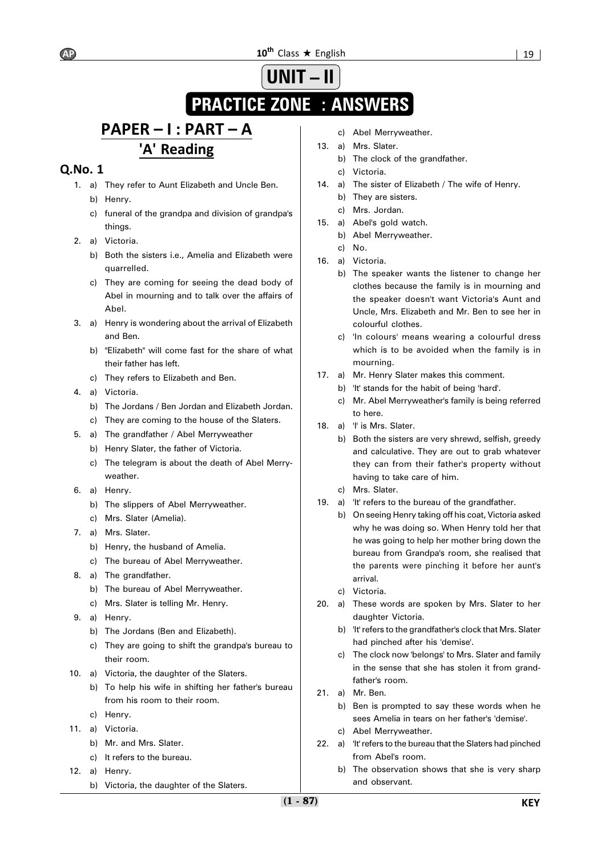# **UNIT – II**

# **PRACTICE ZONE : ANSWERS**

# **PAPER – I : PART – A 'A' Reading**

- 1. a) They refer to Aunt Elizabeth and Uncle Ben.
	- b) Henry.
	- c) funeral of the grandpa and division of grandpa's things.
- 2. a) Victoria.
	- b) Both the sisters i.e., Amelia and Elizabeth were quarrelled.
	- c) They are coming for seeing the dead body of Abel in mourning and to talk over the affairs of Abel.
- 3. a) Henry is wondering about the arrival of Elizabeth and Ben.
	- b) "Elizabeth" will come fast for the share of what their father has left.
	- c) They refers to Elizabeth and Ben.
- 4. a) Victoria.
	- b) The Jordans / Ben Jordan and Elizabeth Jordan.
	- c) They are coming to the house of the Slaters.
- 5. a) The grandfather / Abel Merryweather
	- b) Henry Slater, the father of Victoria.
	- c) The telegram is about the death of Abel Merryweather.
- 6. a) Henry.
	- b) The slippers of Abel Merryweather.
	- c) Mrs. Slater (Amelia).
- 7. a) Mrs. Slater.
	- b) Henry, the husband of Amelia.
	- c) The bureau of Abel Merryweather.
- 8. a) The grandfather.
	- b) The bureau of Abel Merryweather.
	- c) Mrs. Slater is telling Mr. Henry.
- 9. a) Henry.
	- b) The Jordans (Ben and Elizabeth).
	- c) They are going to shift the grandpa's bureau to their room.
- 10. a) Victoria, the daughter of the Slaters.
	- b) To help his wife in shifting her father's bureau from his room to their room.
	- c) Henry.
- 11. a) Victoria.
	- b) Mr. and Mrs. Slater.
	- c) It refers to the bureau.
- 12. a) Henry.
	- b) Victoria, the daughter of the Slaters.
- c) Abel Merryweather.
- 13. a) Mrs. Slater.
	- b) The clock of the grandfather.
	- c) Victoria.
- 14. a) The sister of Elizabeth / The wife of Henry.
	- b) They are sisters.
	- c) Mrs. Jordan.
- 15. a) Abel's gold watch.
	- b) Abel Merryweather.
- c) No.
- 16. a) Victoria.
	- b) The speaker wants the listener to change her clothes because the family is in mourning and the speaker doesn't want Victoria's Aunt and Uncle, Mrs. Elizabeth and Mr. Ben to see her in colourful clothes.
	- c) 'In colours' means wearing a colourful dress which is to be avoided when the family is in mourning.
- 17. a) Mr. Henry Slater makes this comment.
	- b) 'It' stands for the habit of being 'hard'.
		- c) Mr. Abel Merryweather's family is being referred to here.
- 18. a) 'I' is Mrs. Slater.
	- b) Both the sisters are very shrewd, selfish, greedy and calculative. They are out to grab whatever they can from their father's property without having to take care of him.
	- c) Mrs. Slater.
- 19. a) 'It' refers to the bureau of the grandfather.
	- b) On seeing Henry taking off his coat, Victoria asked why he was doing so. When Henry told her that he was going to help her mother bring down the bureau from Grandpa's room, she realised that the parents were pinching it before her aunt's arrival.
	- c) Victoria.
- 20. a) These words are spoken by Mrs. Slater to her daughter Victoria.
	- b) 'It' refers to the grandfather's clock that Mrs. Slater had pinched after his 'demise'.
	- c) The clock now 'belongs' to Mrs. Slater and family in the sense that she has stolen it from grandfather's room.
- 21. a) Mr. Ben.
	- b) Ben is prompted to say these words when he sees Amelia in tears on her father's 'demise'.
	- c) Abel Merryweather.
- 22. a) 'It' refers to the bureau that the Slaters had pinched from Abel's room.
	- b) The observation shows that she is very sharp and observant.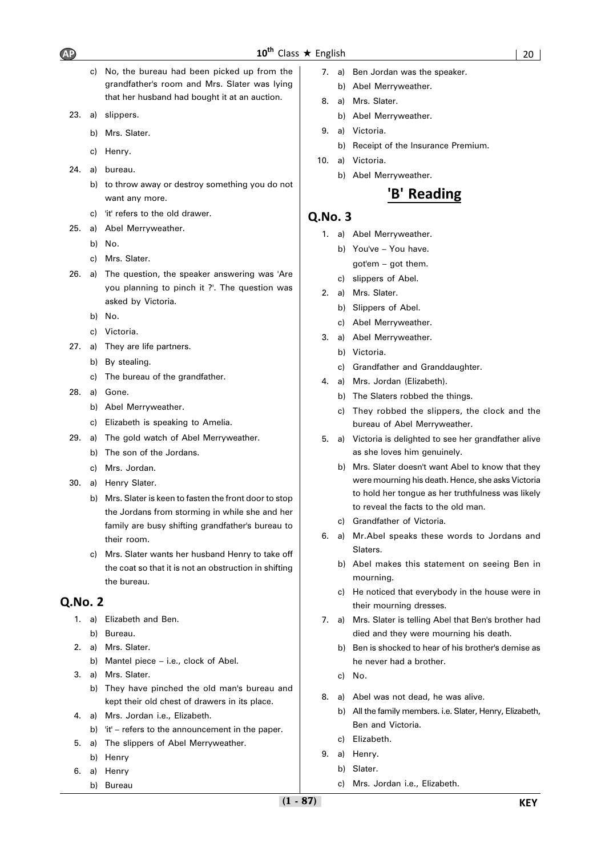- c) No, the bureau had been picked up from the grandfather's room and Mrs. Slater was lying that her husband had bought it at an auction.
- 23. a) slippers.
	- b) Mrs. Slater.
	- c) Henry.
- 24. a) bureau.
	- b) to throw away or destroy something you do not want any more.
	- c) 'it' refers to the old drawer.
- 25. a) Abel Merryweather.
	- b) No.
	- c) Mrs. Slater.
- 26. a) The question, the speaker answering was 'Are you planning to pinch it ?'. The question was asked by Victoria.
	- b) No.
	- c) Victoria.
- 27. a) They are life partners.
	- b) By stealing.
	- c) The bureau of the grandfather.
- 28. a) Gone.
	- b) Abel Merryweather.
	- c) Elizabeth is speaking to Amelia.
- 29. a) The gold watch of Abel Merryweather.
	- b) The son of the Jordans.
	- c) Mrs. Jordan.
- 30. a) Henry Slater.
	- b) Mrs. Slater is keen to fasten the front door to stop the Jordans from storming in while she and her family are busy shifting grandfather's bureau to their room.
	- c) Mrs. Slater wants her husband Henry to take off the coat so that it is not an obstruction in shifting the bureau.

#### **Q.No. 2**

- 1. a) Elizabeth and Ben.
	- b) Bureau.
- 2. a) Mrs. Slater.
	- b) Mantel piece i.e., clock of Abel.
- 3. a) Mrs. Slater. b) They have pinched the old man's bureau and kept their old chest of drawers in its place.
- 4. a) Mrs. Jordan i.e., Elizabeth.
- b) 'it' refers to the announcement in the paper.
- 5. a) The slippers of Abel Merryweather. b) Henry
- 6. a) Henry
	- b) Bureau
- 7. a) Ben Jordan was the speaker.
	- b) Abel Merryweather.
- 8. a) Mrs. Slater.
	- b) Abel Merryweather.
- 9. a) Victoria.
	- b) Receipt of the Insurance Premium.
- 10. a) Victoria.
	- b) Abel Merryweather.

### **'B' Reading**

- 1. a) Abel Merryweather.
	- b) You've You have. got'em – got them.
	- c) slippers of Abel.
- 2. a) Mrs. Slater.
	- b) Slippers of Abel.
	- c) Abel Merryweather.
- 3. a) Abel Merryweather.
	- b) Victoria.
	- c) Grandfather and Granddaughter.
- 4. a) Mrs. Jordan (Elizabeth).
	- b) The Slaters robbed the things.
	- c) They robbed the slippers, the clock and the bureau of Abel Merryweather.
- 5. a) Victoria is delighted to see her grandfather alive as she loves him genuinely.
	- b) Mrs. Slater doesn't want Abel to know that they were mourning his death. Hence, she asks Victoria to hold her tongue as her truthfulness was likely to reveal the facts to the old man.
	- c) Grandfather of Victoria.
- 6. a) Mr.Abel speaks these words to Jordans and Slaters.
	- b) Abel makes this statement on seeing Ben in mourning.
	- c) He noticed that everybody in the house were in their mourning dresses.
- 7. a) Mrs. Slater is telling Abel that Ben's brother had died and they were mourning his death.
	- b) Ben is shocked to hear of his brother's demise as he never had a brother.
	- c) No.
- 8. a) Abel was not dead, he was alive.
	- b) All the family members. i.e. Slater, Henry, Elizabeth, Ben and Victoria.
	- c) Elizabeth.
- 9. a) Henry.
	- b) Slater.
		- c) Mrs. Jordan i.e., Elizabeth.

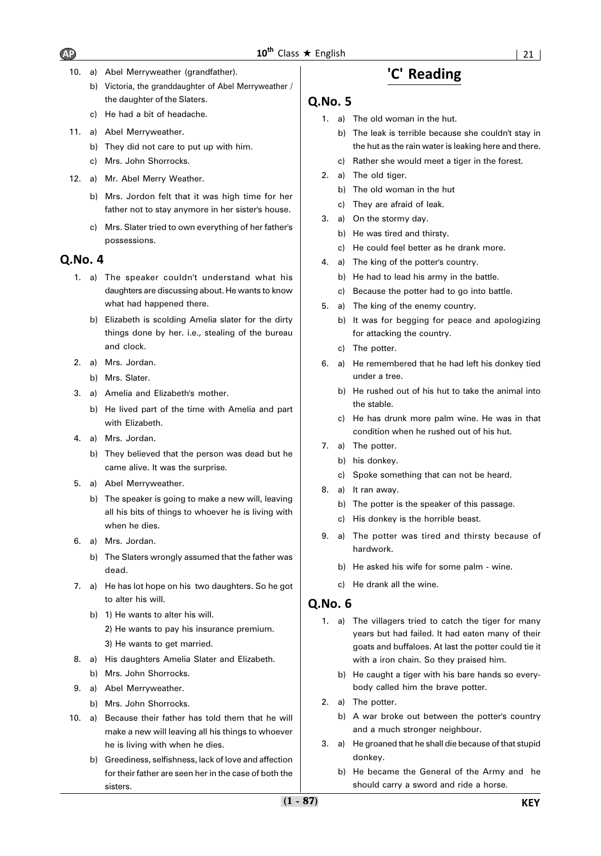- 10. a) Abel Merryweather (grandfather).
	- b) Victoria, the granddaughter of Abel Merryweather / the daughter of the Slaters.
	- c) He had a bit of headache.
- 11. a) Abel Merryweather.
	- b) They did not care to put up with him.
	- c) Mrs. John Shorrocks.
- 12. a) Mr. Abel Merry Weather.
	- b) Mrs. Jordon felt that it was high time for her father not to stay anymore in her sister's house.
	- c) Mrs. Slater tried to own everything of her father's possessions.

#### **Q.No. 4**

- 1. a) The speaker couldn't understand what his daughters are discussing about. He wants to know what had happened there.
	- b) Elizabeth is scolding Amelia slater for the dirty things done by her. i.e., stealing of the bureau and clock.
- 2. a) Mrs. Jordan.
	- b) Mrs. Slater.
- 3. a) Amelia and Elizabeth's mother.
	- b) He lived part of the time with Amelia and part with Elizabeth.
- 4. a) Mrs. Jordan.
	- b) They believed that the person was dead but he came alive. It was the surprise.
- 5. a) Abel Merryweather.
	- b) The speaker is going to make a new will, leaving all his bits of things to whoever he is living with when he dies.
- 6. a) Mrs. Jordan.
	- b) The Slaters wrongly assumed that the father was dead.
- 7. a) He has lot hope on his two daughters. So he got to alter his will.
	- b) 1) He wants to alter his will. 2) He wants to pay his insurance premium. 3) He wants to get married.
- 8. a) His daughters Amelia Slater and Elizabeth. b) Mrs. John Shorrocks.
- 9. a) Abel Merryweather.
	- b) Mrs. John Shorrocks.
- 10. a) Because their father has told them that he will make a new will leaving all his things to whoever he is living with when he dies.
	- b) Greediness, selfishness, lack of love and affection for their father are seen her in the case of both the sisters.

### **'C' Reading**

#### **Q.No. 5**

- 1. a) The old woman in the hut.
	- b) The leak is terrible because she couldn't stay in the hut as the rain water is leaking here and there.
	- c) Rather she would meet a tiger in the forest.
- 2. a) The old tiger.
	- b) The old woman in the hut
	- c) They are afraid of leak.
- 3. a) On the stormy day.
	- b) He was tired and thirsty.
	- c) He could feel better as he drank more.
- 4. a) The king of the potter's country.
	- b) He had to lead his army in the battle.
	- c) Because the potter had to go into battle.
- 5. a) The king of the enemy country.
	- b) It was for begging for peace and apologizing for attacking the country.
	- c) The potter.
- 6. a) He remembered that he had left his donkey tied under a tree.
	- b) He rushed out of his hut to take the animal into the stable.
	- c) He has drunk more palm wine. He was in that condition when he rushed out of his hut.
- 7. a) The potter.
	- b) his donkey.
		- c) Spoke something that can not be heard.
- 8. a) It ran away.
	- b) The potter is the speaker of this passage.
	- c) His donkey is the horrible beast.
- 9. a) The potter was tired and thirsty because of hardwork.
	- b) He asked his wife for some palm wine.
	- c) He drank all the wine.

- 1. a) The villagers tried to catch the tiger for many years but had failed. It had eaten many of their goats and buffaloes. At last the potter could tie it with a iron chain. So they praised him.
	- b) He caught a tiger with his bare hands so everybody called him the brave potter.
- 2. a) The potter.
	- b) A war broke out between the potter's country and a much stronger neighbour.
- 3. a) He groaned that he shall die because of that stupid donkey.
	- b) He became the General of the Army and he should carry a sword and ride a horse.

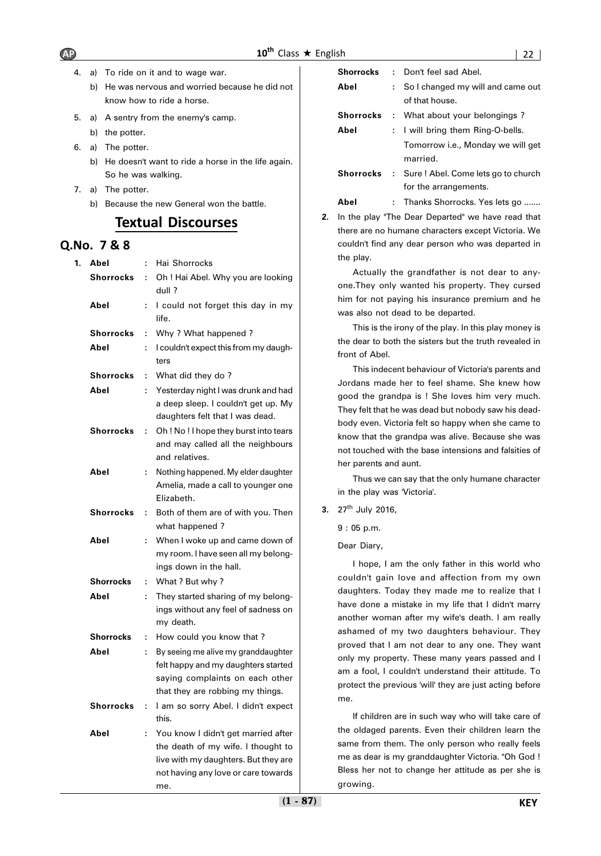- 4. a) To ride on it and to wage war.
	- b) He was nervous and worried because he did not know how to ride a horse.
- 5. a) A sentry from the enemy's camp.
	- b) the potter.
- 6. a) The potter.
	- b) He doesn't want to ride a horse in the life again. So he was walking.
- 7. a) The potter.
	- b) Because the new General won the battle.

### **Textual Discourses**

### **Q.No. 7 & 8**

| 1. | Abel             | ÷ | Hai Shorrocks                                                                          |
|----|------------------|---|----------------------------------------------------------------------------------------|
|    | <b>Shorrocks</b> | ÷ | Oh ! Hai Abel. Why you are looking                                                     |
|    |                  |   | dull ?                                                                                 |
|    | Abel             | ÷ | I could not forget this day in my<br>life.                                             |
|    | Shorrocks        | ÷ | Why ? What happened ?                                                                  |
|    | Abel             | ÷ | I couldn't expect this from my daugh-<br>ters                                          |
|    | <b>Shorrocks</b> | ÷ | What did they do?                                                                      |
|    | Abel             | ÷ | Yesterday night I was drunk and had                                                    |
|    |                  |   | a deep sleep. I couldn't get up. My<br>daughters felt that I was dead.                 |
|    | Shorrocks        | ÷ | Oh! No! I hope they burst into tears                                                   |
|    |                  |   | and may called all the neighbours<br>and relatives.                                    |
|    | Abel             | ÷ | Nothing happened. My elder daughter                                                    |
|    |                  |   | Amelia, made a call to younger one                                                     |
|    |                  |   | Elizabeth.                                                                             |
|    | Shorrocks        | ÷ | Both of them are of with you. Then                                                     |
|    |                  |   | what happened?                                                                         |
|    | Abel             | ÷ | When I woke up and came down of                                                        |
|    |                  |   | my room. I have seen all my belong-                                                    |
|    |                  |   | ings down in the hall.                                                                 |
|    | Shorrocks        | ÷ | What ? But why ?                                                                       |
|    | Abel             | ÷ | They started sharing of my belong-<br>ings without any feel of sadness on<br>my death. |
|    | <b>Shorrocks</b> | ÷ | How could you know that?                                                               |
|    | Abel             | ÷ | By seeing me alive my granddaughter                                                    |
|    |                  |   | felt happy and my daughters started                                                    |
|    |                  |   | saying complaints on each other                                                        |
|    |                  |   | that they are robbing my things.                                                       |
|    | <b>Shorrocks</b> | ÷ | I am so sorry Abel. I didn't expect<br>this.                                           |
|    | Abel             | ÷ | You know I didn't get married after                                                    |
|    |                  |   | the death of my wife. I thought to                                                     |
|    |                  |   | live with my daughters. But they are                                                   |
|    |                  |   | not having any love or care towards                                                    |
|    |                  |   | me.                                                                                    |

| <b>Shorrocks</b> |    | : Don't feel sad Abel.                         |
|------------------|----|------------------------------------------------|
| Abel             | t. | So I changed my will and came out              |
|                  |    | of that house.                                 |
|                  |    | <b>Shorrocks</b> : What about your belongings? |
| Abel             |    | : I will bring them Ring-O-bells.              |
|                  |    | Tomorrow i.e., Monday we will get              |
|                  |    | married.                                       |
| <b>Shorrocks</b> |    | : Sure ! Abel. Come lets go to church          |
|                  |    | for the arrangements.                          |
| Abel             |    | Thanks Shorrocks. Yes lets go                  |

**2.** In the play "The Dear Departed" we have read that there are no humane characters except Victoria. We couldn't find any dear person who was departed in the play.

Actually the grandfather is not dear to anyone.They only wanted his property. They cursed him for not paying his insurance premium and he was also not dead to be departed.

This is the irony of the play. In this play money is the dear to both the sisters but the truth revealed in front of Abel.

This indecent behaviour of Victoria's parents and Jordans made her to feel shame. She knew how good the grandpa is ! She loves him very much. They felt that he was dead but nobody saw his deadbody even. Victoria felt so happy when she came to know that the grandpa was alive. Because she was not touched with the base intensions and falsities of her parents and aunt.

Thus we can say that the only humane character in the play was 'Victoria'.

**3.** 27th July 2016,

9 : 05 p.m.

Dear Diary,

I hope, I am the only father in this world who couldn't gain love and affection from my own daughters. Today they made me to realize that I have done a mistake in my life that I didn't marry another woman after my wife's death. I am really ashamed of my two daughters behaviour. They proved that I am not dear to any one. They want only my property. These many years passed and I am a fool, I couldn't understand their attitude. To protect the previous 'will' they are just acting before me.

If children are in such way who will take care of the oldaged parents. Even their children learn the same from them. The only person who really feels me as dear is my granddaughter Victoria. "Oh God ! Bless her not to change her attitude as per she is growing.

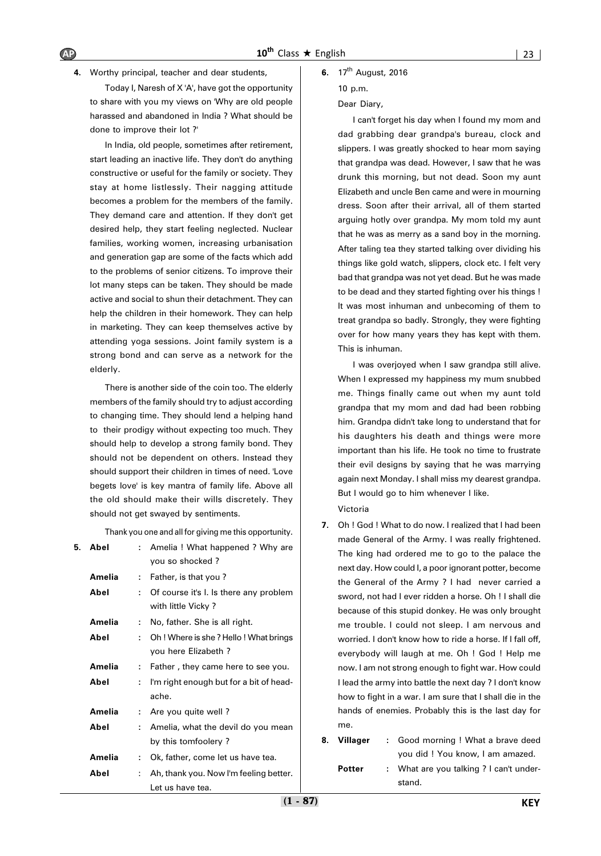Today I, Naresh of X 'A', have got the opportunity to share with you my views on 'Why are old people harassed and abandoned in India ? What should be done to improve their lot ?'

In India, old people, sometimes after retirement, start leading an inactive life. They don't do anything constructive or useful for the family or society. They stay at home listlessly. Their nagging attitude becomes a problem for the members of the family. They demand care and attention. If they don't get desired help, they start feeling neglected. Nuclear families, working women, increasing urbanisation and generation gap are some of the facts which add to the problems of senior citizens. To improve their lot many steps can be taken. They should be made active and social to shun their detachment. They can help the children in their homework. They can help in marketing. They can keep themselves active by attending yoga sessions. Joint family system is a strong bond and can serve as a network for the elderly.

There is another side of the coin too. The elderly members of the family should try to adjust according to changing time. They should lend a helping hand to their prodigy without expecting too much. They should help to develop a strong family bond. They should not be dependent on others. Instead they should support their children in times of need. 'Love begets love' is key mantra of family life. Above all the old should make their wills discretely. They should not get swayed by sentiments.

Thank you one and all for giving me this opportunity.

| 5. | Abel   | t. | Amelia ! What happened ? Why are        |
|----|--------|----|-----------------------------------------|
|    |        |    | you so shocked?                         |
|    | Amelia | ٠. | Father, is that you?                    |
|    | Abel   | ÷. | Of course it's l. Is there any problem  |
|    |        |    | with little Vicky?                      |
|    | Amelia | ÷. | No, father. She is all right.           |
|    | Abel   | t. | Oh! Where is she? Hello! What brings    |
|    |        |    | you here Elizabeth?                     |
|    | Amelia | ÷. | Father, they came here to see you.      |
|    | Abel   | ÷. | I'm right enough but for a bit of head- |
|    |        |    | ache.                                   |
|    | Amelia | t. | Are you quite well?                     |
|    | Abel   | ٠. | Amelia, what the devil do you mean      |
|    |        |    | by this tomfoolery?                     |
|    | Amelia | ÷. | Ok, father, come let us have tea.       |
|    | Abel   | ÷. | Ah, thank you. Now I'm feeling better.  |
|    |        |    | Let us have tea.                        |

#### **6.** 17th August, 2016

10 p.m.

#### Dear Diary,

I can't forget his day when I found my mom and dad grabbing dear grandpa's bureau, clock and slippers. I was greatly shocked to hear mom saying that grandpa was dead. However, I saw that he was drunk this morning, but not dead. Soon my aunt Elizabeth and uncle Ben came and were in mourning dress. Soon after their arrival, all of them started arguing hotly over grandpa. My mom told my aunt that he was as merry as a sand boy in the morning. After taling tea they started talking over dividing his things like gold watch, slippers, clock etc. I felt very bad that grandpa was not yet dead. But he was made to be dead and they started fighting over his things ! It was most inhuman and unbecoming of them to treat grandpa so badly. Strongly, they were fighting over for how many years they has kept with them. This is inhuman.

I was overjoyed when I saw grandpa still alive. When I expressed my happiness my mum snubbed me. Things finally came out when my aunt told grandpa that my mom and dad had been robbing him. Grandpa didn't take long to understand that for his daughters his death and things were more important than his life. He took no time to frustrate their evil designs by saying that he was marrying again next Monday. I shall miss my dearest grandpa. But I would go to him whenever I like. Victoria

- **7.** Oh ! God ! What to do now. I realized that I had been made General of the Army. I was really frightened. The king had ordered me to go to the palace the next day. How could I, a poor ignorant potter, become the General of the Army ? I had never carried a sword, not had I ever ridden a horse. Oh ! I shall die because of this stupid donkey. He was only brought me trouble. I could not sleep. I am nervous and worried. I don't know how to ride a horse. If I fall off, everybody will laugh at me. Oh ! God ! Help me now. I am not strong enough to fight war. How could I lead the army into battle the next day ? I don't know how to fight in a war. I am sure that I shall die in the hands of enemies. Probably this is the last day for me.
- **8. Villager :** Good morning ! What a brave deed you did ! You know, I am amazed.
	- **Potter :** What are you talking ? I can't understand.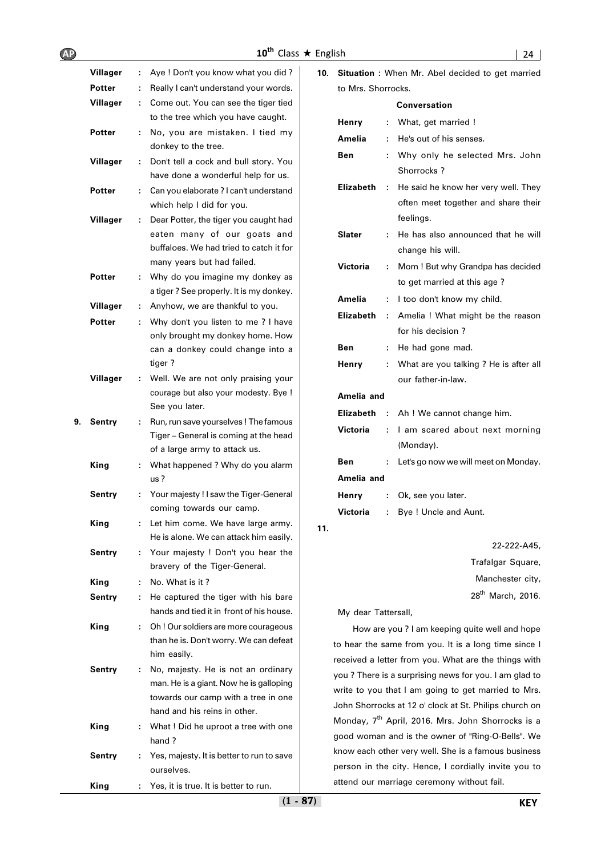|    | Villager      | ÷. | Aye ! Don't you know what you did?                                  |
|----|---------------|----|---------------------------------------------------------------------|
|    | Potter        | ÷. | Really I can't understand your words.                               |
|    | Villager      | ÷. | Come out. You can see the tiger tied                                |
|    |               |    | to the tree which you have caught.                                  |
|    | <b>Potter</b> | ÷. | No, you are mistaken. I tied my<br>donkey to the tree.              |
|    | Villager      | t. | Don't tell a cock and bull story. You                               |
|    |               |    | have done a wonderful help for us.                                  |
|    | Potter        | ÷  | Can you elaborate ? I can't understand<br>which help I did for you. |
|    | Villager      | ۰. | Dear Potter, the tiger you caught had                               |
|    |               |    | eaten many of our goats and                                         |
|    |               |    | buffaloes. We had tried to catch it for                             |
|    |               |    | many years but had failed.                                          |
|    | Potter        | ÷  | Why do you imagine my donkey as                                     |
|    |               |    | a tiger? See properly. It is my donkey.                             |
|    | Villager      | t, | Anyhow, we are thankful to you.                                     |
|    | Potter        | ÷  | Why don't you listen to me ? I have                                 |
|    |               |    | only brought my donkey home. How                                    |
|    |               |    | can a donkey could change into a                                    |
|    |               |    | tiger?                                                              |
|    | Villager      | ۰. | Well. We are not only praising your                                 |
|    |               |    | courage but also your modesty. Bye !                                |
|    |               |    | See you later.                                                      |
| 9. | Sentry        | ÷. | Run, run save yourselves ! The famous                               |
|    |               |    | Tiger - General is coming at the head                               |
|    |               |    | of a large army to attack us.                                       |
|    | King          | t. | What happened ? Why do you alarm                                    |
|    |               |    | us?                                                                 |
|    | Sentry        | ÷. | Your majesty ! I saw the Tiger-General<br>coming towards our camp.  |
|    | King          |    | Let him come. We have large army.                                   |
|    |               |    | He is alone. We can attack him easily.                              |
|    | Sentry        | ÷. | Your majesty ! Don't you hear the                                   |
|    |               |    | bravery of the Tiger-General.                                       |
|    | King          | ÷  | No. What is it?                                                     |
|    | Sentry        | ÷. | He captured the tiger with his bare                                 |
|    |               |    | hands and tied it in front of his house.                            |
|    | King          | ÷  | Oh ! Our soldiers are more courageous                               |
|    |               |    | than he is. Don't worry. We can defeat                              |
|    |               |    | him easily.                                                         |
|    | Sentry        | ÷. | No, majesty. He is not an ordinary                                  |
|    |               |    | man. He is a giant. Now he is galloping                             |
|    |               |    | towards our camp with a tree in one                                 |
|    |               |    | hand and his reins in other.                                        |
|    | King          | ÷. | What ! Did he uproot a tree with one                                |
|    |               |    | hand ?                                                              |
|    | Sentry        | ÷. | Yes, majesty. It is better to run to save                           |
|    |               |    | ourselves.                                                          |
|    | King          | ۰. | Yes, it is true. It is better to run.                               |

| 10. | Situation : When Mr. Abel decided to get married |    |                                                                                         |  |  |  |
|-----|--------------------------------------------------|----|-----------------------------------------------------------------------------------------|--|--|--|
|     | to Mrs. Shorrocks.                               |    |                                                                                         |  |  |  |
|     |                                                  |    | Conversation                                                                            |  |  |  |
|     | Henry                                            | ÷. | What, get married !                                                                     |  |  |  |
|     | Amelia                                           | ÷  | He's out of his senses.                                                                 |  |  |  |
|     | Ben                                              | ÷  | Why only he selected Mrs. John<br>Shorrocks?                                            |  |  |  |
|     | <b>Elizabeth</b>                                 | ÷  | He said he know her very well. They<br>often meet together and share their<br>feelings. |  |  |  |
|     | Slater                                           | ÷  | He has also announced that he will<br>change his will.                                  |  |  |  |
|     | Victoria                                         | ÷  | Mom ! But why Grandpa has decided<br>to get married at this age?                        |  |  |  |
|     | Amelia                                           | ÷  | I too don't know my child.                                                              |  |  |  |
|     | Elizabeth                                        | ÷  | Amelia ! What might be the reason                                                       |  |  |  |
|     |                                                  |    | for his decision?                                                                       |  |  |  |
|     | Ben                                              | ÷. | He had gone mad.                                                                        |  |  |  |
|     | Henry                                            | ÷  | What are you talking ? He is after all<br>our father-in-law.                            |  |  |  |
|     | Amelia and                                       |    |                                                                                         |  |  |  |
|     | Elizabeth                                        |    | : Ah ! We cannot change him.                                                            |  |  |  |
|     | Victoria                                         | ÷  | I am scared about next morning<br>(Monday).                                             |  |  |  |
|     | Ben                                              | ÷  | Let's go now we will meet on Monday.                                                    |  |  |  |
|     | Amelia and                                       |    |                                                                                         |  |  |  |
|     | Henry                                            | ÷  | Ok, see you later.                                                                      |  |  |  |
|     | Victoria                                         | ÷. | Bye! Uncle and Aunt.                                                                    |  |  |  |
| 11. |                                                  |    | 22-222-A45,                                                                             |  |  |  |

Trafalgar Square, Manchester city, 28th March, 2016.

My dear Tattersall,

How are you ? I am keeping quite well and hope to hear the same from you. It is a long time since I received a letter from you. What are the things with you ? There is a surprising news for you. I am glad to write to you that I am going to get married to Mrs. John Shorrocks at 12 o' clock at St. Philips church on Monday, 7<sup>th</sup> April, 2016. Mrs. John Shorrocks is a good woman and is the owner of "Ring-O-Bells". We know each other very well. She is a famous business person in the city. Hence, I cordially invite you to attend our marriage ceremony without fail.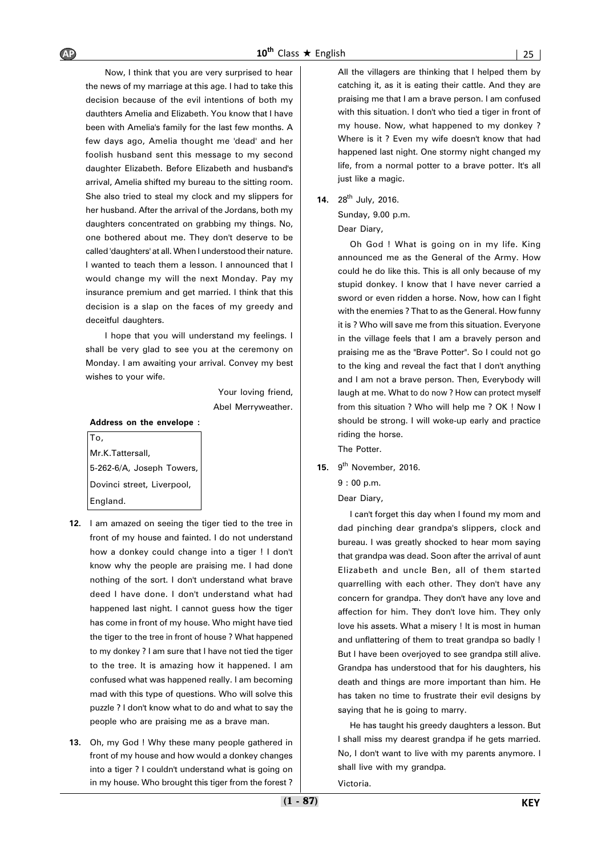Now, I think that you are very surprised to hear the news of my marriage at this age. I had to take this decision because of the evil intentions of both my dauthters Amelia and Elizabeth. You know that I have been with Amelia's family for the last few months. A few days ago, Amelia thought me 'dead' and her foolish husband sent this message to my second daughter Elizabeth. Before Elizabeth and husband's arrival, Amelia shifted my bureau to the sitting room. She also tried to steal my clock and my slippers for her husband. After the arrival of the Jordans, both my daughters concentrated on grabbing my things. No, one bothered about me. They don't deserve to be called 'daughters' at all. When I understood their nature. I wanted to teach them a lesson. I announced that I would change my will the next Monday. Pay my insurance premium and get married. I think that this decision is a slap on the faces of my greedy and deceitful daughters.

I hope that you will understand my feelings. I shall be very glad to see you at the ceremony on Monday. I am awaiting your arrival. Convey my best wishes to your wife.

> Your loving friend, Abel Merryweather.

**Address on the envelope :**

To, Mr.K.Tattersall, 5-262-6/A, Joseph Towers, Dovinci street, Liverpool, England.

- **12.** I am amazed on seeing the tiger tied to the tree in front of my house and fainted. I do not understand how a donkey could change into a tiger ! I don't know why the people are praising me. I had done nothing of the sort. I don't understand what brave deed I have done. I don't understand what had happened last night. I cannot guess how the tiger has come in front of my house. Who might have tied the tiger to the tree in front of house ? What happened to my donkey ? I am sure that I have not tied the tiger to the tree. It is amazing how it happened. I am confused what was happened really. I am becoming mad with this type of questions. Who will solve this puzzle ? I don't know what to do and what to say the people who are praising me as a brave man.
- **13.** Oh, my God ! Why these many people gathered in front of my house and how would a donkey changes into a tiger ? I couldn't understand what is going on in my house. Who brought this tiger from the forest ?

All the villagers are thinking that I helped them by catching it, as it is eating their cattle. And they are praising me that I am a brave person. I am confused with this situation. I don't who tied a tiger in front of my house. Now, what happened to my donkey ? Where is it ? Even my wife doesn't know that had happened last night. One stormy night changed my life, from a normal potter to a brave potter. It's all just like a magic.

**14.** 28th July, 2016.

Sunday, 9.00 p.m.

Dear Diary,

Oh God ! What is going on in my life. King announced me as the General of the Army. How could he do like this. This is all only because of my stupid donkey. I know that I have never carried a sword or even ridden a horse. Now, how can I fight with the enemies ? That to as the General. How funny it is ? Who will save me from this situation. Everyone in the village feels that I am a bravely person and praising me as the "Brave Potter". So I could not go to the king and reveal the fact that I don't anything and I am not a brave person. Then, Everybody will laugh at me. What to do now ? How can protect myself from this situation ? Who will help me ? OK ! Now I should be strong. I will woke-up early and practice riding the horse.

The Potter.

**15.** 9th November, 2016.

Dear Diary,

I can't forget this day when I found my mom and dad pinching dear grandpa's slippers, clock and bureau. I was greatly shocked to hear mom saying that grandpa was dead. Soon after the arrival of aunt Elizabeth and uncle Ben, all of them started quarrelling with each other. They don't have any concern for grandpa. They don't have any love and affection for him. They don't love him. They only love his assets. What a misery ! It is most in human and unflattering of them to treat grandpa so badly ! But I have been overjoyed to see grandpa still alive. Grandpa has understood that for his daughters, his death and things are more important than him. He has taken no time to frustrate their evil designs by saying that he is going to marry.

He has taught his greedy daughters a lesson. But I shall miss my dearest grandpa if he gets married. No, I don't want to live with my parents anymore. I shall live with my grandpa.

Victoria.

<sup>9 : 00</sup> p.m.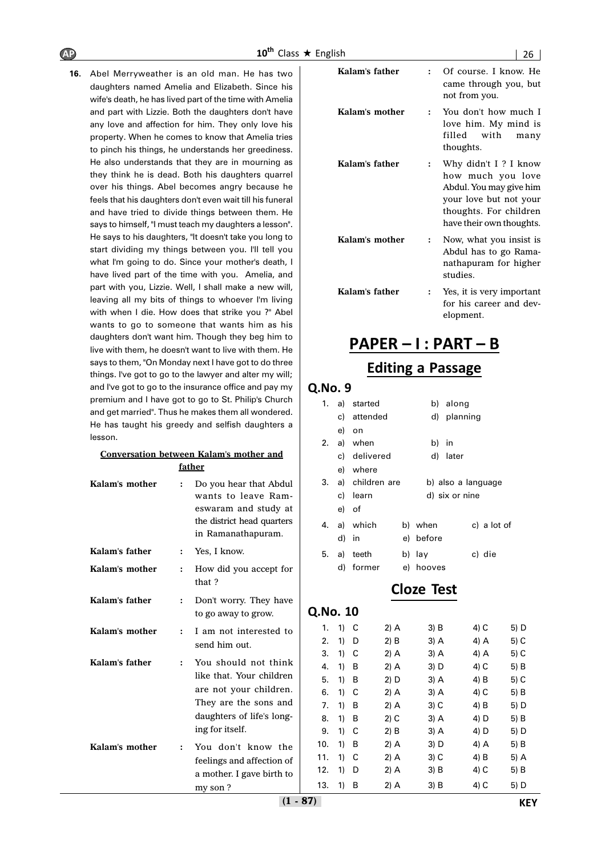**16.** Abel Merryweather is an old man. He has two daughters named Amelia and Elizabeth. Since his wife's death, he has lived part of the time with Amelia and part with Lizzie. Both the daughters don't have any love and affection for him. They only love his property. When he comes to know that Amelia tries to pinch his things, he understands her greediness. He also understands that they are in mourning as they think he is dead. Both his daughters quarrel over his things. Abel becomes angry because he feels that his daughters don't even wait till his funeral and have tried to divide things between them. He says to himself, "I must teach my daughters a lesson". He says to his daughters, "It doesn't take you long to start dividing my things between you. I'll tell you what I'm going to do. Since your mother's death, I have lived part of the time with you. Amelia, and part with you, Lizzie. Well, I shall make a new will, leaving all my bits of things to whoever I'm living with when I die. How does that strike you ?" Abel wants to go to someone that wants him as his daughters don't want him. Though they beg him to live with them, he doesn't want to live with them. He says to them, "On Monday next I have got to do three things. I've got to go to the lawyer and alter my will; and I've got to go to the insurance office and pay my premium and I have got to go to St. Philip's Church and get married". Thus he makes them all wondered. He has taught his greedy and selfish daughters a lesson.

|                | father               |                                                                                                                                                     |
|----------------|----------------------|-----------------------------------------------------------------------------------------------------------------------------------------------------|
| Kalam's mother |                      | Do you hear that Abdul<br>wants to leave Ram-<br>eswaram and study at<br>the district head quarters<br>in Ramanathapuram.                           |
| Kalam's father | $\ddot{\phantom{a}}$ | Yes, I know.                                                                                                                                        |
| Kalam's mother | $\ddot{\phantom{a}}$ | How did you accept for<br>that?                                                                                                                     |
| Kalam's father | $\ddot{\cdot}$       | Don't worry. They have<br>to go away to grow.                                                                                                       |
| Kalam's mother | :                    | I am not interested to<br>send him out.                                                                                                             |
| Kalam's father | $\ddot{\cdot}$       | You should not think<br>like that. Your children<br>are not your children.<br>They are the sons and<br>daughters of life's long-<br>ing for itself. |
| Kalam's mother | $\ddot{\phantom{0}}$ | You don't know the<br>feelings and affection of<br>a mother. I gave birth to<br>my son?                                                             |

**Conversation between Kalam's mother and**

| Kalam's father |              | Of course. I know. He<br>came through you, but<br>not from you.                                                                                      |
|----------------|--------------|------------------------------------------------------------------------------------------------------------------------------------------------------|
| Kalam's mother |              | You don't how much I<br>love him. My mind is<br>filled with<br>many<br>thoughts.                                                                     |
| Kalam's father |              | Why didn't I? I know<br>how much you love<br>Abdul. You may give him<br>your love but not your<br>thoughts. For children<br>have their own thoughts. |
| Kalam's mother | $\mathbf{r}$ | Now, what you insist is<br>Abdul has to go Rama-<br>nathapuram for higher<br>studies.                                                                |
| Kalam's father |              | Yes, it is very important<br>for his career and dev-<br>elopment.                                                                                    |

# **PAPER – I : PART – B**

### **Editing a Passage**

#### **Q.No. 9**

| 1. |       | a) started      |           | b) along           |             |
|----|-------|-----------------|-----------|--------------------|-------------|
|    |       | c) attended     |           | d) planning        |             |
|    | e)    | on              |           |                    |             |
| 2. |       | a) when         | b)        | - in               |             |
|    |       | c) delivered    | d)        | later              |             |
|    |       | e) where        |           |                    |             |
| 3. |       | a) children are |           | b) also a language |             |
|    |       | c) learn        |           | d) six or nine     |             |
|    | e) of |                 |           |                    |             |
| 4. |       | a) which        | b) when   |                    | c) a lot of |
|    | d)    | - in            | e) before |                    |             |
| 5. |       | a) teeth        | b) lay    |                    | c) die      |
|    | d)    | former          | e) hooves |                    |             |
|    |       |                 |           |                    |             |

### **Cloze Test**

|    | C | 2) A   | 3) B   | 4) C | 5) D |
|----|---|--------|--------|------|------|
| 1) | D | 2) B   | 3) A   | 4) A | 5) C |
| 1) | С | 2) A   | 3) A   | 4) A | 5) C |
| 1) | В | $2)$ A | 3) D   | 4) C | 5) B |
| 1) | В | 2) D   | 3) A   | 4) B | 5) C |
| 1) | С | 2) A   | 3) A   | 4) C | 5) B |
| 1) | В | 2) A   | $3)$ C | 4) B | 5) D |
| 1) | В | 2) C   | 3) A   | 4) D | 5) B |
| 1) | C | 2) B   | 3) A   | 4) D | 5) D |
| 1) | В | 2) A   | 3) D   | 4) A | 5) B |
| 1) | С | 2) A   | $3)$ C | 4) B | 5) A |
| 1) | D | 2) A   | $3)$ B | 4) C | 5) B |
| 1) | В | 2) A   | 3) B   | 4) C | 5) D |
|    |   | 1)     |        |      |      |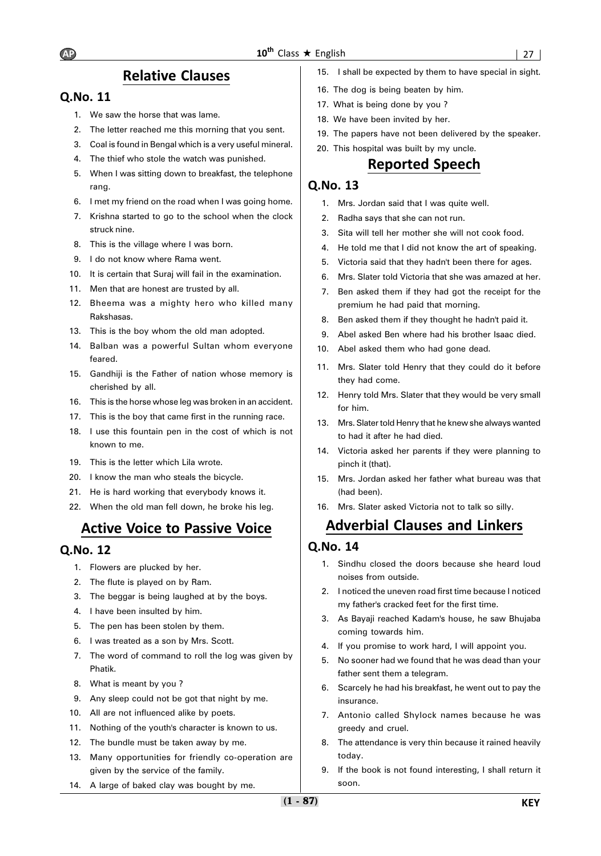### **Relative Clauses**

### **Q.No. 11**

- 1. We saw the horse that was lame.
- 2. The letter reached me this morning that you sent.
- 3. Coal is found in Bengal which is a very useful mineral.
- 4. The thief who stole the watch was punished.
- 5. When I was sitting down to breakfast, the telephone rang.
- 6. I met my friend on the road when I was going home.
- 7. Krishna started to go to the school when the clock struck nine.
- 8. This is the village where I was born.
- 9. I do not know where Rama went.
- 10. It is certain that Suraj will fail in the examination.
- 11. Men that are honest are trusted by all.
- 12. Bheema was a mighty hero who killed many Rakshasas.
- 13. This is the boy whom the old man adopted.
- 14. Balban was a powerful Sultan whom everyone feared.
- 15. Gandhiji is the Father of nation whose memory is cherished by all.
- 16. This is the horse whose leg was broken in an accident.
- 17. This is the boy that came first in the running race.
- 18. I use this fountain pen in the cost of which is not known to me.
- 19. This is the letter which Lila wrote.
- 20. I know the man who steals the bicycle.
- 21. He is hard working that everybody knows it.
- 22. When the old man fell down, he broke his leg.

## **Active Voice to Passive Voice**

### **Q.No. 12**

- 1. Flowers are plucked by her.
- 2. The flute is played on by Ram.
- 3. The beggar is being laughed at by the boys.
- 4. I have been insulted by him.
- 5. The pen has been stolen by them.
- 6. I was treated as a son by Mrs. Scott.
- 7. The word of command to roll the log was given by Phatik.
- 8. What is meant by you ?
- 9. Any sleep could not be got that night by me.
- 10. All are not influenced alike by poets.
- 11. Nothing of the youth's character is known to us.
- 12. The bundle must be taken away by me.
- 13. Many opportunities for friendly co-operation are given by the service of the family.
- 14. A large of baked clay was bought by me.
- 15. I shall be expected by them to have special in sight.
- 16. The dog is being beaten by him.
- 17. What is being done by you ?
- 18. We have been invited by her.
- 19. The papers have not been delivered by the speaker.
- 20. This hospital was built by my uncle.

### **Reported Speech**

### **Q.No. 13**

- 1. Mrs. Jordan said that I was quite well.
- 2. Radha says that she can not run.
- 3. Sita will tell her mother she will not cook food.
- 4. He told me that I did not know the art of speaking.
- 5. Victoria said that they hadn't been there for ages.
- 6. Mrs. Slater told Victoria that she was amazed at her.
- 7. Ben asked them if they had got the receipt for the premium he had paid that morning.
- 8. Ben asked them if they thought he hadn't paid it.
- 9. Abel asked Ben where had his brother Isaac died.
- 10. Abel asked them who had gone dead.
- 11. Mrs. Slater told Henry that they could do it before they had come.
- 12. Henry told Mrs. Slater that they would be very small for him.
- 13. Mrs. Slater told Henry that he knew she always wanted to had it after he had died.
- 14. Victoria asked her parents if they were planning to pinch it (that).
- 15. Mrs. Jordan asked her father what bureau was that (had been).
- 16. Mrs. Slater asked Victoria not to talk so silly.

# **Adverbial Clauses and Linkers**

- 1. Sindhu closed the doors because she heard loud noises from outside.
- 2. I noticed the uneven road first time because I noticed my father's cracked feet for the first time.
- 3. As Bayaji reached Kadam's house, he saw Bhujaba coming towards him.
- 4. If you promise to work hard, I will appoint you.
- 5. No sooner had we found that he was dead than your father sent them a telegram.
- 6. Scarcely he had his breakfast, he went out to pay the insurance.
- 7. Antonio called Shylock names because he was greedy and cruel.
- 8. The attendance is very thin because it rained heavily today.
- 9. If the book is not found interesting, I shall return it soon.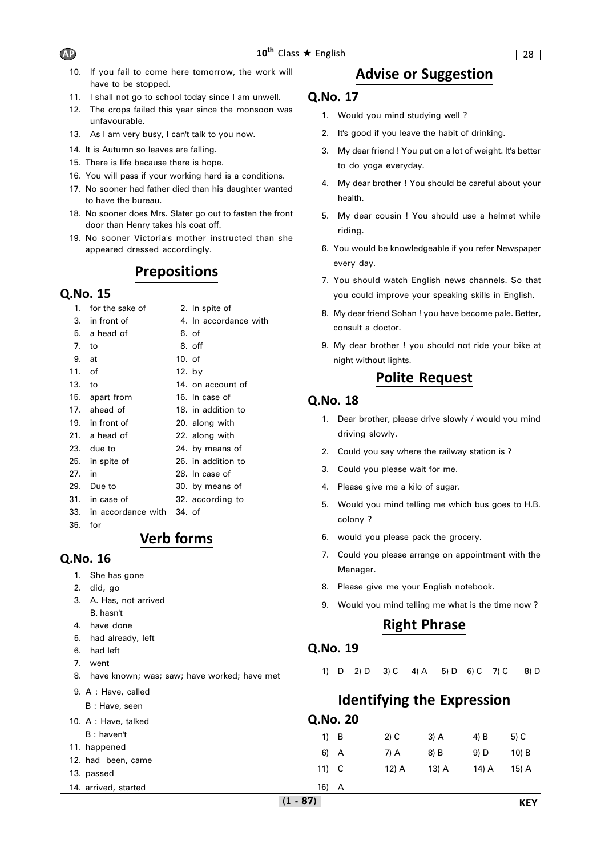**Q.No. 17**

- 10. If you fail to come here tomorrow, the work will have to be stopped.
- 11. I shall not go to school today since I am unwell.
- 12. The crops failed this year since the monsoon was unfavourable.
- 13. As I am very busy, I can't talk to you now.
- 14. It is Autumn so leaves are falling.
- 15. There is life because there is hope.
- 16. You will pass if your working hard is a conditions.
- 17. No sooner had father died than his daughter wanted to have the bureau.
- 18. No sooner does Mrs. Slater go out to fasten the front door than Henry takes his coat off.
- 19. No sooner Victoria's mother instructed than she appeared dressed accordingly.

### **Prepositions**

### **Q.No. 15**

- 1. for the sake of 2. In spite of 3. in front of 4. In accordance with 5. a head of 6. of 7. to 8. off 9. at 10. of 11. of 12. by 13. to 14. on account of 15. apart from 16. In case of 17. ahead of 18. in addition to 19. in front of 20. along with 21. a head of 22. along with 23. due to 24. by means of 25. in spite of 26. in addition to 27. in 28. In case of 29. Due to 30. by means of 31. in case of 32. according to 33. in accordance with 34. of 35. for
	- **Verb forms**

### **Q.No. 16**

- 1. She has gone
- 2. did, go
- 3. A. Has, not arrived B. hasn't
- 4. have done
- 5. had already, left
- 6. had left
- 7. went
- 8. have known; was; saw; have worked; have met
- 9. A : Have, called
- B : Have, seen
- 10. A : Have, talked
	- B : haven't
- 11. happened
- 12. had been, came
- 13. passed
- 14. arrived, started

#### you could improve your speaking skills in English.

8. My dear friend Sohan ! you have become pale. Better, consult a doctor.

**Advise or Suggestion**

1. Would you mind studying well ?

to do yoga everyday.

health.

riding.

every day.

2. It's good if you leave the habit of drinking.

3. My dear friend ! You put on a lot of weight. It's better

4. My dear brother ! You should be careful about your

5. My dear cousin ! You should use a helmet while

6. You would be knowledgeable if you refer Newspaper

7. You should watch English news channels. So that

9. My dear brother ! you should not ride your bike at night without lights.

### **Polite Request**

#### **Q.No. 18**

- 1. Dear brother, please drive slowly / would you mind driving slowly.
- 2. Could you say where the railway station is ?
- 3. Could you please wait for me.
- 4. Please give me a kilo of sugar.
- 5. Would you mind telling me which bus goes to H.B. colony ?
- 6. would you please pack the grocery.
- 7. Could you please arrange on appointment with the Manager.
- 8. Please give me your English notebook.
- 9. Would you mind telling me what is the time now ?

### **Right Phrase**

### **Q.No. 19**

1) D 2) D 3) C 4) A 5) D 6) C 7) C 8) D

## **Identifying the Expression**

| $1)$ B  | $2)$ C | $3)$ A  | 4) B  | 5) C    |
|---------|--------|---------|-------|---------|
| $6)$ A  | 7) A   | 8) B    | 9) D  | $10)$ B |
| $11)$ C | 12) A  | $13)$ A | 14) A | 15) A   |
| 16) A   |        |         |       |         |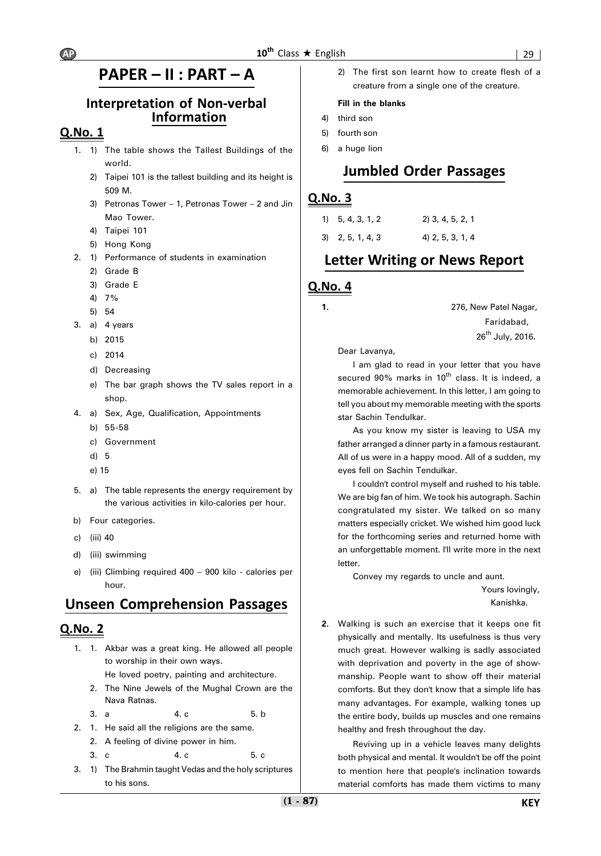## **PAPER – II : PART – A**

### **Interpretation of Non-verbal Information**

### **Q.No. 1**

- 1. 1) The table shows the Tallest Buildings of the world.
	- 2) Taipei 101 is the tallest building and its height is 509 M.
	- 3) Petronas Tower 1, Petronas Tower 2 and Jin Mao Tower.
	- 4) Taipei 101
	- 5) Hong Kong
- 2. 1) Performance of students in examination
	- 2) Grade B
	- 3) Grade E
	- 4) 7%
	- 5) 54
- 3. a)  $4 \text{ years}$ 
	- b) 2015
	- c) 2014
	- d) Decreasing
	- e) The bar graph shows the TV sales report in a shop.
- 4. a) Sex, Age, Qualification, Appointments
	- b) 55-58
	- c) Government
	- d) 5
	- e) 15
- 5. a) The table represents the energy requirement by the various activities in kilo-calories per hour.
- b) Four categories.
- c) (iii) 40
- d) (iii) swimming
- e) (iii) Climbing required 400 900 kilo calories per hour.

### **Unseen Comprehension Passages**

### **Q.No. 2**

1. 1. Akbar was a great king. He allowed all people to worship in their own ways.

He loved poetry, painting and architecture.

- 2. The Nine Jewels of the Mughal Crown are the Nava Ratnas.
- 3. a 4. c 5. b
- 2. 1. He said all the religions are the same.
	- 2. A feeling of divine power in him.
	- 3. c 4. c 5. c
- 3. 1) The Brahmin taught Vedas and the holy scriptures to his sons.

2) The first son learnt how to create flesh of a creature from a single one of the creature.

#### **Fill in the blanks**

- 4) third son
- 5) fourth son
- 6) a huge lion

### **Jumbled Order Passages**

### **Q.No. 3**

| $1)$ 5, 4, 3, 1, 2  | $2)$ 3, 4, 5, 2, 1 |
|---------------------|--------------------|
| $3\, 2, 5, 1, 4, 3$ | 4) 2, 5, 3, 1, 4   |

### **Letter Writing or News Report**

### **Q.No. 4**

**1.** 276, New Patel Nagar, Faridabad, 26<sup>th</sup> July, 2016.

Dear Lavanya,

I am glad to read in your letter that you have secured 90% marks in 10<sup>th</sup> class. It is indeed, a memorable achievement. In this letter, I am going to tell you about my memorable meeting with the sports star Sachin Tendulkar.

As you know my sister is leaving to USA my father arranged a dinner party in a famous restaurant. All of us were in a happy mood. All of a sudden, my eyes fell on Sachin Tendulkar.

I couldn't control myself and rushed to his table. We are big fan of him. We took his autograph. Sachin congratulated my sister. We talked on so many matters especially cricket. We wished him good luck for the forthcoming series and returned home with an unforgettable moment. I'll write more in the next letter.

Convey my regards to uncle and aunt.

 Yours lovingly, Kanishka.

**2.** Walking is such an exercise that it keeps one fit physically and mentally. Its usefulness is thus very much great. However walking is sadly associated with deprivation and poverty in the age of showmanship. People want to show off their material comforts. But they don't know that a simple life has many advantages. For example, walking tones up the entire body, builds up muscles and one remains healthy and fresh throughout the day.

Reviving up in a vehicle leaves many delights both physical and mental. It wouldn't be off the point to mention here that people's inclination towards material comforts has made them victims to many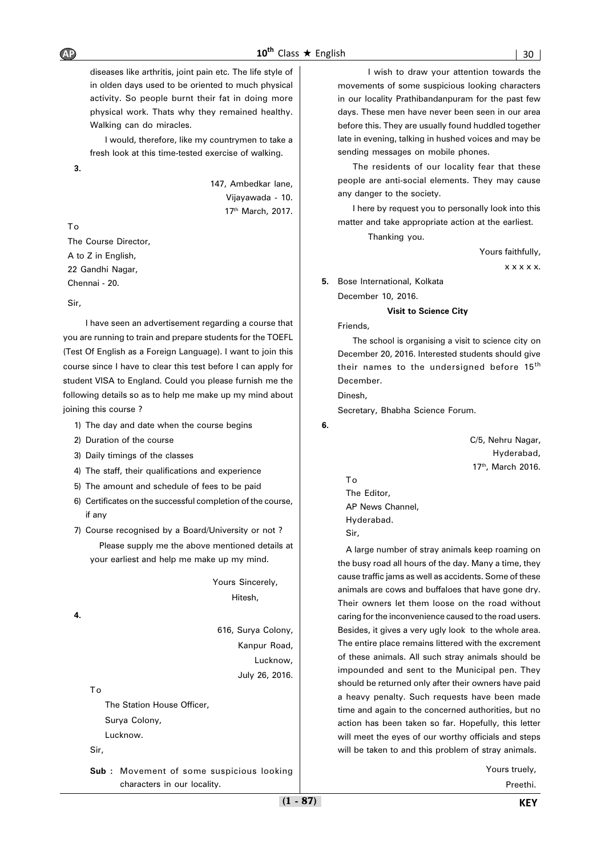diseases like arthritis, joint pain etc. The life style of in olden days used to be oriented to much physical activity. So people burnt their fat in doing more physical work. Thats why they remained healthy. Walking can do miracles.

I would, therefore, like my countrymen to take a fresh look at this time-tested exercise of walking.

**3.**

147, Ambedkar lane, Vijayawada - 10. 17th March, 2017.

#### To

The Course Director, A to Z in English, 22 Gandhi Nagar, Chennai - 20.

#### Sir,

I have seen an advertisement regarding a course that you are running to train and prepare students for the TOEFL (Test Of English as a Foreign Language). I want to join this course since I have to clear this test before I can apply for student VISA to England. Could you please furnish me the following details so as to help me make up my mind about joining this course ?

- 1) The day and date when the course begins
- 2) Duration of the course
- 3) Daily timings of the classes
- 4) The staff, their qualifications and experience
- 5) The amount and schedule of fees to be paid
- 6) Certificates on the successful completion of the course, if any
- 7) Course recognised by a Board/University or not ? Please supply me the above mentioned details at your earliest and help me make up my mind.

Yours Sincerely, Hitesh,

**4.**

616, Surya Colony, Kanpur Road, **Lucknow** July 26, 2016.

To

The Station House Officer, Surya Colony, Lucknow.

Sir,

**Sub :** Movement of some suspicious looking characters in our locality.

I wish to draw your attention towards the movements of some suspicious looking characters in our locality Prathibandanpuram for the past few days. These men have never been seen in our area before this. They are usually found huddled together late in evening, talking in hushed voices and may be sending messages on mobile phones.

The residents of our locality fear that these people are anti-social elements. They may cause any danger to the society.

I here by request you to personally look into this matter and take appropriate action at the earliest.

Thanking you.

Yours faithfully,

x x x x x.

**5.** Bose International, Kolkata

December 10, 2016.

#### **Visit to Science City**

Friends,

The school is organising a visit to science city on December 20, 2016. Interested students should give their names to the undersigned before 15<sup>th</sup> December.

Dinesh,

Secretary, Bhabha Science Forum.

**6.**

C/5, Nehru Nagar, Hyderabad, 17<sup>th</sup>, March 2016.

To The Editor, AP News Channel, Hyderabad. Sir,

A large number of stray animals keep roaming on the busy road all hours of the day. Many a time, they cause traffic jams as well as accidents. Some of these animals are cows and buffaloes that have gone dry. Their owners let them loose on the road without caring for the inconvenience caused to the road users. Besides, it gives a very ugly look to the whole area. The entire place remains littered with the excrement of these animals. All such stray animals should be impounded and sent to the Municipal pen. They should be returned only after their owners have paid a heavy penalty. Such requests have been made time and again to the concerned authorities, but no action has been taken so far. Hopefully, this letter will meet the eyes of our worthy officials and steps will be taken to and this problem of stray animals.

Yours truely,

Preethi.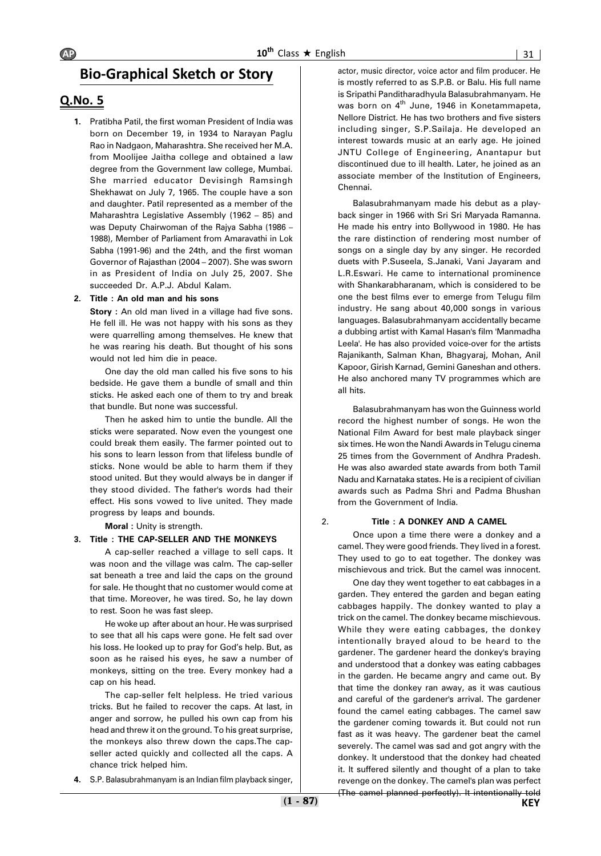### **Bio-Graphical Sketch or Story**

### **Q.No. 5**

**1.** Pratibha Patil, the first woman President of India was born on December 19, in 1934 to Narayan Paglu Rao in Nadgaon, Maharashtra. She received her M.A. from Moolijee Jaitha college and obtained a law degree from the Government law college, Mumbai. She married educator Devisingh Ramsingh Shekhawat on July 7, 1965. The couple have a son and daughter. Patil represented as a member of the Maharashtra Legislative Assembly (1962 – 85) and was Deputy Chairwoman of the Rajya Sabha (1986 – 1988), Member of Parliament from Amaravathi in Lok Sabha (1991-96) and the 24th, and the first woman Governor of Rajasthan (2004 – 2007). She was sworn in as President of India on July 25, 2007. She succeeded Dr. A.P.J. Abdul Kalam.

**2. Title : An old man and his sons**

**Story** : An old man lived in a village had five sons. He fell ill. He was not happy with his sons as they were quarrelling among themselves. He knew that he was rearing his death. But thought of his sons would not led him die in peace.

One day the old man called his five sons to his bedside. He gave them a bundle of small and thin sticks. He asked each one of them to try and break that bundle. But none was successful.

Then he asked him to untie the bundle. All the sticks were separated. Now even the youngest one could break them easily. The farmer pointed out to his sons to learn lesson from that lifeless bundle of sticks. None would be able to harm them if they stood united. But they would always be in danger if they stood divided. The father's words had their effect. His sons vowed to live united. They made progress by leaps and bounds.

**Moral :** Unity is strength.

#### **3. Title : THE CAP-SELLER AND THE MONKEYS**

A cap-seller reached a village to sell caps. It was noon and the village was calm. The cap-seller sat beneath a tree and laid the caps on the ground for sale. He thought that no customer would come at that time. Moreover, he was tired. So, he lay down to rest. Soon he was fast sleep.

He woke up after about an hour. He was surprised to see that all his caps were gone. He felt sad over his loss. He looked up to pray for God's help. But, as soon as he raised his eyes, he saw a number of monkeys, sitting on the tree. Every monkey had a cap on his head.

The cap-seller felt helpless. He tried various tricks. But he failed to recover the caps. At last, in anger and sorrow, he pulled his own cap from his head and threw it on the ground. To his great surprise, the monkeys also threw down the caps.The capseller acted quickly and collected all the caps. A chance trick helped him.

actor, music director, voice actor and film producer. He is mostly referred to as S.P.B. or Balu. His full name is Sripathi Panditharadhyula Balasubrahmanyam. He was born on  $4<sup>th</sup>$  June, 1946 in Konetammapeta, Nellore District. He has two brothers and five sisters including singer, S.P.Sailaja. He developed an interest towards music at an early age. He joined JNTU College of Engineering, Anantapur but discontinued due to ill health. Later, he joined as an associate member of the Institution of Engineers, Chennai.

Balasubrahmanyam made his debut as a playback singer in 1966 with Sri Sri Maryada Ramanna. He made his entry into Bollywood in 1980. He has the rare distinction of rendering most number of songs on a single day by any singer. He recorded duets with P.Suseela, S.Janaki, Vani Jayaram and L.R.Eswari. He came to international prominence with Shankarabharanam, which is considered to be one the best films ever to emerge from Telugu film industry. He sang about 40,000 songs in various languages. Balasubrahmanyam accidentally became a dubbing artist with Kamal Hasan's film 'Manmadha Leela'. He has also provided voice-over for the artists Rajanikanth, Salman Khan, Bhagyaraj, Mohan, Anil Kapoor, Girish Karnad, Gemini Ganeshan and others. He also anchored many TV programmes which are all hits.

Balasubrahmanyam has won the Guinness world record the highest number of songs. He won the National Film Award for best male playback singer six times. He won the Nandi Awards in Telugu cinema 25 times from the Government of Andhra Pradesh. He was also awarded state awards from both Tamil Nadu and Karnataka states. He is a recipient of civilian awards such as Padma Shri and Padma Bhushan from the Government of India.

#### 2. **Title : A DONKEY AND A CAMEL**

Once upon a time there were a donkey and a camel. They were good friends. They lived in a forest. They used to go to eat together. The donkey was mischievous and trick. But the camel was innocent.

One day they went together to eat cabbages in a garden. They entered the garden and began eating cabbages happily. The donkey wanted to play a trick on the camel. The donkey became mischievous. While they were eating cabbages, the donkey intentionally brayed aloud to be heard to the gardener. The gardener heard the donkey's braying and understood that a donkey was eating cabbages in the garden. He became angry and came out. By that time the donkey ran away, as it was cautious and careful of the gardener's arrival. The gardener found the camel eating cabbages. The camel saw the gardener coming towards it. But could not run fast as it was heavy. The gardener beat the camel severely. The camel was sad and got angry with the donkey. It understood that the donkey had cheated it. It suffered silently and thought of a plan to take revenge on the donkey. The camel's plan was perfect (The camel planned perfectly). It intentionally told

**4.** S.P. Balasubrahmanyam is an Indian film playback singer,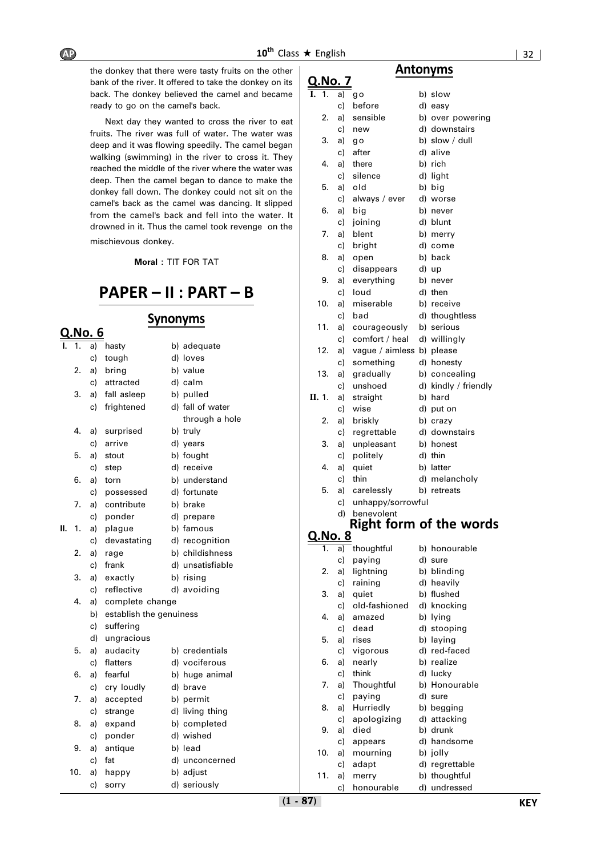

# **PAPER – II : PART – B**

# **Q.No. 6**

| ı. | 1.  | a) | hasty                   |  | b) adequate      |  |  |  |  |
|----|-----|----|-------------------------|--|------------------|--|--|--|--|
|    |     | c) | tough                   |  | d) loves         |  |  |  |  |
|    | 2.  | a) | bring                   |  | b) value         |  |  |  |  |
|    |     | c) | attracted               |  | d) calm          |  |  |  |  |
|    | 3.  | a) | fall asleep             |  | b) pulled        |  |  |  |  |
|    |     | c) | frightened              |  | d) fall of water |  |  |  |  |
|    |     |    |                         |  | through a hole   |  |  |  |  |
|    | 4.  | a) | surprised               |  | b) truly         |  |  |  |  |
|    |     | c) | arrive                  |  | d) years         |  |  |  |  |
|    | 5.  | a) | stout                   |  | b) fought        |  |  |  |  |
|    |     | c) | step                    |  | d) receive       |  |  |  |  |
|    | 6.  | a) | torn                    |  | b) understand    |  |  |  |  |
|    |     | c) | possessed               |  | d) fortunate     |  |  |  |  |
|    | 7.  | a) | contribute              |  | b) brake         |  |  |  |  |
|    |     | c) | ponder                  |  | d) prepare       |  |  |  |  |
| Н. | 1.  | a) | plague                  |  | b) famous        |  |  |  |  |
|    |     | c) | devastating             |  | d) recognition   |  |  |  |  |
|    | 2.  | a) | rage                    |  | b) childishness  |  |  |  |  |
|    |     | c) | frank                   |  | d) unsatisfiable |  |  |  |  |
|    | 3.  | a) | exactly                 |  | b) rising        |  |  |  |  |
|    |     | c) | reflective              |  | d) avoiding      |  |  |  |  |
|    | 4.  | a) | complete change         |  |                  |  |  |  |  |
|    |     | b) | establish the genuiness |  |                  |  |  |  |  |
|    |     | c) | suffering               |  |                  |  |  |  |  |
|    |     | d) | ungracious              |  |                  |  |  |  |  |
|    | 5.  | a) | audacity                |  | b) credentials   |  |  |  |  |
|    |     | c) | flatters                |  | d) vociferous    |  |  |  |  |
|    | 6.  | a) | fearful                 |  | b) huge animal   |  |  |  |  |
|    |     | c) | cry loudly              |  | d) brave         |  |  |  |  |
|    | 7.  | a) | accepted                |  | b) permit        |  |  |  |  |
|    |     | c) | strange                 |  | d) living thing  |  |  |  |  |
|    | 8.  | a) | expand                  |  | b) completed     |  |  |  |  |
|    |     | c) | ponder                  |  | d) wished        |  |  |  |  |
|    | 9.  | a) | antique                 |  | b) lead          |  |  |  |  |
|    |     | c) | fat                     |  | d) unconcerned   |  |  |  |  |
|    | 10. | a) | happy                   |  | b) adjust        |  |  |  |  |
|    |     | c) | sorry                   |  | d) seriously     |  |  |  |  |

### **Synonyms**

# **Q.No. 7**

|           |                  |                |                                                          |                                                                                                           |                |                |                                        |                 |                                                  | 32 |
|-----------|------------------|----------------|----------------------------------------------------------|-----------------------------------------------------------------------------------------------------------|----------------|----------------|----------------------------------------|-----------------|--------------------------------------------------|----|
| <b>AP</b> |                  |                |                                                          | 10 <sup>th</sup> Class ★ English<br>the donkey that there were tasty fruits on the other                  | <u>Q.No. 7</u> |                |                                        | <b>Antonyms</b> |                                                  |    |
|           |                  |                | ready to go on the camel's back.                         | bank of the river. It offered to take the donkey on its<br>back. The donkey believed the camel and became | I. 1.          | c)             | a) go<br>before                        |                 | b) slow<br>d) easy                               |    |
|           |                  |                |                                                          | Next day they wanted to cross the river to eat<br>fruits. The river was full of water. The water was      | 2.             | a)<br>C)       | sensible<br>new                        |                 | b) over powering<br>d) downstairs                |    |
|           |                  |                |                                                          | deep and it was flowing speedily. The camel began<br>walking (swimming) in the river to cross it. They    | 3.             | a)<br>c)       | g o<br>after                           |                 | b) slow / dull<br>d) alive                       |    |
|           |                  |                |                                                          | reached the middle of the river where the water was<br>deep. Then the camel began to dance to make the    | 4.             | a)<br>c)       | there<br>silence                       |                 | b) rich<br>d) light                              |    |
|           |                  |                |                                                          | donkey fall down. The donkey could not sit on the<br>camel's back as the camel was dancing. It slipped    | 5.<br>6.       | a)<br>C)<br>a) | old<br>always / ever<br>big            |                 | b) big<br>d) worse<br>b) never                   |    |
|           |                  |                |                                                          | from the camel's back and fell into the water. It<br>drowned in it. Thus the camel took revenge on the    | 7.             | C)<br>a)       | joining<br>blent                       |                 | d) blunt<br>b) merry                             |    |
|           |                  |                | mischievous donkey.                                      | Moral: TIT FOR TAT                                                                                        | 8.             | C)<br>a)       | bright<br>open                         |                 | d) come<br>b) back                               |    |
|           |                  |                |                                                          | $PAPER - II$ : $PART - B$                                                                                 | 9.             | c)<br>a)<br>C) | disappears<br>everything<br>loud       |                 | d) up<br>b) never<br>d) then                     |    |
|           |                  |                |                                                          | <b>Synonyms</b>                                                                                           | 10.            | a)<br>c)       | miserable<br>bad                       |                 | b) receive<br>d) thoughtless                     |    |
|           | Q.No. 6<br>1. 1. | a)             | hasty                                                    | b) adequate                                                                                               | 11.            | a)             | courageously<br>c) comfort / heal      |                 | b) serious<br>d) willingly                       |    |
|           | 2.               | C)<br>a)       | tough<br>bring                                           | d) loves<br>b) value                                                                                      | 12.            | a)<br>C)       | vague / aimless b) please<br>something |                 | d) honesty                                       |    |
|           | 3.               | C)<br>a)       | attracted<br>fall asleep                                 | d) calm<br>b) pulled                                                                                      | 13.<br>II. 1.  | a)<br>C)<br>a) | gradually<br>unshoed<br>straight       |                 | b) concealing<br>d) kindly / friendly<br>b) hard |    |
|           |                  | C)             | frightened                                               | d) fall of water<br>through a hole                                                                        | 2.             | C)<br>a)       | wise<br>briskly                        |                 | d) put on<br>b) crazy                            |    |
|           | 4.               | a)<br>c)       | surprised<br>arrive                                      | b) truly<br>d) years                                                                                      | 3.             | C)<br>a)       | regrettable<br>unpleasant              |                 | d) downstairs<br>b) honest                       |    |
|           | 5.<br>6.         | a)<br>c)       | stout<br>step<br>a) torn                                 | b) fought<br>d) receive<br>b) understand                                                                  | 4.             | C)<br>a)<br>c) | politely<br>quiet<br>thin              |                 | d) thin<br>b) latter<br>d) melancholy            |    |
|           | 7.               |                | c) possessed<br>a) contribute                            | d) fortunate<br>b) brake                                                                                  | 5.             |                | a) carelessly<br>c) unhappy/sorrowful  |                 | b) retreats                                      |    |
|           | II. 1.           | C)<br>a)       | ponder<br>plague                                         | d) prepare<br>b) famous                                                                                   |                |                | d) benevolent                          |                 | <b>Right form of the words</b>                   |    |
|           | 2.               | c)<br>a)       | devastating<br>rage                                      | d) recognition<br>b) childishness                                                                         | <u>Q.No. 8</u> | c)             | 1. a) thoughtful<br>paying             |                 | b) honourable<br>d) sure                         |    |
|           | 3.               | c)<br>a)       | frank<br>exactly                                         | d) unsatisfiable<br>b) rising                                                                             | 2.             |                | a) lightning<br>c) raining             |                 | b) blinding<br>d) heavily                        |    |
|           | 4.               | c)<br>a)<br>b) | reflective<br>complete change<br>establish the genuiness | d) avoiding                                                                                               |                | c)             | 3. a) quiet<br>old-fashioned           |                 | b) flushed<br>d) knocking                        |    |
|           |                  | C)<br>d)       | suffering<br>ungracious                                  |                                                                                                           | 4.<br>5.       | a)<br>C)       | amazed<br>dead<br>a) rises             |                 | b) lying<br>d) stooping<br>b) laying             |    |
|           | 5.               |                | a) audacity                                              | b) credentials                                                                                            |                |                | c) viaorous                            |                 | d) red-faced                                     |    |

6. a) nearly b) realize c) think d) lucky 7. a) Thoughtful b) Honourable c) paying d) sure 8. a) Hurriedly b) begging c) apologizing d) attacking 9. a) died b) drunk

10. a) mourning b) jolly

c) appears d) handsome

c) adapt d) regrettable 11. a) merry b) thoughtful c) honourable d) undressed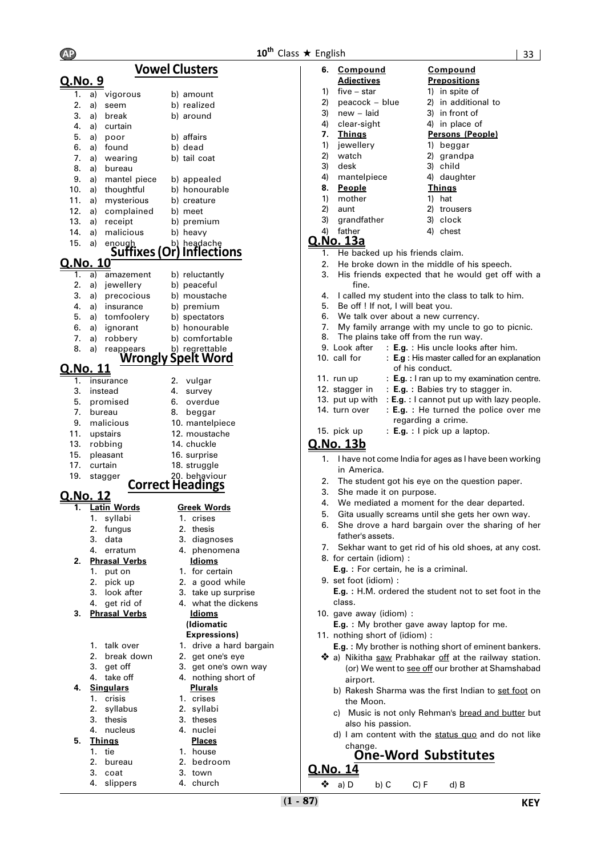#### **Vowel Clusters Q.No. 9**  $\overline{1.}$  a) vigorous b) amount 2. a) seem b) realized 3. a) break b) around 4. a) curtain 5. a) poor b) affairs 6. a) found b) dead 7. a) wearing b) tail coat 8. a) bureau<br>9. a) mantel piece 9. a) mantel piece b) appealed 10. a) thoughtful b) honourable 11. a) mysterious b) creature 12. a) complained b) meet 13. a) receipt b) premium 14. a) malicious b) heavy<br>15. a) enough b) heada enough b) headache<br>**15. Suffixes (Or) Inflectional <u>Q.No. 10</u><br><u><b>Q.No. 10**<br>1. a) amazement b) reluctantly</u> 1. a) amazement b) reluctantly 2. a) jewellery b) peaceful 3. a) precocious b) moustache 4. a) insurance b) premium 5. a) tomfoolery b) spectators 6. a) ignorant b) honourable 7. a) robbery b) comfortable<br>8. a) reappears b) regrettable 8. a) reappears b) regrettable **Wrongly Spelt Word Q.No. 11** 1. insurance 2. vulgar 3. instead 4. survey 5. promised 6. overdue 7. bureau 18. beggar 9. malicious 10. mantelpiece 11. upstairs 12. moustache 13. robbing 15. pleasant 17. curtain 19. stagger **Corre Correct Headings Q.No. 12 Latin Words** 1. syllabi 2. fungus 3. data 3. diagnoses 4. erratum 4. phenomena **2. Phrasal Verbs** 1. put on 1. for certain 2. pick up 2. a good while 3. look after 3. take up surprise 4. get rid of 4. what the dickens **3. Phrasal Verbs Idioms** 1. talk over 1. drive a hard bargain 2. break down 2. get one's eye 3. get off 3. get one's own way 4. take off 4. nothing short of **4. Singulars Plurals** 1. crisis 1. crises 2. syllabus 2. syllabi 3. thesis 3. theses 4. nucleus 4. nuclei **5. Things Places** 1. tie 1. house<br>2. bureau 1. bedro 2. bedroom 3. coat 3. town

4. slippers 4. church

|                    | 14. chuckle<br>16. surprise<br>18. struggle<br>20. behaviour<br>ct Headings |  |  |  |
|--------------------|-----------------------------------------------------------------------------|--|--|--|
| <b>Greek Words</b> |                                                                             |  |  |  |
| 1.                 | crises                                                                      |  |  |  |
|                    | 2. thesis                                                                   |  |  |  |
|                    | 3. diagnoses                                                                |  |  |  |
| 4.                 | phenomena                                                                   |  |  |  |
|                    | Idioms                                                                      |  |  |  |

- 
- 
- 
- 

# **(Idiomatic**

#### **Expressions)**

- 
- 
- 
- 
- 
- 
- 
- 
- 
- 
- 

| 6. | Compound<br><b>Adjectives</b> | Compound<br><b>Prepositions</b> |
|----|-------------------------------|---------------------------------|
| 1) | $five - star$                 | 1) in spite of                  |
| 2) | peacock - blue                | 2) in additional to             |
| 3) | new – laid                    | 3) in front of                  |
|    | 4) clear-sight                | 4) in place of                  |
| 7. | <b>Things</b>                 | Persons (People)                |
| 1) | jewellery                     | 1) beggar                       |
|    | 2) watch                      | 2) grandpa                      |

- 3) desk 3) child
- 4) mantelpiece 4) daughter
- **8. People Things**
- 1) mother 1) hat
- 2) aunt 2) trousers
- 3) grandfather 3) clock
- 4) father 4) chest
- **Q.No. 13a**
	- 1. He backed up his friends claim.
	- 2. He broke down in the middle of his speech.
	- 3. His friends expected that he would get off with a fine.
	- 4. I called my student into the class to talk to him.
	- 5. Be off ! If not, I will beat you.
	- 6. We talk over about a new currency.
	- 7. My family arrange with my uncle to go to picnic.
	- 8. The plains take off from the run way.<br>9. Look after :  $E.g. : His$  uncle looks a
	- : **E.g.** : His uncle looks after him.
	- 10. call for : **E.g** : His master called for an explanation of his conduct.
	- 11. run up : **E.g.** : I ran up to my examination centre.
	- 12. stagger in : **E.g. :** Babies try to stagger in.
	- 13. put up with : **E.g. :** I cannot put up with lazy people. 14. turn over : **E.g. :** He turned the police over me regarding a crime.
	- 15. pick up : **E.g. :** I pick up a laptop.

#### **Q.No. 13b**

- I have not come India for ages as I have been working in America.
- 2. The student got his eye on the question paper.
- 3. She made it on purpose.
- 4. We mediated a moment for the dear departed.
- 5. Gita usually screams until she gets her own way.
- 6. She drove a hard bargain over the sharing of her father's assets.
- 7. Sekhar want to get rid of his old shoes, at any cost.
- 8. for certain (idiom) :
	- **E.g. :** For certain, he is a criminal.
- 9. set foot (idiom) :

**E.g. :** H.M. ordered the student not to set foot in the class.

10. gave away (idiom) :

**E.g. :** My brother gave away laptop for me.

- 11. nothing short of (idiom) : **E.g. :** My brother is nothing short of eminent bankers.
- ◆ a) Nikitha saw Prabhakar off at the railway station. (or) We went to see off our brother at Shamshabad airport.
	- b) Rakesh Sharma was the first Indian to set foot on the Moon.
	- Music is not only Rehman's bread and butter but also his passion.
	- d) I am content with the status quo and do not like change.

### **One-Word Substitutes**

- **Q.No. 14**
	- ❖ a) D b) C C) F d) B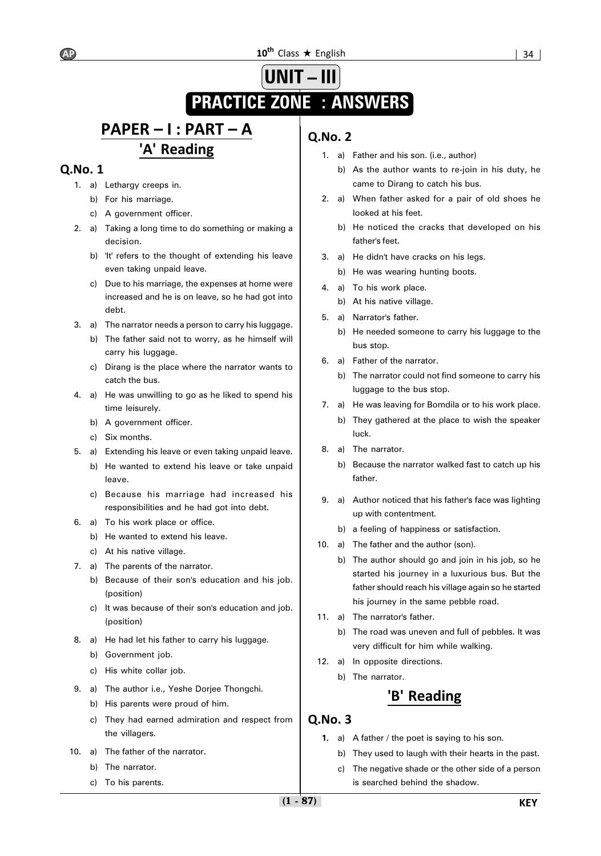#### $10^{\text{th}}$  Class  $\star$  English  $\vert$  34 |

# **UNIT – III PRACTICE ZONE : ANSWERS**

# **PAPER – I : PART – A 'A' Reading**

### **Q.No. 1**

- 1. a) Lethargy creeps in.
	- b) For his marriage.
	- c) A government officer.
- 2. a) Taking a long time to do something or making a decision.
	- b) 'It' refers to the thought of extending his leave even taking unpaid leave.
	- c) Due to his marriage, the expenses at home were increased and he is on leave, so he had got into debt.
- 3. a) The narrator needs a person to carry his luggage.
	- b) The father said not to worry, as he himself will carry his luggage.
	- c) Dirang is the place where the narrator wants to catch the bus.
- 4. a) He was unwilling to go as he liked to spend his time leisurely.
	- b) A government officer.
	- c) Six months.
- 5. a) Extending his leave or even taking unpaid leave.
	- b) He wanted to extend his leave or take unpaid leave.
	- c) Because his marriage had increased his responsibilities and he had got into debt.
- 6. a) To his work place or office.
	- b) He wanted to extend his leave.
	- c) At his native village.
- 7. a) The parents of the narrator.
	- b) Because of their son's education and his job. (position)
	- c) It was because of their son's education and job. (position)
- 8. a) He had let his father to carry his luggage.
	- b) Government job.
	- c) His white collar job.
- 9. a) The author i.e., Yeshe Dorjee Thongchi.
	- b) His parents were proud of him.
	- c) They had earned admiration and respect from the villagers.
- 10. a) The father of the narrator.
	- b) The narrator.
	- c) To his parents.

### **Q.No. 2**

- 1. a) Father and his son. (i.e., author)
	- b) As the author wants to re-join in his duty, he came to Dirang to catch his bus.
- 2. a) When father asked for a pair of old shoes he looked at his feet.
	- b) He noticed the cracks that developed on his father's feet.
- 3. a) He didn't have cracks on his legs.
	- b) He was wearing hunting boots.
- 4. a) To his work place.
	- b) At his native village.
- 5. a) Narrator's father.
	- b) He needed someone to carry his luggage to the bus stop.
- 6. a) Father of the narrator.
	- b) The narrator could not find someone to carry his luggage to the bus stop.
- 7. a) He was leaving for Bomdila or to his work place.
	- b) They gathered at the place to wish the speaker luck.
- 8. a) The narrator.
	- b) Because the narrator walked fast to catch up his father.
- 9. a) Author noticed that his father's face was lighting up with contentment.
	- b) a feeling of happiness or satisfaction.
- 10. a) The father and the author (son).
	- b) The author should go and join in his job, so he started his journey in a luxurious bus. But the father should reach his village again so he started his journey in the same pebble road.
- 11. a) The narrator's father.
	- b) The road was uneven and full of pebbles. It was very difficult for him while walking.
- 12. a) In opposite directions.
	- b) The narrator.

### **'B' Reading**

- **1.** a) A father / the poet is saying to his son.
	- b) They used to laugh with their hearts in the past.
	- c) The negative shade or the other side of a person is searched behind the shadow.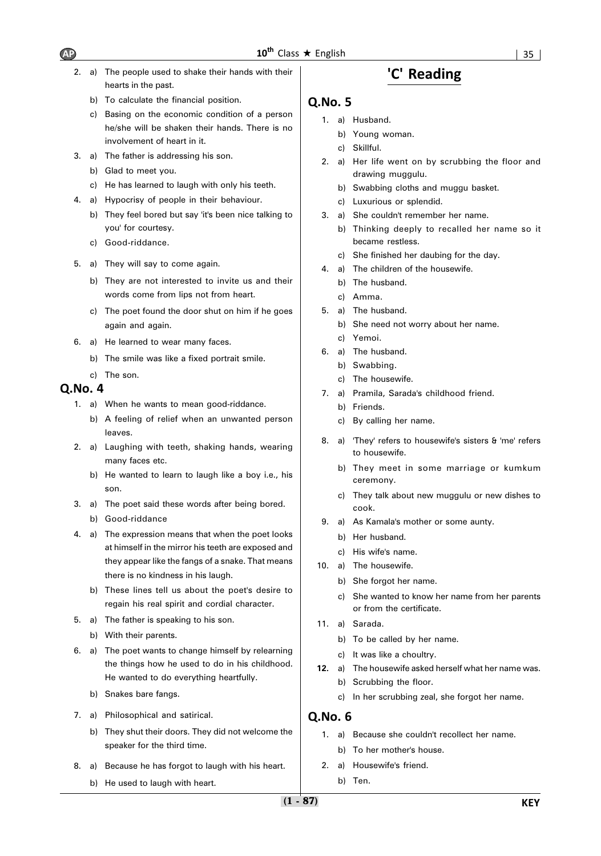- 2. a) The people used to shake their hands with their hearts in the past.
	- b) To calculate the financial position.
	- c) Basing on the economic condition of a person he/she will be shaken their hands. There is no involvement of heart in it.
- 3. a) The father is addressing his son.
	- b) Glad to meet you.
	- c) He has learned to laugh with only his teeth.
- 4. a) Hypocrisy of people in their behaviour.
	- b) They feel bored but say 'it's been nice talking to you' for courtesy.
	- c) Good-riddance.
- 5. a) They will say to come again.
	- b) They are not interested to invite us and their words come from lips not from heart.
	- c) The poet found the door shut on him if he goes again and again.
- 6. a) He learned to wear many faces.
	- b) The smile was like a fixed portrait smile.
	- c) The son.

#### **Q.No. 4**

- 1. a) When he wants to mean good-riddance.
	- b) A feeling of relief when an unwanted person leaves.
- 2. a) Laughing with teeth, shaking hands, wearing many faces etc.
	- b) He wanted to learn to laugh like a boy i.e., his son.
- 3. a) The poet said these words after being bored. b) Good-riddance
- 4. a) The expression means that when the poet looks at himself in the mirror his teeth are exposed and they appear like the fangs of a snake. That means there is no kindness in his laugh.
	- b) These lines tell us about the poet's desire to regain his real spirit and cordial character.
- 5. a) The father is speaking to his son.
	- b) With their parents.
- 6. a) The poet wants to change himself by relearning the things how he used to do in his childhood. He wanted to do everything heartfully.
	- b) Snakes bare fangs.
- 7. a) Philosophical and satirical.
	- b) They shut their doors. They did not welcome the speaker for the third time.
- 8. a) Because he has forgot to laugh with his heart.
	- b) He used to laugh with heart.

### **'C' Reading**

#### **Q.No. 5**

- 1. a) Husband.
	- b) Young woman.
	- c) Skillful.
- 2. a) Her life went on by scrubbing the floor and drawing muggulu.
	- b) Swabbing cloths and muggu basket.
	- c) Luxurious or splendid.
- 3. a) She couldn't remember her name.
	- b) Thinking deeply to recalled her name so it became restless.
	- c) She finished her daubing for the day.
- 4. a) The children of the housewife.
	- b) The husband.
	- c) Amma.
- 5. a) The husband.
	- b) She need not worry about her name. c) Yemoi.
- 6. a) The husband.
	- b) Swabbing.
	- c) The housewife.
- 7. a) Pramila, Sarada's childhood friend.
	- b) Friends.
	- c) By calling her name.
- 8. a) 'They' refers to housewife's sisters & 'me' refers to housewife.
	- b) They meet in some marriage or kumkum ceremony.
	- c) They talk about new muggulu or new dishes to cook.
- 9. a) As Kamala's mother or some aunty.
	- b) Her husband.
	- c) His wife's name.
- 10. a) The housewife.
	- b) She forgot her name.
	- c) She wanted to know her name from her parents or from the certificate.
- 11. a) Sarada.
	- b) To be called by her name.
	- c) It was like a choultry.
- **12.** a) The housewife asked herself what her name was.
	- b) Scrubbing the floor.
	- c) In her scrubbing zeal, she forgot her name.

- 1. a) Because she couldn't recollect her name. b) To her mother's house.
- 2. a) Housewife's friend.
	- b) Ten.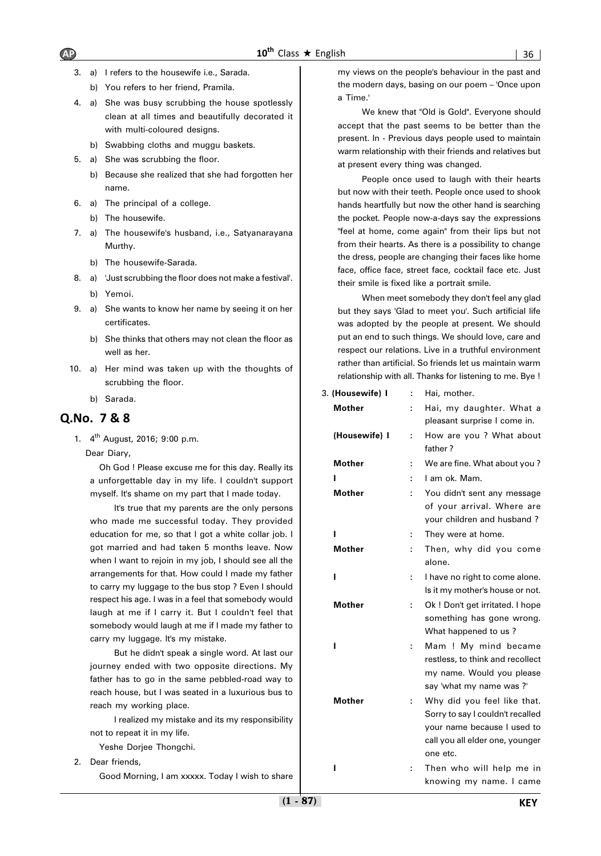- 3. a) I refers to the housewife i.e., Sarada.
	- b) You refers to her friend, Pramila.
- 4. a) She was busy scrubbing the house spotlessly clean at all times and beautifully decorated it with multi-coloured designs.
	- b) Swabbing cloths and muggu baskets.
- 5. a) She was scrubbing the floor.
	- b) Because she realized that she had forgotten her name.
- 6. a) The principal of a college.
	- b) The housewife.
- 7. a) The housewife's husband, i.e., Satyanarayana Murthy.
	- b) The housewife-Sarada.
- 8. a) 'Just scrubbing the floor does not make a festival'.
	- b) Yemoi.
- 9. a) She wants to know her name by seeing it on her certificates.
	- b) She thinks that others may not clean the floor as well as her.
- 10. a) Her mind was taken up with the thoughts of scrubbing the floor.
	- b) Sarada.

### **Q.No. 7 & 8**

1.  $4^{th}$  August, 2016; 9:00 p.m.

Dear Diary,

Oh God ! Please excuse me for this day. Really its a unforgettable day in my life. I couldn't support myself. It's shame on my part that I made today.

It's true that my parents are the only persons who made me successful today. They provided education for me, so that I got a white collar job. I got married and had taken 5 months leave. Now when I want to rejoin in my job, I should see all the arrangements for that. How could I made my father to carry my luggage to the bus stop ? Even I should respect his age. I was in a feel that somebody would laugh at me if I carry it. But I couldn't feel that somebody would laugh at me if I made my father to carry my luggage. It's my mistake.

But he didn't speak a single word. At last our journey ended with two opposite directions. My father has to go in the same pebbled-road way to reach house, but I was seated in a luxurious bus to reach my working place.

I realized my mistake and its my responsibility not to repeat it in my life.

- Yeshe Dorjee Thongchi.
- 2. Dear friends,

Good Morning, I am xxxxx. Today I wish to share

my views on the people's behaviour in the past and the modern days, basing on our poem – 'Once upon a Time.'

We knew that "Old is Gold". Everyone should accept that the past seems to be better than the present. In - Previous days people used to maintain warm relationship with their friends and relatives but at present every thing was changed.

People once used to laugh with their hearts but now with their teeth. People once used to shook hands heartfully but now the other hand is searching the pocket. People now-a-days say the expressions "feel at home, come again" from their lips but not from their hearts. As there is a possibility to change the dress, people are changing their faces like home face, office face, street face, cocktail face etc. Just their smile is fixed like a portrait smile.

When meet somebody they don't feel any glad but they says 'Glad to meet you'. Such artificial life was adopted by the people at present. We should put an end to such things. We should love, care and respect our relations. Live in a truthful environment rather than artificial. So friends let us maintain warm relationship with all. Thanks for listening to me. Bye !

| 3. (Housewife) I | ÷ | Hai, mother.                                                                                                                                  |
|------------------|---|-----------------------------------------------------------------------------------------------------------------------------------------------|
| <b>Mother</b>    | ÷ | Hai, my daughter. What a<br>pleasant surprise I come in.                                                                                      |
| (Housewife) I    | ÷ | How are you ? What about<br>father?                                                                                                           |
| <b>Mother</b>    | ÷ | We are fine. What about you?                                                                                                                  |
| ı                |   | I am ok. Mam.                                                                                                                                 |
| <b>Mother</b>    | ÷ | You didn't sent any message<br>of your arrival. Where are<br>your children and husband?                                                       |
| ı                | ÷ | They were at home.                                                                                                                            |
| Mother           |   | Then, why did you come<br>alone.                                                                                                              |
| ı                | ÷ | I have no right to come alone.<br>Is it my mother's house or not.                                                                             |
| <b>Mother</b>    | ÷ | Ok ! Don't get irritated. I hope<br>something has gone wrong.<br>What happened to us?                                                         |
| ı                | ÷ | Mam ! My mind became<br>restless, to think and recollect<br>my name. Would you please<br>say 'what my name was ?'                             |
| <b>Mother</b>    | ÷ | Why did you feel like that.<br>Sorry to say I couldn't recalled<br>your name because I used to<br>call you all elder one, younger<br>one etc. |
| ı                | t | Then who will help me in                                                                                                                      |
|                  |   |                                                                                                                                               |

knowing my name. I came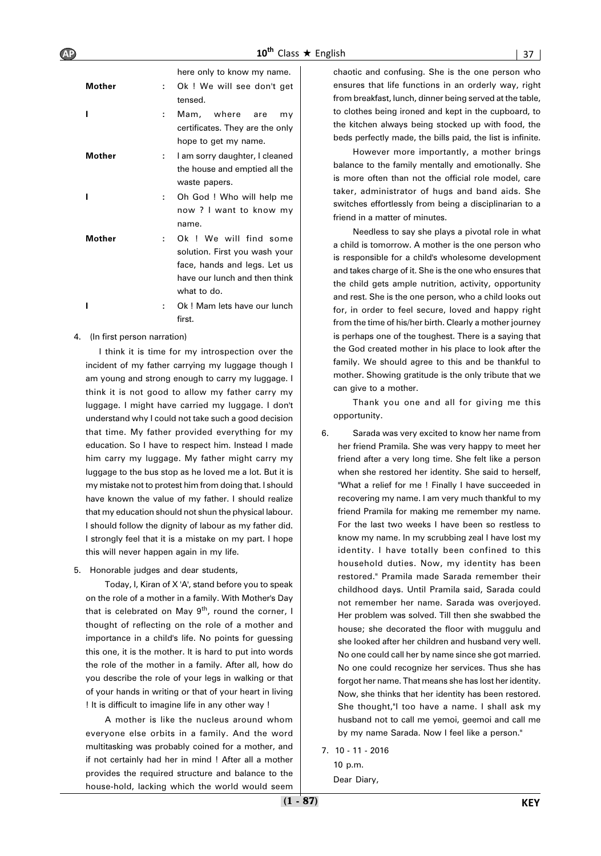here only to know my name.

| Mother |    | Ok ! We will see don't get<br>tensed.                                                                                                   |  |  |  |  |  |
|--------|----|-----------------------------------------------------------------------------------------------------------------------------------------|--|--|--|--|--|
|        | ÷. | Mam, where are<br>mv<br>certificates. They are the only<br>hope to get my name.                                                         |  |  |  |  |  |
| Mother | t. | I am sorry daughter, I cleaned<br>the house and emptied all the<br>waste papers.                                                        |  |  |  |  |  |
|        | t. | Oh God ! Who will help me<br>now ? I want to know my<br>name.                                                                           |  |  |  |  |  |
| Mother | ÷. | Ok ! We will find some<br>solution. First you wash your<br>face, hands and legs. Let us<br>have our lunch and then think<br>what to do. |  |  |  |  |  |
|        |    | Ok! Mam lets have our lunch<br>first.                                                                                                   |  |  |  |  |  |

4. (In first person narration)

I think it is time for my introspection over the incident of my father carrying my luggage though I am young and strong enough to carry my luggage. I think it is not good to allow my father carry my luggage. I might have carried my luggage. I don't understand why I could not take such a good decision that time. My father provided everything for my education. So I have to respect him. Instead I made him carry my luggage. My father might carry my luggage to the bus stop as he loved me a lot. But it is my mistake not to protest him from doing that. I should have known the value of my father. I should realize that my education should not shun the physical labour. I should follow the dignity of labour as my father did. I strongly feel that it is a mistake on my part. I hope this will never happen again in my life.

5. Honorable judges and dear students,

Today, I, Kiran of X 'A', stand before you to speak on the role of a mother in a family. With Mother's Day that is celebrated on May  $9^{th}$ , round the corner, I thought of reflecting on the role of a mother and importance in a child's life. No points for guessing this one, it is the mother. It is hard to put into words the role of the mother in a family. After all, how do you describe the role of your legs in walking or that of your hands in writing or that of your heart in living ! It is difficult to imagine life in any other way !

A mother is like the nucleus around whom everyone else orbits in a family. And the word multitasking was probably coined for a mother, and if not certainly had her in mind ! After all a mother provides the required structure and balance to the house-hold, lacking which the world would seem chaotic and confusing. She is the one person who ensures that life functions in an orderly way, right from breakfast, lunch, dinner being served at the table, to clothes being ironed and kept in the cupboard, to the kitchen always being stocked up with food, the beds perfectly made, the bills paid, the list is infinite.

However more importantly, a mother brings balance to the family mentally and emotionally. She is more often than not the official role model, care taker, administrator of hugs and band aids. She switches effortlessly from being a disciplinarian to a friend in a matter of minutes.

Needless to say she plays a pivotal role in what a child is tomorrow. A mother is the one person who is responsible for a child's wholesome development and takes charge of it. She is the one who ensures that the child gets ample nutrition, activity, opportunity and rest. She is the one person, who a child looks out for, in order to feel secure, loved and happy right from the time of his/her birth. Clearly a mother journey is perhaps one of the toughest. There is a saying that the God created mother in his place to look after the family. We should agree to this and be thankful to mother. Showing gratitude is the only tribute that we can give to a mother.

Thank you one and all for giving me this opportunity.

- 6. Sarada was very excited to know her name from her friend Pramila. She was very happy to meet her friend after a very long time. She felt like a person when she restored her identity. She said to herself, "What a relief for me ! Finally I have succeeded in recovering my name. I am very much thankful to my friend Pramila for making me remember my name. For the last two weeks I have been so restless to know my name. In my scrubbing zeal I have lost my identity. I have totally been confined to this household duties. Now, my identity has been restored." Pramila made Sarada remember their childhood days. Until Pramila said, Sarada could not remember her name. Sarada was overjoyed. Her problem was solved. Till then she swabbed the house; she decorated the floor with muggulu and she looked after her children and husband very well. No one could call her by name since she got married. No one could recognize her services. Thus she has forgot her name. That means she has lost her identity. Now, she thinks that her identity has been restored. She thought,"I too have a name. I shall ask my husband not to call me yemoi, geemoi and call me by my name Sarada. Now I feel like a person."
- 7. 10 11 2016 10 p.m. Dear Diary,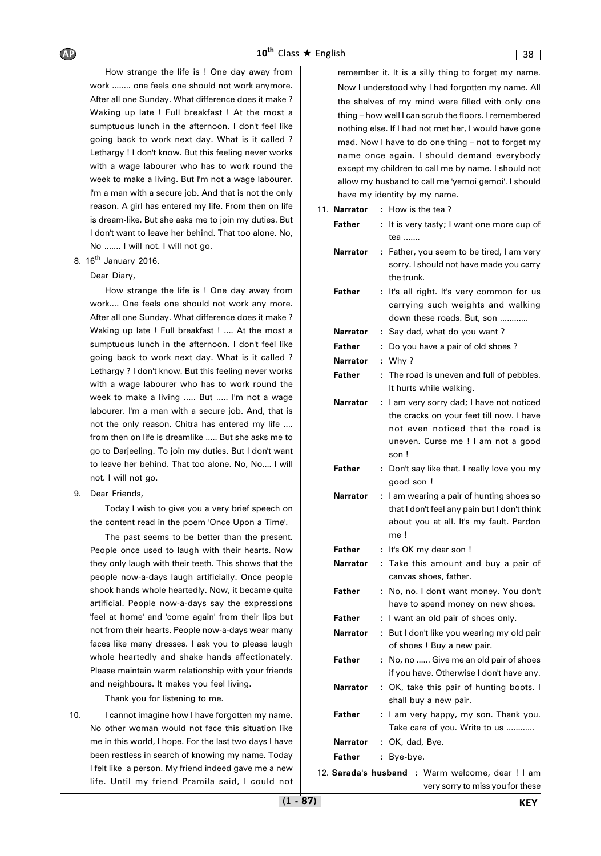How strange the life is ! One day away from work ........ one feels one should not work anymore. After all one Sunday. What difference does it make ? Waking up late ! Full breakfast ! At the most a sumptuous lunch in the afternoon. I don't feel like going back to work next day. What is it called ? Lethargy ! I don't know. But this feeling never works with a wage labourer who has to work round the week to make a living. But I'm not a wage labourer. I'm a man with a secure job. And that is not the only reason. A girl has entered my life. From then on life is dream-like. But she asks me to join my duties. But I don't want to leave her behind. That too alone. No, No ....... I will not. I will not go.

8. 16<sup>th</sup> January 2016.

### Dear Diary,

How strange the life is ! One day away from work.... One feels one should not work any more. After all one Sunday. What difference does it make ? Waking up late ! Full breakfast ! .... At the most a sumptuous lunch in the afternoon. I don't feel like going back to work next day. What is it called ? Lethargy ? I don't know. But this feeling never works with a wage labourer who has to work round the week to make a living ..... But ..... I'm not a wage labourer. I'm a man with a secure job. And, that is not the only reason. Chitra has entered my life .... from then on life is dreamlike ..... But she asks me to go to Darjeeling. To join my duties. But I don't want to leave her behind. That too alone. No, No.... I will not. I will not go.

9. Dear Friends,

Today I wish to give you a very brief speech on the content read in the poem 'Once Upon a Time'.

The past seems to be better than the present. People once used to laugh with their hearts. Now they only laugh with their teeth. This shows that the people now-a-days laugh artificially. Once people shook hands whole heartedly. Now, it became quite artificial. People now-a-days say the expressions 'feel at home' and 'come again' from their lips but not from their hearts. People now-a-days wear many faces like many dresses. I ask you to please laugh whole heartedly and shake hands affectionately. Please maintain warm relationship with your friends and neighbours. It makes you feel living.

Thank you for listening to me.

10. I cannot imagine how I have forgotten my name. No other woman would not face this situation like me in this world, I hope. For the last two days I have been restless in search of knowing my name. Today I felt like a person. My friend indeed gave me a new life. Until my friend Pramila said, I could not remember it. It is a silly thing to forget my name. Now I understood why I had forgotten my name. All the shelves of my mind were filled with only one thing – how well I can scrub the floors. I remembered nothing else. If I had not met her, I would have gone mad. Now I have to do one thing – not to forget my name once again. I should demand everybody except my children to call me by name. I should not allow my husband to call me 'yemoi gemoi'. I should have my identity by my name.

| 11. Narrator    | How is the tea?<br>t.                                                                                                                                                         |
|-----------------|-------------------------------------------------------------------------------------------------------------------------------------------------------------------------------|
| Father          | It is very tasty; I want one more cup of<br>÷                                                                                                                                 |
|                 | tea                                                                                                                                                                           |
| Narrator        | : Father, you seem to be tired, I am very<br>sorry. I should not have made you carry<br>the trunk.                                                                            |
| Father          | It's all right. It's very common for us<br>÷.<br>carrying such weights and walking<br>down these roads. But, son                                                              |
| Narrator        | Say dad, what do you want?<br>÷.                                                                                                                                              |
| Father          | Do you have a pair of old shoes?<br>÷                                                                                                                                         |
| Narrator        | Why?<br>÷                                                                                                                                                                     |
| Father          | The road is uneven and full of pebbles.<br>÷<br>It hurts while walking.                                                                                                       |
| Narrator        | I am very sorry dad; I have not noticed<br>÷.<br>the cracks on your feet till now. I have<br>not even noticed that the road is<br>uneven. Curse me ! I am not a good<br>son ! |
| Father          | : Don't say like that. I really love you my<br>good son !                                                                                                                     |
| <b>Narrator</b> | I am wearing a pair of hunting shoes so<br>t.<br>that I don't feel any pain but I don't think<br>about you at all. It's my fault. Pardon<br>me!                               |
| Father          | It's OK my dear son !<br>÷.                                                                                                                                                   |
| Narrator        | Take this amount and buy a pair of<br>÷<br>canvas shoes, father.                                                                                                              |
| Father          | No, no. I don't want money. You don't<br>÷<br>have to spend money on new shoes.                                                                                               |
| Father          | I want an old pair of shoes only.<br>÷                                                                                                                                        |
| Narrator        | But I don't like you wearing my old pair<br>÷.<br>of shoes ! Buy a new pair.                                                                                                  |
| Father          | No, no  Give me an old pair of shoes<br>if you have. Otherwise I don't have any.                                                                                              |
| Narrator        | : OK, take this pair of hunting boots. I<br>shall buy a new pair.                                                                                                             |
| Father          | : I am very happy, my son. Thank you.<br>Take care of you. Write to us                                                                                                        |
| Narrator        | : OK, dad, Bye.                                                                                                                                                               |
| Father          | : Bye-bye.                                                                                                                                                                    |
|                 | 12. Sarada's husband : Warm welcome, dear ! I am                                                                                                                              |
|                 |                                                                                                                                                                               |

very sorry to miss you for these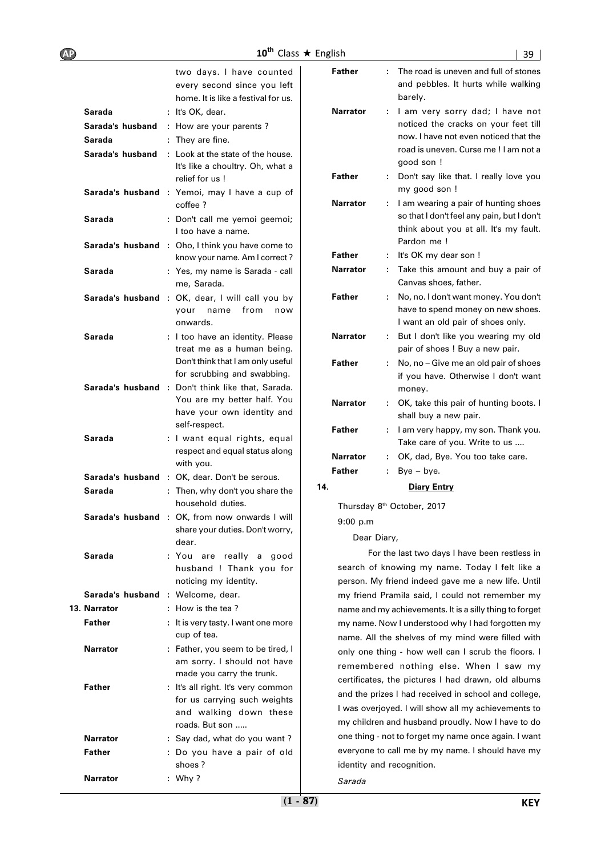| <b>AP</b> |                                   | $10^{\text{th}}$                                                                                                      | Class $\star$ English |                           |    | 39                                                                                                                |
|-----------|-----------------------------------|-----------------------------------------------------------------------------------------------------------------------|-----------------------|---------------------------|----|-------------------------------------------------------------------------------------------------------------------|
|           |                                   | two days. I have counted<br>every second since you left<br>home. It is like a festival for us.                        |                       | Father                    |    | The road is uneven and full of stones<br>and pebbles. It hurts while walking<br>barely.                           |
|           | Sarada                            | : It's OK, dear.                                                                                                      |                       | <b>Narrator</b>           |    | : I am very sorry dad; I have not                                                                                 |
|           | Sarada's husband                  | : How are your parents?                                                                                               |                       |                           |    | noticed the cracks on your feet till                                                                              |
|           | Sarada                            | : They are fine.                                                                                                      |                       |                           |    | now. I have not even noticed that the                                                                             |
|           | Sarada's husband                  | : Look at the state of the house.                                                                                     |                       |                           |    | road is uneven. Curse me! I am not a                                                                              |
|           |                                   | It's like a choultry. Oh, what a                                                                                      |                       |                           |    | good son !                                                                                                        |
|           |                                   | relief for us!                                                                                                        |                       | Father                    |    | Don't say like that. I really love you                                                                            |
|           |                                   | Sarada's husband : Yemoi, may I have a cup of<br>coffee ?                                                             |                       | <b>Narrator</b>           |    | my good son !<br>I am wearing a pair of hunting shoes                                                             |
|           | Sarada                            | : Don't call me yemoi geemoi;<br>I too have a name.                                                                   |                       |                           |    | so that I don't feel any pain, but I don't<br>think about you at all. It's my fault.                              |
|           |                                   | <b>Sarada's husband : Oho, I think you have come to</b>                                                               |                       |                           |    | Pardon me!                                                                                                        |
|           |                                   | know your name. Am I correct?                                                                                         |                       | Father<br><b>Narrator</b> | ÷. | It's OK my dear son !<br>Take this amount and buy a pair of                                                       |
|           | Sarada                            | : Yes, my name is Sarada - call<br>me, Sarada.                                                                        |                       |                           |    | Canvas shoes, father.                                                                                             |
|           |                                   | Sarada's husband : OK, dear, I will call you by<br>name<br>from now<br>your<br>onwards.                               |                       | Father                    |    | : No, no. I don't want money. You don't<br>have to spend money on new shoes.<br>I want an old pair of shoes only. |
|           | Sarada                            | : I too have an identity. Please<br>treat me as a human being.                                                        |                       | <b>Narrator</b>           |    | But I don't like you wearing my old<br>pair of shoes ! Buy a new pair.                                            |
|           |                                   | Don't think that I am only useful<br>for scrubbing and swabbing.<br>Sarada's husband : Don't think like that, Sarada. |                       | <b>Father</b>             |    | No, no - Give me an old pair of shoes<br>if you have. Otherwise I don't want<br>money.                            |
|           |                                   | You are my better half. You<br>have your own identity and                                                             |                       | <b>Narrator</b>           | ÷. | OK, take this pair of hunting boots. I<br>shall buy a new pair.                                                   |
|           | Sarada                            | self-respect.<br>: I want equal rights, equal                                                                         |                       | Father                    |    | : I am very happy, my son. Thank you.<br>Take care of you. Write to us                                            |
|           |                                   | respect and equal status along                                                                                        |                       | <b>Narrator</b>           |    | OK, dad, Bye. You too take care.                                                                                  |
|           |                                   | with you.                                                                                                             |                       | Father                    |    | $Bye - bye.$                                                                                                      |
|           |                                   | Sarada's husband : OK, dear. Don't be serous.                                                                         | 14.                   |                           |    | <b>Diary Entry</b>                                                                                                |
|           | Sarada                            | : Then, why don't you share the<br>household duties.                                                                  |                       |                           |    | Thursday 8 <sup>th</sup> October, 2017                                                                            |
|           |                                   | <b>Sarada's husband : OK, from now onwards I will</b><br>share your duties. Don't worry,                              |                       | 9:00 p.m                  |    |                                                                                                                   |
|           |                                   | dear.                                                                                                                 |                       | Dear Diary,               |    |                                                                                                                   |
|           | Sarada                            | : You are really a good                                                                                               |                       |                           |    | For the last two days I have been restless in                                                                     |
|           |                                   | husband ! Thank you for                                                                                               |                       |                           |    | search of knowing my name. Today I felt like a                                                                    |
|           |                                   | noticing my identity.                                                                                                 |                       |                           |    | person. My friend indeed gave me a new life. Until                                                                |
|           | Sarada's husband : Welcome, dear. |                                                                                                                       |                       |                           |    | my friend Pramila said, I could not remember my                                                                   |
|           | 13. Narrator                      | : How is the tea?                                                                                                     |                       |                           |    | name and my achievements. It is a silly thing to forget                                                           |
|           | <b>Father</b>                     | : It is very tasty. I want one more<br>cup of tea.                                                                    |                       |                           |    | my name. Now I understood why I had forgotten my                                                                  |
|           | <b>Narrator</b>                   | : Father, you seem to be tired, I                                                                                     |                       |                           |    | name. All the shelves of my mind were filled with<br>only one thing - how well can I scrub the floors. I          |
|           |                                   | am sorry. I should not have<br>made you carry the trunk.                                                              |                       |                           |    | remembered nothing else. When I saw my                                                                            |
|           | Father                            | : It's all right. It's very common                                                                                    |                       |                           |    | certificates, the pictures I had drawn, old albums                                                                |
|           |                                   | for us carrying such weights                                                                                          |                       |                           |    | and the prizes I had received in school and college,                                                              |
|           |                                   | and walking down these                                                                                                |                       |                           |    | I was overjoyed. I will show all my achievements to<br>my children and husband proudly. Now I have to do          |
|           |                                   | roads. But son                                                                                                        |                       |                           |    | one thing - not to forget my name once again. I want                                                              |
|           | <b>Narrator</b><br>Father         | : Say dad, what do you want?<br>: Do you have a pair of old                                                           |                       |                           |    | everyone to call me by my name. I should have my                                                                  |
|           |                                   | shoes?                                                                                                                |                       | identity and recognition. |    |                                                                                                                   |
|           | <b>Narrator</b>                   | $:$ Why ?                                                                                                             |                       | Sarada                    |    |                                                                                                                   |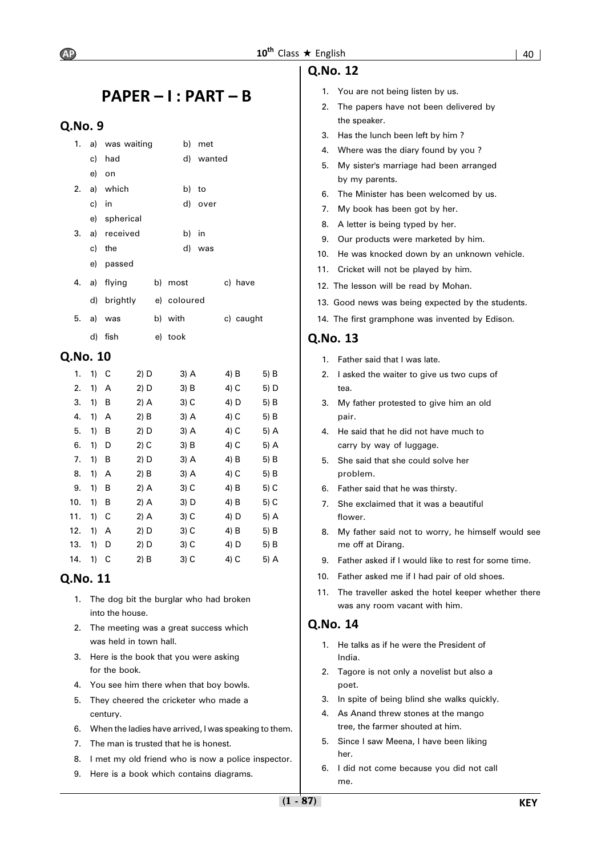# **PAPER – I : PART – B**

# **Q.No. 9**

|       | 1. a) was waiting |             | b) met    |           |
|-------|-------------------|-------------|-----------|-----------|
|       | c) had            |             | d) wanted |           |
|       | e) on             |             |           |           |
|       | 2. a) which       |             | b) to     |           |
| c) in |                   |             | d) over   |           |
|       | e) spherical      |             |           |           |
|       | 3. a) received    | b) in       |           |           |
|       | c) the            |             | d) was    |           |
|       | e) passed         |             |           |           |
|       | 4. a) flying      | b) most     |           | c) have   |
|       | d) brightly       | e) coloured |           |           |
|       | 5. a) was         | b) with     |           | c) caught |
|       | d) fish           | e) took     |           |           |

# **Q.No. 10**

| 1.  | 1) | C | 2) D   | 3) A   | 4) B   | 5) B   |
|-----|----|---|--------|--------|--------|--------|
| 2.  | 1) | А | 2) D   | 3) B   | 4) C   | 5) D   |
| 3.  | 1) | В | 2) A   | 3) C   | 4) D   | 5) B   |
| 4.  | 1) | А | 2) B   | 3) A   | 4) C   | 5) B   |
| 5.  | 1) | В | 2) D   | 3) A   | 4) C   | 5) A   |
| 6.  | 1) | D | 2) C   | $3)$ B | 4) C   | 5) A   |
| 7.  | 1) | В | 2) D   | 3) A   | 4) B   | $5)$ B |
| 8.  | 1) | А | $2)$ B | 3) A   | 4) C   | 5) B   |
| 9.  | 1) | В | $2)$ A | 3) C   | $4)$ B | 5) C   |
| 10. | 1) | B | 2) A   | 3) D   | 4) B   | 5) C   |
| 11. | 1) | С | 2) A   | 3) C   | 4) D   | 5) A   |
| 12. | 1) | A | 2) D   | 3) C   | 4) B   | 5) B   |
| 13. | 1) | D | 2) D   | 3) C   | 4) D   | 5) B   |
| 14. | 1) | C | $2)$ B | $3)$ C | 4) C   | 5) A   |

# **Q.No. 11**

- 1. The dog bit the burglar who had broken into the house.
- 2. The meeting was a great success which was held in town hall.
- 3. Here is the book that you were asking for the book.
- 4. You see him there when that boy bowls.
- 5. They cheered the cricketer who made a century.
- 6. When the ladies have arrived, I was speaking to them.
- 7. The man is trusted that he is honest.
- 8. I met my old friend who is now a police inspector.
- 9. Here is a book which contains diagrams.

# **Q.No. 12**

- 1. You are not being listen by us.
- 2. The papers have not been delivered by the speaker.
- 3. Has the lunch been left by him ?
- 4. Where was the diary found by you ?
- 5. My sister's marriage had been arranged by my parents.
- 6. The Minister has been welcomed by us.
- 7. My book has been got by her.
- 8. A letter is being typed by her.
- 9. Our products were marketed by him.
- 10. He was knocked down by an unknown vehicle.
- 11. Cricket will not be played by him.
- 12. The lesson will be read by Mohan.
- 13. Good news was being expected by the students.
- 14. The first gramphone was invented by Edison.

# **Q.No. 13**

- 1. Father said that I was late.
- 2. I asked the waiter to give us two cups of tea.
- 3. My father protested to give him an old pair.
- 4. He said that he did not have much to carry by way of luggage.
- 5. She said that she could solve her problem.
- 6. Father said that he was thirsty.
- 7. She exclaimed that it was a beautiful flower.
- 8. My father said not to worry, he himself would see me off at Dirang.
- 9. Father asked if I would like to rest for some time.
- 10. Father asked me if I had pair of old shoes.
- 11. The traveller asked the hotel keeper whether there was any room vacant with him.

- 1. He talks as if he were the President of India.
- 2. Tagore is not only a novelist but also a poet.
- 3. In spite of being blind she walks quickly.
- 4. As Anand threw stones at the mango tree, the farmer shouted at him.
- 5. Since I saw Meena, I have been liking her.
- 6. I did not come because you did not call me.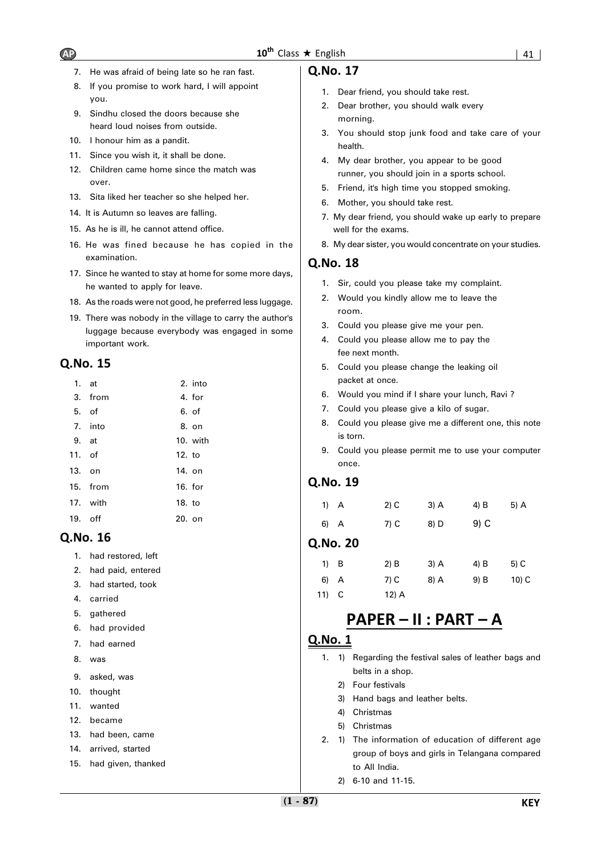- 7. He was afraid of being late so he ran fast.
- 8. If you promise to work hard, I will appoint you.
- 9. Sindhu closed the doors because she heard loud noises from outside.
- 10. I honour him as a pandit.
- 11. Since you wish it, it shall be done.
- 12. Children came home since the match was over.
- 13. Sita liked her teacher so she helped her.
- 14. It is Autumn so leaves are falling.
- 15. As he is ill, he cannot attend office.
- 16. He was fined because he has copied in the examination.
- 17. Since he wanted to stay at home for some more days, he wanted to apply for leave.
- 18. As the roads were not good, he preferred less luggage.
- 19. There was nobody in the village to carry the author's luggage because everybody was engaged in some important work.

| $1.$ at   |          |           | 2. into  |
|-----------|----------|-----------|----------|
|           | 3. from  |           | 4. for   |
| 5. of     |          |           | 6. of    |
|           | 7. into  |           | 8. on    |
| 9. at     |          |           | 10. with |
| 11. of    |          | $12.$ to  |          |
| 13. on    |          | 14. on    |          |
|           | 15. from | $16.$ for |          |
|           | 17. with | 18. to    |          |
| $19.$ off |          | $20.$ on  |          |
|           |          |           |          |

# **Q.No. 16**

- 1. had restored, left
- 2. had paid, entered
- 3. had started, took
- 4. carried
- 5. gathered
- 6. had provided
- 7. had earned
- 8. was
- 9. asked, was
- 10. thought
- 11. wanted
- 12. became
- 13. had been, came
- 14. arrived, started
- 15. had given, thanked

# **Q.No. 17**

- 1. Dear friend, you should take rest.
- 2. Dear brother, you should walk every morning.
- 3. You should stop junk food and take care of your health.
- 4. My dear brother, you appear to be good runner, you should join in a sports school.
- 5. Friend, it's high time you stopped smoking.
- 6. Mother, you should take rest.
- 7. My dear friend, you should wake up early to prepare well for the exams.
- 8. My dear sister, you would concentrate on your studies.

# **Q.No. 18**

- 1. Sir, could you please take my complaint.
- 2. Would you kindly allow me to leave the room.
- 3. Could you please give me your pen.
- 4. Could you please allow me to pay the fee next month.
- 5. Could you please change the leaking oil packet at once.
- 6. Would you mind if I share your lunch, Ravi ?
- 7. Could you please give a kilo of sugar.
- 8. Could you please give me a different one, this note is torn.
- 9. Could you please permit me to use your computer once.

# **Q.No. 19**

| 1) A | $2)$ C | 3) A | 4) B | 5) A |
|------|--------|------|------|------|
| 6) A | 7) C   | 8) D | 9) C |      |

# **Q.No. 20**

| $1)$ B  | $2)$ B  | $3)$ A | 4) B | 5) C    |
|---------|---------|--------|------|---------|
| 6) A    | 7) C    | 8) A   | 9) B | $10)$ C |
| $11)$ C | $12)$ A |        |      |         |

# **PAPER – II : PART – A**

- 1. 1) Regarding the festival sales of leather bags and belts in a shop.
	- 2) Four festivals
	- 3) Hand bags and leather belts.
	- 4) Christmas
	- 5) Christmas
- 2. 1) The information of education of different age group of boys and girls in Telangana compared to All India.
	- 2) 6-10 and 11-15.

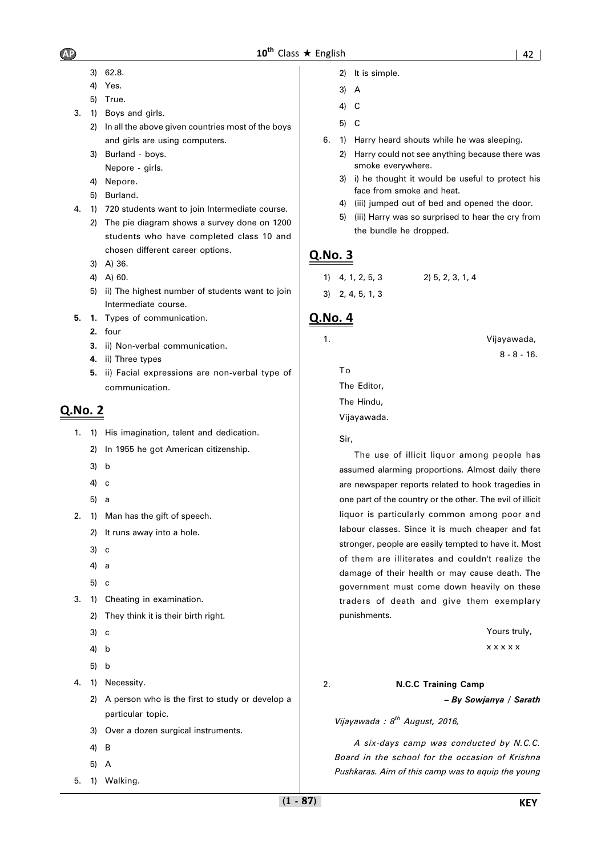- 3) 62.8.
- 4) Yes.
- 5) True.
- 3. 1) Boys and girls.
	- 2) In all the above given countries most of the boys and girls are using computers.
	- 3) Burland boys.
		- Nepore girls.
	- 4) Nepore.
	- 5) Burland.
- 4. 1) 720 students want to join Intermediate course.
	- 2) The pie diagram shows a survey done on 1200 students who have completed class 10 and chosen different career options.
	- 3) A) 36.
	- 4) A) 60.
	- 5) ii) The highest number of students want to join Intermediate course.
- **5. 1.** Types of communication.
	- **2.** four
	- **3.** ii) Non-verbal communication.
	- **4.** ii) Three types
	- **5.** ii) Facial expressions are non-verbal type of communication.

- 1. 1) His imagination, talent and dedication.
	- 2) In 1955 he got American citizenship.
	- 3) b
	- 4) c
	- 5) a
- 2. 1) Man has the gift of speech.
	- 2) It runs away into a hole.
	- 3) c
	- 4) a
	- 5) c
- 3. 1) Cheating in examination.
	- 2) They think it is their birth right.
	- 3) c
	- 4) b
	- 5) b
- 4. 1) Necessity.
	- 2) A person who is the first to study or develop a particular topic.
	- 3) Over a dozen surgical instruments.
	- 4) B
	- 5) A
- 5. 1) Walking.
- 2) It is simple.
- 3) A
- 4) C
- 5) C
- 6. 1) Harry heard shouts while he was sleeping.
	- 2) Harry could not see anything because there was smoke everywhere.
	- 3) i) he thought it would be useful to protect his face from smoke and heat.
	- 4) (iii) jumped out of bed and opened the door.
	- 5) (iii) Harry was so surprised to hear the cry from the bundle he dropped.

# **Q.No. 3**

1) 4, 1, 2, 5, 3 2) 5, 2, 3, 1, 4 3) 2, 4, 5, 1, 3

# **Q.No. 4**

1. Vijayawada,

To

The Editor, The Hindu, Vijayawada.

# Sir,

The use of illicit liquor among people has assumed alarming proportions. Almost daily there are newspaper reports related to hook tragedies in one part of the country or the other. The evil of illicit liquor is particularly common among poor and labour classes. Since it is much cheaper and fat stronger, people are easily tempted to have it. Most of them are illiterates and couldn't realize the damage of their health or may cause death. The government must come down heavily on these traders of death and give them exemplary punishments.

Yours truly,

8 - 8 - 16.

x x x x x

### 2. **N.C.C Training Camp**

*– By Sowjanya / Sarath*

*Vijayawada : 8th August, 2016,*

*A six-days camp was conducted by N.C.C. Board in the school for the occasion of Krishna Pushkaras. Aim of this camp was to equip the young*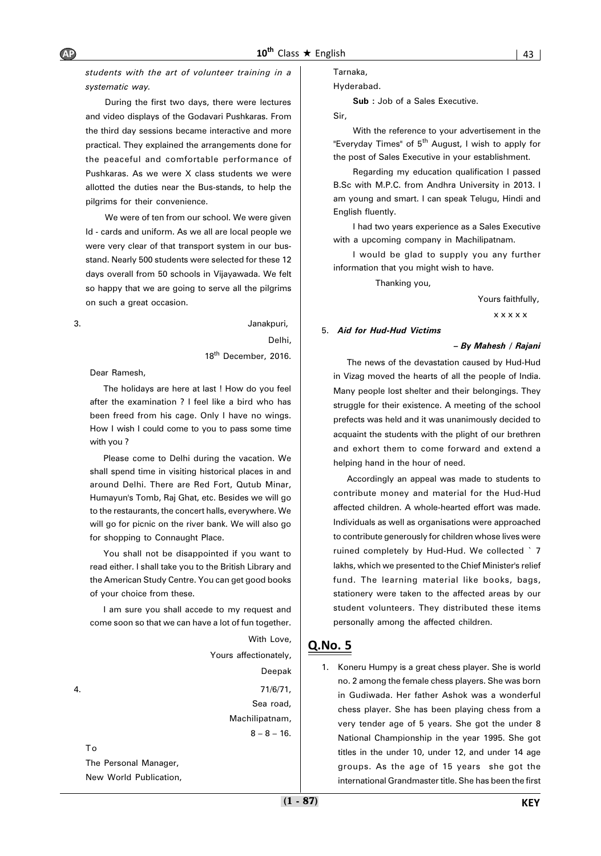*students with the art of volunteer training in a systematic way.*

During the first two days, there were lectures and video displays of the Godavari Pushkaras. From the third day sessions became interactive and more practical. They explained the arrangements done for the peaceful and comfortable performance of Pushkaras. As we were X class students we were allotted the duties near the Bus-stands, to help the pilgrims for their convenience.

We were of ten from our school. We were given Id - cards and uniform. As we all are local people we were very clear of that transport system in our busstand. Nearly 500 students were selected for these 12 days overall from 50 schools in Vijayawada. We felt so happy that we are going to serve all the pilgrims on such a great occasion.

### 3. Janakpuri, Delhi,

18<sup>th</sup> December, 2016.

Dear Ramesh,

The holidays are here at last ! How do you feel after the examination ? I feel like a bird who has been freed from his cage. Only I have no wings. How I wish I could come to you to pass some time with you ?

Please come to Delhi during the vacation. We shall spend time in visiting historical places in and around Delhi. There are Red Fort, Qutub Minar, Humayun's Tomb, Raj Ghat, etc. Besides we will go to the restaurants, the concert halls, everywhere. We will go for picnic on the river bank. We will also go for shopping to Connaught Place.

You shall not be disappointed if you want to read either. I shall take you to the British Library and the American Study Centre. You can get good books of your choice from these.

I am sure you shall accede to my request and come soon so that we can have a lot of fun together.

With Love, Yours affectionately, Deepak 4. 71/6/71, Sea road, Machilipatnam,  $8 - 8 - 16$ . The Personal Manager,

New World Publication,

To

Tarnaka,

Hyderabad.

**Sub :** Job of a Sales Executive.

Sir,

With the reference to your advertisement in the "Everyday Times" of  $5<sup>th</sup>$  August, I wish to apply for the post of Sales Executive in your establishment.

Regarding my education qualification I passed B.Sc with M.P.C. from Andhra University in 2013. I am young and smart. I can speak Telugu, Hindi and English fluently.

I had two years experience as a Sales Executive with a upcoming company in Machilipatnam.

I would be glad to supply you any further information that you might wish to have.

Thanking you,

Yours faithfully,

x x x x x

#### 5. *Aid for Hud-Hud Victims*

#### *– By Mahesh / Rajani*

The news of the devastation caused by Hud-Hud in Vizag moved the hearts of all the people of India. Many people lost shelter and their belongings. They struggle for their existence. A meeting of the school prefects was held and it was unanimously decided to acquaint the students with the plight of our brethren and exhort them to come forward and extend a helping hand in the hour of need.

Accordingly an appeal was made to students to contribute money and material for the Hud-Hud affected children. A whole-hearted effort was made. Individuals as well as organisations were approached to contribute generously for children whose lives were ruined completely by Hud-Hud. We collected ` 7 lakhs, which we presented to the Chief Minister's relief fund. The learning material like books, bags, stationery were taken to the affected areas by our student volunteers. They distributed these items personally among the affected children.

# **Q.No. 5**

1. Koneru Humpy is a great chess player. She is world no. 2 among the female chess players. She was born in Gudiwada. Her father Ashok was a wonderful chess player. She has been playing chess from a very tender age of 5 years. She got the under 8 National Championship in the year 1995. She got titles in the under 10, under 12, and under 14 age groups. As the age of 15 years she got the international Grandmaster title. She has been the first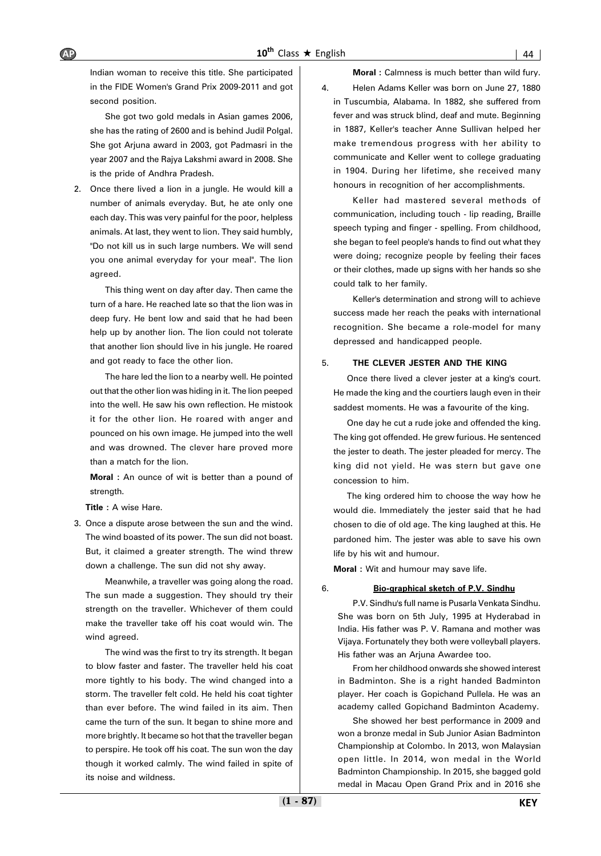Indian woman to receive this title. She participated in the FIDE Women's Grand Prix 2009-2011 and got second position.

She got two gold medals in Asian games 2006, she has the rating of 2600 and is behind Judil Polgal. She got Arjuna award in 2003, got Padmasri in the year 2007 and the Rajya Lakshmi award in 2008. She is the pride of Andhra Pradesh.

2. Once there lived a lion in a jungle. He would kill a number of animals everyday. But, he ate only one each day. This was very painful for the poor, helpless animals. At last, they went to lion. They said humbly, "Do not kill us in such large numbers. We will send you one animal everyday for your meal". The lion agreed.

This thing went on day after day. Then came the turn of a hare. He reached late so that the lion was in deep fury. He bent low and said that he had been help up by another lion. The lion could not tolerate that another lion should live in his jungle. He roared and got ready to face the other lion.

The hare led the lion to a nearby well. He pointed out that the other lion was hiding in it. The lion peeped into the well. He saw his own reflection. He mistook it for the other lion. He roared with anger and pounced on his own image. He jumped into the well and was drowned. The clever hare proved more than a match for the lion.

**Moral :** An ounce of wit is better than a pound of strength.

**Title : A wise Hare.** 

3. Once a dispute arose between the sun and the wind. The wind boasted of its power. The sun did not boast. But, it claimed a greater strength. The wind threw down a challenge. The sun did not shy away.

Meanwhile, a traveller was going along the road. The sun made a suggestion. They should try their strength on the traveller. Whichever of them could make the traveller take off his coat would win. The wind agreed.

The wind was the first to try its strength. It began to blow faster and faster. The traveller held his coat more tightly to his body. The wind changed into a storm. The traveller felt cold. He held his coat tighter than ever before. The wind failed in its aim. Then came the turn of the sun. It began to shine more and more brightly. It became so hot that the traveller began to perspire. He took off his coat. The sun won the day though it worked calmly. The wind failed in spite of its noise and wildness.

**Moral :** Calmness is much better than wild fury.

4. Helen Adams Keller was born on June 27, 1880 in Tuscumbia, Alabama. In 1882, she suffered from fever and was struck blind, deaf and mute. Beginning in 1887, Keller's teacher Anne Sullivan helped her make tremendous progress with her ability to communicate and Keller went to college graduating in 1904. During her lifetime, she received many honours in recognition of her accomplishments.

Keller had mastered several methods of communication, including touch - lip reading, Braille speech typing and finger - spelling. From childhood, she began to feel people's hands to find out what they were doing; recognize people by feeling their faces or their clothes, made up signs with her hands so she could talk to her family.

Keller's determination and strong will to achieve success made her reach the peaks with international recognition. She became a role-model for many depressed and handicapped people.

### 5. **THE CLEVER JESTER AND THE KING**

Once there lived a clever jester at a king's court. He made the king and the courtiers laugh even in their saddest moments. He was a favourite of the king.

One day he cut a rude joke and offended the king. The king got offended. He grew furious. He sentenced the jester to death. The jester pleaded for mercy. The king did not yield. He was stern but gave one concession to him.

The king ordered him to choose the way how he would die. Immediately the jester said that he had chosen to die of old age. The king laughed at this. He pardoned him. The jester was able to save his own life by his wit and humour.

**Moral :** Wit and humour may save life.

6. **Bio-graphical sketch of P.V. Sindhu**

P.V. Sindhu's full name is Pusarla Venkata Sindhu. She was born on 5th July, 1995 at Hyderabad in India. His father was P. V. Ramana and mother was Vijaya. Fortunately they both were volleyball players. His father was an Arjuna Awardee too.

From her childhood onwards she showed interest in Badminton. She is a right handed Badminton player. Her coach is Gopichand Pullela. He was an academy called Gopichand Badminton Academy.

She showed her best performance in 2009 and won a bronze medal in Sub Junior Asian Badminton Championship at Colombo. In 2013, won Malaysian open little. In 2014, won medal in the World Badminton Championship. In 2015, she bagged gold medal in Macau Open Grand Prix and in 2016 she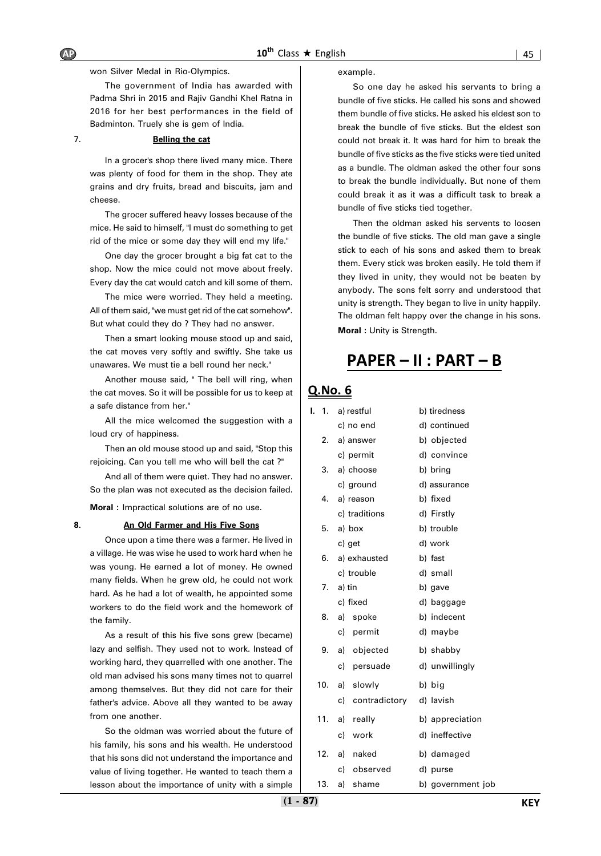won Silver Medal in Rio-Olympics.

The government of India has awarded with Padma Shri in 2015 and Rajiv Gandhi Khel Ratna in 2016 for her best performances in the field of Badminton. Truely she is gem of India.

#### 7. **Belling the cat**

In a grocer's shop there lived many mice. There was plenty of food for them in the shop. They ate grains and dry fruits, bread and biscuits, jam and cheese.

The grocer suffered heavy losses because of the mice. He said to himself, "I must do something to get rid of the mice or some day they will end my life."

One day the grocer brought a big fat cat to the shop. Now the mice could not move about freely. Every day the cat would catch and kill some of them.

The mice were worried. They held a meeting. All of them said, "we must get rid of the cat somehow". But what could they do ? They had no answer.

Then a smart looking mouse stood up and said, the cat moves very softly and swiftly. She take us unawares. We must tie a bell round her neck."

Another mouse said, " The bell will ring, when the cat moves. So it will be possible for us to keep at a safe distance from her."

All the mice welcomed the suggestion with a loud cry of happiness.

Then an old mouse stood up and said, "Stop this rejoicing. Can you tell me who will bell the cat ?"

And all of them were quiet. They had no answer. So the plan was not executed as the decision failed.

**Moral :** Impractical solutions are of no use.

### **8. An Old Farmer and His Five Sons**

Once upon a time there was a farmer. He lived in a village. He was wise he used to work hard when he was young. He earned a lot of money. He owned many fields. When he grew old, he could not work hard. As he had a lot of wealth, he appointed some workers to do the field work and the homework of the family.

As a result of this his five sons grew (became) lazy and selfish. They used not to work. Instead of working hard, they quarrelled with one another. The old man advised his sons many times not to quarrel among themselves. But they did not care for their father's advice. Above all they wanted to be away from one another.

So the oldman was worried about the future of his family, his sons and his wealth. He understood that his sons did not understand the importance and value of living together. He wanted to teach them a lesson about the importance of unity with a simple example.

So one day he asked his servants to bring a bundle of five sticks. He called his sons and showed them bundle of five sticks. He asked his eldest son to break the bundle of five sticks. But the eldest son could not break it. It was hard for him to break the bundle of five sticks as the five sticks were tied united as a bundle. The oldman asked the other four sons to break the bundle individually. But none of them could break it as it was a difficult task to break a bundle of five sticks tied together.

Then the oldman asked his servents to loosen the bundle of five sticks. The old man gave a single stick to each of his sons and asked them to break them. Every stick was broken easily. He told them if they lived in unity, they would not be beaten by anybody. The sons felt sorry and understood that unity is strength. They began to live in unity happily. The oldman felt happy over the change in his sons. **Moral :** Unity is Strength.

# **PAPER – II : PART – B**

| ı.<br>$\overline{1}$ . |     |             | a) restful       | b) tiredness      |
|------------------------|-----|-------------|------------------|-------------------|
|                        |     |             | c) no end        | d) continued      |
|                        |     |             | 2. a) answer     | b) objected       |
|                        |     |             | c) permit        | d) convince       |
|                        |     |             | 3. a) choose     | b) bring          |
|                        |     |             | c) ground        | d) assurance      |
|                        |     |             | 4. a) reason     | b) fixed          |
|                        |     |             | c) traditions    | d) Firstly        |
|                        | 5.  |             | a) box           | b) trouble        |
|                        |     | c) get      |                  | d) work           |
|                        |     |             | 6. a) exhausted  | b) fast           |
|                        |     |             | c) trouble       | d) small          |
|                        |     | $7. a)$ tin |                  | b) gave           |
|                        |     |             | c) fixed         | d) baggage        |
|                        | 8.  |             | a) spoke         | b) indecent       |
|                        |     | c)          | permit           | d) maybe          |
|                        | 9.  |             | a) objected      | b) shabby         |
|                        |     | c)          | persuade         | d) unwillingly    |
|                        | 10. |             | a) slowly        | b) big            |
|                        |     |             | c) contradictory | d) lavish         |
|                        | 11. |             | a) really        | b) appreciation   |
|                        |     | c)          | work             | d) ineffective    |
|                        |     |             | 12. a) naked     | b) damaged        |
|                        |     | c)          | observed         | d) purse          |
| 13.                    |     | a)          | shame            | b) government job |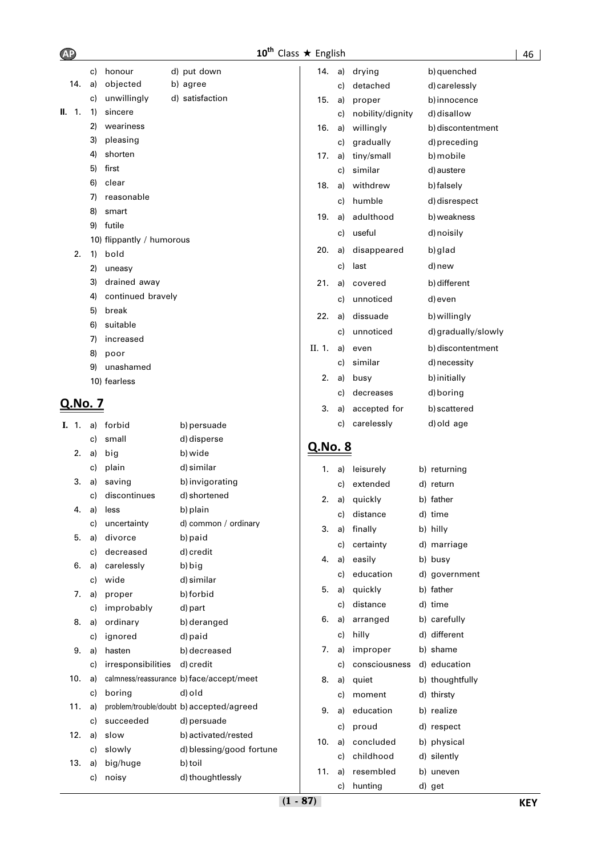| <b>AP</b> |         |          |                           | $10^{\text{th}}$                         | Class $\star$ English |    |                  |                     |
|-----------|---------|----------|---------------------------|------------------------------------------|-----------------------|----|------------------|---------------------|
|           |         | c)       | honour                    | d) put down                              | 14.                   | a) | drying           | b) quenched         |
|           | 14.     | a)       | objected                  | b) agree                                 |                       | c) | detached         | d) carelessly       |
|           |         | c)       | unwillingly               | d) satisfaction                          | 15.                   | a) | proper           | b) innocence        |
|           | II. 1.  | 1)       | sincere                   |                                          |                       | c) | nobility/dignity | d) disallow         |
|           |         | 2)       | weariness                 |                                          | 16.                   | a) | willingly        | b) discontentment   |
|           |         | 3)       | pleasing                  |                                          |                       | c) | gradually        | d) preceding        |
|           |         | 4)       | shorten                   |                                          | 17.                   | a) | tiny/small       | b) mobile           |
|           |         | 5)       | first                     |                                          |                       | c) | similar          | d) austere          |
|           |         | 6)       | clear                     |                                          | 18.                   | a) | withdrew         | b) falsely          |
|           |         | 7)       | reasonable                |                                          |                       | c) | humble           | d) disrespect       |
|           |         | 8)       | smart                     |                                          | 19.                   | a) | adulthood        | b) weakness         |
|           |         | 9)       | futile                    |                                          |                       | c) | useful           | d) noisily          |
|           |         |          | 10) flippantly / humorous |                                          |                       |    |                  |                     |
|           | 2.      | 1)       | bold                      |                                          | 20.                   | a) | disappeared      | b) glad             |
|           |         | 2)       | uneasy                    |                                          |                       | c) | last             | d) new              |
|           |         | 3)       | drained away              |                                          | 21.                   | a) | covered          | b) different        |
|           |         | 4)       | continued bravely         |                                          |                       | c) | unnoticed        | d) even             |
|           |         | 5)       | break                     |                                          | 22.                   | a) | dissuade         | b) willingly        |
|           |         | 6)       | suitable                  |                                          |                       | C) | unnoticed        | d) gradually/slowly |
|           |         | 7)       | increased                 |                                          | II. 1.                | a) | even             | b) discontentment   |
|           |         | 8)       | poor<br>unashamed         |                                          |                       | c) | similar          | d) necessity        |
|           |         | 9)       |                           |                                          | 2.                    | a) | busy             | b) initially        |
|           |         |          | 10) fearless              |                                          |                       | c) | decreases        | d) boring           |
|           | Q.No. 7 |          |                           |                                          | 3.                    | a) | accepted for     | b) scattered        |
|           |         |          |                           |                                          |                       | c) | carelessly       | d) old age          |
|           | I. 1.   | a)<br>c) | forbid<br>small           | b) persuade                              |                       |    |                  |                     |
|           | 2.      | a)       | big                       | d) disperse<br>b) wide                   | Q.No. 8               |    |                  |                     |
|           |         | C)       | plain                     | d) similar                               |                       |    | leisurely        |                     |
|           | 3.      | a)       | saving                    | b) invigorating                          | 1.                    | a) |                  | b) returning        |
|           |         | c)       | discontinues              | d) shortened                             |                       | c) | extended         | d) return           |
|           | 4.      | a)       | less                      | b) plain                                 | 2.                    | a) | quickly          | b) father           |
|           |         | C)       | uncertainty               | d) common / ordinary                     |                       | c) | distance         | d) time             |
|           | 5.      | a)       | divorce                   | b) paid                                  | 3.                    | a) | finally          | b) hilly            |
|           |         | c)       | decreased                 | d) credit                                |                       | c) | certainty        | d) marriage         |
|           | 6.      | a)       | carelessly                | b) big                                   | 4.                    | a) | easily           | b) busy             |
|           |         | c)       | wide                      | d) similar                               |                       | c) | education        | d) government       |
|           | 7.      | a)       | proper                    | b) forbid                                | 5.                    | a) | quickly          | b) father           |
|           |         | c)       | improbably                | d) part                                  |                       | c) | distance         | d) time             |
|           | 8.      | a)       | ordinary                  | b) deranged                              | 6.                    | a) | arranged         | b) carefully        |
|           |         | c)       | ignored                   | d) paid                                  |                       | c) | hilly            | d) different        |
|           | 9.      | a)       | hasten                    | b) decreased                             | 7.                    | a) | improper         | b) shame            |
|           |         | c)       | irresponsibilities        | d) credit                                |                       | C) | consciousness    | d) education        |
|           | 10.     | a)       |                           | calmness/reassurance b) face/accept/meet | 8.                    | a) | quiet            | b) thoughtfully     |
|           |         | C)       | boring                    | d) old                                   |                       | C) | moment           | d) thirsty          |
|           | 11.     | a)       |                           | problem/trouble/doubt b) accepted/agreed | 9.                    | a) | education        | b) realize          |
|           |         | c)       | succeeded                 | d) persuade                              |                       | c) | proud            | d) respect          |
|           | 12.     | a)       | slow                      | b) activated/rested                      | 10.                   | a) | concluded        | b) physical         |
|           |         | C)       | slowly                    | d) blessing/good fortune                 |                       | C) | childhood        | d) silently         |
|           | 13.     | a)       | big/huge                  | b) toil                                  | 11.                   | a) | resembled        | b) uneven           |
|           |         | c)       | noisy                     | d) thoughtlessly                         |                       | c) | hunting          | d) get              |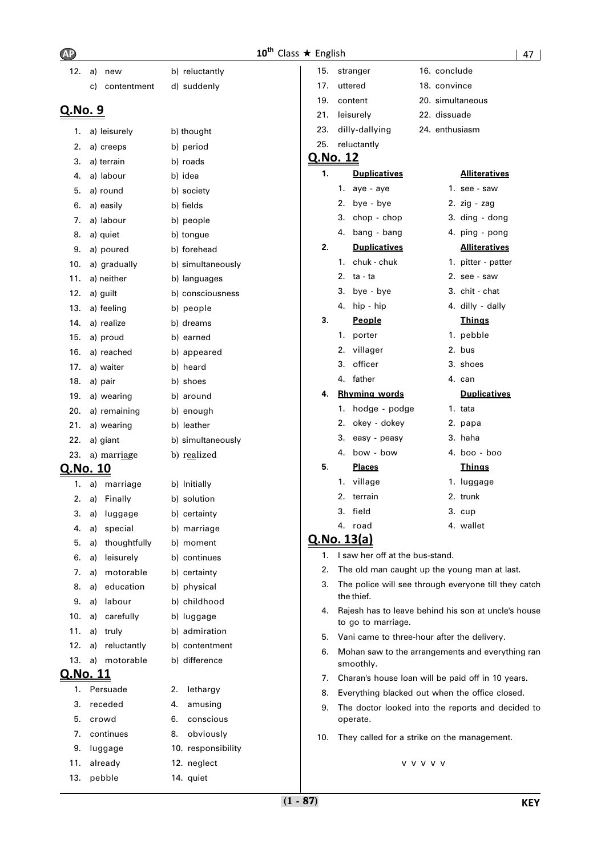| - | ٠ |
|---|---|

| 12.             | a)       | new                    | b) reluctantly              | 15.             |    | stranger                                     |                  | 16. conclude |                                                      |
|-----------------|----------|------------------------|-----------------------------|-----------------|----|----------------------------------------------|------------------|--------------|------------------------------------------------------|
|                 | C)       | contentment            | d) suddenly                 | 17.             |    | uttered                                      |                  | 18. convince |                                                      |
|                 |          |                        |                             | 19.             |    | content                                      |                  |              | 20. simultaneous                                     |
| <u>Q.No. 9</u>  |          |                        |                             | 21.             |    | leisurely                                    |                  | 22. dissuade |                                                      |
| 1.              |          | a) leisurely           | b) thought                  | 23.             |    | dilly-dallying                               |                  |              | 24. enthusiasm                                       |
| 2.              |          | a) creeps              | b) period                   | 25.             |    | reluctantly                                  |                  |              |                                                      |
| 3.              |          | a) terrain             | b) roads                    | <u>Q.No. 12</u> |    |                                              |                  |              |                                                      |
| 4.              |          | a) labour              | b) idea                     | 1.              |    | <b>Duplicatives</b>                          |                  |              | <b>Alliteratives</b>                                 |
| 5.              |          | a) round               | b) society                  |                 | 1. | aye - aye                                    |                  |              | 1. see - saw                                         |
| 6.              |          | a) easily              | b) fields                   |                 | 2. | bye - bye                                    |                  |              | 2. $zig - zag$                                       |
| 7.              |          | a) labour              | b) people                   |                 | 3. | chop - chop                                  |                  |              | 3. ding - dong                                       |
| 8.              |          | a) quiet               | b) tongue                   |                 | 4. | bang - bang                                  |                  |              | 4. ping - pong                                       |
| 9.              |          | a) poured              | b) forehead                 | 2.              |    | <b>Duplicatives</b>                          |                  |              | <b>Alliteratives</b>                                 |
| 10.             |          | a) gradually           | b) simultaneously           |                 | 1. | chuk - chuk                                  |                  |              | 1. pitter - patter                                   |
| 11.             |          | a) neither             | b) languages                |                 | 2. | ta - ta                                      |                  |              | 2. see - saw                                         |
| 12.             |          | a) guilt               | b) consciousness            |                 | 3. | bye - bye                                    |                  |              | 3. chit - chat                                       |
| 13.             |          | a) feeling             | b) people                   |                 | 4. | hip - hip                                    |                  |              | 4. dilly - dally                                     |
| 14.             |          | a) realize             | b) dreams                   | 3.              |    | People                                       |                  |              | <b>Things</b>                                        |
| 15.             |          | a) proud               | b) earned                   |                 | 1. | porter                                       |                  |              | 1. pebble                                            |
| 16.             |          | a) reached             | b) appeared                 |                 |    | 2. villager                                  |                  |              | 2. bus                                               |
| 17.             |          | a) waiter              | b) heard                    |                 | 3. | officer                                      |                  |              | 3. shoes                                             |
| 18.             |          | a) pair                | b) shoes                    |                 |    | 4. father                                    |                  |              | 4. can                                               |
| 19.             |          | a) wearing             | b) around                   | 4.              |    | <b>Rhyming words</b>                         |                  |              | <b>Duplicatives</b>                                  |
| 20.             |          | a) remaining           | b) enough                   |                 |    | 1. hodge - podge                             |                  |              | 1. tata                                              |
| 21.             |          | a) wearing             | b) leather                  |                 | 2. | okey - dokey                                 |                  |              | 2. papa                                              |
| 22.             |          | a) giant               | b) simultaneously           |                 | 3. | easy - peasy                                 |                  |              | 3. haha                                              |
| 23.             |          | a) marriage            | b) realized                 | 5.              |    | 4. bow - bow                                 |                  |              | 4. boo - boo                                         |
| <u>Q.No. 10</u> |          |                        |                             |                 |    | <b>Places</b><br>1. village                  |                  |              | <b>Things</b><br>1. luggage                          |
| 1.              | a)       | marriage               | b) Initially                |                 | 2. | terrain                                      |                  |              | 2. trunk                                             |
| 2.              | a)       | Finally                | b) solution                 |                 | 3. | field                                        |                  |              | 3. cup                                               |
| 3.              | a)       | luggage                | b) certainty                |                 |    | 4. road                                      |                  |              | 4. wallet                                            |
| 4.              | a)       | special                | b) marriage                 |                 |    | <u>Q.No. 13(a)</u>                           |                  |              |                                                      |
| 5.              | a)       | thoughtfully           | b) moment                   | 1.              |    | I saw her off at the bus-stand.              |                  |              |                                                      |
| 6.<br>7.        | a)<br>a) | leisurely<br>motorable | b) continues                | 2.              |    | The old man caught up the young man at last. |                  |              |                                                      |
| 8.              | a)       | education              | b) certainty<br>b) physical | з.              |    |                                              |                  |              | The police will see through everyone till they catch |
| 9.              | a)       | labour                 | b) childhood                |                 |    | the thief.                                   |                  |              |                                                      |
| 10.             | a)       | carefully              | b) luggage                  | 4.              |    |                                              |                  |              | Rajesh has to leave behind his son at uncle's house  |
| 11.             |          | a) truly               | b) admiration               |                 |    | to go to marriage.                           |                  |              |                                                      |
| 12.             |          | a) reluctantly         | b) contentment              | 5.              |    | Vani came to three-hour after the delivery.  |                  |              |                                                      |
| 13.             |          | a) motorable           | b) difference               | 6.              |    |                                              |                  |              | Mohan saw to the arrangements and everything ran     |
| <u>Q.No. 11</u> |          |                        |                             |                 |    | smoothly.                                    |                  |              |                                                      |
| 1.              |          | Persuade               | 2.<br>lethargy              | 7.              |    |                                              |                  |              | Charan's house loan will be paid off in 10 years.    |
| 3.              |          | receded                | 4.<br>amusing               | 8.<br>9.        |    |                                              |                  |              | Everything blacked out when the office closed.       |
| 5.              |          | crowd                  | 6.<br>conscious             |                 |    | operate.                                     |                  |              | The doctor looked into the reports and decided to    |
| 7.              |          | continues              | 8.<br>obviously             |                 |    |                                              |                  |              |                                                      |
| 9.              |          | luggage                | 10. responsibility          | 10.             |    | They called for a strike on the management.  |                  |              |                                                      |
| 11.             |          | already                | 12. neglect                 |                 |    |                                              | <b>V V V V V</b> |              |                                                      |
| 13.             |          | pebble                 | 14. quiet                   |                 |    |                                              |                  |              |                                                      |
|                 |          |                        |                             |                 |    |                                              |                  |              |                                                      |
|                 |          |                        |                             | $(1 - 87)$      |    |                                              |                  |              | <b>KEY</b>                                           |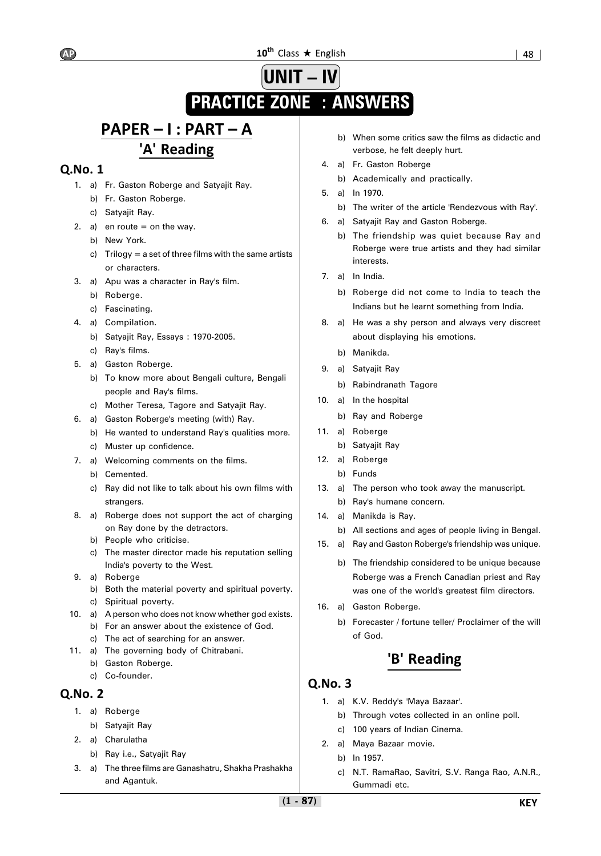# $10^{\text{th}}$  Class  $\star$  English  $\vert$  48  $\vert$

# **UNIT – IV PRACTICE ZONE : ANSWERS**

# **PAPER – I : PART – A 'A' Reading**

# **Q.No. 1**

- 1. a) Fr. Gaston Roberge and Satyajit Ray.
	- b) Fr. Gaston Roberge.
	- c) Satyajit Ray.
- 2. a) en route  $=$  on the way.
	- b) New York.
		- c) Trilogy = a set of three films with the same artists or characters.
- 3. a) Apu was a character in Ray's film.
	- b) Roberge.
	- c) Fascinating.
- 4. a) Compilation.
	- b) Satyajit Ray, Essays : 1970-2005.
	- c) Ray's films.
- 5. a) Gaston Roberge.
	- b) To know more about Bengali culture, Bengali people and Ray's films.
	- c) Mother Teresa, Tagore and Satyajit Ray.
- 6. a) Gaston Roberge's meeting (with) Ray.
	- b) He wanted to understand Ray's qualities more.
	- c) Muster up confidence.
- 7. a) Welcoming comments on the films.
	- b) Cemented.
	- c) Ray did not like to talk about his own films with strangers.
- 8. a) Roberge does not support the act of charging on Ray done by the detractors.
	- b) People who criticise.
	- c) The master director made his reputation selling India's poverty to the West.
- 9. a) Roberge
	- b) Both the material poverty and spiritual poverty. c) Spiritual poverty.
- 10. a) A person who does not know whether god exists. b) For an answer about the existence of God.
- c) The act of searching for an answer. 11. a) The governing body of Chitrabani.
	- b) Gaston Roberge.
		- c) Co-founder.

# **Q.No. 2**

- 1. a) Roberge
	- b) Satyajit Ray
- 2. a) Charulatha
	- b) Ray i.e., Satyajit Ray
- 3. a) The three films are Ganashatru, Shakha Prashakha and Agantuk.
- b) When some critics saw the films as didactic and verbose, he felt deeply hurt.
- 4. a) Fr. Gaston Roberge
	- b) Academically and practically.
- 5. a) In 1970.
	- b) The writer of the article 'Rendezvous with Ray'.
- 6. a) Satyajit Ray and Gaston Roberge.
	- b) The friendship was quiet because Ray and Roberge were true artists and they had similar interests.
- 7. a) In India.
	- b) Roberge did not come to India to teach the Indians but he learnt something from India.
- 8. a) He was a shy person and always very discreet about displaying his emotions.
	- b) Manikda.
- 9. a) Satyajit Ray
	- b) Rabindranath Tagore
- 10. a) In the hospital
	- b) Ray and Roberge
- 11. a) Roberge
	- b) Satyajit Ray
- 12. a) Roberge
	- b) Funds
- 13. a) The person who took away the manuscript.
	- b) Ray's humane concern.
- 14. a) Manikda is Ray.
	- b) All sections and ages of people living in Bengal.
- 15**.** a) Ray and Gaston Roberge's friendship was unique.
	- b) The friendship considered to be unique because Roberge was a French Canadian priest and Ray was one of the world's greatest film directors.
- 16**.** a) Gaston Roberge.
	- b) Forecaster / fortune teller/ Proclaimer of the will of God.

# **'B' Reading**

- 1. a) K.V. Reddy's 'Maya Bazaar'.
	- b) Through votes collected in an online poll.
	- c) 100 years of Indian Cinema.
- 2. a) Maya Bazaar movie.
	- b) In 1957.
	- c) N.T. RamaRao, Savitri, S.V. Ranga Rao, A.N.R., Gummadi etc.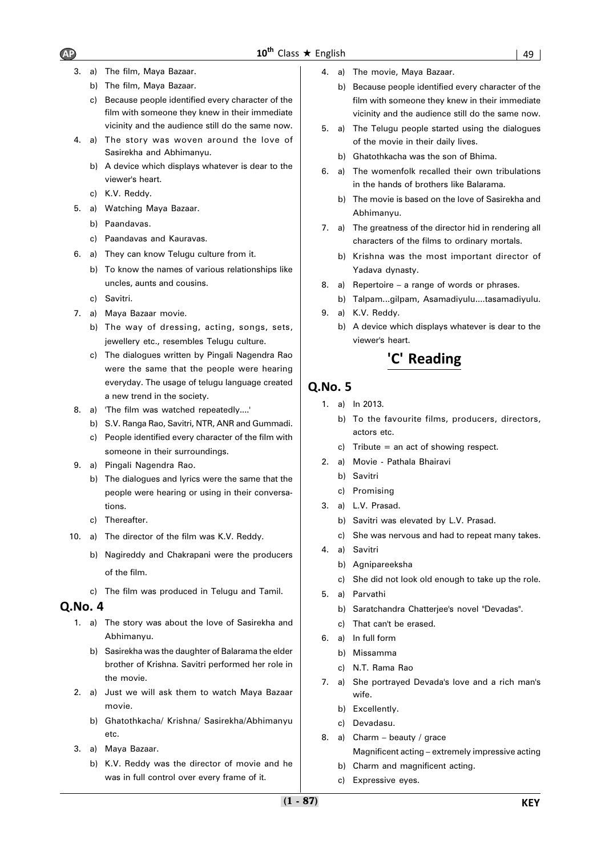- 3. a) The film, Maya Bazaar.
	- b) The film, Maya Bazaar.
	- c) Because people identified every character of the film with someone they knew in their immediate vicinity and the audience still do the same now.
- 4. a) The story was woven around the love of Sasirekha and Abhimanyu.
	- b) A device which displays whatever is dear to the viewer's heart.
	- c) K.V. Reddy.
- 5. a) Watching Maya Bazaar.
	- b) Paandavas.
	- c) Paandavas and Kauravas.
- 6. a) They can know Telugu culture from it.
	- b) To know the names of various relationships like uncles, aunts and cousins.
	- c) Savitri.
- 7. a) Maya Bazaar movie.
	- b) The way of dressing, acting, songs, sets, jewellery etc., resembles Telugu culture.
	- c) The dialogues written by Pingali Nagendra Rao were the same that the people were hearing everyday. The usage of telugu language created a new trend in the society.
- 8. a) 'The film was watched repeatedly....'
	- b) S.V. Ranga Rao, Savitri, NTR, ANR and Gummadi.
	- c) People identified every character of the film with someone in their surroundings.
- 9. a) Pingali Nagendra Rao.
	- b) The dialogues and lyrics were the same that the people were hearing or using in their conversations.
	- c) Thereafter.
- 10. a) The director of the film was K.V. Reddy.
	- b) Nagireddy and Chakrapani were the producers of the film.
	- c) The film was produced in Telugu and Tamil.

- 1. a) The story was about the love of Sasirekha and Abhimanyu.
	- b) Sasirekha was the daughter of Balarama the elder brother of Krishna. Savitri performed her role in the movie.
- 2. a) Just we will ask them to watch Maya Bazaar movie.
	- b) Ghatothkacha/ Krishna/ Sasirekha/Abhimanyu etc.
- 3. a) Maya Bazaar.
	- b) K.V. Reddy was the director of movie and he was in full control over every frame of it.
- 4. a) The movie, Maya Bazaar.
	- b) Because people identified every character of the film with someone they knew in their immediate vicinity and the audience still do the same now.
- 5. a) The Telugu people started using the dialogues of the movie in their daily lives.
	- b) Ghatothkacha was the son of Bhima.
- 6. a) The womenfolk recalled their own tribulations in the hands of brothers like Balarama.
	- b) The movie is based on the love of Sasirekha and Abhimanyu.
- 7. a) The greatness of the director hid in rendering all characters of the films to ordinary mortals.
	- b) Krishna was the most important director of Yadava dynasty.
- 8. a) Repertoire a range of words or phrases.
- b) Talpam...gilpam, Asamadiyulu....tasamadiyulu.
- 9. a) K.V. Reddy.
	- b) A device which displays whatever is dear to the viewer's heart.

# **'C' Reading**

- 1. a) In 2013.
	- b) To the favourite films, producers, directors, actors etc.
	- c) Tribute = an act of showing respect.
- 2. a) Movie Pathala Bhairavi
	- b) Savitri
	- c) Promising
- 3. a) L.V. Prasad.
	- b) Savitri was elevated by L.V. Prasad.
	- c) She was nervous and had to repeat many takes.
- 4. a) Savitri
	- b) Agnipareeksha
	- c) She did not look old enough to take up the role.
- 5. a) Parvathi
	- b) Saratchandra Chatterjee's novel "Devadas".
	- c) That can't be erased.
- 6. a) In full form
	- b) Missamma
	- c) N.T. Rama Rao
- 7. a) She portrayed Devada's love and a rich man's wife.
	- b) Excellently.
	- c) Devadasu.
- 8. a) Charm beauty / grace Magnificent acting – extremely impressive acting
	- b) Charm and magnificent acting.
	- c) Expressive eyes.

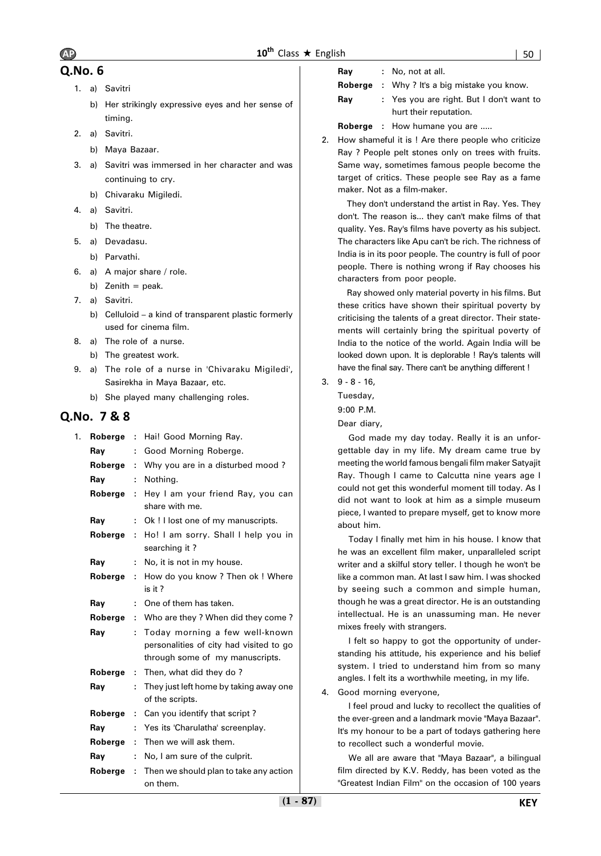- 1. a) Savitri
	- b) Her strikingly expressive eyes and her sense of timing.
- 2. a) Savitri.
	- b) Maya Bazaar.
- 3. a) Savitri was immersed in her character and was continuing to cry.
	- b) Chivaraku Migiledi.
- 4. a) Savitri.
	- b) The theatre.
- 5. a) Devadasu.
	- b) Parvathi.
- 6. a) A major share / role.
	- b) Zenith  $=$  peak.
- 7. a) Savitri.
	- b) Celluloid a kind of transparent plastic formerly used for cinema film.
- 8. a) The role of a nurse. b) The greatest work.
- 9. a) The role of a nurse in 'Chivaraku Migiledi', Sasirekha in Maya Bazaar, etc.
	- b) She played many challenging roles.

# **Q.No. 7 & 8**

| 1. | Roberge : |           | Hai! Good Morning Ray.                                                                                       |
|----|-----------|-----------|--------------------------------------------------------------------------------------------------------------|
|    | Ray       | ÷         | Good Morning Roberge.                                                                                        |
|    | Roberge   | ÷.        | Why you are in a disturbed mood?                                                                             |
|    | Ray       | ÷         | Nothing.                                                                                                     |
|    | Roberge   | $\cdot$ : | Hey I am your friend Ray, you can<br>share with me.                                                          |
|    | Ray       | ÷.        | Ok! I lost one of my manuscripts.                                                                            |
|    | Roberge   | ÷.        | Ho! I am sorry. Shall I help you in<br>searching it?                                                         |
|    | Ray       | ÷.        | No, it is not in my house.                                                                                   |
|    | Roberge   | ÷         | How do you know? Then ok ! Where<br>is it?                                                                   |
|    | Ray       | ÷.        | One of them has taken.                                                                                       |
|    | Roberge   | ÷.        | Who are they ? When did they come ?                                                                          |
|    | Ray       | ÷.        | Today morning a few well-known<br>personalities of city had visited to go<br>through some of my manuscripts. |
|    | Roberge   | ÷.        | Then, what did they do?                                                                                      |
|    | Ray       | ÷         | They just left home by taking away one<br>of the scripts.                                                    |
|    | Roberge   | ÷         | Can you identify that script?                                                                                |
|    | Ray       | ÷         | Yes its 'Charulatha' screenplay.                                                                             |
|    | Roberge   | ÷         | Then we will ask them.                                                                                       |
|    | Ray       | ÷         | No, I am sure of the culprit.                                                                                |
|    | Roberge   | ÷         | Then we should plan to take any action<br>on them.                                                           |

| Ray | No, not at all. |  |  |  |
|-----|-----------------|--|--|--|
|-----|-----------------|--|--|--|

**Roberge :** Why ? It's a big mistake you know.

- **Ray :** Yes you are right. But I don't want to hurt their reputation.
- **Roberge** : How humane you are .....
- 2. How shameful it is ! Are there people who criticize Ray ? People pelt stones only on trees with fruits. Same way, sometimes famous people become the target of critics. These people see Ray as a fame maker. Not as a film-maker.

They don't understand the artist in Ray. Yes. They don't. The reason is... they can't make films of that quality. Yes. Ray's films have poverty as his subject. The characters like Apu can't be rich. The richness of India is in its poor people. The country is full of poor people. There is nothing wrong if Ray chooses his characters from poor people.

Ray showed only material poverty in his films. But these critics have shown their spiritual poverty by criticising the talents of a great director. Their statements will certainly bring the spiritual poverty of India to the notice of the world. Again India will be looked down upon. It is deplorable ! Ray's talents will have the final say. There can't be anything different !

3. 9 - 8 - 16,

Tuesday,

9:00 P.M.

Dear diary,

God made my day today. Really it is an unforgettable day in my life. My dream came true by meeting the world famous bengali film maker Satyajit Ray. Though I came to Calcutta nine years age I could not get this wonderful moment till today. As I did not want to look at him as a simple museum piece, I wanted to prepare myself, get to know more about him.

Today I finally met him in his house. I know that he was an excellent film maker, unparalleled script writer and a skilful story teller. I though he won't be like a common man. At last I saw him. I was shocked by seeing such a common and simple human, though he was a great director. He is an outstanding intellectual. He is an unassuming man. He never mixes freely with strangers.

I felt so happy to got the opportunity of understanding his attitude, his experience and his belief system. I tried to understand him from so many angles. I felt its a worthwhile meeting, in my life.

### 4. Good morning everyone,

I feel proud and lucky to recollect the qualities of the ever-green and a landmark movie "Maya Bazaar". It's my honour to be a part of todays gathering here to recollect such a wonderful movie.

We all are aware that "Maya Bazaar", a bilingual film directed by K.V. Reddy, has been voted as the "Greatest Indian Film'' on the occasion of 100 years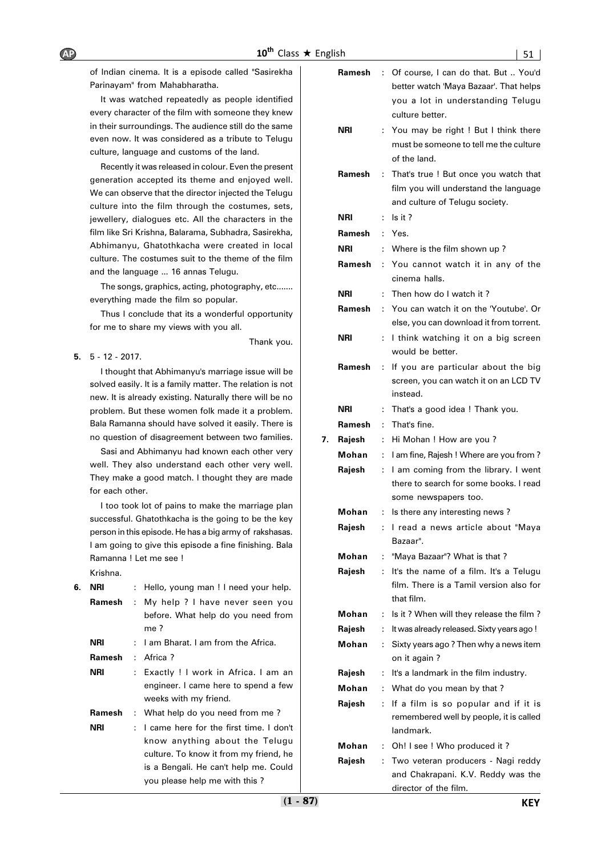of Indian cinema. It is a episode called "Sasirekha Parinayam" from Mahabharatha.

It was watched repeatedly as people identified every character of the film with someone they knew in their surroundings. The audience still do the same even now. It was considered as a tribute to Telugu culture, language and customs of the land.

Recently it was released in colour. Even the present generation accepted its theme and enjoyed well. We can observe that the director injected the Telugu culture into the film through the costumes, sets, jewellery, dialogues etc. All the characters in the film like Sri Krishna, Balarama, Subhadra, Sasirekha, Abhimanyu, Ghatothkacha were created in local culture. The costumes suit to the theme of the film and the language ... 16 annas Telugu.

The songs, graphics, acting, photography, etc....... everything made the film so popular.

Thus I conclude that its a wonderful opportunity for me to share my views with you all.

Thank you.

**5.** 5 - 12 - 2017.

I thought that Abhimanyu's marriage issue will be solved easily. It is a family matter. The relation is not new. It is already existing. Naturally there will be no problem. But these women folk made it a problem. Bala Ramanna should have solved it easily. There is no question of disagreement between two families.

Sasi and Abhimanyu had known each other very well. They also understand each other very well. They make a good match. I thought they are made for each other.

I too took lot of pains to make the marriage plan successful. Ghatothkacha is the going to be the key person in this episode. He has a big army of rakshasas. I am going to give this episode a fine finishing. Bala Ramanna ! Let me see !

Krishna.

| 6. | NRI        |    | Hello, young man ! I need your help.       |
|----|------------|----|--------------------------------------------|
|    | Ramesh     | ÷  | My help ? I have never seen you            |
|    |            |    | before. What help do you need from<br>me ? |
|    | <b>NRI</b> |    | : I am Bharat. I am from the Africa.       |
|    | Ramesh     |    | : Africa?                                  |
|    | NRI        |    | Exactly ! I work in Africa. I am an        |
|    |            |    | engineer. I came here to spend a few       |
|    |            |    | weeks with my friend.                      |
|    | Ramesh     |    | : What help do you need from me?           |
|    | NRI        | ÷. | I came here for the first time. I don't    |
|    |            |    | know anything about the Telugu             |
|    |            |    | culture. To know it from my friend, he     |
|    |            |    | is a Bengali. He can't help me. Could      |
|    |            |    | you please help me with this?              |

|    | nglish     |    | 51                                                                                                                  |
|----|------------|----|---------------------------------------------------------------------------------------------------------------------|
|    | Ramesh     | ÷  | Of course, I can do that. But  You'd<br>better watch 'Maya Bazaar'. That helps<br>you a lot in understanding Telugu |
|    | NRI        | ÷  | culture better.<br>You may be right ! But I think there<br>must be someone to tell me the culture<br>of the land.   |
|    | Ramesh     | ÷  | That's true ! But once you watch that<br>film you will understand the language<br>and culture of Telugu society.    |
|    | NRI        | ÷  | Is it?                                                                                                              |
|    | Ramesh     | ÷  | Yes.                                                                                                                |
|    | <b>NRI</b> | ÷  | Where is the film shown up?                                                                                         |
|    | Ramesh     | ÷  | You cannot watch it in any of the<br>cinema halls.                                                                  |
|    | <b>NRI</b> | ÷  | Then how do I watch it?                                                                                             |
|    | Ramesh     | ÷  | You can watch it on the 'Youtube'. Or<br>else, you can download it from torrent.                                    |
|    | <b>NRI</b> | ÷  | I think watching it on a big screen<br>would be better.                                                             |
|    | Ramesh     | ÷  | If you are particular about the big<br>screen, you can watch it on an LCD TV<br>instead.                            |
|    | NRI        | ÷  | That's a good idea ! Thank you.                                                                                     |
|    | Ramesh     | ÷  | That's fine.                                                                                                        |
| 7. | Rajesh     | ÷  | Hi Mohan ! How are you?                                                                                             |
|    | Mohan      | ÷  | I am fine, Rajesh ! Where are you from?                                                                             |
|    | Rajesh     | ÷. | I am coming from the library. I went<br>there to search for some books. I read<br>some newspapers too.              |
|    | Mohan      |    | Is there any interesting news?                                                                                      |
|    | Rajesh     | ÷. | I read a news article about "Maya<br>Bazaar".                                                                       |
|    | Mohan      | ÷  | "Maya Bazaar"? What is that?                                                                                        |
|    | Rajesh     | ÷. | It's the name of a film. It's a Telugu<br>film. There is a Tamil version also for<br>that film.                     |
|    | Mohan      | ÷  | Is it? When will they release the film?                                                                             |
|    | Rajesh     | ÷  | It was already released. Sixty years ago !                                                                          |
|    | Mohan      | ÷  | Sixty years ago? Then why a news item<br>on it again?                                                               |
|    | Rajesh     | :  | It's a landmark in the film industry.                                                                               |
|    | Mohan      | ÷. | What do you mean by that?                                                                                           |
|    | Rajesh     | ÷  | If a film is so popular and if it is<br>remembered well by people, it is called<br>landmark.                        |
|    | Mohan      | ÷  | Oh! I see ! Who produced it?                                                                                        |
|    | Rajesh     | t. | Two veteran producers - Nagi reddy<br>and Chakrapani, K.V. Reddy was the                                            |

director of the film.

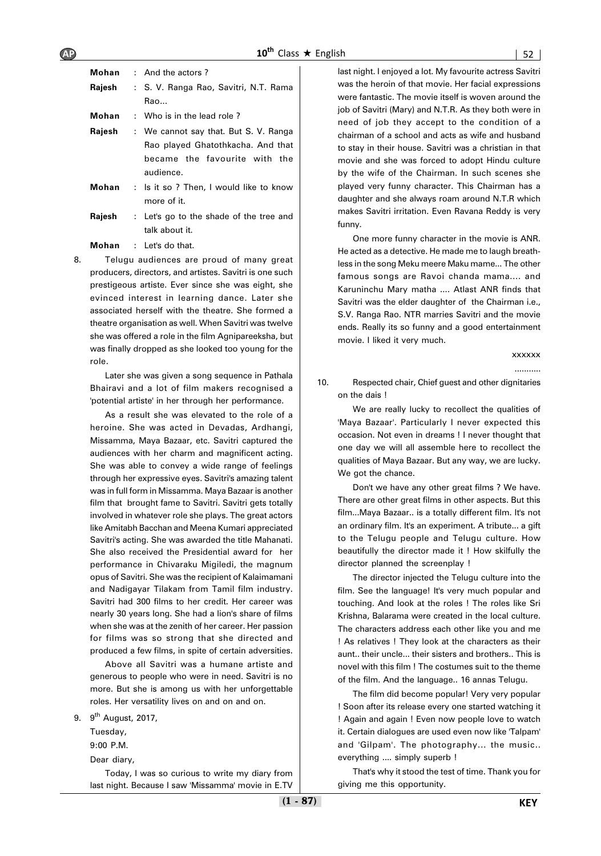| Mohan  | $:$ And the actors ?                    |  |  |
|--------|-----------------------------------------|--|--|
| Rajesh | : S. V. Ranga Rao, Savitri, N.T. Rama   |  |  |
|        | Rao                                     |  |  |
| Mohan  | : Who is in the lead role?              |  |  |
| Rajesh | : We cannot say that. But S. V. Ranga   |  |  |
|        | Rao played Ghatothkacha. And that       |  |  |
|        | became the favourite with the           |  |  |
|        | audience.                               |  |  |
| Mohan  | : Is it so ? Then, I would like to know |  |  |
|        | more of it.                             |  |  |
| Rajesh | : Let's go to the shade of the tree and |  |  |
|        | talk ahout it                           |  |  |

**Mohan** : Let's do that.

8. Telugu audiences are proud of many great producers, directors, and artistes. Savitri is one such prestigeous artiste. Ever since she was eight, she evinced interest in learning dance. Later she associated herself with the theatre. She formed a theatre organisation as well. When Savitri was twelve she was offered a role in the film Agnipareeksha, but was finally dropped as she looked too young for the role.

Later she was given a song sequence in Pathala Bhairavi and a lot of film makers recognised a 'potential artiste' in her through her performance.

As a result she was elevated to the role of a heroine. She was acted in Devadas, Ardhangi, Missamma, Maya Bazaar, etc. Savitri captured the audiences with her charm and magnificent acting. She was able to convey a wide range of feelings through her expressive eyes. Savitri's amazing talent was in full form in Missamma. Maya Bazaar is another film that brought fame to Savitri. Savitri gets totally involved in whatever role she plays. The great actors like Amitabh Bacchan and Meena Kumari appreciated Savitri's acting. She was awarded the title Mahanati. She also received the Presidential award for her performance in Chivaraku Migiledi, the magnum opus of Savitri. She was the recipient of Kalaimamani and Nadigayar Tilakam from Tamil film industry. Savitri had 300 films to her credit. Her career was nearly 30 years long. She had a lion's share of films when she was at the zenith of her career. Her passion for films was so strong that she directed and produced a few films, in spite of certain adversities.

Above all Savitri was a humane artiste and generous to people who were in need. Savitri is no more. But she is among us with her unforgettable roles. Her versatility lives on and on and on.

9. 9<sup>th</sup> August, 2017,

Tuesday,

9:00 P.M. Dear diary,

Today, I was so curious to write my diary from last night. Because I saw 'Missamma' movie in E.TV last night. I enjoyed a lot. My favourite actress Savitri was the heroin of that movie. Her facial expressions were fantastic. The movie itself is woven around the job of Savitri (Mary) and N.T.R. As they both were in need of job they accept to the condition of a chairman of a school and acts as wife and husband to stay in their house. Savitri was a christian in that movie and she was forced to adopt Hindu culture by the wife of the Chairman. In such scenes she played very funny character. This Chairman has a daughter and she always roam around N.T.R which makes Savitri irritation. Even Ravana Reddy is very funny.

One more funny character in the movie is ANR. He acted as a detective. He made me to laugh breathless in the song Meku meere Maku mame... The other famous songs are Ravoi chanda mama.... and Karuninchu Mary matha .... Atlast ANR finds that Savitri was the elder daughter of the Chairman i.e., S.V. Ranga Rao. NTR marries Savitri and the movie ends. Really its so funny and a good entertainment movie. I liked it very much.

#### xxxxxx

...........

10. Respected chair, Chief guest and other dignitaries on the dais !

We are really lucky to recollect the qualities of 'Maya Bazaar'. Particularly I never expected this occasion. Not even in dreams ! I never thought that one day we will all assemble here to recollect the qualities of Maya Bazaar. But any way, we are lucky. We got the chance.

Don't we have any other great films ? We have. There are other great films in other aspects. But this film...Maya Bazaar.. is a totally different film. It's not an ordinary film. It's an experiment. A tribute... a gift to the Telugu people and Telugu culture. How beautifully the director made it ! How skilfully the director planned the screenplay !

The director injected the Telugu culture into the film. See the language! It's very much popular and touching. And look at the roles ! The roles like Sri Krishna, Balarama were created in the local culture. The characters address each other like you and me ! As relatives ! They look at the characters as their aunt.. their uncle... their sisters and brothers.. This is novel with this film ! The costumes suit to the theme of the film. And the language.. 16 annas Telugu.

The film did become popular! Very very popular ! Soon after its release every one started watching it ! Again and again ! Even now people love to watch it. Certain dialogues are used even now like 'Talpam' and 'Gilpam'. The photography... the music.. everything .... simply superb !

That's why it stood the test of time. Thank you for giving me this opportunity.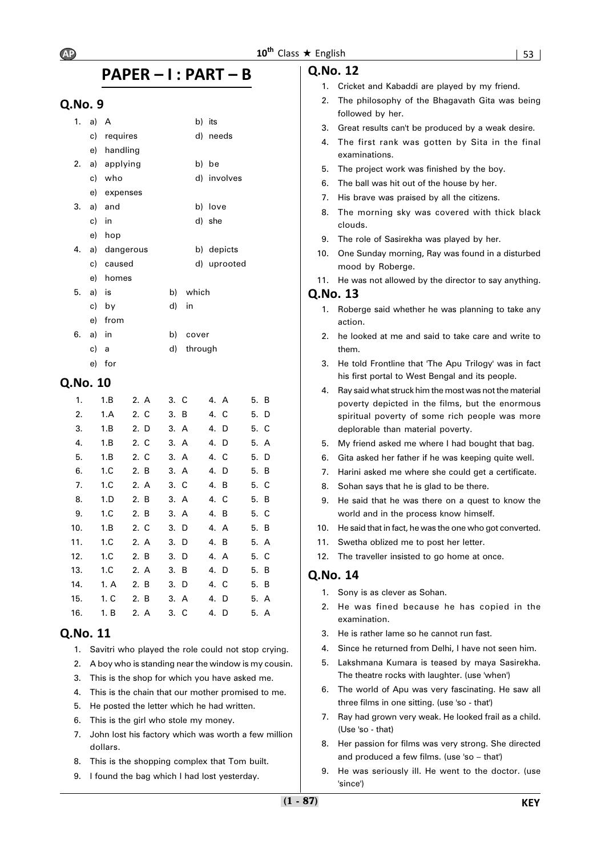# **PAPER – I : PART – B**

# **Q.No. 9**

| 1. | a) A  |             |    |         | b) its      |
|----|-------|-------------|----|---------|-------------|
|    | c)    | requires    |    | d)      | needs       |
|    | e)    | handling    |    |         |             |
| 2. |       | a) applying |    |         | b) be       |
|    | c)    | who         |    |         | d) involves |
|    |       | e) expenses |    |         |             |
| 3. | a)    | and         |    |         | b) love     |
|    | c)    | in          |    |         | d) she      |
|    | e)    | hop         |    |         |             |
|    | 4. a) | dangerous   |    |         | b) depicts  |
|    | c)    | caused      |    | d)      | uprooted    |
|    | e)    | homes       |    |         |             |
| 5. | a)    | is          | b) | which   |             |
|    |       | c) by       | d) | in      |             |
|    | e)    | from        |    |         |             |
| 6. | a)    | in          | b) | cover   |             |
|    | c)    | a           | d) | through |             |
|    | e)    | for         |    |         |             |

# **Q.No. 10**

| 1.  | 1.B  | 2. A | 3. C | 4. A | 5. B |
|-----|------|------|------|------|------|
| 2.  | 1.A  | 2. C | 3. B | 4. C | 5. D |
| 3.  | 1.B  | 2. D | 3. A | 4. D | 5. C |
| 4.  | 1.B  | 2. C | 3. A | 4. D | 5. A |
| 5.  | 1.B  | 2. C | 3. A | 4. C | 5. D |
| 6.  | 1.C  | 2. B | 3. A | 4. D | 5. B |
| 7.  | 1.C  | 2. A | 3. C | 4. B | 5. C |
| 8.  | 1.D  | 2. B | 3. A | 4. C | 5. B |
| 9.  | 1.C  | 2. B | 3. A | 4. B | 5. C |
| 10. | 1.B  | 2. C | 3. D | 4. A | 5. B |
| 11. | 1.C  | 2. A | 3. D | 4. B | 5. A |
| 12. | 1.C  | 2. B | 3. D | 4. A | 5. C |
| 13. | 1.C  | 2. A | 3. B | 4. D | 5. B |
| 14. | 1. A | 2. B | 3. D | 4. C | 5. B |
| 15. | 1. C | 2. B | 3. A | 4. D | 5. A |
| 16. | 1. B | 2. A | 3. C | 4. D | 5. A |
|     |      |      |      |      |      |

# **Q.No. 11**

- 1. Savitri who played the role could not stop crying.
- 2. A boy who is standing near the window is my cousin.
- 3. This is the shop for which you have asked me.
- 4. This is the chain that our mother promised to me.
- 5. He posted the letter which he had written.
- 6. This is the girl who stole my money.
- 7. John lost his factory which was worth a few million dollars.
- 8. This is the shopping complex that Tom built.
- 9. I found the bag which I had lost yesterday.

# **Q.No. 12**

- 1. Cricket and Kabaddi are played by my friend.
- 2. The philosophy of the Bhagavath Gita was being followed by her.
- 3. Great results can't be produced by a weak desire.
- 4. The first rank was gotten by Sita in the final examinations.
- 5. The project work was finished by the boy.
- 6. The ball was hit out of the house by her.
- 7. His brave was praised by all the citizens.
- 8. The morning sky was covered with thick black clouds.
- 9. The role of Sasirekha was played by her.
- 10. One Sunday morning, Ray was found in a disturbed mood by Roberge.
- 11. He was not allowed by the director to say anything.

### **Q.No. 13**

- 1. Roberge said whether he was planning to take any action.
- 2. he looked at me and said to take care and write to them.
- 3. He told Frontline that 'The Apu Trilogy' was in fact his first portal to West Bengal and its people.
- 4. Ray said what struck him the most was not the material poverty depicted in the films, but the enormous spiritual poverty of some rich people was more deplorable than material poverty.
- 5. My friend asked me where I had bought that bag.
- 6. Gita asked her father if he was keeping quite well.
- 7. Harini asked me where she could get a certificate.
- 8. Sohan says that he is glad to be there.
- 9. He said that he was there on a quest to know the world and in the process know himself.
- 10. He said that in fact, he was the one who got converted.
- 11. Swetha oblized me to post her letter.
- 12. The traveller insisted to go home at once.

- 1. Sony is as clever as Sohan.
- 2. He was fined because he has copied in the examination.
- 3. He is rather lame so he cannot run fast.
- 4. Since he returned from Delhi, I have not seen him.
- 5. Lakshmana Kumara is teased by maya Sasirekha. The theatre rocks with laughter. (use 'when')
- 6. The world of Apu was very fascinating. He saw all three films in one sitting. (use 'so - that')
- 7. Ray had grown very weak. He looked frail as a child. (Use 'so - that)
- 8. Her passion for films was very strong. She directed and produced a few films. (use 'so – that')
- 9. He was seriously ill. He went to the doctor. (use 'since')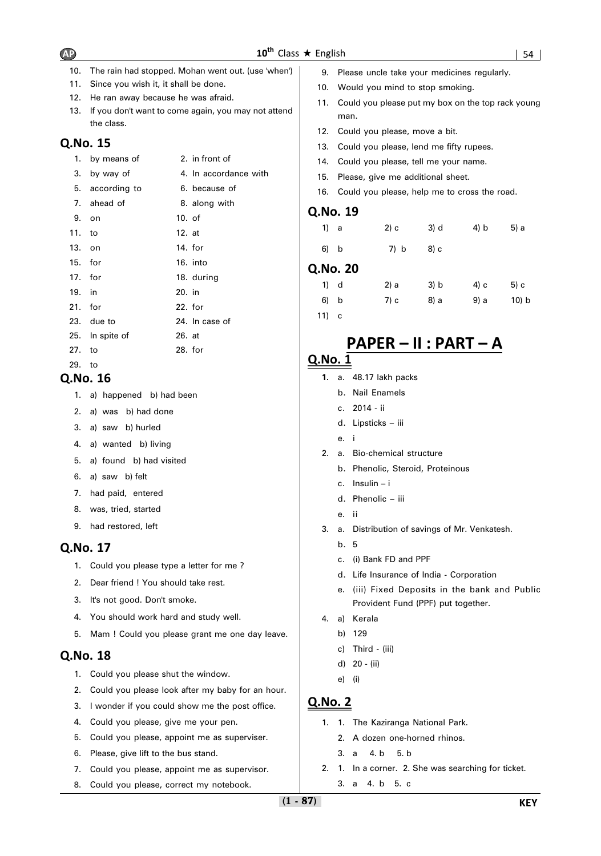- 10. The rain had stopped. Mohan went out. (use 'when')
- 11. Since you wish it, it shall be done.
- 12. He ran away because he was afraid.
- 13. If you don't want to come again, you may not attend the class.

- 1. by means of 2. in front of
- 3. by way of 4. In accordance with
- 5. according to 6. because of
- 7. ahead of 8. along with 9. on 10. of 11. to 12. at 13. on 14. for 15. for 16. into 17. for 18. during 19. in 20. in 21. for 22. for 23. due to 24. In case of 25. In spite of 26. at 27. to 28. for
- 29. to

# **Q.No. 16**

- 1. a) happened b) had been
- 2. a) was b) had done
- 3. a) saw b) hurled
- 4. a) wanted b) living
- 5. a) found b) had visited
- 6. a) saw b) felt
- 7. had paid, entered
- 8. was, tried, started
- 9. had restored, left

# **Q.No. 17**

- 1. Could you please type a letter for me ?
- 2. Dear friend ! You should take rest.
- 3. It's not good. Don't smoke.
- 4. You should work hard and study well.
- 5. Mam ! Could you please grant me one day leave.

# **Q.No. 18**

- 1. Could you please shut the window.
- 2. Could you please look after my baby for an hour.
- 3. I wonder if you could show me the post office.
- 4. Could you please, give me your pen.
- 5. Could you please, appoint me as superviser.
- 6. Please, give lift to the bus stand.
- 7. Could you please, appoint me as supervisor.
- 8. Could you please, correct my notebook.
- 9. Please uncle take your medicines regularly.
- 10. Would you mind to stop smoking.
- 11. Could you please put my box on the top rack young man.
- 12. Could you please, move a bit.
- 13. Could you please, lend me fifty rupees.
- 14. Could you please, tell me your name.
- 15. Please, give me additional sheet.
- 16. Could you please, help me to cross the road.

### **Q.No. 19**

| 1) a |         | 2) с  | 3) d     | 4) b         | 5) a |
|------|---------|-------|----------|--------------|------|
| 6) b |         | 7) b  | 8) c     |              |      |
|      | .No. 20 |       |          |              |      |
| 1 J  |         | ົາ\ ~ | $21 - 1$ | $\mathbf{A}$ | E) a |

# **Q.No. 20**

| $1)$ d  | 2) a | 3) b | 4) c | 5) c     |
|---------|------|------|------|----------|
| 6) b    | 7) c | 8) a | 9) a | $10$ ) b |
| $11)$ c |      |      |      |          |

# **PAPER – II : PART – A**

# **Q.No. 1**

- **1.** a. 48.17 lakh packs
	- b. Nail Enamels
	- c. 2014 ii
	- d. Lipsticks iii
	- e. i
- 2. a. Bio-chemical structure
	- b. Phenolic, Steroid, Proteinous
	- c. Insulin i
	- d. Phenolic iii
	- e. ii
- 3. a. Distribution of savings of Mr. Venkatesh.
	- b. 5
	- c. (i) Bank FD and PPF
	- d. Life Insurance of India Corporation
	- e. (iii) Fixed Deposits in the bank and Public Provident Fund (PPF) put together.
- 4. a) Kerala
	- b) 129
		- c) Third (iii)
	- d) 20 (ii)
	- e) (i)

- 1. 1. The Kaziranga National Park.
	- 2. A dozen one-horned rhinos.
	- 3. a 4. b 5. b
- 2. 1. In a corner. 2. She was searching for ticket.
	- 3. a 4. b 5. c

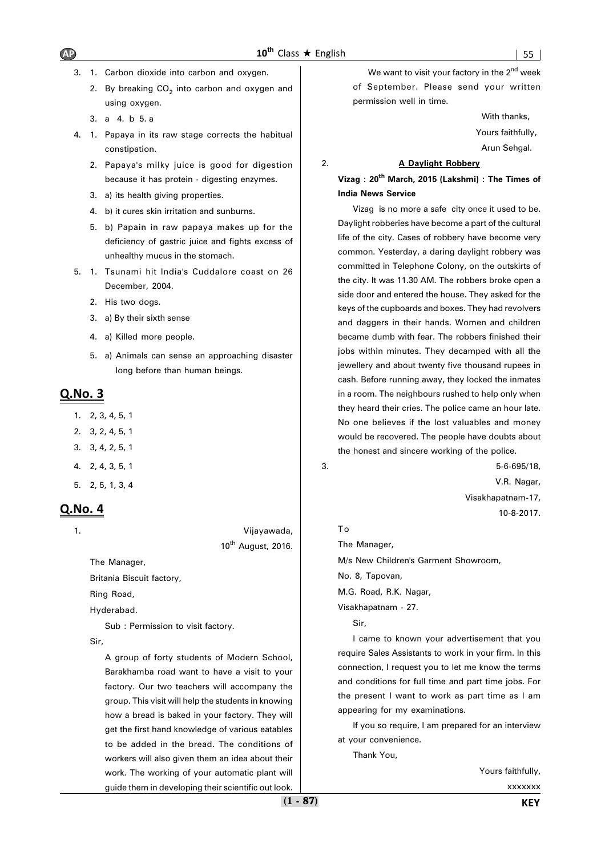- 3. 1. Carbon dioxide into carbon and oxygen.
	- 2. By breaking  $CO<sub>2</sub>$  into carbon and oxygen and using oxygen.
	- 3. a 4. b 5. a
- 4. 1. Papaya in its raw stage corrects the habitual constipation.
	- 2. Papaya's milky juice is good for digestion because it has protein - digesting enzymes.
	- 3. a) its health giving properties.
	- 4. b) it cures skin irritation and sunburns.
	- 5. b) Papain in raw papaya makes up for the deficiency of gastric juice and fights excess of unhealthy mucus in the stomach.
- 5. 1. Tsunami hit India's Cuddalore coast on 26 December, 2004.
	- 2. His two dogs.
	- 3. a) By their sixth sense
	- 4. a) Killed more people.
	- 5. a) Animals can sense an approaching disaster long before than human beings.

- 1. 2, 3, 4, 5, 1
- 2. 3, 2, 4, 5, 1
- 3. 3, 4, 2, 5, 1
- 4. 2, 4, 3, 5, 1
- 5. 2, 5, 1, 3, 4

# **Q.No. 4**

1. Vijayawada,  $10^{th}$  August, 2016.

The Manager,

Britania Biscuit factory,

Ring Road,

Hyderabad.

Sub : Permission to visit factory.

Sir,

A group of forty students of Modern School, Barakhamba road want to have a visit to your factory. Our two teachers will accompany the group. This visit will help the students in knowing how a bread is baked in your factory. They will get the first hand knowledge of various eatables to be added in the bread. The conditions of workers will also given them an idea about their work. The working of your automatic plant will guide them in developing their scientific out look.

We want to visit your factory in the  $2<sup>nd</sup>$  week of September. Please send your written permission well in time.

> With thanks, Yours faithfully,

Arun Sehgal.

### 2. **A Daylight Robbery**

**Vizag : 20th March, 2015 (Lakshmi) : The Times of India News Service**

Vizag is no more a safe city once it used to be. Daylight robberies have become a part of the cultural life of the city. Cases of robbery have become very common. Yesterday, a daring daylight robbery was committed in Telephone Colony, on the outskirts of the city. It was 11.30 AM. The robbers broke open a side door and entered the house. They asked for the keys of the cupboards and boxes. They had revolvers and daggers in their hands. Women and children became dumb with fear. The robbers finished their jobs within minutes. They decamped with all the jewellery and about twenty five thousand rupees in cash. Before running away, they locked the inmates in a room. The neighbours rushed to help only when they heard their cries. The police came an hour late. No one believes if the lost valuables and money would be recovered. The people have doubts about the honest and sincere working of the police.

3. 5-6-695/18, V.R. Nagar, Visakhapatnam-17, 10-8-2017.

### To

The Manager,

M/s New Children's Garment Showroom,

No. 8, Tapovan,

M.G. Road, R.K. Nagar,

Visakhapatnam - 27.

Sir,

I came to known your advertisement that you require Sales Assistants to work in your firm. In this connection, I request you to let me know the terms and conditions for full time and part time jobs. For the present I want to work as part time as I am appearing for my examinations.

If you so require, I am prepared for an interview at your convenience.

Thank You,

Yours faithfully,

xxxxxxx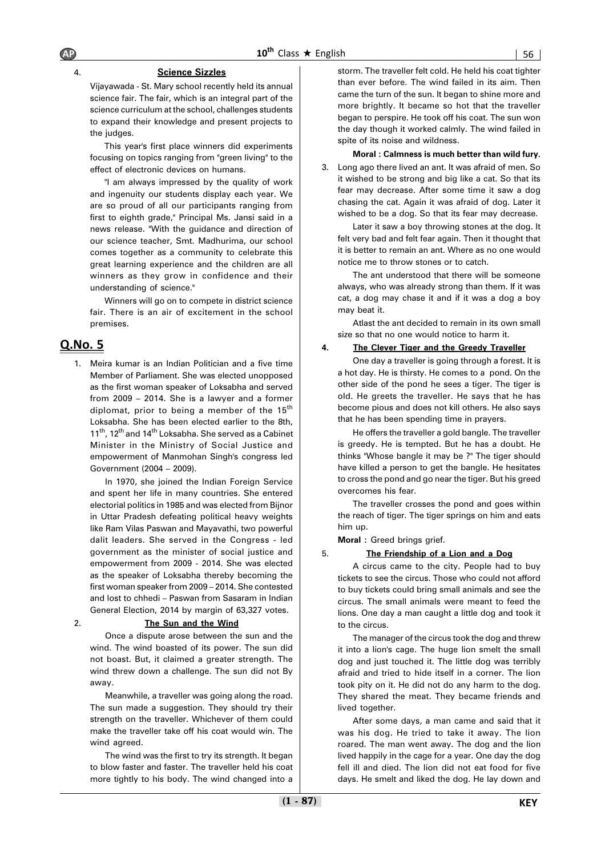### 4. **Science Sizzles**

Vijayawada - St. Mary school recently held its annual science fair. The fair, which is an integral part of the science curriculum at the school, challenges students to expand their knowledge and present projects to the judges.

This year's first place winners did experiments focusing on topics ranging from "green living" to the effect of electronic devices on humans.

"I am always impressed by the quality of work and ingenuity our students display each year. We are so proud of all our participants ranging from first to eighth grade," Principal Ms. Jansi said in a news release. "With the guidance and direction of our science teacher, Smt. Madhurima, our school comes together as a community to celebrate this great learning experience and the children are all winners as they grow in confidence and their understanding of science."

Winners will go on to compete in district science fair. There is an air of excitement in the school premises.

# **Q.No. 5**

1. Meira kumar is an Indian Politician and a five time Member of Parliament. She was elected unopposed as the first woman speaker of Loksabha and served from 2009 – 2014. She is a lawyer and a former diplomat, prior to being a member of the 15<sup>th</sup> Loksabha. She has been elected earlier to the 8th, 11<sup>th</sup>, 12<sup>th</sup> and 14<sup>th</sup> Loksabha. She served as a Cabinet Minister in the Ministry of Social Justice and empowerment of Manmohan Singh's congress led Government (2004 – 2009).

In 1970, she joined the Indian Foreign Service and spent her life in many countries. She entered electorial politics in 1985 and was elected from Bijnor in Uttar Pradesh defeating political heavy weights like Ram Vilas Paswan and Mayavathi, two powerful dalit leaders. She served in the Congress - led government as the minister of social justice and empowerment from 2009 - 2014. She was elected as the speaker of Loksabha thereby becoming the first woman speaker from 2009 – 2014. She contested and lost to chhedi – Paswan from Sasaram in Indian General Election, 2014 by margin of 63,327 votes.

### 2. **The Sun and the Wind**

Once a dispute arose between the sun and the wind. The wind boasted of its power. The sun did not boast. But, it claimed a greater strength. The wind threw down a challenge. The sun did not By away.

Meanwhile, a traveller was going along the road. The sun made a suggestion. They should try their strength on the traveller. Whichever of them could make the traveller take off his coat would win. The wind agreed.

The wind was the first to try its strength. It began to blow faster and faster. The traveller held his coat more tightly to his body. The wind changed into a

storm. The traveller felt cold. He held his coat tighter than ever before. The wind failed in its aim. Then came the turn of the sun. It began to shine more and more brightly. It became so hot that the traveller began to perspire. He took off his coat. The sun won the day though it worked calmly. The wind failed in spite of its noise and wildness.

#### **Moral : Calmness is much better than wild fury.**

3. Long ago there lived an ant. It was afraid of men. So it wished to be strong and big like a cat. So that its fear may decrease. After some time it saw a dog chasing the cat. Again it was afraid of dog. Later it wished to be a dog. So that its fear may decrease.

Later it saw a boy throwing stones at the dog. It felt very bad and felt fear again. Then it thought that it is better to remain an ant. Where as no one would notice me to throw stones or to catch.

The ant understood that there will be someone always, who was already strong than them. If it was cat, a dog may chase it and if it was a dog a boy may beat it.

Atlast the ant decided to remain in its own small size so that no one would notice to harm it.

#### **4. The Clever Tiger and the Greedy Traveller**

One day a traveller is going through a forest. It is a hot day. He is thirsty. He comes to a pond. On the other side of the pond he sees a tiger. The tiger is old. He greets the traveller. He says that he has become pious and does not kill others. He also says that he has been spending time in prayers.

He offers the traveller a gold bangle. The traveller is greedy. He is tempted. But he has a doubt. He thinks "Whose bangle it may be ?" The tiger should have killed a person to get the bangle. He hesitates to cross the pond and go near the tiger. But his greed overcomes his fear.

The traveller crosses the pond and goes within the reach of tiger. The tiger springs on him and eats him up.

**Moral :** Greed brings grief.

#### 5. **The Friendship of a Lion and a Dog**

A circus came to the city. People had to buy tickets to see the circus. Those who could not afford to buy tickets could bring small animals and see the circus. The small animals were meant to feed the lions. One day a man caught a little dog and took it to the circus.

The manager of the circus took the dog and threw it into a lion's cage. The huge lion smelt the small dog and just touched it. The little dog was terribly afraid and tried to hide itself in a corner. The lion took pity on it. He did not do any harm to the dog. They shared the meat. They became friends and lived together.

After some days, a man came and said that it was his dog. He tried to take it away. The lion roared. The man went away. The dog and the lion lived happily in the cage for a year. One day the dog fell ill and died. The lion did not eat food for five days. He smelt and liked the dog. He lay down and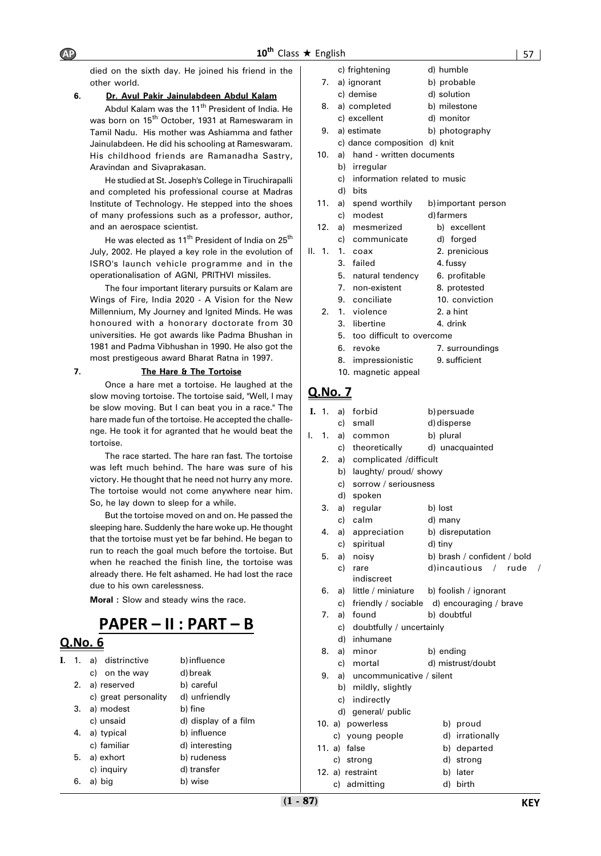died on the sixth day. He joined his friend in the other world.

### **6. Dr. Avul Pakir Jainulabdeen Abdul Kalam**

Abdul Kalam was the 11<sup>th</sup> President of India. He was born on 15<sup>th</sup> October, 1931 at Rameswaram in Tamil Nadu. His mother was Ashiamma and father Jainulabdeen. He did his schooling at Rameswaram. His childhood friends are Ramanadha Sastry, Aravindan and Sivaprakasan.

He studied at St. Joseph's College in Tiruchirapalli and completed his professional course at Madras Institute of Technology. He stepped into the shoes of many professions such as a professor, author, and an aerospace scientist.

He was elected as 11<sup>th</sup> President of India on 25<sup>th</sup> July, 2002. He played a key role in the evolution of ISRO's launch vehicle programme and in the operationalisation of AGNI, PRITHVI missiles.

The four important literary pursuits or Kalam are Wings of Fire, India 2020 - A Vision for the New Millennium, My Journey and Ignited Minds. He was honoured with a honorary doctorate from 30 universities. He got awards like Padma Bhushan in 1981 and Padma Vibhushan in 1990. He also got the most prestigeous award Bharat Ratna in 1997.

### **7. The Hare & The Tortoise**

Once a hare met a tortoise. He laughed at the slow moving tortoise. The tortoise said, "Well, I may be slow moving. But I can beat you in a race." The hare made fun of the tortoise. He accepted the challenge. He took it for agranted that he would beat the tortoise.

The race started. The hare ran fast. The tortoise was left much behind. The hare was sure of his victory. He thought that he need not hurry any more. The tortoise would not come anywhere near him. So, he lay down to sleep for a while.

But the tortoise moved on and on. He passed the sleeping hare. Suddenly the hare woke up. He thought that the tortoise must yet be far behind. He began to run to reach the goal much before the tortoise. But when he reached the finish line, the tortoise was already there. He felt ashamed. He had lost the race due to his own carelessness.

**Moral :** Slow and steady wins the race.

# **PAPER – II : PART – B**

# **Q.No. 6**

| I. | $\overline{1}$ . | a) distrinctive      | b) influence         |
|----|------------------|----------------------|----------------------|
|    |                  | c) on the way        | d) break             |
|    |                  | 2. a) reserved       | b) careful           |
|    |                  | c) great personality | d) unfriendly        |
|    | 3.               | a) modest            | b) fine              |
|    |                  | c) unsaid            | d) display of a film |
|    |                  | 4. a) typical        | b) influence         |
|    |                  | c) familiar          | d) interesting       |
|    | 5.               | a) exhort            | b) rudeness          |
|    |                  | c) inquiry           | d) transfer          |
|    | 6.               | a) big               | b) wise              |

|    |                   |    | c) frightening                       | d) humble                         |
|----|-------------------|----|--------------------------------------|-----------------------------------|
|    | 7.                |    | a) ignorant                          | b) probable                       |
|    |                   |    | c) demise                            | d) solution                       |
|    | 8.                |    | a) completed                         | b) milestone                      |
|    |                   |    | c) excellent                         | d) monitor                        |
|    | 9.                |    | a) estimate                          | b) photography                    |
|    |                   |    | c) dance composition d) knit         |                                   |
|    | 10.               | a) | hand - written documents             |                                   |
|    |                   |    | b) irregular                         |                                   |
|    |                   |    | c) information related to music      |                                   |
|    |                   |    | d) bits                              |                                   |
|    | 11.               |    | a) spend worthily                    | b) important person               |
|    |                   |    | c) modest                            | d) farmers                        |
|    | 12.               |    | a) mesmerized                        | b) excellent                      |
|    |                   | c) | communicate                          | d) forged                         |
| Ш. | 1.                | 1. | coax                                 | 2. prenicious                     |
|    |                   | 3. | failed                               | 4. fussy                          |
|    |                   | 5. | natural tendency                     | 6. profitable                     |
|    |                   | 7. | non-existent                         | 8. protested                      |
|    |                   | 9. | conciliate                           | 10. conviction                    |
|    | 2.                |    | 1. violence                          | 2. a hint                         |
|    |                   | 3. | libertine                            | 4. drink                          |
|    |                   | 5. | too difficult to overcome            |                                   |
|    |                   | 6. | revoke                               | 7. surroundings                   |
|    |                   | 8. | impressionistic                      | 9. sufficient                     |
|    |                   |    | 10. magnetic appeal                  |                                   |
|    | <u>Q.No. 7</u>    |    |                                      |                                   |
|    |                   |    |                                      |                                   |
|    | $\mathbf{I}$ , 1. |    | a) forbid                            | b) persuade                       |
|    |                   |    | c) small                             | d) disperse                       |
| ı. | 1.                |    | a) common<br>ببالممثلة معموطة المراج | b) plural<br>الممعما منتمم ممسناه |
|    |                   |    |                                      |                                   |

|    | c)     | theoretically               | d) unacquainted                            |
|----|--------|-----------------------------|--------------------------------------------|
| 2. | a)     | complicated /difficult      |                                            |
|    | b)     | laughty/ proud/ showy       |                                            |
|    | c)     | sorrow / seriousness        |                                            |
|    |        | d) spoken                   |                                            |
| 3. |        | a) regular                  | b) lost                                    |
|    |        | c) calm                     | d) many                                    |
| 4. |        | a) appreciation             | b) disreputation                           |
|    |        | c) spiritual                | d) tiny                                    |
| 5. | a)     | noisy                       | b) brash / confident / bold                |
|    | c)     | rare                        | d)incautious / rude<br>$\prime$            |
|    |        | indiscreet                  |                                            |
| 6. | a)     |                             | little / miniature b) foolish / ignorant   |
|    | c)     |                             | friendly / sociable d) encouraging / brave |
| 7. |        | a) found                    | b) doubtful                                |
|    |        | c) doubtfully / uncertainly |                                            |
|    | d)     | inhumane                    |                                            |
| 8. | a)     | minor                       | b) ending                                  |
|    |        | c) mortal                   | d) mistrust/doubt                          |
| 9. |        | a) uncommunicative / silent |                                            |
|    |        | b) mildly, slightly         |                                            |
|    |        | c) indirectly               |                                            |
|    | d)     | general/ public             |                                            |
|    |        | 10. a) powerless            | b) proud                                   |
|    |        | c) young people             | d) irrationally                            |
|    | 11. a) | false                       | b) departed                                |
|    | c)     | strong                      | d) strong                                  |

12. a) restraint b) later c) admitting d) birth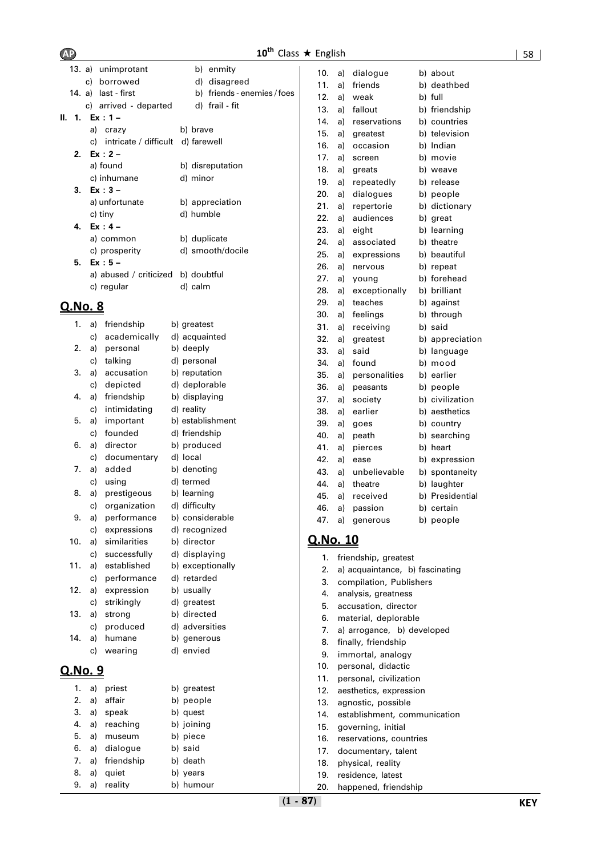# **10<sup>th</sup>** Class ★ English 58

|    | 13. a) unimprotant                   | b) enmity                   |
|----|--------------------------------------|-----------------------------|
|    | c) borrowed                          | d) disagreed                |
|    | 14. a) last - first                  | b) friends - enemies / foes |
|    | c) arrived - departed d) frail - fit |                             |
|    | II. 1. Ex:1-                         |                             |
|    | a) crazy                             | b) brave                    |
|    | c) intricate / difficult d) farewell |                             |
|    | 2. Ex: 2 –                           |                             |
|    | a) found                             | b) disreputation            |
|    | c) inhumane                          | d) minor                    |
|    | 3. $Ex:3 -$                          |                             |
|    | a) unfortunate                       | b) appreciation             |
|    | c) tiny                              | d) humble                   |
| 4. | Ex : 4 –                             |                             |
|    | a) common                            | b) duplicate                |
|    | c) prosperity                        | d) smooth/docile            |
|    | 5. $Ex:5-$                           |                             |
|    | a) abused / criticized b) doubtful   |                             |
|    | c) regular                           | d) calm                     |
|    |                                      |                             |

| 1.             | a) | friendship   | b) greatest      |
|----------------|----|--------------|------------------|
|                | c) | academically | d) acquainted    |
| 2.             | a) | personal     | b) deeply        |
|                | c) | talking      | d) personal      |
| 3.             | a) | accusation   | b) reputation    |
|                | c) | depicted     | d) deplorable    |
| 4.             | a) | friendship   | b) displaying    |
|                | c) | intimidating | d) reality       |
| 5.             | a) | important    | b) establishment |
|                | c) | founded      | d) friendship    |
| 6.             | a) | director     | b) produced      |
|                | c) | documentary  | d) local         |
| 7.             | a) | added        | b) denoting      |
|                | c) | using        | d) termed        |
| 8.             | a) | prestigeous  | b) learning      |
|                | c) | organization | d) difficulty    |
| 9.             | a) | performance  | b) considerable  |
|                | c) | expressions  | d) recognized    |
| 10.            | a) | similarities | b) director      |
|                | c) | successfully | d) displaying    |
| 11.            | a) | established  | b) exceptionally |
|                | c) | performance  | d) retarded      |
| 12.            | a) | expression   | b) usually       |
|                | c) | strikingly   | d) greatest      |
| 13.            | a) | strong       | b) directed      |
|                | c) | produced     | d) adversities   |
| 14.            | a) | humane       | b) generous      |
|                | c) | wearing      | d) envied        |
| <u>Q.No. 9</u> |    |              |                  |
| 1.             | a) | priest       | b) greatest      |
| 2.             | a) | affair       | b) people        |
| 3.             | a) | speak        | b) quest         |
| 4.             | a) | reaching     | b) joining       |
| 5.             | a) | museum       | b) piece         |
| 6.             | a) | dialogue     | b) said          |
| 7.             | a) | friendship   | b) death         |
| 8.             | a) | quiet        | b) years         |
| 9.             | a) | reality      | b) humour        |

| 10. | a) | dialogue      | b) | about           |
|-----|----|---------------|----|-----------------|
| 11. | a) | friends       |    | b) deathbed     |
| 12. | a) | weak          |    | b) full         |
| 13. | a) | fallout       |    | b) friendship   |
| 14. | a) | reservations  |    | b) countries    |
| 15. | a) | greatest      |    | b) television   |
| 16. | a) | occasion      |    | b) Indian       |
| 17. | a) | screen        | b) | movie           |
| 18. | a) | greats        |    | b) weave        |
| 19. | a) | repeatedly    | b) | release         |
| 20. | a) | dialogues     |    | b) people       |
| 21. | a) | repertorie    |    | b) dictionary   |
| 22. | a) | audiences     | b) | great           |
| 23. | a) | eight         | b) | learning        |
| 24. | a) | associated    |    | b) theatre      |
| 25. | a) | expressions   | b) | beautiful       |
| 26. | a) | nervous       |    | b) repeat       |
| 27. | a) | young         |    | b) forehead     |
| 28. | a) | exceptionally |    | b) brilliant    |
| 29. | a) | teaches       |    | b) against      |
| 30. | a) | feelings      |    | b) through      |
| 31. | a) | receiving     |    | b) said         |
| 32. | a) | greatest      |    | b) appreciation |
| 33. | a) | said          | b) | language        |
| 34. | a) | found         | b) | mood            |
| 35. | a) | personalities | b) | earlier         |
| 36. | a) | peasants      | b) | people          |
| 37. | a) | society       | b) | civilization    |
| 38. | a) | earlier       | b) | aesthetics      |
| 39. | a) | goes          | b) | country         |
| 40. | a) | peath         | b) | searching       |
| 41. | a) | pierces       | b) | heart           |
| 42. | a) | ease          | b) | expression      |
| 43. | a) | unbelievable  | b) | spontaneity     |
| 44. | a) | theatre       | b) | laughter        |
| 45. | a) | received      | b) | Presidential    |
| 46. | a) | passion       | b) | certain         |
| 47. | a) | generous      | b) | people          |
|     |    |               |    |                 |

| irector      | <u>Q.No. 10</u> |                                 |
|--------------|-----------------|---------------------------------|
| isplaying    | 1.              | friendship, greatest            |
| xceptionally | 2.              | a) acquaintance, b) fascinating |
| etarded      | 3.              | compilation, Publishers         |
| sually       | 4.              | analysis, greatness             |
| reatest      | 5.              | accusation, director            |
| irected      | 6.              | material, deplorable            |
| dversities   | 7.              | a) arrogance, b) developed      |
| enerous      | 8.              | finally, friendship             |
| nvied        | 9.              | immortal, analogy               |
|              | 10.             | personal, didactic              |
|              | 11.             | personal, civilization          |
| reatest      | 12.             | aesthetics, expression          |
| eople        | 13.             | agnostic, possible              |
| uest         | 14.             | establishment, communication    |
| pining       | 15.             | governing, initial              |
| iece         | 16.             | reservations, countries         |
| aid          | 17.             | documentary, talent             |
| eath         | 18.             | physical, reality               |
| ears         | 19.             | residence, latest               |
| umour        | 20.             | happened, friendship            |
|              |                 |                                 |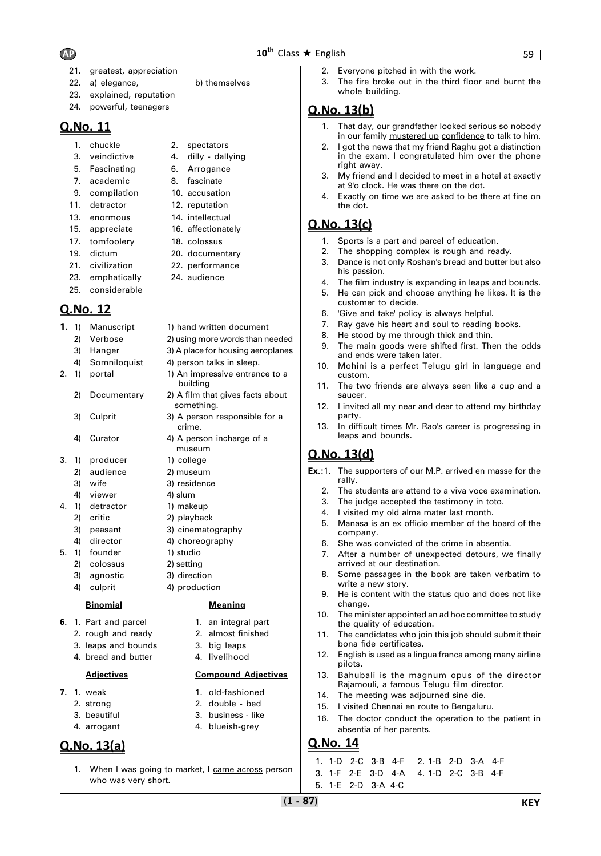- 21. greatest, appreciation
- 22. a) elegance, b) themselves
- 23. explained, reputation
- 24. powerful, teenagers

- 1. chuckle 2. spectators
- 3. veindictive 4. dilly dallying
- 5. Fascinating 6. Arrogance
- 7. academic 8. fascinate
- 9. compilation 10. accusation
- 11. detractor 12. reputation
- 13. enormous 14. intellectual
- 15. appreciate 16. affectionately
- 17. tomfoolery 18. colossus
- 19. dictum 20. documentary
- 21. civilization 22. performance
- 23. emphatically 24. audience
- 25. considerable

# **Q.No. 12**

- **1.** 1) Manuscript 1) hand written document
	- 2) Verbose 2) using more words than needed
	- 3) Hanger 3) A place for housing aeroplanes
	- 4) Somniloquist 4) person talks in sleep.
- 2. 1) portal 1) An impressive entrance to a
	- 2) Documentary 2) A film that gives facts about
	- 3) Culprit 3) A person responsible for a
	- 4) Curator 4) A person incharge of a
- 3. 1) producer 1) college
	- 2) audience 2) museum
	- 3) wife 3) residence
	- 4) viewer 4) slum
- 4. 1) detractor 1) makeup 2) critic 2) playback
	- 3) peasant 3) cinematography
	- 4) director 4) choreography
- 5. 1) founder 1) studio
	- 2) colossus 2) setting
	- 3) agnostic 3) direction 4) culprit 4) production

### **Binomial Meaning**

- **6.** 1. Part and parcel **1.** an integral part
	- 2. rough and ready 2. almost finished
		- 3. leaps and bounds 3. big leaps
		- 4. bread and butter **4.** livelihood

### **Adjectives Compound Adjectives**

- **7.** 1. weak 1. old-fashioned
	- 2. strong 2. double bed
	- 3. beautiful 3. business like
	- 4. arrogant 4. blueish-grey

# **Q.No. 13(a)**

- 
- 1. When I was going to market, I came across person who was very short.

building

something.

crime.

museum

- 2. Everyone pitched in with the work.
- 3. The fire broke out in the third floor and burnt the whole building.

# **Q.No. 13(b)**

- 1. That day, our grandfather looked serious so nobody in our family mustered up confidence to talk to him.
- 2. I got the news that my friend Raghu got a distinction in the exam. I congratulated him over the phone right away.
- 3. My friend and I decided to meet in a hotel at exactly at 9'o clock. He was there on the dot.
- 4. Exactly on time we are asked to be there at fine on the dot.

# **Q.No. 13(c)**

- 1. Sports is a part and parcel of education.
- 2. The shopping complex is rough and ready.
- 3. Dance is not only Roshan's bread and butter but also his passion.
- 4. The film industry is expanding in leaps and bounds.
- 5. He can pick and choose anything he likes. It is the customer to decide.
- 6. 'Give and take' policy is always helpful.
- 7. Ray gave his heart and soul to reading books.
- 8. He stood by me through thick and thin.
- 9. The main goods were shifted first. Then the odds and ends were taken later.
- 10. Mohini is a perfect Telugu girl in language and custom.
- 11. The two friends are always seen like a cup and a saucer.
- 12. I invited all my near and dear to attend my birthday party.
- 13. In difficult times Mr. Rao's career is progressing in leaps and bounds.

# **Q.No. 13(d)**

- **Ex.:**1. The supporters of our M.P. arrived en masse for the rally.
	- 2. The students are attend to a viva voce examination.
	- 3. The judge accepted the testimony in toto.
	- 4. I visited my old alma mater last month.
	- 5. Manasa is an ex officio member of the board of the company.
	- 6. She was convicted of the crime in absentia.
	- 7. After a number of unexpected detours, we finally arrived at our destination.
	- 8. Some passages in the book are taken verbatim to write a new story.
	- 9. He is content with the status quo and does not like change.
	- 10. The minister appointed an ad hoc committee to study the quality of education.
	- 11. The candidates who join this job should submit their bona fide certificates.
	- 12. English is used as a lingua franca among many airline pilots.
	- 13. Bahubali is the magnum opus of the director Rajamouli, a famous Telugu film director.
	- 14. The meeting was adjourned sine die.
	- 15. I visited Chennai en route to Bengaluru.
	- 16. The doctor conduct the operation to the patient in absentia of her parents.

### **Q.No. 14**

1. 1-D 2-C 3-B 4-F 2. 1-B 2-D 3-A 4-F 3. 1-F 2-E 3-D 4-A 4. 1-D 2-C 3-B 4-F 5. 1-E 2-D 3-A 4-C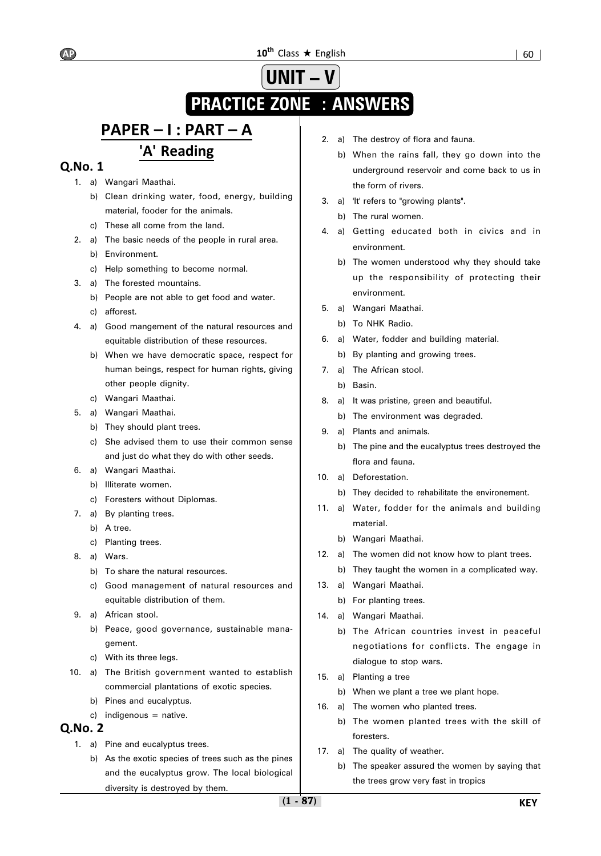# **UNIT – V PRACTICE ZONE : ANSWERS**

# **PAPER – I : PART – A 'A' Reading**

# **Q.No. 1**

- 1. a) Wangari Maathai.
	- b) Clean drinking water, food, energy, building material, fooder for the animals.
	- c) These all come from the land.
- 2. a) The basic needs of the people in rural area.
	- b) Environment.
	- c) Help something to become normal.
- 3. a) The forested mountains.
	- b) People are not able to get food and water.
	- c) afforest.
- 4. a) Good mangement of the natural resources and equitable distribution of these resources.
	- b) When we have democratic space, respect for human beings, respect for human rights, giving other people dignity.
	- c) Wangari Maathai.
- 5. a) Wangari Maathai.
	- b) They should plant trees.
	- c) She advised them to use their common sense and just do what they do with other seeds.
- 6. a) Wangari Maathai.
	- b) Illiterate women.
	- c) Foresters without Diplomas.
- 7. a) By planting trees.
	- b) A tree.
	- c) Planting trees.
- 8. a) Wars.
	- b) To share the natural resources.
	- c) Good management of natural resources and equitable distribution of them.
- 9. a) African stool.
	- b) Peace, good governance, sustainable management.
	- c) With its three legs.
- 10. a) The British government wanted to establish commercial plantations of exotic species.
	- b) Pines and eucalyptus.
	- c) indigenous = native.

- 1. a) Pine and eucalyptus trees.
	- b) As the exotic species of trees such as the pines and the eucalyptus grow. The local biological diversity is destroyed by them.
- 2. a) The destroy of flora and fauna.
	- b) When the rains fall, they go down into the underground reservoir and come back to us in the form of rivers.
- 3. a) 'It' refers to "growing plants".
	- b) The rural women.
- 4. a) Getting educated both in civics and in environment.
	- b) The women understood why they should take up the responsibility of protecting their environment.
- 5. a) Wangari Maathai.
	- b) To NHK Radio.
- 6. a) Water, fodder and building material.
	- b) By planting and growing trees.
- 7. a) The African stool.
	- b) Basin.
- 8. a) It was pristine, green and beautiful.
	- b) The environment was degraded.
- 9. a) Plants and animals.
	- b) The pine and the eucalyptus trees destroyed the flora and fauna.
- 10. a) Deforestation.
	- b) They decided to rehabilitate the environement.
- 11. a) Water, fodder for the animals and building material.
	- b) Wangari Maathai.
- 12. a) The women did not know how to plant trees.
	- b) They taught the women in a complicated way.
- 13. a) Wangari Maathai.
	- b) For planting trees.
- 14. a) Wangari Maathai.
	- b) The African countries invest in peaceful negotiations for conflicts. The engage in dialogue to stop wars.
- 15. a) Planting a tree
	- b) When we plant a tree we plant hope.
- 16. a) The women who planted trees.
	- b) The women planted trees with the skill of foresters.
- 17. a) The quality of weather.
	- b) The speaker assured the women by saying that the trees grow very fast in tropics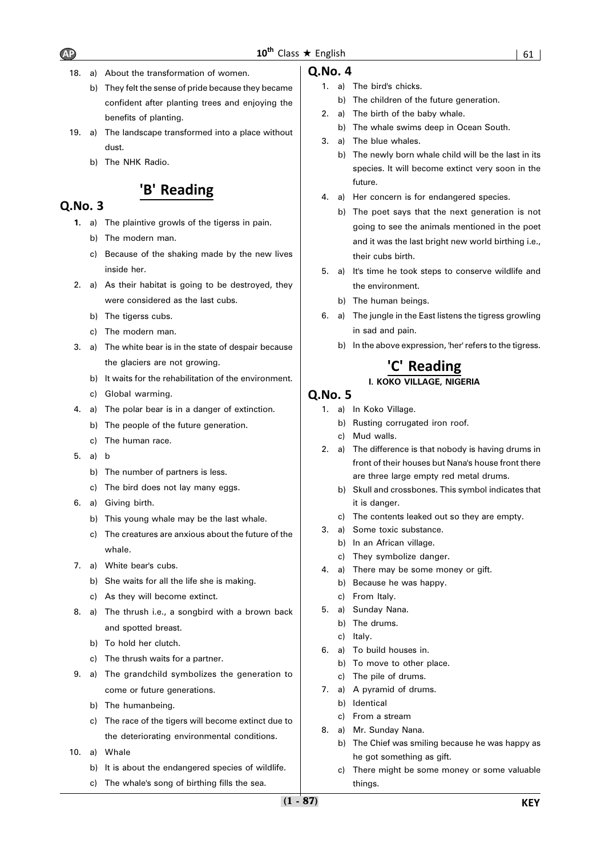

- 18. a) About the transformation of women.
	- b) They felt the sense of pride because they became confident after planting trees and enjoying the benefits of planting.
- 19. a) The landscape transformed into a place without dust.
	- b) The NHK Radio.

# **'B' Reading**

# **Q.No. 3**

- **1.** a) The plaintive growls of the tigerss in pain.
	- b) The modern man.
	- c) Because of the shaking made by the new lives inside her.
- 2. a) As their habitat is going to be destroyed, they were considered as the last cubs.
	- b) The tigerss cubs.
	- c) The modern man.
- 3. a) The white bear is in the state of despair because the glaciers are not growing.
	- b) It waits for the rehabilitation of the environment.
	- c) Global warming.
- 4. a) The polar bear is in a danger of extinction.
	- b) The people of the future generation.
	- c) The human race.
- 5. a) b
	- b) The number of partners is less.
	- c) The bird does not lay many eggs.
- 6. a) Giving birth.
	- b) This young whale may be the last whale.
	- c) The creatures are anxious about the future of the whale.
- 7. a) White bear's cubs.
	- b) She waits for all the life she is making.
	- c) As they will become extinct.
- 8. a) The thrush i.e., a songbird with a brown back and spotted breast.
	- b) To hold her clutch.
	- c) The thrush waits for a partner.
- 9. a) The grandchild symbolizes the generation to come or future generations.
	- b) The humanbeing.
	- c) The race of the tigers will become extinct due to the deteriorating environmental conditions.
- 10. a) Whale
	- b) It is about the endangered species of wildlife.
	- c) The whale's song of birthing fills the sea.

### **Q.No. 4**

- 1. a) The bird's chicks.
	- b) The children of the future generation.
- 2. a) The birth of the baby whale.
	- b) The whale swims deep in Ocean South.
- 3. a) The blue whales.
	- b) The newly born whale child will be the last in its species. It will become extinct very soon in the future.
- 4. a) Her concern is for endangered species.
	- b) The poet says that the next generation is not going to see the animals mentioned in the poet and it was the last bright new world birthing i.e., their cubs birth.
- 5. a) It's time he took steps to conserve wildlife and the environment.
	- b) The human beings.
- 6. a) The jungle in the East listens the tigress growling in sad and pain.
	- b) In the above expression, 'her' refers to the tigress.

# **'C' Reading I. KOKO VILLAGE, NIGERIA**

- 1. a) In Koko Village.
	- b) Rusting corrugated iron roof.
	- c) Mud walls.
- 2. a) The difference is that nobody is having drums in front of their houses but Nana's house front there are three large empty red metal drums.
	- b) Skull and crossbones. This symbol indicates that it is danger.
	- c) The contents leaked out so they are empty.
- 3. a) Some toxic substance.
	- b) In an African village.
	- c) They symbolize danger.
- 4. a) There may be some money or gift.
	- b) Because he was happy.
	- c) From Italy.
- 5. a) Sunday Nana.
	- b) The drums.
	- c) Italy.
- 6. a) To build houses in.
	- b) To move to other place.
	- c) The pile of drums.
- 7. a) A pyramid of drums.
	- b) Identical
	- c) From a stream
- 8. a) Mr. Sunday Nana.
	- b) The Chief was smiling because he was happy as he got something as gift.
	- c) There might be some money or some valuable things.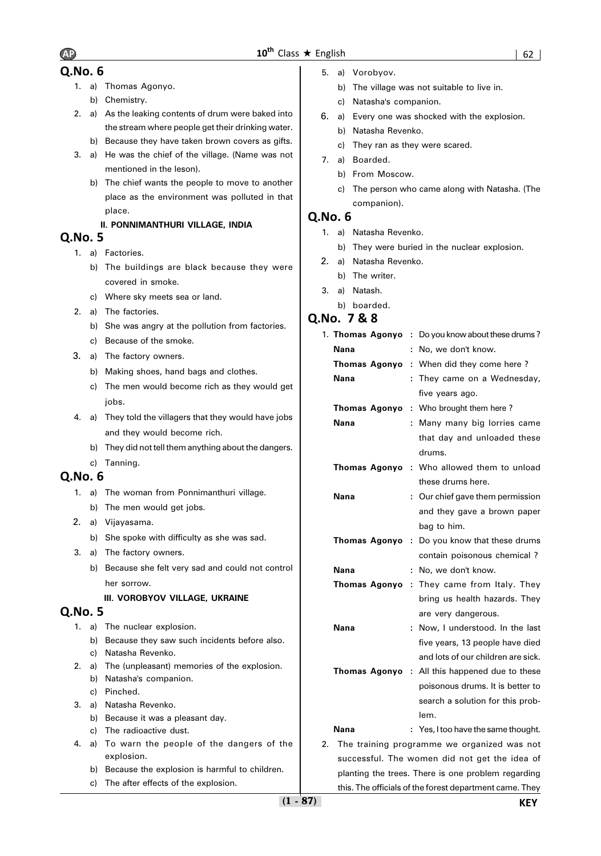- 1. a) Thomas Agonyo.
	- b) Chemistry.
- 2. a) As the leaking contents of drum were baked into the stream where people get their drinking water.
	- b) Because they have taken brown covers as gifts.
- 3. a) He was the chief of the village. (Name was not mentioned in the leson).
	- b) The chief wants the people to move to another place as the environment was polluted in that place.

# **II. PONNIMANTHURI VILLAGE, INDIA**

# **Q.No. 5**

- 1. a) Factories.
	- b) The buildings are black because they were covered in smoke.
	- c) Where sky meets sea or land.
- 2. a) The factories.
	- b) She was angry at the pollution from factories.
	- c) Because of the smoke.
- 3. a) The factory owners.
	- b) Making shoes, hand bags and clothes.
	- c) The men would become rich as they would get iobs.
- 4. a) They told the villagers that they would have jobs and they would become rich.
	- b) They did not tell them anything about the dangers.
- c) Tanning.

# **Q.No. 6**

- 1. a) The woman from Ponnimanthuri village.
	- b) The men would get jobs.
- 2. a) Vijayasama.
	- b) She spoke with difficulty as she was sad.
- 3. a) The factory owners.
	- b) Because she felt very sad and could not control her sorrow.

### **III. VOROBYOV VILLAGE, UKRAINE**

# **Q.No. 5**

- 1. a) The nuclear explosion.
	- b) Because they saw such incidents before also.
	- c) Natasha Revenko.
- 2. a) The (unpleasant) memories of the explosion.
	- b) Natasha's companion.
	- c) Pinched.
- 3. a) Natasha Revenko.
	- b) Because it was a pleasant day.
	- c) The radioactive dust.
- 4. a) To warn the people of the dangers of the explosion.
	- b) Because the explosion is harmful to children.
	- c) The after effects of the explosion.
- 5. a) Vorobyov.
	- b) The village was not suitable to live in.
	- c) Natasha's companion.
- 6. a) Every one was shocked with the explosion.
	- b) Natasha Revenko.
	- c) They ran as they were scared.
- 7. a) Boarded.
	- b) From Moscow.
	- c) The person who came along with Natasha. (The companion).

# **Q.No. 6**

- 1. a) Natasha Revenko.
	- b) They were buried in the nuclear explosion.
- 2. a) Natasha Revenko.
	- b) The writer.
- 3. a) Natash.
- b) boarded.

# **Q.No. 7 & 8**

|    | 1. Thomas Agonyo     |   | : Do you know about these drums?                      |
|----|----------------------|---|-------------------------------------------------------|
|    | Nana                 | ÷ | No, we don't know.                                    |
|    | <b>Thomas Agonyo</b> | ÷ | When did they come here?                              |
|    | Nana                 | ÷ | They came on a Wednesday,                             |
|    |                      |   | five years ago.                                       |
|    | <b>Thomas Agonyo</b> | ÷ | Who brought them here?                                |
|    | Nana                 | ÷ | Many many big lorries came                            |
|    |                      |   | that day and unloaded these                           |
|    |                      |   | drums.                                                |
|    |                      |   | Thomas Agonyo : Who allowed them to unload            |
|    |                      |   | these drums here.                                     |
|    | Nana                 |   | Our chief gave them permission                        |
|    |                      |   | and they gave a brown paper                           |
|    |                      |   | bag to him.                                           |
|    | <b>Thomas Agonyo</b> | ÷ | Do you know that these drums                          |
|    |                      |   | contain poisonous chemical ?                          |
|    | Nana                 | ÷ | No, we don't know.                                    |
|    | Thomas Agonyo        | ÷ | They came from Italy. They                            |
|    |                      |   | bring us health hazards. They                         |
|    |                      |   | are very dangerous.                                   |
|    | Nana                 | ÷ | Now, I understood. In the last                        |
|    |                      |   | five years, 13 people have died                       |
|    |                      |   | and lots of our children are sick.                    |
|    |                      |   | <b>Thomas Agonyo</b> : All this happened due to these |
|    |                      |   | poisonous drums. It is better to                      |
|    |                      |   | search a solution for this prob-                      |
|    |                      |   | lem.                                                  |
|    | Nana                 |   | : Yes, I too have the same thought.                   |
| 2. |                      |   | The training programme we organized was not           |
|    |                      |   | successful. The women did not get the idea of         |
|    |                      |   | planting the trees. There is one problem regarding    |

this. The officials of the forest department came. They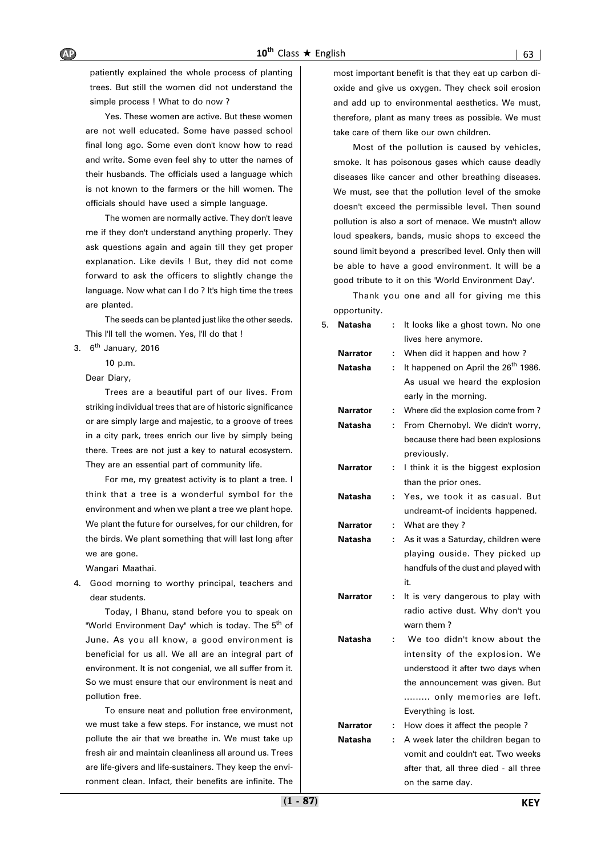patiently explained the whole process of planting trees. But still the women did not understand the simple process ! What to do now ?

Yes. These women are active. But these women are not well educated. Some have passed school final long ago. Some even don't know how to read and write. Some even feel shy to utter the names of their husbands. The officials used a language which is not known to the farmers or the hill women. The officials should have used a simple language.

The women are normally active. They don't leave me if they don't understand anything properly. They ask questions again and again till they get proper explanation. Like devils ! But, they did not come forward to ask the officers to slightly change the language. Now what can I do ? It's high time the trees are planted.

The seeds can be planted just like the other seeds. This I'll tell the women. Yes, I'll do that !

3.  $6<sup>th</sup>$  January, 2016

10 p.m.

Dear Diary,

Trees are a beautiful part of our lives. From striking individual trees that are of historic significance or are simply large and majestic, to a groove of trees in a city park, trees enrich our live by simply being there. Trees are not just a key to natural ecosystem. They are an essential part of community life.

For me, my greatest activity is to plant a tree. I think that a tree is a wonderful symbol for the environment and when we plant a tree we plant hope. We plant the future for ourselves, for our children, for the birds. We plant something that will last long after we are gone.

Wangari Maathai.

4. Good morning to worthy principal, teachers and dear students.

Today, I Bhanu, stand before you to speak on "World Environment Day" which is today. The 5<sup>th</sup> of June. As you all know, a good environment is beneficial for us all. We all are an integral part of environment. It is not congenial, we all suffer from it. So we must ensure that our environment is neat and pollution free.

To ensure neat and pollution free environment, we must take a few steps. For instance, we must not pollute the air that we breathe in. We must take up fresh air and maintain cleanliness all around us. Trees are life-givers and life-sustainers. They keep the environment clean. Infact, their benefits are infinite. The

most important benefit is that they eat up carbon dioxide and give us oxygen. They check soil erosion and add up to environmental aesthetics. We must, therefore, plant as many trees as possible. We must take care of them like our own children.

Most of the pollution is caused by vehicles, smoke. It has poisonous gases which cause deadly diseases like cancer and other breathing diseases. We must, see that the pollution level of the smoke doesn't exceed the permissible level. Then sound pollution is also a sort of menace. We mustn't allow loud speakers, bands, music shops to exceed the sound limit beyond a prescribed level. Only then will be able to have a good environment. It will be a good tribute to it on this 'World Environment Day'.

Thank you one and all for giving me this opportunity.

| 5. | Natasha         | t. | It looks like a ghost town. No one              |
|----|-----------------|----|-------------------------------------------------|
|    |                 |    | lives here anymore.                             |
|    | <b>Narrator</b> | ÷  | When did it happen and how?                     |
|    | Natasha         | ÷  | It happened on April the 26 <sup>th</sup> 1986. |
|    |                 |    | As usual we heard the explosion                 |
|    |                 |    | early in the morning.                           |
|    | <b>Narrator</b> | ÷  | Where did the explosion come from?              |
|    | Natasha         | ÷  | From Chernobyl. We didn't worry,                |
|    |                 |    | because there had been explosions               |
|    |                 |    | previously.                                     |
|    | <b>Narrator</b> | ÷  | I think it is the biggest explosion             |
|    |                 |    | than the prior ones.                            |
|    | Natasha         | t. | Yes, we took it as casual. But                  |
|    |                 |    | undreamt-of incidents happened.                 |
|    | <b>Narrator</b> | ÷  | What are they?                                  |
|    | Natasha         | ÷  | As it was a Saturday, children were             |
|    |                 |    | playing ouside. They picked up                  |
|    |                 |    | handfuls of the dust and played with            |
|    |                 |    | it.                                             |
|    | Narrator        | ÷. | It is very dangerous to play with               |
|    |                 |    | radio active dust. Why don't you                |
|    |                 |    | warn them?                                      |
|    | Natasha         | ÷  | We too didn't know about the                    |
|    |                 |    | intensity of the explosion. We                  |
|    |                 |    | understood it after two days when               |
|    |                 |    | the announcement was given. But                 |
|    |                 |    | only memories are left.                         |
|    |                 |    | Everything is lost.                             |
|    | Narrator        | ÷  | How does it affect the people?                  |
|    | Natasha         | ÷  | A week later the children began to              |
|    |                 |    | vomit and couldn't eat. Two weeks               |
|    |                 |    | after that, all three died - all three.         |

on the same day.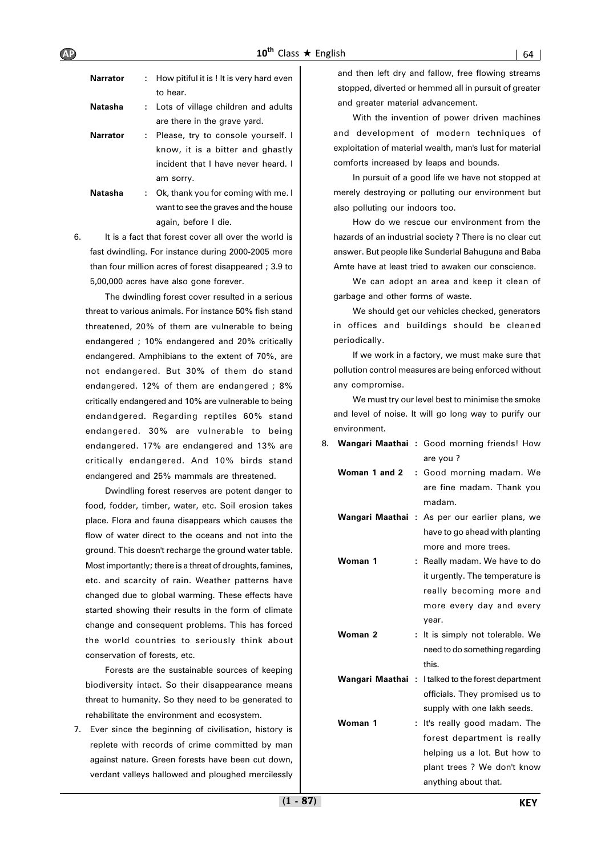| <b>Narrator</b> |    | : How pitiful it is ! It is very hard even<br>to hear. |
|-----------------|----|--------------------------------------------------------|
| Natasha         |    | : Lots of village children and adults                  |
|                 |    | are there in the grave yard.                           |
| <b>Narrator</b> |    | : Please, try to console yourself. I                   |
|                 |    | know, it is a bitter and ghastly                       |
|                 |    | incident that I have never heard. I                    |
|                 |    | am sorry.                                              |
| <b>Natasha</b>  | ÷. | Ok, thank you for coming with me. I                    |
|                 |    |                                                        |

want to see the graves and the house again, before I die.

6. It is a fact that forest cover all over the world is fast dwindling. For instance during 2000-2005 more than four million acres of forest disappeared ; 3.9 to 5,00,000 acres have also gone forever.

The dwindling forest cover resulted in a serious threat to various animals. For instance 50% fish stand threatened, 20% of them are vulnerable to being endangered ; 10% endangered and 20% critically endangered. Amphibians to the extent of 70%, are not endangered. But 30% of them do stand endangered. 12% of them are endangered ; 8% critically endangered and 10% are vulnerable to being endandgered. Regarding reptiles 60% stand endangered. 30% are vulnerable to being endangered. 17% are endangered and 13% are critically endangered. And 10% birds stand endangered and 25% mammals are threatened.

Dwindling forest reserves are potent danger to food, fodder, timber, water, etc. Soil erosion takes place. Flora and fauna disappears which causes the flow of water direct to the oceans and not into the ground. This doesn't recharge the ground water table. Most importantly; there is a threat of droughts, famines, etc. and scarcity of rain. Weather patterns have changed due to global warming. These effects have started showing their results in the form of climate change and consequent problems. This has forced the world countries to seriously think about conservation of forests, etc.

Forests are the sustainable sources of keeping biodiversity intact. So their disappearance means threat to humanity. So they need to be generated to rehabilitate the environment and ecosystem.

7. Ever since the beginning of civilisation, history is replete with records of crime committed by man against nature. Green forests have been cut down, verdant valleys hallowed and ploughed mercilessly

and then left dry and fallow, free flowing streams stopped, diverted or hemmed all in pursuit of greater and greater material advancement.

With the invention of power driven machines and development of modern techniques of exploitation of material wealth, man's lust for material comforts increased by leaps and bounds.

In pursuit of a good life we have not stopped at merely destroying or polluting our environment but also polluting our indoors too.

How do we rescue our environment from the hazards of an industrial society ? There is no clear cut answer. But people like Sunderlal Bahuguna and Baba Amte have at least tried to awaken our conscience.

We can adopt an area and keep it clean of garbage and other forms of waste.

We should get our vehicles checked, generators in offices and buildings should be cleaned periodically.

If we work in a factory, we must make sure that pollution control measures are being enforced without any compromise.

We must try our level best to minimise the smoke and level of noise. It will go long way to purify our environment.

| 8. |                  |    | Wangari Maathai: Good morning friends! How     |
|----|------------------|----|------------------------------------------------|
|    |                  |    | are you?                                       |
|    | Woman 1 and 2    |    | : Good morning madam. We                       |
|    |                  |    | are fine madam. Thank you                      |
|    |                  |    | madam.                                         |
|    |                  |    | Wangari Maathai : As per our earlier plans, we |
|    |                  |    | have to go ahead with planting                 |
|    |                  |    | more and more trees.                           |
|    | Woman 1          | ÷. | Really madam. We have to do                    |
|    |                  |    | it urgently. The temperature is                |
|    |                  |    | really becoming more and                       |
|    |                  |    | more every day and every                       |
|    |                  |    | year.                                          |
|    | Woman 2          |    | It is simply not tolerable. We                 |
|    |                  |    | need to do something regarding                 |
|    |                  |    | this.                                          |
|    | Wangari Maathai: |    | I talked to the forest department              |
|    |                  |    | officials. They promised us to                 |
|    |                  |    | supply with one lakh seeds.                    |
|    | Woman 1          |    | It's really good madam. The                    |
|    |                  |    | forest department is really                    |
|    |                  |    | helping us a lot. But how to                   |
|    |                  |    | plant trees ? We don't know                    |
|    |                  |    | anything about that.                           |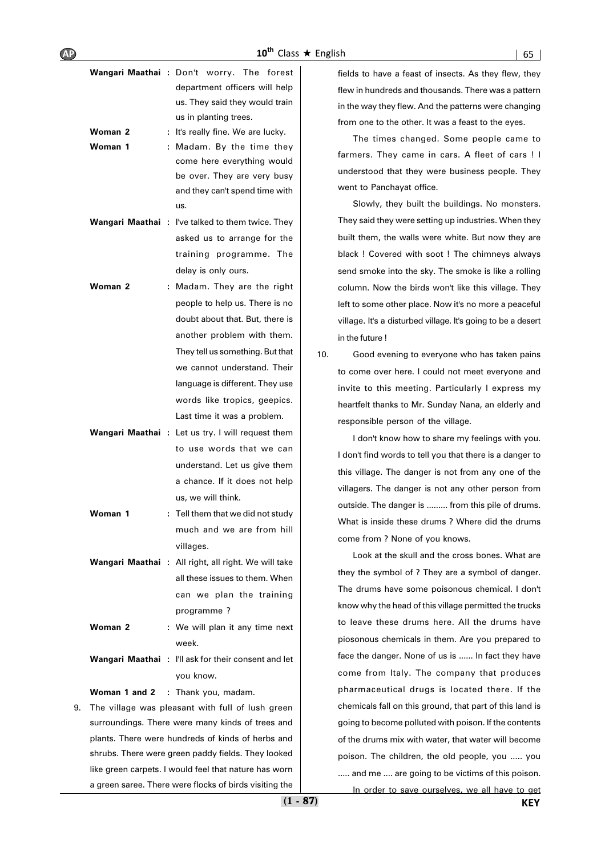|                 | Wangari Maathai : Don't worry. The<br>forest<br>department officers will help<br>us. They said they would train<br>us in planting trees. |
|-----------------|------------------------------------------------------------------------------------------------------------------------------------------|
| Woman 2         | : It's really fine. We are lucky.                                                                                                        |
| Woman 1         | : Madam. By the time they                                                                                                                |
|                 | come here everything would                                                                                                               |
|                 | be over. They are very busy                                                                                                              |
|                 | and they can't spend time with                                                                                                           |
|                 | us.                                                                                                                                      |
| Wangari Maathai | : I've talked to them twice. They                                                                                                        |
|                 | asked us to arrange for the                                                                                                              |
|                 | training programme. The                                                                                                                  |
|                 | delay is only ours.                                                                                                                      |
| Woman 2         | Madam. They are the right                                                                                                                |
|                 | people to help us. There is no                                                                                                           |
|                 | doubt about that. But, there is                                                                                                          |
|                 | another problem with them.                                                                                                               |
|                 | They tell us something. But that                                                                                                         |
|                 | we cannot understand. Their                                                                                                              |
|                 | language is different. They use                                                                                                          |
|                 | words like tropics, geepics.                                                                                                             |
|                 | Last time it was a problem.                                                                                                              |
|                 |                                                                                                                                          |
|                 | Wangari Maathai : Let us try. I will request them<br>to use words that we can                                                            |
|                 |                                                                                                                                          |
|                 | understand. Let us give them                                                                                                             |
|                 | a chance. If it does not help                                                                                                            |
|                 | us, we will think.                                                                                                                       |
| Woman 1         | $:$ Tell them that we did not study $\:$                                                                                                 |
|                 | much and we are from hill                                                                                                                |
|                 | villages.                                                                                                                                |
|                 | Wangari Maathai : All right, all right. We will take                                                                                     |
|                 | all these issues to them. When                                                                                                           |
|                 | can we plan the training                                                                                                                 |
|                 | programme?                                                                                                                               |
| Woman 2         | : We will plan it any time next                                                                                                          |
|                 | week.                                                                                                                                    |
|                 | Wangari Maathai : I'll ask for their consent and let                                                                                     |
|                 | you know.                                                                                                                                |
|                 | <b>Woman 1 and 2</b> : Thank you, madam.                                                                                                 |
| 9.              | The village was pleasant with full of lush green                                                                                         |
|                 | surroundings. There were many kinds of trees and                                                                                         |

plants. There were hundreds of kinds of herbs and shrubs. There were green paddy fields. They looked like green carpets. I would feel that nature has worn a green saree. There were flocks of birds visiting the

fields to have a feast of insects. As they flew, they flew in hundreds and thousands. There was a pattern in the way they flew. And the patterns were changing from one to the other. It was a feast to the eyes.

The times changed. Some people came to farmers. They came in cars. A fleet of cars ! I understood that they were business people. They went to Panchayat office.

Slowly, they built the buildings. No monsters. They said they were setting up industries. When they built them, the walls were white. But now they are black ! Covered with soot ! The chimneys always send smoke into the sky. The smoke is like a rolling column. Now the birds won't like this village. They left to some other place. Now it's no more a peaceful village. It's a disturbed village. It's going to be a desert in the future !

10. Good evening to everyone who has taken pains to come over here. I could not meet everyone and invite to this meeting. Particularly I express my heartfelt thanks to Mr. Sunday Nana, an elderly and responsible person of the village.

I don't know how to share my feelings with you. I don't find words to tell you that there is a danger to this village. The danger is not from any one of the villagers. The danger is not any other person from outside. The danger is ......... from this pile of drums. What is inside these drums ? Where did the drums come from ? None of you knows.

Look at the skull and the cross bones. What are they the symbol of ? They are a symbol of danger. The drums have some poisonous chemical. I don't know why the head of this village permitted the trucks to leave these drums here. All the drums have piosonous chemicals in them. Are you prepared to face the danger. None of us is ...... In fact they have come from Italy. The company that produces pharmaceutical drugs is located there. If the chemicals fall on this ground, that part of this land is going to become polluted with poison. If the contents of the drums mix with water, that water will become poison. The children, the old people, you ..... you ..... and me .... are going to be victims of this poison.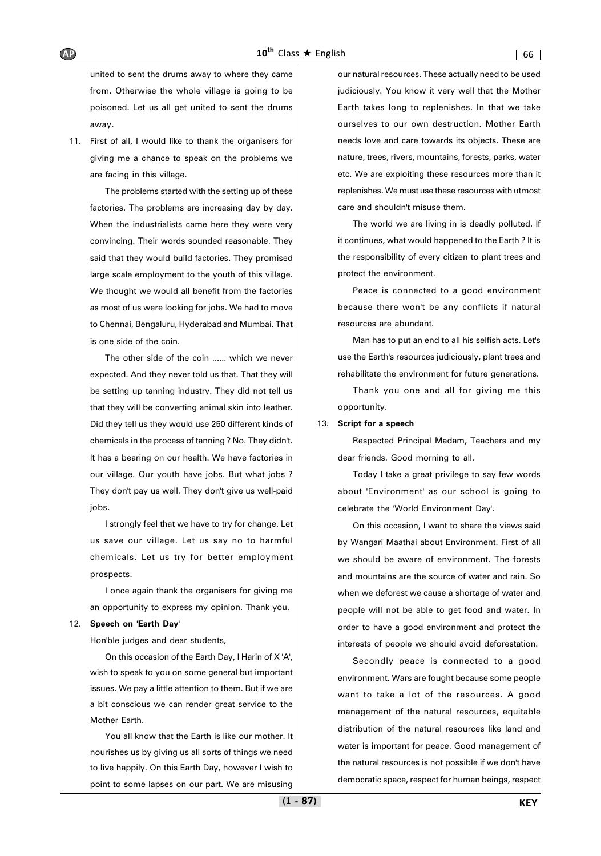united to sent the drums away to where they came from. Otherwise the whole village is going to be poisoned. Let us all get united to sent the drums away.

11. First of all, I would like to thank the organisers for giving me a chance to speak on the problems we are facing in this village.

The problems started with the setting up of these factories. The problems are increasing day by day. When the industrialists came here they were very convincing. Their words sounded reasonable. They said that they would build factories. They promised large scale employment to the youth of this village. We thought we would all benefit from the factories as most of us were looking for jobs. We had to move to Chennai, Bengaluru, Hyderabad and Mumbai. That is one side of the coin.

The other side of the coin ...... which we never expected. And they never told us that. That they will be setting up tanning industry. They did not tell us that they will be converting animal skin into leather. Did they tell us they would use 250 different kinds of chemicals in the process of tanning ? No. They didn't. It has a bearing on our health. We have factories in our village. Our youth have jobs. But what jobs ? They don't pay us well. They don't give us well-paid jobs.

I strongly feel that we have to try for change. Let us save our village. Let us say no to harmful chemicals. Let us try for better employment prospects.

I once again thank the organisers for giving me an opportunity to express my opinion. Thank you.

#### 12. **Speech on 'Earth Day'**

Hon'ble judges and dear students,

On this occasion of the Earth Day, I Harin of X 'A', wish to speak to you on some general but important issues. We pay a little attention to them. But if we are a bit conscious we can render great service to the Mother Earth.

You all know that the Earth is like our mother. It nourishes us by giving us all sorts of things we need to live happily. On this Earth Day, however I wish to point to some lapses on our part. We are misusing

our natural resources. These actually need to be used judiciously. You know it very well that the Mother Earth takes long to replenishes. In that we take ourselves to our own destruction. Mother Earth needs love and care towards its objects. These are nature, trees, rivers, mountains, forests, parks, water etc. We are exploiting these resources more than it replenishes. We must use these resources with utmost care and shouldn't misuse them.

The world we are living in is deadly polluted. If it continues, what would happened to the Earth ? It is the responsibility of every citizen to plant trees and protect the environment.

Peace is connected to a good environment because there won't be any conflicts if natural resources are abundant.

Man has to put an end to all his selfish acts. Let's use the Earth's resources judiciously, plant trees and rehabilitate the environment for future generations.

Thank you one and all for giving me this opportunity.

#### 13. **Script for a speech**

Respected Principal Madam, Teachers and my dear friends. Good morning to all.

Today I take a great privilege to say few words about 'Environment' as our school is going to celebrate the 'World Environment Day'.

On this occasion, I want to share the views said by Wangari Maathai about Environment. First of all we should be aware of environment. The forests and mountains are the source of water and rain. So when we deforest we cause a shortage of water and people will not be able to get food and water. In order to have a good environment and protect the interests of people we should avoid deforestation.

Secondly peace is connected to a good environment. Wars are fought because some people want to take a lot of the resources. A good management of the natural resources, equitable distribution of the natural resources like land and water is important for peace. Good management of the natural resources is not possible if we don't have democratic space, respect for human beings, respect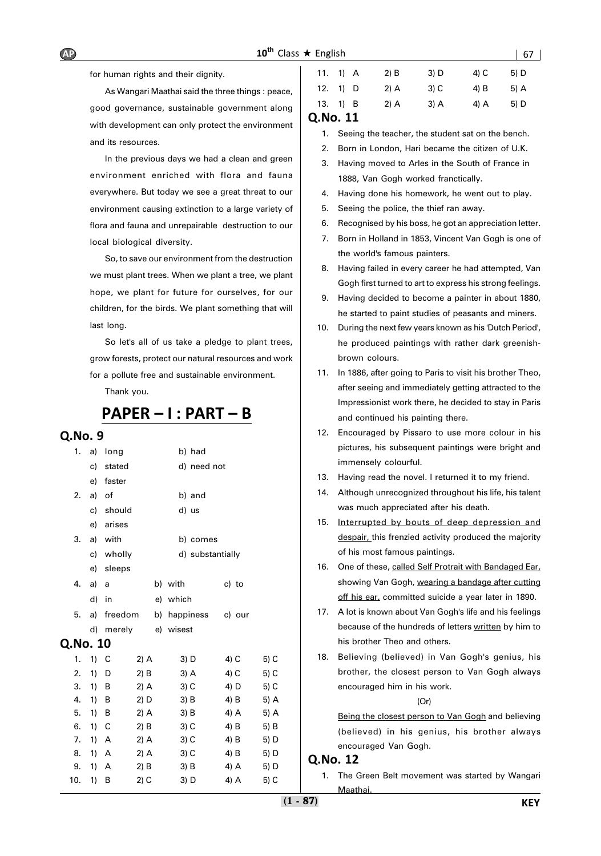# $10^{\text{th}}$  Class  $\star$  English  $\vert$  67  $\vert$

for human rights and their dignity.

As Wangari Maathai said the three things : peace, good governance, sustainable government along with development can only protect the environment and its resources.

In the previous days we had a clean and green environment enriched with flora and fauna everywhere. But today we see a great threat to our environment causing extinction to a large variety of flora and fauna and unrepairable destruction to our local biological diversity.

So, to save our environment from the destruction we must plant trees. When we plant a tree, we plant hope, we plant for future for ourselves, for our children, for the birds. We plant something that will last long.

So let's all of us take a pledge to plant trees, grow forests, protect our natural resources and work for a pollute free and sustainable environment.

Thank you.

# **PAPER – I : PART – B**

### **Q.No. 9**

| 1.       | a) | long    |        | b) had           |        |      |
|----------|----|---------|--------|------------------|--------|------|
|          | c) | stated  |        | d) need not      |        |      |
|          | e) | faster  |        |                  |        |      |
| 2.       | a) | of      |        | b) and           |        |      |
|          | c) | should  |        | d) us            |        |      |
|          | e) | arises  |        |                  |        |      |
| 3.       | a) | with    |        | b) comes         |        |      |
|          | c) | wholly  |        | d) substantially |        |      |
|          | e) | sleeps  |        |                  |        |      |
| 4.       | a) | a       |        | b) with          | c) to  |      |
|          | d) | in      |        | e) which         |        |      |
| 5.       | a) | freedom |        | b) happiness     | c) our |      |
|          | d) | merely  |        | e) wisest        |        |      |
| Q.No. 10 |    |         |        |                  |        |      |
| 1.       | 1) | C       | $2)$ A | 3) D             | 4) C   | 5) C |
| 2.       | 1) | D       | 2) B   | 3) A             | 4) C   | 5) C |
| 3.       | 1) | в       | $2)$ A | 3) C             | 4) D   | 5) C |
| 4.       | 1) | B       | $2)$ D | 3) B             | 4) B   | 5) A |
| 5.       | 1) | В       | 2) A   | 3) B             | 4) A   | 5) A |
| 6.       | 1) | C       | 2) B   | 3) C             | 4) B   | 5) B |
| 7.       | 1) | Α       | 2) A   | 3) C             | 4) B   | 5) D |
| 8.       | 1) | A       | $2)$ A | 3) C             | 4) B   | 5) D |
| 9.       | 1) | Α       | $2)$ B | 3) B             | 4) A   | 5) D |
| 10.      | 1) | В       | $2)$ C | 3) D             | 4) A   | 5) C |
|          |    |         |        |                  |        |      |

| <b>ONA 11</b> |            |        |        |      |      |
|---------------|------------|--------|--------|------|------|
|               | 13. $1)$ B | $2)$ A | 3) A   | 4) A | 5) D |
|               | 12. $1)$ D | $2)$ A | $3)$ C | 4) B | 5) A |
|               | 11. $1)$ A | $2)$ B | 3) D   | 4) C | 5) D |

### **Q.No. 11**

- 1. Seeing the teacher, the student sat on the bench.
- 2. Born in London, Hari became the citizen of U.K.
- 3. Having moved to Arles in the South of France in 1888, Van Gogh worked franctically.
- 4. Having done his homework, he went out to play.
- 5. Seeing the police, the thief ran away.
- 6. Recognised by his boss, he got an appreciation letter.
- 7. Born in Holland in 1853, Vincent Van Gogh is one of the world's famous painters.
- 8. Having failed in every career he had attempted, Van Gogh first turned to art to express his strong feelings.
- 9. Having decided to become a painter in about 1880, he started to paint studies of peasants and miners.
- 10. During the next few years known as his 'Dutch Period', he produced paintings with rather dark greenishbrown colours.
- 11. In 1886, after going to Paris to visit his brother Theo, after seeing and immediately getting attracted to the Impressionist work there, he decided to stay in Paris and continued his painting there.
- 12. Encouraged by Pissaro to use more colour in his pictures, his subsequent paintings were bright and immensely colourful.
- 13. Having read the novel. I returned it to my friend.
- 14. Although unrecognized throughout his life, his talent was much appreciated after his death.
- 15. Interrupted by bouts of deep depression and despair, this frenzied activity produced the majority of his most famous paintings.
- 16. One of these, called Self Protrait with Bandaged Ear, showing Van Gogh, wearing a bandage after cutting off his ear, committed suicide a year later in 1890.
- 17. A lot is known about Van Gogh's life and his feelings because of the hundreds of letters written by him to his brother Theo and others.
- 18. Believing (believed) in Van Gogh's genius, his brother, the closest person to Van Gogh always encouraged him in his work.

(Or)

Being the closest person to Van Gogh and believing (believed) in his genius, his brother always encouraged Van Gogh.

### **Q.No. 12**

1. The Green Belt movement was started by Wangari **Maathai**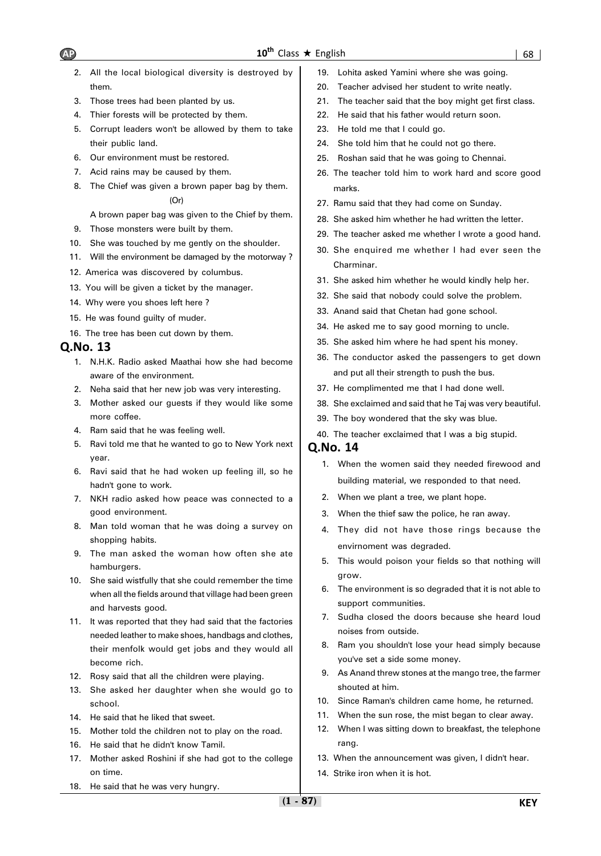- 2. All the local biological diversity is destroyed by them.
- 3. Those trees had been planted by us.
- 4. Thier forests will be protected by them.
- 5. Corrupt leaders won't be allowed by them to take their public land.
- 6. Our environment must be restored.
- 7. Acid rains may be caused by them.
- 8. The Chief was given a brown paper bag by them. (Or)

### A brown paper bag was given to the Chief by them.

- 9. Those monsters were built by them.
- 10. She was touched by me gently on the shoulder.
- 11. Will the environment be damaged by the motorway ?
- 12. America was discovered by columbus.
- 13. You will be given a ticket by the manager.
- 14. Why were you shoes left here ?
- 15. He was found guilty of muder.
- 16. The tree has been cut down by them.

# **Q.No. 13**

- 1. N.H.K. Radio asked Maathai how she had become aware of the environment.
- 2. Neha said that her new job was very interesting.
- 3. Mother asked our guests if they would like some more coffee.
- 4. Ram said that he was feeling well.
- 5. Ravi told me that he wanted to go to New York next year.
- 6. Ravi said that he had woken up feeling ill, so he hadn't gone to work.
- 7. NKH radio asked how peace was connected to a good environment.
- 8. Man told woman that he was doing a survey on shopping habits.
- 9. The man asked the woman how often she ate hamburgers.
- 10. She said wistfully that she could remember the time when all the fields around that village had been green and harvests good.
- 11. It was reported that they had said that the factories needed leather to make shoes, handbags and clothes, their menfolk would get jobs and they would all become rich.
- 12. Rosy said that all the children were playing.
- 13. She asked her daughter when she would go to school.
- 14. He said that he liked that sweet.
- 15. Mother told the children not to play on the road.
- 16. He said that he didn't know Tamil.
- 17. Mother asked Roshini if she had got to the college on time.
- 18. He said that he was very hungry.
- 19. Lohita asked Yamini where she was going.
- 20. Teacher advised her student to write neatly.
- 21. The teacher said that the boy might get first class.
- 22. He said that his father would return soon.
- 23. He told me that I could go.
- 24. She told him that he could not go there.
- 25. Roshan said that he was going to Chennai.
- 26. The teacher told him to work hard and score good marks.
- 27. Ramu said that they had come on Sunday.
- 28. She asked him whether he had written the letter.
- 29. The teacher asked me whether I wrote a good hand.
- 30. She enquired me whether I had ever seen the Charminar.
- 31. She asked him whether he would kindly help her.
- 32. She said that nobody could solve the problem.
- 33. Anand said that Chetan had gone school.
- 34. He asked me to say good morning to uncle.
- 35. She asked him where he had spent his money.
- 36. The conductor asked the passengers to get down and put all their strength to push the bus.
- 37. He complimented me that I had done well.
- 38. She exclaimed and said that he Taj was very beautiful.
- 39. The boy wondered that the sky was blue.
- 40. The teacher exclaimed that I was a big stupid.

- 1. When the women said they needed firewood and building material, we responded to that need.
- 2. When we plant a tree, we plant hope.
- 3. When the thief saw the police, he ran away.
- 4. They did not have those rings because the envirnoment was degraded.
- 5. This would poison your fields so that nothing will grow.
- 6. The environment is so degraded that it is not able to support communities.
- 7. Sudha closed the doors because she heard loud noises from outside.
- 8. Ram you shouldn't lose your head simply because you've set a side some money.
- 9. As Anand threw stones at the mango tree, the farmer shouted at him.
- 10. Since Raman's children came home, he returned.
- 11. When the sun rose, the mist began to clear away.
- 12. When I was sitting down to breakfast, the telephone rang.
- 13. When the announcement was given, I didn't hear.
- 14. Strike iron when it is hot.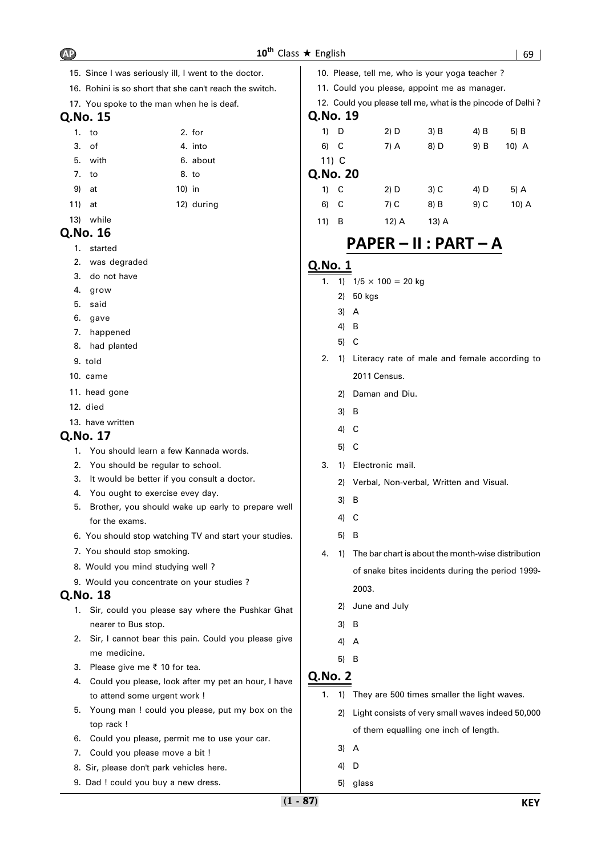- 15. Since I was seriously ill, I went to the doctor.
- 16. Rohini is so short that she can't reach the switch.
- 17. You spoke to the man when he is deaf.

|       | 1. to   | 2. for   |
|-------|---------|----------|
|       | 3. of   | 4. into  |
|       | 5. with | 6. about |
| 7. to |         | 8. to    |

- 9) at 10) in
- 11) at 12) during
- 13) while

# **Q.No. 16**

- 1. started
- 2. was degraded
- 3. do not have
- 4. grow
- 5. said
- 6. gave
- 7. happened
- 8. had planted
- 9. told
- 10. came
- 11. head gone
- 12. died
- 13. have written

# **Q.No. 17**

- 1. You should learn a few Kannada words.
- 2. You should be regular to school.
- 3. It would be better if you consult a doctor.
- 4. You ought to exercise evey day.
- 5. Brother, you should wake up early to prepare well for the exams.
- 6. You should stop watching TV and start your studies.
- 7. You should stop smoking.
- 8. Would you mind studying well ?
- 9. Would you concentrate on your studies ?

# **Q.No. 18**

- 1. Sir, could you please say where the Pushkar Ghat nearer to Bus stop.
- 2. Sir, I cannot bear this pain. Could you please give me medicine.
- 3. Please give me  $\bar{z}$  10 for tea.
- 4. Could you please, look after my pet an hour, I have to attend some urgent work !
- 5. Young man ! could you please, put my box on the top rack !
- 6. Could you please, permit me to use your car.
- 7. Could you please move a bit !
- 8. Sir, please don't park vehicles here.
- 9. Dad ! could you buy a new dress.
- 10. Please, tell me, who is your yoga teacher ?
- 11. Could you please, appoint me as manager.
- 12. Could you please tell me, what is the pincode of Delhi ? **Q.No. 19**

| 1) D     | $2)$ D | 3) B   | $4)$ B | 5) B    |  |  |
|----------|--------|--------|--------|---------|--|--|
| 6) C     | 7) A   | 8) D   | 9) B   | $10)$ A |  |  |
| 11) $C$  |        |        |        |         |  |  |
| Q.No. 20 |        |        |        |         |  |  |
| $1)$ C   | 2) D   | $3)$ C | 4) D   | 5) A    |  |  |
| 6)<br>-C | $7)$ C | 8) B   | $9)$ C | 10) A   |  |  |
|          |        |        |        |         |  |  |

11) B 12) A 13) A

# **PAPER – II : PART – A**

# **Q.No. 1**

- 1. 1)  $1/5 \times 100 = 20$  kg
	- 2) 50 kgs
	- 3) A
	- 4) B
	- 5) C
- 2. 1) Literacy rate of male and female according to 2011 Census.
	- 2) Daman and Diu.
	- 3) B
	- 4) C
	- 5) C
- 3. 1) Electronic mail.
	- 2) Verbal, Non-verbal, Written and Visual.
	- 3) B
	- 4) C
	- 5) B
- 4. 1) The bar chart is about the month-wise distribution of snake bites incidents during the period 1999- 2003.
	- 2) June and July
	- 3) B
	- 4) A
	- 5) B

- 1. 1) They are 500 times smaller the light waves.
	- 2) Light consists of very small waves indeed 50,000 of them equalling one inch of length.
	- 3) A
	- 4) D
	- 5) glass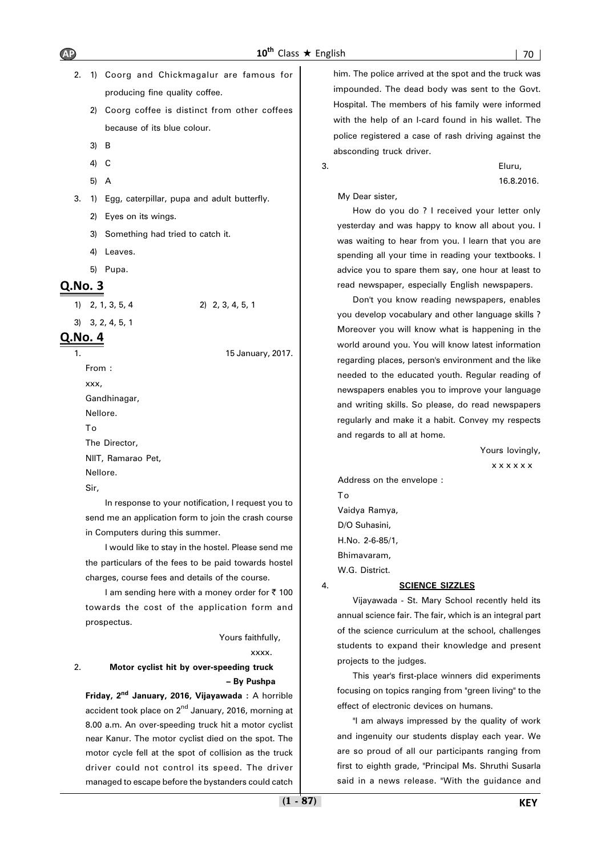- 2. 1) Coorg and Chickmagalur are famous for producing fine quality coffee.
	- 2) Coorg coffee is distinct from other coffees because of its blue colour.
	- 3) B
	- 4) C
	- 5) A

3. 1) Egg, caterpillar, pupa and adult butterfly.

- 2) Eyes on its wings.
- 3) Something had tried to catch it.
- 4) Leaves.
- 5) Pupa.

## **Q.No. 3**

1) 2, 1, 3, 5, 4 2) 2, 3, 4, 5, 1

3) 3, 2, 4, 5, 1

# **Q.No. 4**

15 January, 2017.

From : xxx, Gandhinagar, Nellore. To The Director, NIIT, Ramarao Pet, Nellore.

Sir,

In response to your notification, I request you to send me an application form to join the crash course in Computers during this summer.

I would like to stay in the hostel. Please send me the particulars of the fees to be paid towards hostel charges, course fees and details of the course.

I am sending here with a money order for  $\bar{\tau}$  100 towards the cost of the application form and prospectus.

### Yours faithfully,

xxxx.

### 2. **Motor cyclist hit by over-speeding truck – By Pushpa**

**Friday, 2nd January, 2016, Vijayawada :** A horrible accident took place on 2<sup>nd</sup> January, 2016, morning at 8.00 a.m. An over-speeding truck hit a motor cyclist near Kanur. The motor cyclist died on the spot. The motor cycle fell at the spot of collision as the truck driver could not control its speed. The driver managed to escape before the bystanders could catch

him. The police arrived at the spot and the truck was impounded. The dead body was sent to the Govt. Hospital. The members of his family were informed with the help of an I-card found in his wallet. The police registered a case of rash driving against the absconding truck driver.

3. Eluru, 16.8.2016.

My Dear sister,

How do you do ? I received your letter only yesterday and was happy to know all about you. I was waiting to hear from you. I learn that you are spending all your time in reading your textbooks. I advice you to spare them say, one hour at least to read newspaper, especially English newspapers.

Don't you know reading newspapers, enables you develop vocabulary and other language skills ? Moreover you will know what is happening in the world around you. You will know latest information regarding places, person's environment and the like needed to the educated youth. Regular reading of newspapers enables you to improve your language and writing skills. So please, do read newspapers regularly and make it a habit. Convey my respects and regards to all at home.

Yours lovingly,

x x x x x x

Address on the envelope : To Vaidya Ramya, D/O Suhasini, H.No. 2-6-85/1, Bhimavaram, W.G. District.

#### 4. **SCIENCE SIZZLES**

Vijayawada - St. Mary School recently held its annual science fair. The fair, which is an integral part of the science curriculum at the school, challenges students to expand their knowledge and present projects to the judges.

This year's first-place winners did experiments focusing on topics ranging from "green living" to the effect of electronic devices on humans.

"I am always impressed by the quality of work and ingenuity our students display each year. We are so proud of all our participants ranging from first to eighth grade, "Principal Ms. Shruthi Susarla said in a news release. "With the guidance and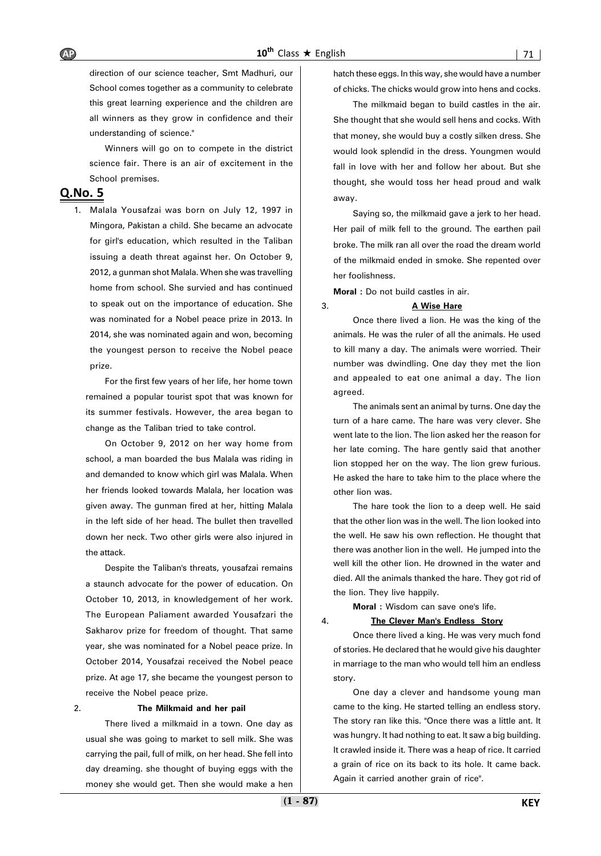direction of our science teacher, Smt Madhuri, our School comes together as a community to celebrate this great learning experience and the children are all winners as they grow in confidence and their understanding of science."

Winners will go on to compete in the district science fair. There is an air of excitement in the School premises.

## **Q.No. 5**

1. Malala Yousafzai was born on July 12, 1997 in Mingora, Pakistan a child. She became an advocate for girl's education, which resulted in the Taliban issuing a death threat against her. On October 9, 2012, a gunman shot Malala. When she was travelling home from school. She survied and has continued to speak out on the importance of education. She was nominated for a Nobel peace prize in 2013. In 2014, she was nominated again and won, becoming the youngest person to receive the Nobel peace prize.

For the first few years of her life, her home town remained a popular tourist spot that was known for its summer festivals. However, the area began to change as the Taliban tried to take control.

On October 9, 2012 on her way home from school, a man boarded the bus Malala was riding in and demanded to know which girl was Malala. When her friends looked towards Malala, her location was given away. The gunman fired at her, hitting Malala in the left side of her head. The bullet then travelled down her neck. Two other girls were also injured in the attack.

Despite the Taliban's threats, yousafzai remains a staunch advocate for the power of education. On October 10, 2013, in knowledgement of her work. The European Paliament awarded Yousafzari the Sakharov prize for freedom of thought. That same year, she was nominated for a Nobel peace prize. In October 2014, Yousafzai received the Nobel peace prize. At age 17, she became the youngest person to receive the Nobel peace prize.

### 2. **The Milkmaid and her pail**

There lived a milkmaid in a town. One day as usual she was going to market to sell milk. She was carrying the pail, full of milk, on her head. She fell into day dreaming. she thought of buying eggs with the money she would get. Then she would make a hen

hatch these eggs. In this way, she would have a number of chicks. The chicks would grow into hens and cocks.

The milkmaid began to build castles in the air. She thought that she would sell hens and cocks. With that money, she would buy a costly silken dress. She would look splendid in the dress. Youngmen would fall in love with her and follow her about. But she thought, she would toss her head proud and walk away.

Saying so, the milkmaid gave a jerk to her head. Her pail of milk fell to the ground. The earthen pail broke. The milk ran all over the road the dream world of the milkmaid ended in smoke. She repented over her foolishness.

**Moral :** Do not build castles in air.

#### 3. **A Wise Hare**

Once there lived a lion. He was the king of the animals. He was the ruler of all the animals. He used to kill many a day. The animals were worried. Their number was dwindling. One day they met the lion and appealed to eat one animal a day. The lion agreed.

The animals sent an animal by turns. One day the turn of a hare came. The hare was very clever. She went late to the lion. The lion asked her the reason for her late coming. The hare gently said that another lion stopped her on the way. The lion grew furious. He asked the hare to take him to the place where the other lion was.

The hare took the lion to a deep well. He said that the other lion was in the well. The lion looked into the well. He saw his own reflection. He thought that there was another lion in the well. He jumped into the well kill the other lion. He drowned in the water and died. All the animals thanked the hare. They got rid of the lion. They live happily.

**Moral :** Wisdom can save one's life.

#### 4. **The Clever Man's Endless Story**

Once there lived a king. He was very much fond of stories. He declared that he would give his daughter in marriage to the man who would tell him an endless story.

One day a clever and handsome young man came to the king. He started telling an endless story. The story ran like this. "Once there was a little ant. It was hungry. It had nothing to eat. It saw a big building. It crawled inside it. There was a heap of rice. It carried a grain of rice on its back to its hole. It came back. Again it carried another grain of rice".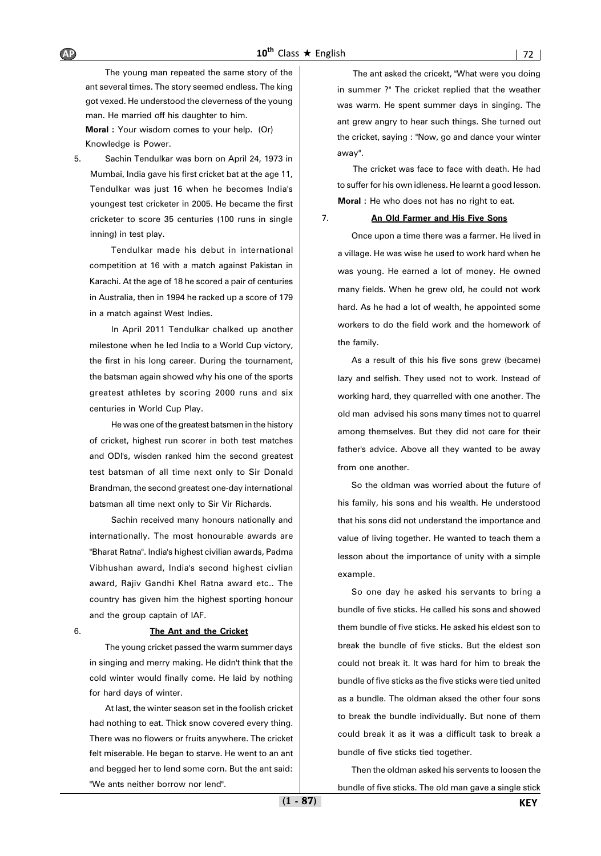The young man repeated the same story of the ant several times. The story seemed endless. The king got vexed. He understood the cleverness of the young man. He married off his daughter to him.

**Moral :** Your wisdom comes to your help. (Or) Knowledge is Power.

5. Sachin Tendulkar was born on April 24, 1973 in Mumbai, India gave his first cricket bat at the age 11, Tendulkar was just 16 when he becomes India's youngest test cricketer in 2005. He became the first cricketer to score 35 centuries (100 runs in single inning) in test play.

Tendulkar made his debut in international competition at 16 with a match against Pakistan in Karachi. At the age of 18 he scored a pair of centuries in Australia, then in 1994 he racked up a score of 179 in a match against West Indies.

In April 2011 Tendulkar chalked up another milestone when he led India to a World Cup victory, the first in his long career. During the tournament, the batsman again showed why his one of the sports greatest athletes by scoring 2000 runs and six centuries in World Cup Play.

He was one of the greatest batsmen in the history of cricket, highest run scorer in both test matches and ODI's, wisden ranked him the second greatest test batsman of all time next only to Sir Donald Brandman, the second greatest one-day international batsman all time next only to Sir Vir Richards.

Sachin received many honours nationally and internationally. The most honourable awards are "Bharat Ratna". India's highest civilian awards, Padma Vibhushan award, India's second highest civlian award, Rajiv Gandhi Khel Ratna award etc.. The country has given him the highest sporting honour and the group captain of IAF.

#### 6. **The Ant and the Cricket**

The young cricket passed the warm summer days in singing and merry making. He didn't think that the cold winter would finally come. He laid by nothing for hard days of winter.

At last, the winter season set in the foolish cricket had nothing to eat. Thick snow covered every thing. There was no flowers or fruits anywhere. The cricket felt miserable. He began to starve. He went to an ant and begged her to lend some corn. But the ant said: "We ants neither borrow nor lend".

The ant asked the cricekt, "What were you doing in summer ?" The cricket replied that the weather was warm. He spent summer days in singing. The ant grew angry to hear such things. She turned out the cricket, saying : "Now, go and dance your winter away".

The cricket was face to face with death. He had to suffer for his own idleness. He learnt a good lesson. **Moral :** He who does not has no right to eat.

#### 7. **An Old Farmer and His Five Sons**

Once upon a time there was a farmer. He lived in a village. He was wise he used to work hard when he was young. He earned a lot of money. He owned many fields. When he grew old, he could not work hard. As he had a lot of wealth, he appointed some workers to do the field work and the homework of the family.

As a result of this his five sons grew (became) lazy and selfish. They used not to work. Instead of working hard, they quarrelled with one another. The old man advised his sons many times not to quarrel among themselves. But they did not care for their father's advice. Above all they wanted to be away from one another.

So the oldman was worried about the future of his family, his sons and his wealth. He understood that his sons did not understand the importance and value of living together. He wanted to teach them a lesson about the importance of unity with a simple example.

So one day he asked his servants to bring a bundle of five sticks. He called his sons and showed them bundle of five sticks. He asked his eldest son to break the bundle of five sticks. But the eldest son could not break it. It was hard for him to break the bundle of five sticks as the five sticks were tied united as a bundle. The oldman aksed the other four sons to break the bundle individually. But none of them could break it as it was a difficult task to break a bundle of five sticks tied together.

Then the oldman asked his servents to loosen the bundle of five sticks. The old man gave a single stick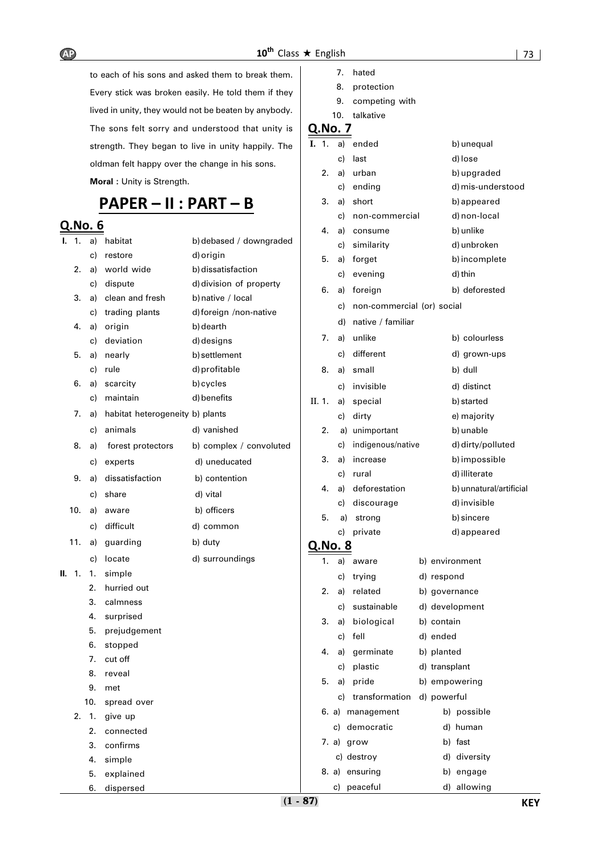to each of his sons and asked them to break them. Every stick was broken easily. He told them if they lived in unity, they would not be beaten by anybody. The sons felt sorry and understood that unity is strength. They began to live in unity happily. The oldman felt happy over the change in his sons. **Moral :** Unity is Strength.

# **PAPER – II : PART – B**

## **Q.No. 6**

| ı.  | 1.  | a)  | habitat                         | b) debased / downgraded |                | c)       |
|-----|-----|-----|---------------------------------|-------------------------|----------------|----------|
|     |     | c)  | restore                         | d) origin               | 5.             | a)       |
|     | 2.  | a)  | world wide                      | b) dissatisfaction      |                | c)       |
|     |     | c)  | dispute                         | d) division of property | 6.             | a)       |
|     | 3.  | a)  | clean and fresh                 | b) native / local       |                | c)       |
|     |     | c)  | trading plants                  | d) foreign /non-native  |                | d)       |
|     | 4.  | a)  | origin                          | b) dearth               | 7.             | a)       |
|     |     | c)  | deviation                       | d) designs              |                |          |
|     | 5.  | a)  | nearly                          | b) settlement           |                | c)       |
|     |     | c)  | rule                            | d) profitable           | 8.             | a)       |
|     | 6.  | a)  | scarcity<br>maintain            | b) cycles               |                | c)       |
|     |     | c)  |                                 | d) benefits             | II. 1.         | a)       |
|     | 7.  | a)  | habitat heterogeneity b) plants |                         |                | c)       |
|     |     | c)  | animals                         | d) vanished             | 2.             | a)       |
|     | 8.  | a)  | forest protectors               | b) complex / convoluted |                | c)       |
|     |     | c)  | experts                         | d) uneducated           | 3.             | a)       |
|     | 9.  | a)  | dissatisfaction                 | b) contention           |                | c)       |
|     |     | c)  | share                           | d) vital                | 4.             | a)       |
|     | 10. | a)  | aware                           | b) officers             |                | c)       |
|     |     | c)  | difficult                       | d) common               | 5.             | a)<br>c) |
|     | 11. | a)  | guarding                        | b) duty                 | <u>Q.No. 8</u> |          |
|     |     | c)  | locate                          | d) surroundings         | 1.             | a)       |
| II. | 1.  | 1.  | simple                          |                         |                | c)       |
|     |     | 2.  | hurried out                     |                         | 2.             | a)       |
|     |     | 3.  | calmness                        |                         |                | c)       |
|     |     | 4.  | surprised                       |                         | 3.             | a)       |
|     |     | 5.  | prejudgement                    |                         |                | c)       |
|     |     | 6.  | stopped                         |                         | 4.             | a)       |
|     |     | 7.  | cut off                         |                         |                |          |
|     |     | 8.  | reveal                          |                         |                | c)       |
|     |     | 9.  | met                             |                         | 5.             | a)       |
|     |     | 10. | spread over                     |                         |                | c)       |
|     | 2.  | 1.  | give up                         |                         | 6. a)          |          |
|     |     | 2.  | connected                       |                         |                | c)       |
|     |     | 3.  | confirms                        |                         | 7. a)          |          |
|     |     | 4.  | simple                          |                         |                | c)       |
|     |     | 5.  | explained                       |                         | 8. a)          |          |
|     |     | 6.  | dispersed                       |                         |                | c)       |

| hated |
|-------|
|       |

8. protection

9. competing with

#### 10. talkative

| I.     | 1. | a)      | ended                      | b) unequal              |
|--------|----|---------|----------------------------|-------------------------|
|        |    | c)      | last                       | d) lose                 |
|        | 2. | a)      | urban                      | b) upgraded             |
|        |    | c)      | ending                     | d) mis-understood       |
|        | 3. | a)      | short                      | b) appeared             |
|        |    | c)      | non-commercial             | d) non-local            |
|        | 4. | a)      | consume                    | b) unlike               |
|        |    | c)      | similarity                 | d) unbroken             |
|        | 5. | a)      | forget                     | b) incomplete           |
|        |    | c)      | evening                    | d) thin                 |
|        | 6. | a)      | foreign                    | b) deforested           |
|        |    | c)      | non-commercial (or) social |                         |
|        |    | d)      | native / familiar          |                         |
|        | 7. | a)      | unlike                     | b) colourless           |
|        |    | c)      | different                  | d) grown-ups            |
|        | 8. | a)      | small                      | b) dull                 |
|        |    | c)      | invisible                  | d) distinct             |
| II. 1. |    | a)      | special                    | b) started              |
|        |    | c)      | dirty                      | e) majority             |
|        | 2. |         | a) unimportant             | b) unable               |
|        |    | c)      | indigenous/native          | d) dirty/polluted       |
|        | 3. | a)      | increase                   | b) impossible           |
|        |    | c)      | rural                      | d) illiterate           |
|        | 4. | a)      | deforestation              | b) unnatural/artificial |
|        |    | c)      | discourage                 | d) invisible            |
|        | 5. | a)      | strong                     | b) sincere              |
|        |    | c)      | private                    | d) appeared             |
|        |    | Q.No. 8 |                            |                         |
|        | 1. | a)      | aware                      | b) environment          |
|        |    | c)      | trying                     | d) respond              |
|        | 2. | a)      | related                    | b) governance           |
|        |    | c)      | sustainable                | d) development          |
|        | 3. | a)      | biological                 | b) contain              |
|        |    | c)      | fell                       | d) ended                |
|        | 4. | a)      | germinate                  | b) planted              |
|        |    | c)      | plastic                    | d) transplant           |
|        | 5. | a)      | pride                      | b) empowering           |
|        |    | c)      | transformation             | d) powerful             |
|        |    |         | 6. a) management           | b) possible             |
|        |    | c)      | democratic                 | human<br>d)             |
|        |    | 7. a)   | grow                       | b) fast                 |
|        |    |         | c) destroy                 | d) diversity            |
|        |    |         | 8. a) ensuring             | b) engage               |
|        |    |         | c) peaceful                | d) allowing             |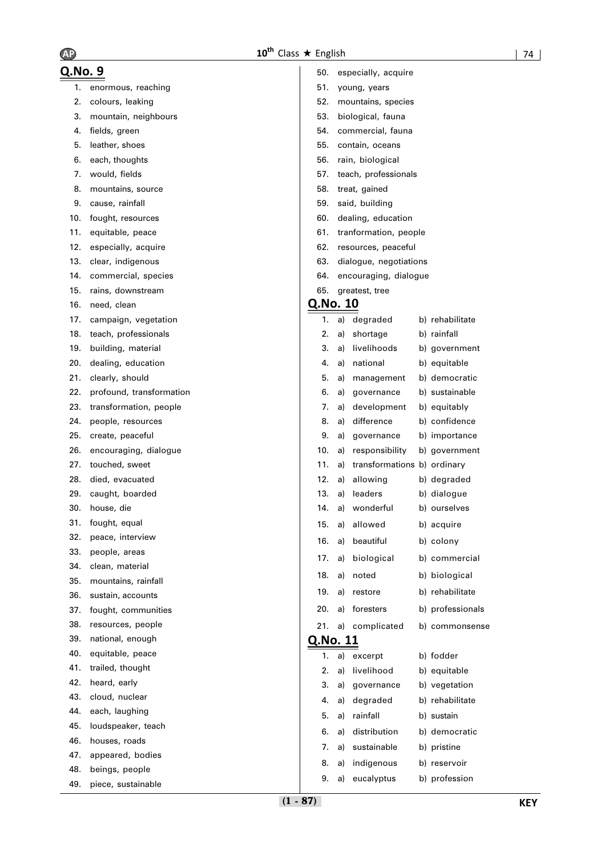| Q.No. 9 |                          | 50.      |    | especially, acquire         |                  |
|---------|--------------------------|----------|----|-----------------------------|------------------|
| 1.      | enormous, reaching       | 51.      |    | young, years                |                  |
| 2.      | colours, leaking         | 52.      |    | mountains, species          |                  |
| 3.      | mountain, neighbours     | 53.      |    | biological, fauna           |                  |
| 4.      | fields, green            | 54.      |    | commercial, fauna           |                  |
| 5.      | leather, shoes           | 55.      |    | contain, oceans             |                  |
| 6.      | each, thoughts           | 56.      |    | rain, biological            |                  |
| 7.      | would, fields            | 57.      |    | teach, professionals        |                  |
| 8.      | mountains, source        | 58.      |    | treat, gained               |                  |
| 9.      | cause, rainfall          | 59.      |    | said, building              |                  |
| 10.     | fought, resources        | 60.      |    | dealing, education          |                  |
| 11.     | equitable, peace         | 61.      |    | tranformation, people       |                  |
| 12.     | especially, acquire      | 62.      |    | resources, peaceful         |                  |
| 13.     | clear, indigenous        | 63.      |    | dialogue, negotiations      |                  |
| 14.     | commercial, species      | 64.      |    | encouraging, dialogue       |                  |
| 15.     | rains, downstream        | 65.      |    | greatest, tree              |                  |
| 16.     | need, clean              | Q.No. 10 |    |                             |                  |
| 17.     | campaign, vegetation     | 1.       | a) | degraded                    | b) rehabilitate  |
| 18.     | teach, professionals     | 2.       | a) | shortage                    | b) rainfall      |
| 19.     | building, material       | 3.       | a) | livelihoods                 | b) government    |
| 20.     | dealing, education       | 4.       | a) | national                    | b) equitable     |
| 21.     | clearly, should          | 5.       | a) | management                  | b) democratic    |
| 22.     | profound, transformation | 6.       | a) | governance                  | b) sustainable   |
| 23.     | transformation, people   | 7.       | a) | development                 | b) equitably     |
| 24.     | people, resources        | 8.       | a) | difference                  | b) confidence    |
| 25.     | create, peaceful         | 9.       | a) | governance                  | b) importance    |
| 26.     | encouraging, dialogue    | 10.      | a) | responsibility              | b) government    |
| 27.     | touched, sweet           | 11.      | a) | transformations b) ordinary |                  |
| 28.     | died, evacuated          | 12.      | a) | allowing                    | b) degraded      |
| 29.     | caught, boarded          | 13.      | a) | leaders                     | b) dialogue      |
| 30.     | house, die               | 14.      | a) | wonderful                   | b) ourselves     |
| 31.     | fought, equal            | 15.      | a) | allowed                     | b) acquire       |
| 32.     | peace, interview         |          |    | 16. a) beautiful            | b) colony        |
| 33.     | people, areas            | 17.      | a) | biological                  | b) commercial    |
| 34.     | clean, material          | 18.      | a) | noted                       | b) biological    |
| 35.     | mountains, rainfall      |          |    |                             |                  |
| 36.     | sustain, accounts        | 19.      | a) | restore                     | b) rehabilitate  |
| 37.     | fought, communities      | 20.      | a) | foresters                   | b) professionals |
| 38.     | resources, people        | 21.      |    | a) complicated              | b) commonsense   |
| 39.     | national, enough         | Q.No. 11 |    |                             |                  |
| 40.     | equitable, peace         | 1.       | a) | excerpt                     | b) fodder        |
| 41.     | trailed, thought         | 2.       | a) | livelihood                  | b) equitable     |
| 42.     | heard, early             | 3.       | a) | governance                  | b) vegetation    |
| 43.     | cloud, nuclear           | 4.       | a) | degraded                    | b) rehabilitate  |
| 44.     | each, laughing           | 5.       | a) | rainfall                    | b) sustain       |
| 45.     | loudspeaker, teach       | 6.       | a) | distribution                | b) democratic    |
| 46.     | houses, roads            | 7.       | a) | sustainable                 | b) pristine      |
| 47.     | appeared, bodies         | 8.       | a) | indigenous                  | b) reservoir     |
| 48.     | beings, people           | 9.       | a) | eucalyptus                  | b) profession    |
| 49.     | piece, sustainable       |          |    |                             |                  |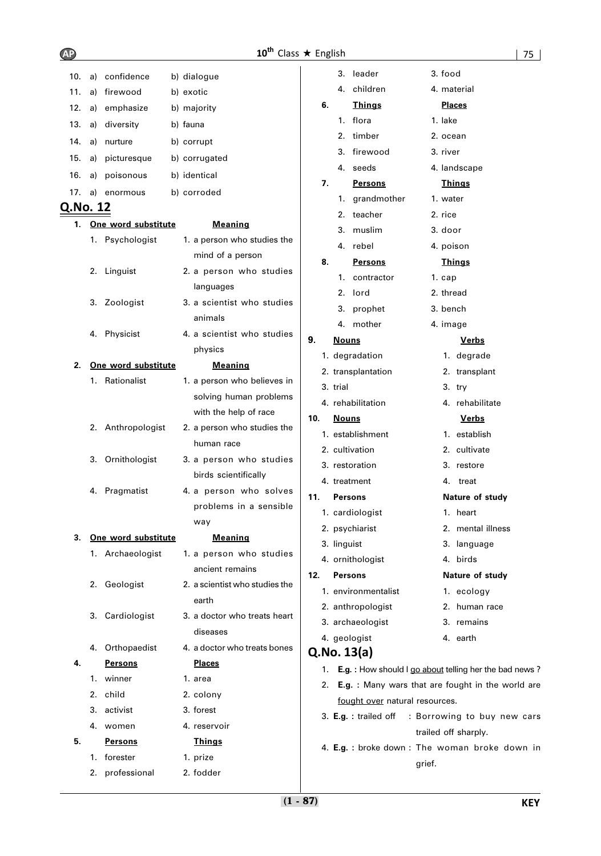| 10.      | a) | confidence          | b) dialogue                    |     |    |              | 3. leader                      |        | 3. food   |                                                           |  |
|----------|----|---------------------|--------------------------------|-----|----|--------------|--------------------------------|--------|-----------|-----------------------------------------------------------|--|
| 11.      | a) | firewood            | b) exotic                      |     |    | 4.           | children                       |        |           | 4. material                                               |  |
| 12.      | a) | emphasize           | b) majority                    |     | 6. |              | <b>Things</b>                  |        |           | <b>Places</b>                                             |  |
| 13.      | a) | diversity           | b) fauna                       |     |    | 1.           | flora                          |        | 1. lake   |                                                           |  |
| 14.      | a) | nurture             | b) corrupt                     |     |    | 2.           | timber                         |        | 2. ocean  |                                                           |  |
| 15.      | a) | picturesque         | b) corrugated                  |     |    | 3.           | firewood                       |        | 3. river  |                                                           |  |
| 16.      | a) | poisonous           | b) identical                   |     |    | 4.           | seeds                          |        |           | 4. landscape                                              |  |
|          |    |                     |                                |     | 7. |              | <b>Persons</b>                 |        |           | <u>Things</u>                                             |  |
| 17.      | a) | enormous            | b) corroded                    |     |    |              | 1. grandmother                 |        | 1. water  |                                                           |  |
| Q.No. 12 |    |                     |                                |     |    |              | 2. teacher                     |        | 2. rice   |                                                           |  |
| 1.       |    | One word substitute | <b>Meaning</b>                 |     |    | 3.           | muslim                         |        | 3. door   |                                                           |  |
|          |    | 1. Psychologist     | 1. a person who studies the    |     |    |              | 4. rebel                       |        | 4. poison |                                                           |  |
|          |    |                     | mind of a person               |     | 8. |              | <b>Persons</b>                 |        |           | <u>Things</u>                                             |  |
|          |    | 2. Linguist         | 2. a person who studies        |     |    | 1.           | contractor                     |        | 1. cap    |                                                           |  |
|          |    |                     | languages                      |     |    | 2.           | lord                           |        | 2. thread |                                                           |  |
|          |    | 3. Zoologist        | 3. a scientist who studies     |     |    | 3.           | prophet                        |        | 3. bench  |                                                           |  |
|          |    |                     | animals                        |     |    |              | 4. mother                      |        | 4. image  |                                                           |  |
|          |    | 4. Physicist        | 4. a scientist who studies     | 9.  |    | <b>Nouns</b> |                                |        |           | Verbs                                                     |  |
|          |    |                     | physics                        |     |    |              | 1. degradation                 |        |           | 1. degrade                                                |  |
| 2.       |    | One word substitute | <b>Meaning</b>                 |     |    |              | 2. transplantation             |        |           | 2. transplant                                             |  |
|          |    | 1. Rationalist      | 1. a person who believes in    |     |    | 3. trial     |                                |        |           | 3. try                                                    |  |
|          |    |                     | solving human problems         |     |    |              | 4. rehabilitation              |        |           | 4. rehabilitate                                           |  |
|          |    |                     | with the help of race          | 10. |    | <u>Nouns</u> |                                |        |           | <b>Verbs</b>                                              |  |
|          |    | 2. Anthropologist   | 2. a person who studies the    |     |    |              | 1. establishment               |        |           | 1. establish                                              |  |
|          |    |                     | human race                     |     |    |              | 2. cultivation                 |        |           | 2. cultivate                                              |  |
|          | 3. | Ornithologist       | 3. a person who studies        |     |    |              | 3. restoration                 |        |           | 3. restore                                                |  |
|          |    |                     | birds scientifically           |     |    |              | 4. treatment                   |        |           | 4. treat                                                  |  |
|          |    | 4. Pragmatist       | 4. a person who solves         | 11. |    |              | <b>Persons</b>                 |        |           | Nature of study                                           |  |
|          |    |                     | problems in a sensible         |     |    |              | 1. cardiologist                |        |           | 1. heart                                                  |  |
|          |    |                     | way                            |     |    |              | 2. psychiarist                 |        |           | 2. mental illness                                         |  |
| 3.       |    | One word substitute | <b>Meaning</b>                 |     |    | 3. linguist  |                                |        |           | 3. language                                               |  |
|          |    | 1. Archaeologist    | 1. a person who studies        |     |    |              | 4. ornithologist               |        |           | 4. birds                                                  |  |
|          |    |                     | ancient remains                | 12. |    |              | <b>Persons</b>                 |        |           | Nature of study                                           |  |
|          | 2. | Geologist           | 2. a scientist who studies the |     |    |              | 1. environmentalist            |        |           | 1. ecology                                                |  |
|          |    |                     | earth                          |     |    |              | 2. anthropologist              |        |           | 2. human race                                             |  |
|          | 3. | Cardiologist        | 3. a doctor who treats heart   |     |    |              | 3. archaeologist               |        |           | 3. remains                                                |  |
|          |    |                     | diseases                       |     |    |              | 4. geologist                   |        |           | 4. earth                                                  |  |
|          |    | 4. Orthopaedist     | 4. a doctor who treats bones   |     |    |              | Q.No. 13(a)                    |        |           |                                                           |  |
| 4.       |    | <b>Persons</b>      | <u>Places</u>                  |     |    |              |                                |        |           | 1. E.g. : How should I go about telling her the bad news? |  |
|          |    | 1. winner           | 1. area                        |     |    |              |                                |        |           | 2. E.g. : Many wars that are fought in the world are      |  |
|          |    | 2. child            | 2. colony                      |     |    |              | fought over natural resources. |        |           |                                                           |  |
|          |    | 3. activist         | 3. forest                      |     |    |              |                                |        |           | 3. E.g.: trailed off : Borrowing to buy new cars          |  |
|          |    | 4. women            | 4. reservoir                   |     |    |              |                                |        |           | trailed off sharply.                                      |  |
| 5.       |    | <b>Persons</b>      | <b>Things</b>                  |     |    |              |                                |        |           | 4. E.g. : broke down : The woman broke down in            |  |
|          |    | 1. forester         | 1. prize                       |     |    |              |                                | grief. |           |                                                           |  |
|          |    | 2. professional     | 2. fodder                      |     |    |              |                                |        |           |                                                           |  |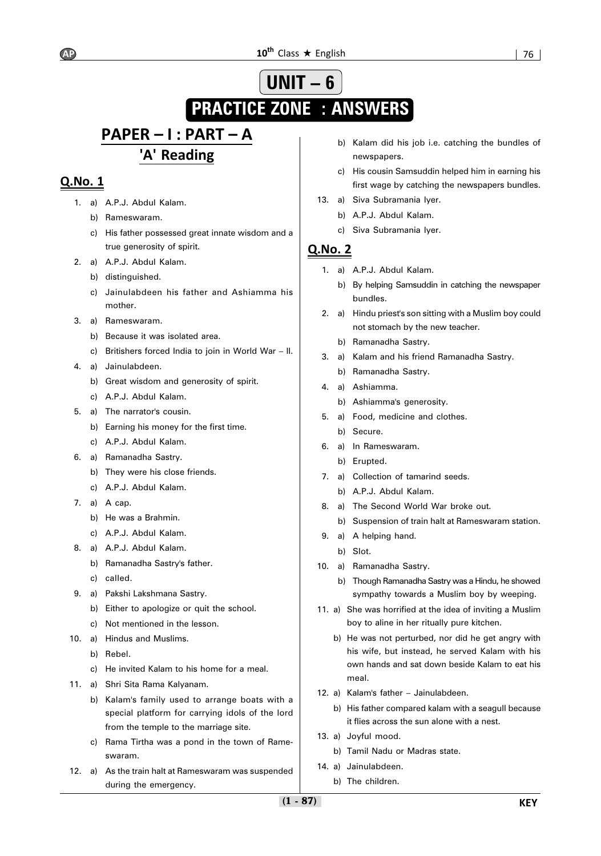### **10<sup>th</sup>** Class ★ English 10<sup>th</sup> Class ★ English 176

# **UNIT – 6 PRACTICE ZONE : ANSWERS**

# **PAPER – I : PART – A 'A' Reading**

## **Q.No. 1**

- 1. a) A.P.J. Abdul Kalam.
	- b) Rameswaram.
	- c) His father possessed great innate wisdom and a true generosity of spirit.
- 2. a) A.P.J. Abdul Kalam.
	- b) distinguished.
	- c) Jainulabdeen his father and Ashiamma his mother.
- 3. a) Rameswaram.
	- b) Because it was isolated area.
	- c) Britishers forced India to join in World War II.
- 4. a) Jainulabdeen.
	- b) Great wisdom and generosity of spirit.
	- c) A.P.J. Abdul Kalam.
- 5. a) The narrator's cousin.
	- b) Earning his money for the first time.
	- c) A.P.J. Abdul Kalam.
- 6. a) Ramanadha Sastry.
	- b) They were his close friends.
	- c) A.P.J. Abdul Kalam.
- 7. a) A cap.
	- b) He was a Brahmin.
	- c) A.P.J. Abdul Kalam.
- 8. a) A.P.J. Abdul Kalam.
	- b) Ramanadha Sastry's father.
	- c) called.
- 9. a) Pakshi Lakshmana Sastry.
	- b) Either to apologize or quit the school.
	- c) Not mentioned in the lesson.
- 10. a) Hindus and Muslims.
	- b) Rebel.
	- c) He invited Kalam to his home for a meal.
- 11. a) Shri Sita Rama Kalyanam.
	- b) Kalam's family used to arrange boats with a special platform for carrying idols of the lord from the temple to the marriage site.
	- c) Rama Tirtha was a pond in the town of Rameswaram.
- 12. a) As the train halt at Rameswaram was suspended during the emergency.
- b) Kalam did his job i.e. catching the bundles of newspapers.
- c) His cousin Samsuddin helped him in earning his first wage by catching the newspapers bundles.
- 13. a) Siva Subramania Iyer.
	- b) A.P.J. Abdul Kalam.
	- c) Siva Subramania Iyer.

- 1. a) A.P.J. Abdul Kalam.
	- b) By helping Samsuddin in catching the newspaper bundles.
- 2. a) Hindu priest's son sitting with a Muslim boy could not stomach by the new teacher.
	- b) Ramanadha Sastry.
- 3. a) Kalam and his friend Ramanadha Sastry.
- b) Ramanadha Sastry.
- 4. a) Ashiamma.
	- b) Ashiamma's generosity.
- 5. a) Food, medicine and clothes.
	- b) Secure.
- 6. a) In Rameswaram.
	- b) Erupted.
- 7. a) Collection of tamarind seeds.
	- b) A.P.J. Abdul Kalam.
- 8. a) The Second World War broke out.
	- b) Suspension of train halt at Rameswaram station.
- 9. a) A helping hand.
	- b) Slot.
- 10. a) Ramanadha Sastry.
	- b) Though Ramanadha Sastry was a Hindu, he showed sympathy towards a Muslim boy by weeping.
- 11. a) She was horrified at the idea of inviting a Muslim boy to aline in her ritually pure kitchen.
	- b) He was not perturbed, nor did he get angry with his wife, but instead, he served Kalam with his own hands and sat down beside Kalam to eat his meal.
- 12. a) Kalam's father Jainulabdeen.
	- b) His father compared kalam with a seagull because it flies across the sun alone with a nest.
- 13. a) Joyful mood.
	- b) Tamil Nadu or Madras state.
- 14. a) Jainulabdeen.
	- b) The children.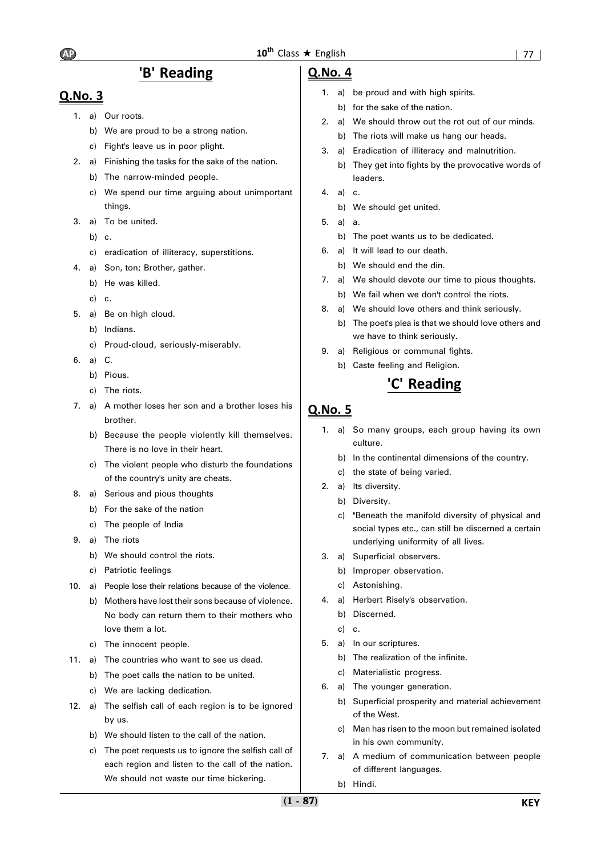## **'B' Reading**

## **Q.No. 3**

- 1. a) Our roots.
	- b) We are proud to be a strong nation.
	- c) Fight's leave us in poor plight.
- 2. a) Finishing the tasks for the sake of the nation.
	- b) The narrow-minded people.
	- c) We spend our time arguing about unimportant things.
- 3. a) To be united.
	- b) c.
	- c) eradication of illiteracy, superstitions.
- 4. a) Son, ton; Brother, gather.
	- b) He was killed.
	- c) c.
- 5. a) Be on high cloud.
	- b) Indians.
	- c) Proud-cloud, seriously-miserably.
- 6. a) C.
	- b) Pious.
	- c) The riots.
- 7. a) A mother loses her son and a brother loses his brother.
	- b) Because the people violently kill themselves. There is no love in their heart.
	- c) The violent people who disturb the foundations of the country's unity are cheats.
- 8. a) Serious and pious thoughts
	- b) For the sake of the nation
	- c) The people of India
- 9. a) The riots
	- b) We should control the riots.
	- c) Patriotic feelings
- 10. a) People lose their relations because of the violence.
	- b) Mothers have lost their sons because of violence. No body can return them to their mothers who love them a lot.
		- c) The innocent people.
- 11. a) The countries who want to see us dead.
	- b) The poet calls the nation to be united.
	- c) We are lacking dedication.
- 12. a) The selfish call of each region is to be ignored by us.
	- b) We should listen to the call of the nation.
	- c) The poet requests us to ignore the selfish call of each region and listen to the call of the nation. We should not waste our time bickering.

### **Q.No. 4**

- 1. a) be proud and with high spirits.
	- b) for the sake of the nation.
- 2. a) We should throw out the rot out of our minds. b) The riots will make us hang our heads.
- 3. a) Eradication of illiteracy and malnutrition.
	- b) They get into fights by the provocative words of leaders.
- $4$  a)  $c$ 
	- b) We should get united.
- 5. a) a.
	- b) The poet wants us to be dedicated.
- 6. a) It will lead to our death.
	- b) We should end the din.
- 7. a) We should devote our time to pious thoughts.
	- b) We fail when we don't control the riots.
- 8. a) We should love others and think seriously.
	- b) The poet's plea is that we should love others and we have to think seriously.
- 9. a) Religious or communal fights.
	- b) Caste feeling and Religion.

## **'C' Reading**

- 1. a) So many groups, each group having its own culture.
	- b) In the continental dimensions of the country.
	- c) the state of being varied.
- 2. a) Its diversity.
	- b) Diversity.
	- c) "Beneath the manifold diversity of physical and social types etc., can still be discerned a certain underlying uniformity of all lives.
- 3. a) Superficial observers.
	- b) Improper observation.
	- c) Astonishing.
- 4. a) Herbert Risely's observation.
	- b) Discerned.
	- c) c.
- 5. a) In our scriptures.
	- b) The realization of the infinite.
	- c) Materialistic progress.
- 6. a) The younger generation.
	- b) Superficial prosperity and material achievement of the West.
	- c) Man has risen to the moon but remained isolated in his own community.
- 7. a) A medium of communication between people of different languages.
	- b) Hindi.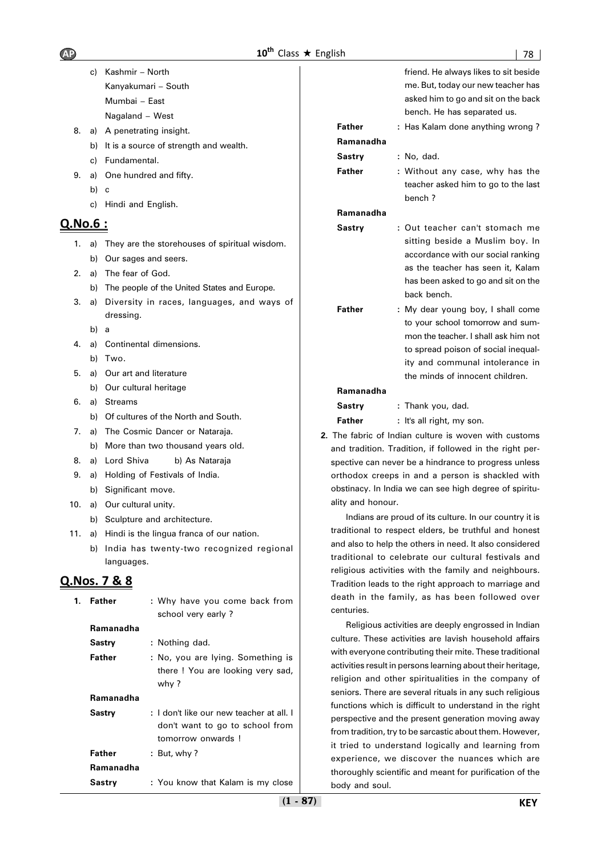|                  | C) | Kashmir - North                                                      |                   | friend. He always likes to sit beside                                                                              |
|------------------|----|----------------------------------------------------------------------|-------------------|--------------------------------------------------------------------------------------------------------------------|
|                  |    | Kanyakumari – South                                                  |                   | me. But, today our new teacher has                                                                                 |
|                  |    | Mumbai - East                                                        |                   | asked him to go and sit on the back                                                                                |
|                  |    | Nagaland - West                                                      |                   | bench. He has separated us.                                                                                        |
| 8.               | a) | A penetrating insight.                                               | Father            | : Has Kalam done anything wrong?                                                                                   |
|                  | b) | It is a source of strength and wealth.                               | Ramanadha         |                                                                                                                    |
|                  | C) | Fundamental.                                                         | Sastry            | : No, dad.                                                                                                         |
| 9.               | a) | One hundred and fifty.                                               | Father            | : Without any case, why has the                                                                                    |
|                  | b) | C                                                                    |                   | teacher asked him to go to the last                                                                                |
|                  | C) | Hindi and English.                                                   | Ramanadha         | bench?                                                                                                             |
| <u> Q.No.6 :</u> |    |                                                                      |                   |                                                                                                                    |
|                  |    |                                                                      | <b>Sastry</b>     | : Out teacher can't stomach me<br>sitting beside a Muslim boy. In                                                  |
| 1.               |    | a) They are the storehouses of spiritual wisdom.                     |                   | accordance with our social ranking                                                                                 |
|                  | b) | Our sages and seers.                                                 |                   | as the teacher has seen it, Kalam                                                                                  |
| 2.               | a) | The fear of God.                                                     |                   | has been asked to go and sit on the                                                                                |
|                  | b) | The people of the United States and Europe.                          |                   | back bench.                                                                                                        |
| 3.               | a) | Diversity in races, languages, and ways of<br>dressing.              | Father            | : My dear young boy, I shall come                                                                                  |
|                  | b) | a                                                                    |                   | to your school tomorrow and sum-                                                                                   |
| 4.               | a) | Continental dimensions.                                              |                   | mon the teacher. I shall ask him not                                                                               |
|                  |    | b) Two.                                                              |                   | to spread poison of social inequal-                                                                                |
| 5.               | a) | Our art and literature                                               |                   | ity and communal intolerance in<br>the minds of innocent children.                                                 |
|                  |    | b) Our cultural heritage                                             | Ramanadha         |                                                                                                                    |
| 6.               | a) | <b>Streams</b>                                                       | Sastry            | : Thank you, dad.                                                                                                  |
|                  | b) | Of cultures of the North and South.                                  | Father            | : It's all right, my son.                                                                                          |
| 7.               | a) | The Cosmic Dancer or Nataraja.                                       |                   | 2. The fabric of Indian culture is woven with customs                                                              |
|                  |    | b) More than two thousand years old.                                 |                   | and tradition. Tradition, if followed in the right per-                                                            |
| 8.               |    | a) Lord Shiva<br>b) As Nataraja                                      |                   | spective can never be a hindrance to progress unless                                                               |
| 9.               |    | a) Holding of Festivals of India.                                    |                   | orthodox creeps in and a person is shackled with                                                                   |
|                  | b) | Significant move.                                                    |                   | obstinacy. In India we can see high degree of spiritu-                                                             |
| 10.              | a) | Our cultural unity.                                                  | ality and honour. |                                                                                                                    |
|                  |    | b) Sculpture and architecture.                                       |                   | Indians are proud of its culture. In our country it is                                                             |
|                  |    | 11. a) Hindi is the lingua franca of our nation.                     |                   | traditional to respect elders, be truthful and honest                                                              |
|                  |    | b) India has twenty-two recognized regional                          |                   | and also to help the others in need. It also considered<br>traditional to celebrate our cultural festivals and     |
|                  |    | languages.                                                           |                   | religious activities with the family and neighbours.                                                               |
|                  |    | <u>Q.Nos. 7 &amp; 8</u>                                              |                   | Tradition leads to the right approach to marriage and                                                              |
| 1.               |    | <b>Father</b><br>: Why have you come back from<br>school very early? | centuries.        | death in the family, as has been followed over                                                                     |
|                  |    | Ramanadha                                                            |                   | Religious activities are deeply engrossed in Indian                                                                |
|                  |    | <b>Sastry</b><br>: Nothing dad.                                      |                   | culture. These activities are lavish household affairs                                                             |
|                  |    | <b>Father</b><br>: No, you are lying. Something is                   |                   | with everyone contributing their mite. These traditional                                                           |
|                  |    | there ! You are looking very sad,                                    |                   | activities result in persons learning about their heritage,<br>religion and other spiritualities in the company of |
|                  |    | why ?                                                                |                   | seniors. There are several rituals in any such religious                                                           |
|                  |    | Ramanadha                                                            |                   | functions which is difficult to understand in the right                                                            |
|                  |    | : I don't like our new teacher at all. I<br><b>Sastry</b>            |                   |                                                                                                                    |

uch religious d in the right perspective and the present generation moving away from tradition, try to be sarcastic about them. However, it tried to understand logically and learning from experience, we discover the nuances which are thoroughly scientific and meant for purification of the body and soul.

don't want to go to school from

tomorrow onwards !

**Sastry** : You know that Kalam is my close

Father : But, why ?

**Ramanadha**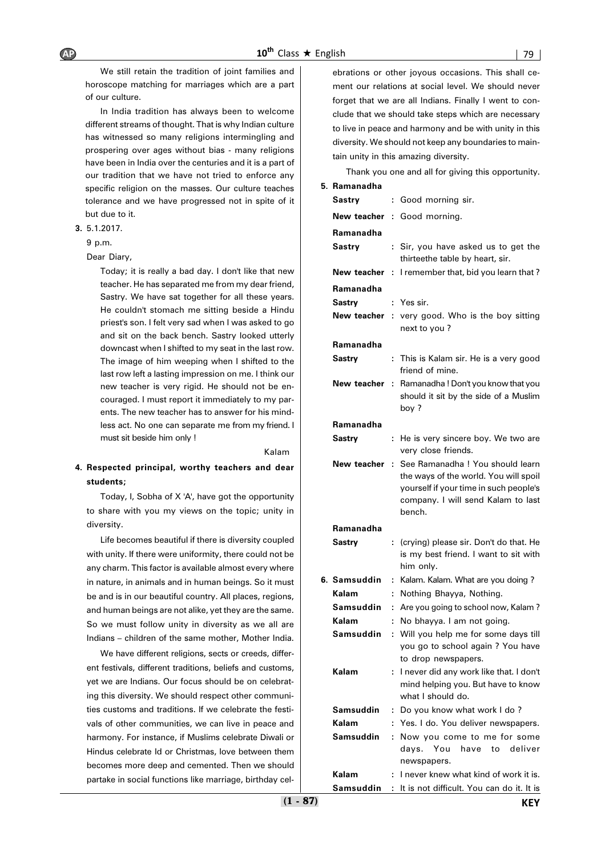We still retain the tradition of joint families and horoscope matching for marriages which are a part of our culture.

In India tradition has always been to welcome different streams of thought. That is why Indian culture has witnessed so many religions intermingling and prospering over ages without bias - many religions have been in India over the centuries and it is a part of our tradition that we have not tried to enforce any specific religion on the masses. Our culture teaches tolerance and we have progressed not in spite of it but due to it.

#### **3.** 5.1.2017.

9 p.m.

Dear Diary,

Today; it is really a bad day. I don't like that new teacher. He has separated me from my dear friend, Sastry. We have sat together for all these years. He couldn't stomach me sitting beside a Hindu priest's son. I felt very sad when I was asked to go and sit on the back bench. Sastry looked utterly downcast when I shifted to my seat in the last row. The image of him weeping when I shifted to the last row left a lasting impression on me. I think our new teacher is very rigid. He should not be encouraged. I must report it immediately to my parents. The new teacher has to answer for his mindless act. No one can separate me from my friend. I must sit beside him only !

#### Kalam

**4. Respected principal, worthy teachers and dear students;**

Today, I, Sobha of X 'A', have got the opportunity to share with you my views on the topic; unity in diversity.

Life becomes beautiful if there is diversity coupled with unity. If there were uniformity, there could not be any charm. This factor is available almost every where in nature, in animals and in human beings. So it must be and is in our beautiful country. All places, regions, and human beings are not alike, yet they are the same. So we must follow unity in diversity as we all are Indians – children of the same mother, Mother India.

We have different religions, sects or creeds, different festivals, different traditions, beliefs and customs, yet we are Indians. Our focus should be on celebrating this diversity. We should respect other communities customs and traditions. If we celebrate the festivals of other communities, we can live in peace and harmony. For instance, if Muslims celebrate Diwali or Hindus celebrate Id or Christmas, love between them becomes more deep and cemented. Then we should partake in social functions like marriage, birthday celebrations or other joyous occasions. This shall cement our relations at social level. We should never forget that we are all Indians. Finally I went to conclude that we should take steps which are necessary to live in peace and harmony and be with unity in this diversity. We should not keep any boundaries to maintain unity in this amazing diversity.

Thank you one and all for giving this opportunity.

#### **5. Ramanadha**

| Sastry       | t    | Good morning sir.                                                                                                                                                   |
|--------------|------|---------------------------------------------------------------------------------------------------------------------------------------------------------------------|
|              |      | <b>New teacher : Good morning.</b>                                                                                                                                  |
| Ramanadha    |      |                                                                                                                                                                     |
| Sastry       | ÷    | Sir, you have asked us to get the<br>thirteethe table by heart, sir.                                                                                                |
| New teacher  | ÷    | I remember that, bid you learn that?                                                                                                                                |
| Ramanadha    |      |                                                                                                                                                                     |
| Sastrv       | ÷.   | Yes sir.                                                                                                                                                            |
| New teacher  |      | : very good. Who is the boy sitting<br>next to you?                                                                                                                 |
| Ramanadha    |      |                                                                                                                                                                     |
| Sastry       | ÷    | This is Kalam sir. He is a very good<br>friend of mine.                                                                                                             |
| New teacher  | ÷    | Ramanadha! Don't you know that you<br>should it sit by the side of a Muslim<br>boy ?                                                                                |
| Ramanadha    |      |                                                                                                                                                                     |
| Sastry       | ÷    | He is very sincere boy. We two are<br>very close friends.                                                                                                           |
| New teacher  | - 11 | See Ramanadha ! You should learn<br>the ways of the world. You will spoil<br>yourself if your time in such people's<br>company. I will send Kalam to last<br>bench. |
| Ramanadha    |      |                                                                                                                                                                     |
| Sastry       | ÷.   | (crying) please sir. Don't do that. He<br>is my best friend. I want to sit with<br>him only.                                                                        |
| 6. Samsuddin | t    | Kalam. Kalam. What are you doing?                                                                                                                                   |
| Kalam        | ÷    | Nothing Bhayya, Nothing.                                                                                                                                            |
| Samsuddin    | t    | Are you going to school now, Kalam?                                                                                                                                 |
| Kalam        | ÷    | No bhayya. I am not going.                                                                                                                                          |
| Samsuddin    | ÷    | Will you help me for some days till<br>you go to school again ? You have<br>to drop newspapers.                                                                     |
| Kalam        |      | I never did any work like that. I don't<br>mind helping you. But have to know<br>what I should do.                                                                  |
| Samsuddin    | t,   | Do you know what work I do?                                                                                                                                         |
| Kalam        | t.   | Yes. I do. You deliver newspapers.                                                                                                                                  |
| Samsuddin    | ÷    | Now you come to me for some<br>You<br>have<br>to<br>deliver<br>davs.<br>newspapers.                                                                                 |
| Kalam        | ÷    | I never knew what kind of work it is.                                                                                                                               |
| Samsuddin    | t.   | It is not difficult. You can do it. It is                                                                                                                           |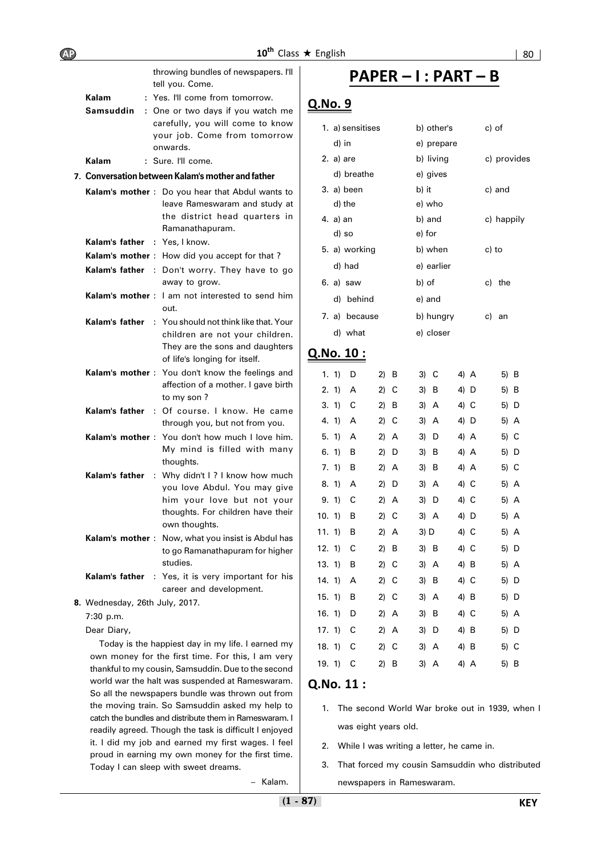|                                             | throwing bundles of newspapers. I'll                                                             | ΡΔ                                                                                                                                                                                                                                                                                                                                                                                                                                                                                                                                                                                                                                                                                                                                         |
|---------------------------------------------|--------------------------------------------------------------------------------------------------|--------------------------------------------------------------------------------------------------------------------------------------------------------------------------------------------------------------------------------------------------------------------------------------------------------------------------------------------------------------------------------------------------------------------------------------------------------------------------------------------------------------------------------------------------------------------------------------------------------------------------------------------------------------------------------------------------------------------------------------------|
| Kalam                                       |                                                                                                  |                                                                                                                                                                                                                                                                                                                                                                                                                                                                                                                                                                                                                                                                                                                                            |
| Samsuddin                                   |                                                                                                  | <u>Q.No. 9</u>                                                                                                                                                                                                                                                                                                                                                                                                                                                                                                                                                                                                                                                                                                                             |
|                                             | carefully, you will come to know<br>your job. Come from tomorrow<br>onwards.                     | 1. a) sensit<br>d) in                                                                                                                                                                                                                                                                                                                                                                                                                                                                                                                                                                                                                                                                                                                      |
| Kalam                                       |                                                                                                  | 2. a) are                                                                                                                                                                                                                                                                                                                                                                                                                                                                                                                                                                                                                                                                                                                                  |
|                                             |                                                                                                  | d) breat                                                                                                                                                                                                                                                                                                                                                                                                                                                                                                                                                                                                                                                                                                                                   |
|                                             | leave Rameswaram and study at                                                                    | 3. a) been<br>d) the<br>4. a) an                                                                                                                                                                                                                                                                                                                                                                                                                                                                                                                                                                                                                                                                                                           |
|                                             |                                                                                                  | d) so                                                                                                                                                                                                                                                                                                                                                                                                                                                                                                                                                                                                                                                                                                                                      |
|                                             |                                                                                                  |                                                                                                                                                                                                                                                                                                                                                                                                                                                                                                                                                                                                                                                                                                                                            |
|                                             |                                                                                                  | 5. a) worki                                                                                                                                                                                                                                                                                                                                                                                                                                                                                                                                                                                                                                                                                                                                |
|                                             | away to grow.                                                                                    | d) had<br>6. a) saw                                                                                                                                                                                                                                                                                                                                                                                                                                                                                                                                                                                                                                                                                                                        |
|                                             | out.                                                                                             | d) behii                                                                                                                                                                                                                                                                                                                                                                                                                                                                                                                                                                                                                                                                                                                                   |
|                                             | children are not your children.<br>They are the sons and daughters                               | 7. a) beca<br>d) what<br>Q.No <u>. 10:</u>                                                                                                                                                                                                                                                                                                                                                                                                                                                                                                                                                                                                                                                                                                 |
|                                             |                                                                                                  |                                                                                                                                                                                                                                                                                                                                                                                                                                                                                                                                                                                                                                                                                                                                            |
|                                             | affection of a mother. I gave birth                                                              | 1, 1)<br>- D<br>2. 1)<br>A                                                                                                                                                                                                                                                                                                                                                                                                                                                                                                                                                                                                                                                                                                                 |
|                                             |                                                                                                  | 3. 1)<br>C                                                                                                                                                                                                                                                                                                                                                                                                                                                                                                                                                                                                                                                                                                                                 |
|                                             | through you, but not from you.                                                                   | 4. 1)<br>A                                                                                                                                                                                                                                                                                                                                                                                                                                                                                                                                                                                                                                                                                                                                 |
|                                             |                                                                                                  | 5. 1)<br>A                                                                                                                                                                                                                                                                                                                                                                                                                                                                                                                                                                                                                                                                                                                                 |
|                                             | My mind is filled with many                                                                      | 6. 1)<br>B                                                                                                                                                                                                                                                                                                                                                                                                                                                                                                                                                                                                                                                                                                                                 |
|                                             | thoughts.                                                                                        | 7. 1)<br>в                                                                                                                                                                                                                                                                                                                                                                                                                                                                                                                                                                                                                                                                                                                                 |
|                                             | : Why didn't I? I know how much                                                                  |                                                                                                                                                                                                                                                                                                                                                                                                                                                                                                                                                                                                                                                                                                                                            |
|                                             |                                                                                                  | 8. 1)<br>A                                                                                                                                                                                                                                                                                                                                                                                                                                                                                                                                                                                                                                                                                                                                 |
|                                             | you love Abdul. You may give                                                                     |                                                                                                                                                                                                                                                                                                                                                                                                                                                                                                                                                                                                                                                                                                                                            |
|                                             | him your love but not your<br>thoughts. For children have their                                  | 9. 1)<br>С<br>10, 11<br>В                                                                                                                                                                                                                                                                                                                                                                                                                                                                                                                                                                                                                                                                                                                  |
|                                             | own thoughts.                                                                                    | 11.1)<br>в                                                                                                                                                                                                                                                                                                                                                                                                                                                                                                                                                                                                                                                                                                                                 |
|                                             | Kalam's mother: Now, what you insist is Abdul has<br>to go Ramanathapuram for higher<br>studies. | 12. 1)<br>С<br>13.1)<br>в                                                                                                                                                                                                                                                                                                                                                                                                                                                                                                                                                                                                                                                                                                                  |
| Kalam's father                              | : Yes, it is very important for his                                                              |                                                                                                                                                                                                                                                                                                                                                                                                                                                                                                                                                                                                                                                                                                                                            |
|                                             | career and development.                                                                          | 14.1<br>Α<br>15. 1)<br>В                                                                                                                                                                                                                                                                                                                                                                                                                                                                                                                                                                                                                                                                                                                   |
| 8. Wednesday, 26th July, 2017.<br>7:30 p.m. |                                                                                                  | 16. 1)<br>D                                                                                                                                                                                                                                                                                                                                                                                                                                                                                                                                                                                                                                                                                                                                |
|                                             | Kalam's father<br>Kalam's father                                                                 | tell you. Come.<br>: Yes. I'll come from tomorrow.<br>: One or two days if you watch me<br>: Sure. I'll come.<br>7. Conversation between Kalam's mother and father<br>Kalam's mother: Do you hear that Abdul wants to<br>the district head quarters in<br>Ramanathapuram.<br><b>Kalam's father</b> : Yes, I know.<br><b>Kalam's mother</b> : How did you accept for that?<br>Kalam's father : Don't worry. They have to go<br>Kalam's mother: I am not interested to send him<br><b>Kalam's father</b> : You should not think like that. Your<br>of life's longing for itself.<br><b>Kalam's mother</b> : You don't know the feelings and<br>to my son?<br>: Of course. I know. He came<br>Kalam's mother : You don't how much I love him. |

Today is the happiest day in my life. I earned my own money for the first time. For this, I am very thankful to my cousin, Samsuddin. Due to the second world war the halt was suspended at Rameswaram. So all the newspapers bundle was thrown out from the moving train. So Samsuddin asked my help to catch the bundles and distribute them in Rameswaram. I readily agreed. Though the task is difficult I enjoyed it. I did my job and earned my first wages. I feel proud in earning my own money for the first time. Today I can sleep with sweet dreams.

## **PAPER – I : PART – B**

| 1. a) sensitises | b) other's | c) of       |
|------------------|------------|-------------|
| d) in            | e) prepare |             |
| 2. a) are        | b) living  | c) provides |
| d) breathe       | e) gives   |             |
| 3. a) been       | b) it      | c) and      |
| d) the           | e) who     |             |
| 4. a) an         | b) and     | c) happily  |
| d) so            | e) for     |             |
| 5. a) working    | b) when    | c) to       |
| d) had           | e) earlier |             |
| 6. a) saw        | b) of      | c) the      |
| d) behind        | e) and     |             |
| 7. a) because    | b) hungry  | c) an       |
| d) what          | e) closer  |             |
|                  |            |             |

| 1. 1) | D | $2)$ B  | 3) C      | 4) A | 5) B |
|-------|---|---------|-----------|------|------|
| 2.1)  | Α | 2)<br>С | 3)<br>B   | 4) D | 5) B |
| 3.1)  | С | 2)<br>B | 3)<br>A   | 4) C | 5) D |
| 4.1   | Α | 2)<br>C | 3)<br>A   | 4) D | 5) A |
| 5.1   | Α | 2)<br>A | 3)<br>D   | 4) A | 5) C |
| 6.1   | В | 2)<br>D | 3)<br>в   | 4) A | 5) D |
| 7.1)  | В | $2)$ A  | 3)<br>В   | 4) A | 5) C |
| 8.1)  | Α | 2)<br>D | 3)<br>A   | 4) C | 5) A |
| 9.1)  | С | 2)<br>A | 3)<br>D   | 4) C | 5) A |
| 10.1) | В | 2)<br>C | 3) A      | 4) D | 5) A |
|       |   |         |           |      |      |
| 11.1) | B | $2)$ A  | 3) D      | 4) C | 5) A |
| 12.1) | С | 2)<br>в | 3)<br>- B | 4) C | 5) D |
| 13.1) | В | 2) C    | 3) A      | 4) B | 5) A |
| 14.1  | А | 2)<br>С | 3)<br>- B | 4) C | 5) D |
| 15.1) | В | 2) C    | 3) A      | 4) B | 5) D |
| 16.1) | D | $2)$ A  | 3)<br>B   | 4) C | 5) A |
| 17.1) | С | 2) A    | 3)<br>D   | 4) B | 5) D |
| 18.1) | С | 2) C    | 3) A      | 4) B | 5) C |

## **Q.No. 11 :**

- 1. The second World War broke out in 1939, when I was eight years old.
- 2. While I was writing a letter, he came in.
- 3. That forced my cousin Samsuddin who distributed newspapers in Rameswaram.

– Kalam.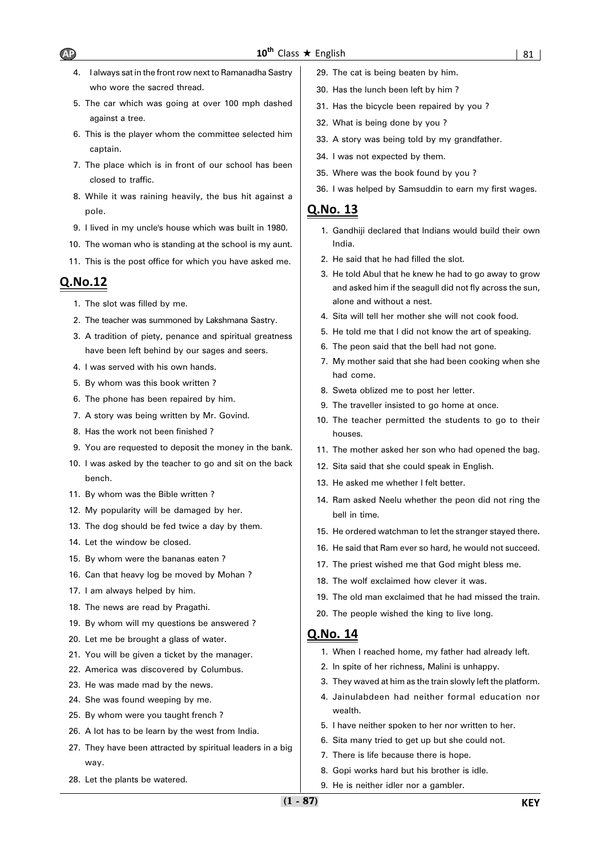- 4. I always sat in the front row next to Ramanadha Sastry who wore the sacred thread.
- 5. The car which was going at over 100 mph dashed against a tree.
- 6. This is the player whom the committee selected him captain.
- 7. The place which is in front of our school has been closed to traffic.
- 8. While it was raining heavily, the bus hit against a pole.
- 9. I lived in my uncle's house which was built in 1980.
- 10. The woman who is standing at the school is my aunt.
- 11. This is the post office for which you have asked me.

## **Q.No.12**

- 1. The slot was filled by me.
- 2. The teacher was summoned by Lakshmana Sastry.
- 3. A tradition of piety, penance and spiritual greatness have been left behind by our sages and seers.
- 4. I was served with his own hands.
- 5. By whom was this book written ?
- 6. The phone has been repaired by him.
- 7. A story was being written by Mr. Govind.
- 8. Has the work not been finished ?
- 9. You are requested to deposit the money in the bank.
- 10. I was asked by the teacher to go and sit on the back bench.
- 11. By whom was the Bible written ?
- 12. My popularity will be damaged by her.
- 13. The dog should be fed twice a day by them.
- 14. Let the window be closed.
- 15. By whom were the bananas eaten ?
- 16. Can that heavy log be moved by Mohan ?
- 17. I am always helped by him.
- 18. The news are read by Pragathi.
- 19. By whom will my questions be answered ?
- 20. Let me be brought a glass of water.
- 21. You will be given a ticket by the manager.
- 22. America was discovered by Columbus.
- 23. He was made mad by the news.
- 24. She was found weeping by me.
- 25. By whom were you taught french ?
- 26. A lot has to be learn by the west from India.
- 27. They have been attracted by spiritual leaders in a big way.
- 28. Let the plants be watered.
- 29. The cat is being beaten by him.
- 30. Has the lunch been left by him ?
- 31. Has the bicycle been repaired by you ?
- 32. What is being done by you ?
- 33. A story was being told by my grandfather.
- 34. I was not expected by them.
- 35. Where was the book found by you ?
- 36. I was helped by Samsuddin to earn my first wages.

## **Q.No. 13**

- 1. Gandhiji declared that Indians would build their own India.
- 2. He said that he had filled the slot.
- 3. He told Abul that he knew he had to go away to grow and asked him if the seagull did not fly across the sun, alone and without a nest.
- 4. Sita will tell her mother she will not cook food.
- 5. He told me that I did not know the art of speaking.
- 6. The peon said that the bell had not gone.
- 7. My mother said that she had been cooking when she had come.
- 8. Sweta oblized me to post her letter.
- 9. The traveller insisted to go home at once.
- 10. The teacher permitted the students to go to their houses.
- 11. The mother asked her son who had opened the bag.
- 12. Sita said that she could speak in English.
- 13. He asked me whether I felt better.
- 14. Ram asked Neelu whether the peon did not ring the bell in time.
- 15. He ordered watchman to let the stranger stayed there.
- 16. He said that Ram ever so hard, he would not succeed.
- 17. The priest wished me that God might bless me.
- 18. The wolf exclaimed how clever it was.
- 19. The old man exclaimed that he had missed the train.
- 20. The people wished the king to live long.

- 1. When I reached home, my father had already left.
- 2. In spite of her richness, Malini is unhappy.
- 3. They waved at him as the train slowly left the platform.
- 4. Jainulabdeen had neither formal education nor wealth.
- 5. I have neither spoken to her nor written to her.
- 6. Sita many tried to get up but she could not.
- 7. There is life because there is hope.
- 8. Gopi works hard but his brother is idle.
- 9. He is neither idler nor a gambler.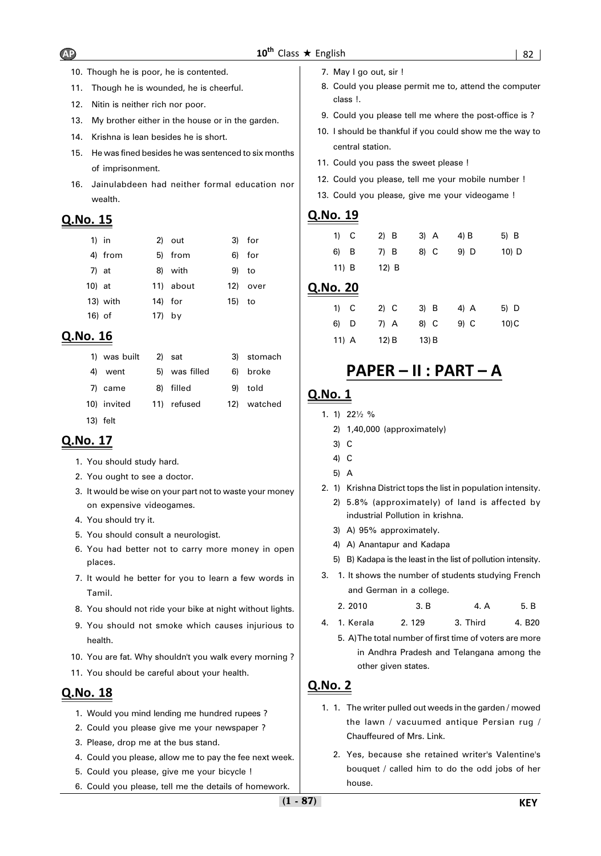- 10. Though he is poor, he is contented.
- 11. Though he is wounded, he is cheerful.
- 12. Nitin is neither rich nor poor.
- 13. My brother either in the house or in the garden.
- 14. Krishna is lean besides he is short.
- 15. He was fined besides he was sentenced to six months of imprisonment.
- 16. Jainulabdeen had neither formal education nor wealth.

## **Q.No. 15**

| $1)$ in |          |          | 2) out    |        | 3) for   |
|---------|----------|----------|-----------|--------|----------|
|         | 4) from  |          | 5) from   |        | 6) for   |
| 7) at   |          |          | 8) with   | 9) to  |          |
| 10) at  |          |          | 11) about |        | 12) over |
|         | 13) with | 14) for  |           | 15) to |          |
| 16) of  |          | $17)$ by |           |        |          |

## **Q.No. 16**

| 1) was built | 2) sat        | 3) stomach  |
|--------------|---------------|-------------|
| 4) went      | 5) was filled | 6) broke    |
| 7) came      | 8) filled     | 9) told     |
| 10) invited  | 11) refused   | 12) watched |
| 13) felt     |               |             |

## **Q.No. 17**

- 1. You should study hard.
- 2. You ought to see a doctor.
- 3. It would be wise on your part not to waste your money on expensive videogames.
- 4. You should try it.
- 5. You should consult a neurologist.
- 6. You had better not to carry more money in open places.
- 7. It would he better for you to learn a few words in Tamil.
- 8. You should not ride your bike at night without lights.
- 9. You should not smoke which causes injurious to health.
- 10. You are fat. Why shouldn't you walk every morning ?
- 11. You should be careful about your health.

## **Q.No. 18**

- 1. Would you mind lending me hundred rupees ?
- 2. Could you please give me your newspaper ?
- 3. Please, drop me at the bus stand.
- 4. Could you please, allow me to pay the fee next week.
- 5. Could you please, give me your bicycle !
- 6. Could you please, tell me the details of homework.
- 7. May I go out, sir !
- 8. Could you please permit me to, attend the computer class !.
- 9. Could you please tell me where the post-office is ?
- 10. I should be thankful if you could show me the way to central station.
- 11. Could you pass the sweet please !
- 12. Could you please, tell me your mobile number !
- 13. Could you please, give me your videogame !

## **Q.No. 19**

| $1)$ C  | $2)$ B | 3) A | 4) B | 5) B    |
|---------|--------|------|------|---------|
| 6) B    | 7) B   | 8) C | 9) D | $10)$ D |
| $11)$ B | 12) B  |      |      |         |

#### **Q.No. 20**

| $1)$ C  | $2)$ C | $3)$ B | $4)$ A | 5) D |
|---------|--------|--------|--------|------|
| 6) D    | 7) A   | 8) C   | 9) C   | 10)C |
| $11)$ A | (12) B | 13) B  |        |      |

## **PAPER – II : PART – A**

## **Q.No. 1**

- 1. 1) 22½ %
	- 2) 1,40,000 (approximately)
	- 3) C
	- 4) C
	- 5) A
- 2. 1) Krishna District tops the list in population intensity.
	- 2) 5.8% (approximately) of land is affected by industrial Pollution in krishna.
	- 3) A) 95% approximately.
	- 4) A) Anantapur and Kadapa
	- 5) B) Kadapa is the least in the list of pollution intensity.
- 3. 1. It shows the number of students studying French and German in a college.

| 2.2010 | 3. B<br>$\sim$ | 4. A | 5. B |
|--------|----------------|------|------|
|--------|----------------|------|------|

- 4. 1. Kerala 2. 129 3. Third 4. B20
	- 5. A)The total number of first time of voters are more in Andhra Pradesh and Telangana among the other given states.

- 1. 1. The writer pulled out weeds in the garden / mowed the lawn / vacuumed antique Persian rug / Chauffeured of Mrs. Link.
	- 2. Yes, because she retained writer's Valentine's bouquet / called him to do the odd jobs of her house.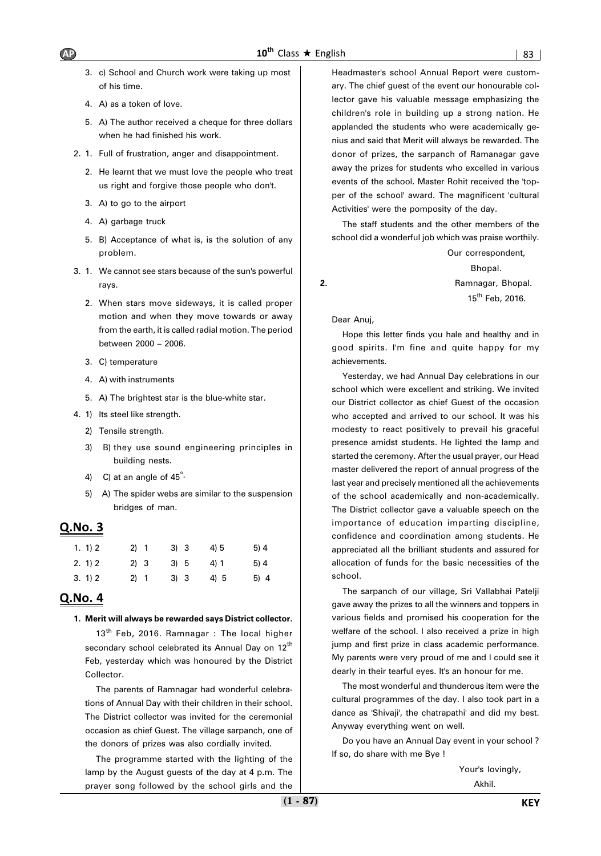- 3. c) School and Church work were taking up most of his time.
- 4. A) as a token of love.
- 5. A) The author received a cheque for three dollars when he had finished his work.
- 2. 1. Full of frustration, anger and disappointment.
	- 2. He learnt that we must love the people who treat us right and forgive those people who don't.
	- 3. A) to go to the airport
	- 4. A) garbage truck
	- 5. B) Acceptance of what is, is the solution of any problem.
- 3. 1. We cannot see stars because of the sun's powerful rays.
	- 2. When stars move sideways, it is called proper motion and when they move towards or away from the earth, it is called radial motion. The period between 2000 – 2006.
	- 3. C) temperature
	- 4. A) with instruments
	- 5. A) The brightest star is the blue-white star.
- 4. 1) Its steel like strength.
	- 2) Tensile strength.
	- 3) B) they use sound engineering principles in building nests.
	- 4) C) at an angle of  $45^\circ$ .
	- 5) A) The spider webs are similar to the suspension bridges of man.

## **Q.No. 3**

| 1. 1) 2 | 2) 1 | 3) 3 | 4)5 | 5)4 |
|---------|------|------|-----|-----|
| 2. 1) 2 | 2) 3 | 3) 5 | 4)1 | 5)4 |
| 3. 1) 2 | 2) 1 | 3) 3 | 4)5 | 5)4 |

## **Q.No. 4**

#### **1. Merit will always be rewarded says District collector.**

 $13<sup>th</sup>$  Feb, 2016. Ramnagar : The local higher secondary school celebrated its Annual Day on 12<sup>th</sup> Feb, yesterday which was honoured by the District Collector.

The parents of Ramnagar had wonderful celebrations of Annual Day with their children in their school. The District collector was invited for the ceremonial occasion as chief Guest. The village sarpanch, one of the donors of prizes was also cordially invited.

The programme started with the lighting of the lamp by the August guests of the day at 4 p.m. The prayer song followed by the school girls and the Headmaster's school Annual Report were customary. The chief guest of the event our honourable collector gave his valuable message emphasizing the children's role in building up a strong nation. He applanded the students who were academically genius and said that Merit will always be rewarded. The donor of prizes, the sarpanch of Ramanagar gave away the prizes for students who excelled in various events of the school. Master Rohit received the 'topper of the school' award. The magnificent 'cultural Activities' were the pomposity of the day.

The staff students and the other members of the school did a wonderful job which was praise worthily.

Our correspondent, Bhopal. **2.** Ramnagar, Bhopal. 15<sup>th</sup> Feb, 2016.

Dear Anuj,

Hope this letter finds you hale and healthy and in good spirits. I'm fine and quite happy for my achievements.

Yesterday, we had Annual Day celebrations in our school which were excellent and striking. We invited our District collector as chief Guest of the occasion who accepted and arrived to our school. It was his modesty to react positively to prevail his graceful presence amidst students. He lighted the lamp and started the ceremony. After the usual prayer, our Head master delivered the report of annual progress of the last year and precisely mentioned all the achievements of the school academically and non-academically. The District collector gave a valuable speech on the importance of education imparting discipline, confidence and coordination among students. He appreciated all the brilliant students and assured for allocation of funds for the basic necessities of the school.

The sarpanch of our village, Sri Vallabhai Patelji gave away the prizes to all the winners and toppers in various fields and promised his cooperation for the welfare of the school. I also received a prize in high jump and first prize in class academic performance. My parents were very proud of me and I could see it dearly in their tearful eyes. It's an honour for me.

The most wonderful and thunderous item were the cultural programmes of the day. I also took part in a dance as 'Shivaji', the chatrapathi' and did my best. Anyway everything went on well.

Do you have an Annual Day event in your school ? If so, do share with me Bye !

> Your's lovingly, Akhil.

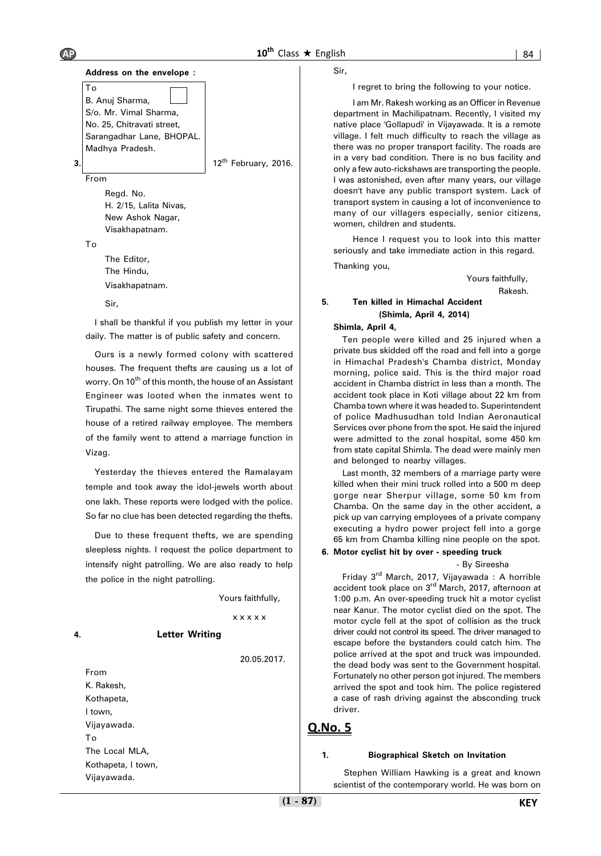

#### Sir,

I shall be thankful if you publish my letter in your daily. The matter is of public safety and concern.

Ours is a newly formed colony with scattered houses. The frequent thefts are causing us a lot of worry. On 10<sup>th</sup> of this month, the house of an Assistant Engineer was looted when the inmates went to Tirupathi. The same night some thieves entered the house of a retired railway employee. The members of the family went to attend a marriage function in Vizag.

Yesterday the thieves entered the Ramalayam temple and took away the idol-jewels worth about one lakh. These reports were lodged with the police. So far no clue has been detected regarding the thefts.

Due to these frequent thefts, we are spending sleepless nights. I request the police department to intensify night patrolling. We are also ready to help the police in the night patrolling.

Yours faithfully,

#### x x x x x

#### **4. Letter Writing**

20.05.2017.

From K. Rakesh, Kothapeta, I town, Vijayawada. To The Local MLA, Kothapeta, I town, Vijayawada.

Sir,

I regret to bring the following to your notice.

I am Mr. Rakesh working as an Officer in Revenue department in Machilipatnam. Recently, I visited my native place 'Gollapudi' in Vijayawada. It is a remote village. I felt much difficulty to reach the village as there was no proper transport facility. The roads are in a very bad condition. There is no bus facility and only a few auto-rickshaws are transporting the people. I was astonished, even after many years, our village doesn't have any public transport system. Lack of transport system in causing a lot of inconvenience to many of our villagers especially, senior citizens, women, children and students.

Hence I request you to look into this matter seriously and take immediate action in this regard.

Thanking you,

Yours faithfully, Rakesh.

#### **5. Ten killed in Himachal Accident (Shimla, April 4, 2014)**

#### **Shimla, April 4,**

Ten people were killed and 25 injured when a private bus skidded off the road and fell into a gorge in Himachal Pradesh's Chamba district, Monday morning, police said. This is the third major road accident in Chamba district in less than a month. The accident took place in Koti village about 22 km from Chamba town where it was headed to. Superintendent of police Madhusudhan told Indian Aeronautical Services over phone from the spot. He said the injured were admitted to the zonal hospital, some 450 km from state capital Shimla. The dead were mainly men and belonged to nearby villages.

Last month, 32 members of a marriage party were killed when their mini truck rolled into a 500 m deep gorge near Sherpur village, some 50 km from Chamba. On the same day in the other accident, a pick up van carrying employees of a private company executing a hydro power project fell into a gorge 65 km from Chamba killing nine people on the spot.

#### **6. Motor cyclist hit by over - speeding truck** - By Sireesha

Friday 3rd March, 2017, Vijayawada : A horrible accident took place on 3<sup>rd</sup> March, 2017, afternoon at 1:00 p.m. An over-speeding truck hit a motor cyclist near Kanur. The motor cyclist died on the spot. The motor cycle fell at the spot of collision as the truck driver could not control its speed. The driver managed to escape before the bystanders could catch him. The police arrived at the spot and truck was impounded. the dead body was sent to the Government hospital. Fortunately no other person got injured. The members arrived the spot and took him. The police registered a case of rash driving against the absconding truck driver.

#### **Q.No. 5**

#### **1. Biographical Sketch on Invitation**

Stephen William Hawking is a great and known scientist of the contemporary world. He was born on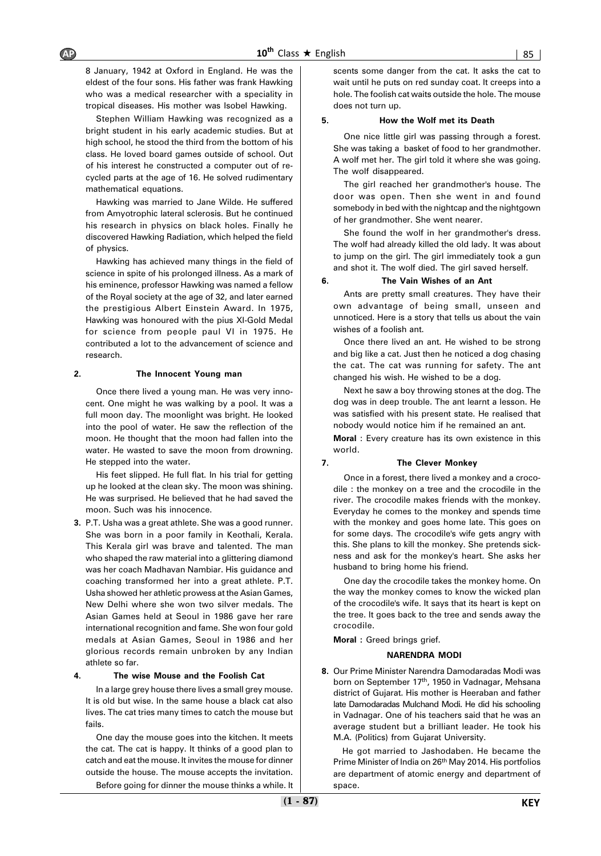8 January, 1942 at Oxford in England. He was the eldest of the four sons. His father was frank Hawking who was a medical researcher with a speciality in tropical diseases. His mother was Isobel Hawking.

Stephen William Hawking was recognized as a bright student in his early academic studies. But at high school, he stood the third from the bottom of his class. He loved board games outside of school. Out of his interest he constructed a computer out of recycled parts at the age of 16. He solved rudimentary mathematical equations.

Hawking was married to Jane Wilde. He suffered from Amyotrophic lateral sclerosis. But he continued his research in physics on black holes. Finally he discovered Hawking Radiation, which helped the field of physics.

Hawking has achieved many things in the field of science in spite of his prolonged illness. As a mark of his eminence, professor Hawking was named a fellow of the Royal society at the age of 32, and later earned the prestigious Albert Einstein Award. In 1975, Hawking was honoured with the pius XI-Gold Medal for science from people paul VI in 1975. He contributed a lot to the advancement of science and research.

#### **2. The Innocent Young man**

Once there lived a young man. He was very innocent. One might he was walking by a pool. It was a full moon day. The moonlight was bright. He looked into the pool of water. He saw the reflection of the moon. He thought that the moon had fallen into the water. He wasted to save the moon from drowning. He stepped into the water.

His feet slipped. He full flat. In his trial for getting up he looked at the clean sky. The moon was shining. He was surprised. He believed that he had saved the moon. Such was his innocence.

**3.** P.T. Usha was a great athlete. She was a good runner. She was born in a poor family in Keothali, Kerala. This Kerala girl was brave and talented. The man who shaped the raw material into a glittering diamond was her coach Madhavan Nambiar. His guidance and coaching transformed her into a great athlete. P.T. Usha showed her athletic prowess at the Asian Games, New Delhi where she won two silver medals. The Asian Games held at Seoul in 1986 gave her rare international recognition and fame. She won four gold medals at Asian Games, Seoul in 1986 and her glorious records remain unbroken by any Indian athlete so far.

#### **4. The wise Mouse and the Foolish Cat**

In a large grey house there lives a small grey mouse. It is old but wise. In the same house a black cat also lives. The cat tries many times to catch the mouse but fails.

One day the mouse goes into the kitchen. It meets the cat. The cat is happy. It thinks of a good plan to catch and eat the mouse. It invites the mouse for dinner outside the house. The mouse accepts the invitation.

Before going for dinner the mouse thinks a while. It

scents some danger from the cat. It asks the cat to wait until he puts on red sunday coat. It creeps into a hole. The foolish cat waits outside the hole. The mouse does not turn up.

#### **5. How the Wolf met its Death**

One nice little girl was passing through a forest. She was taking a basket of food to her grandmother. A wolf met her. The girl told it where she was going. The wolf disappeared.

The girl reached her grandmother's house. The door was open. Then she went in and found somebody in bed with the nightcap and the nightgown of her grandmother. She went nearer.

She found the wolf in her grandmother's dress. The wolf had already killed the old lady. It was about to jump on the girl. The girl immediately took a gun and shot it. The wolf died. The girl saved herself.

#### **6. The Vain Wishes of an Ant**

Ants are pretty small creatures. They have their own advantage of being small, unseen and unnoticed. Here is a story that tells us about the vain wishes of a foolish ant.

Once there lived an ant. He wished to be strong and big like a cat. Just then he noticed a dog chasing the cat. The cat was running for safety. The ant changed his wish. He wished to be a dog.

Next he saw a boy throwing stones at the dog. The dog was in deep trouble. The ant learnt a lesson. He was satisfied with his present state. He realised that nobody would notice him if he remained an ant.

**Moral** : Every creature has its own existence in this world.

#### **7. The Clever Monkey**

Once in a forest, there lived a monkey and a crocodile : the monkey on a tree and the crocodile in the river. The crocodile makes friends with the monkey. Everyday he comes to the monkey and spends time with the monkey and goes home late. This goes on for some days. The crocodile's wife gets angry with this. She plans to kill the monkey. She pretends sickness and ask for the monkey's heart. She asks her husband to bring home his friend.

One day the crocodile takes the monkey home. On the way the monkey comes to know the wicked plan of the crocodile's wife. It says that its heart is kept on the tree. It goes back to the tree and sends away the crocodile.

**Moral :** Greed brings grief.

#### **NARENDRA MODI**

**8.** Our Prime Minister Narendra Damodaradas Modi was born on September 17<sup>th</sup>, 1950 in Vadnagar, Mehsana district of Gujarat. His mother is Heeraban and father late Damodaradas Mulchand Modi. He did his schooling in Vadnagar. One of his teachers said that he was an average student but a brilliant leader. He took his M.A. (Politics) from Gujarat University.

He got married to Jashodaben. He became the Prime Minister of India on 26<sup>th</sup> May 2014. His portfolios are department of atomic energy and department of space.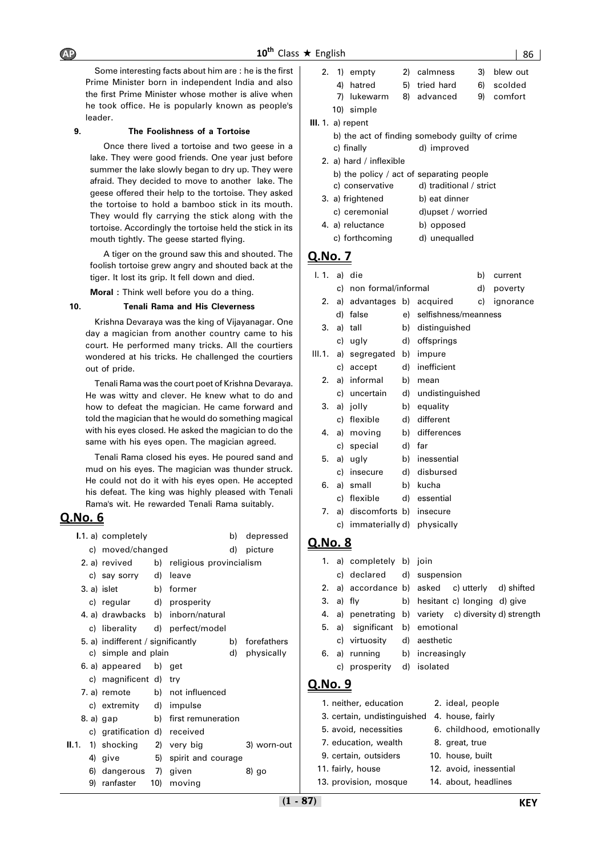Some interesting facts about him are : he is the first Prime Minister born in independent India and also the first Prime Minister whose mother is alive when he took office. He is popularly known as people's leader.

#### **9. The Foolishness of a Tortoise**

Once there lived a tortoise and two geese in a lake. They were good friends. One year just before summer the lake slowly began to dry up. They were afraid. They decided to move to another lake. The geese offered their help to the tortoise. They asked the tortoise to hold a bamboo stick in its mouth. They would fly carrying the stick along with the tortoise. Accordingly the tortoise held the stick in its mouth tightly. The geese started flying.

A tiger on the ground saw this and shouted. The foolish tortoise grew angry and shouted back at the tiger. It lost its grip. It fell down and died.

**Moral :** Think well before you do a thing.

#### **10. Tenali Rama and His Cleverness**

Krishna Devaraya was the king of Vijayanagar. One day a magician from another country came to his court. He performed many tricks. All the courtiers wondered at his tricks. He challenged the courtiers out of pride.

Tenali Rama was the court poet of Krishna Devaraya. He was witty and clever. He knew what to do and how to defeat the magician. He came forward and told the magician that he would do something magical with his eyes closed. He asked the magician to do the same with his eyes open. The magician agreed.

Tenali Rama closed his eyes. He poured sand and mud on his eyes. The magician was thunder struck. He could not do it with his eyes open. He accepted his defeat. The king was highly pleased with Tenali Rama's wit. He rewarded Tenali Rama suitably.

## **Q.No. 6**

|  | I.1. a) completely                             |     |                                          | b) | depressed   |
|--|------------------------------------------------|-----|------------------------------------------|----|-------------|
|  | c) moved/changed                               |     |                                          | d) | picture     |
|  |                                                |     | 2. a) revived b) religious provincialism |    |             |
|  | c) say sorry d) leave                          |     |                                          |    |             |
|  | b) former<br>3. a) islet                       |     |                                          |    |             |
|  | c) regular d) prosperity                       |     |                                          |    |             |
|  |                                                |     | 4. a) drawbacks b) inborn/natural        |    |             |
|  |                                                |     | c) liberality d) perfect/model           |    |             |
|  | 5. a) indifferent / significantly              |     |                                          | b) | forefathers |
|  | c) simple and plain                            |     |                                          | d) | physically  |
|  | 6. a) appeared b) get                          |     |                                          |    |             |
|  | c) magnificent d) try                          |     |                                          |    |             |
|  |                                                |     | 7. a) remote b) not influenced           |    |             |
|  | c) extremity d) impulse                        |     |                                          |    |             |
|  | 8.a) gap                                       |     | b) first remuneration                    |    |             |
|  | c) gratification d) received                   |     |                                          |    |             |
|  | <b>II.</b> 1. 1) shocking $\qquad$ 2) very big |     |                                          |    | 3) worn-out |
|  | 4) give                                        | 5)  | spirit and courage                       |    |             |
|  | 6) dangerous 7) given                          |     |                                          |    | 8) go       |
|  | 9) ranfaster                                   | 10) | moving                                   |    |             |

|  | 2. 1) empty  | 2) calmness   | 3) blew out |
|--|--------------|---------------|-------------|
|  | 4) hatred    | 5) tried hard | 6) scolded  |
|  | 7) lukewarm  | 8) advanced   | 9) comfort  |
|  | $101$ cimple |               |             |

 **III.** 1. a) repent

| b) the act of finding somebody quilty of crime |             |  |  |
|------------------------------------------------|-------------|--|--|
| c) finally                                     | d) improved |  |  |

- 2. a) hard / inflexible
- b) the policy / act of separating people
- c) conservative d) traditional / strict
- 3. a) frightened b) eat dinner
- c) ceremonial d)upset / worried 4. a) reluctance b) opposed
- c) forthcoming d) unequalled

## **Q.No. 7**

| I. 1. a) die |    |                            |    |                         | b) | current   |
|--------------|----|----------------------------|----|-------------------------|----|-----------|
|              | c) | non formal/informal        |    |                         | d) | poverty   |
| 2.           | a) |                            |    | advantages b) acquired  | C) | ignorance |
|              | d) | false                      |    | e) selfishness/meanness |    |           |
| 3.           | a) | tall                       | b) | distinguished           |    |           |
|              |    | c) ugly                    | d) | offsprings              |    |           |
| III. 1.      |    | a) segregated b) impure    |    |                         |    |           |
|              |    | c) accept                  |    | d) inefficient          |    |           |
| 2.           |    | a) informal                | b) | mean                    |    |           |
|              |    | c) uncertain               |    | d) undistinguished      |    |           |
| 3.           |    | a) jolly                   |    | b) equality             |    |           |
|              | c) | flexible                   | d) | different               |    |           |
| 4.           |    | a) moving                  |    | b) differences          |    |           |
|              |    | c) special                 |    | d) far                  |    |           |
| 5.           |    | a) ugly                    |    | b) inessential          |    |           |
|              | c) | insecure                   |    | d) disbursed            |    |           |
| 6.           | a) | small                      |    | b) kucha                |    |           |
|              | c) | flexible                   |    | d) essential            |    |           |
| 7.           |    | a) discomforts b) insecure |    |                         |    |           |
|              | C) | immaterially d) physically |    |                         |    |           |

|           | 1. a) completely b) join       |                                                       |
|-----------|--------------------------------|-------------------------------------------------------|
|           | c) declared d) suspension      |                                                       |
|           |                                | 2. a) accordance b) asked c) utterly d) shifted       |
| 3. a) fly |                                | b) hesitant c) longing d) give                        |
|           |                                | 4. a) penetrating b) variety c) diversity d) strength |
|           | 5. a) significant b) emotional |                                                       |
|           | c) virtuosity d) aesthetic     |                                                       |
|           |                                | 6. a) running b) increasingly                         |
|           | c) prosperity d) isolated      |                                                       |
| Q.NO.9    |                                |                                                       |

| 1. neither, education       | 2. ideal, people          |
|-----------------------------|---------------------------|
| 3. certain, undistinguished | 4. house, fairly          |
| 5. avoid, necessities       | 6. childhood, emotionally |
| 7. education, wealth        | 8. great, true            |
| 9. certain, outsiders       | 10. house, built          |
| 11. fairly, house           | 12. avoid, inessential    |
| 13. provision, mosque       | 14. about, headlines      |